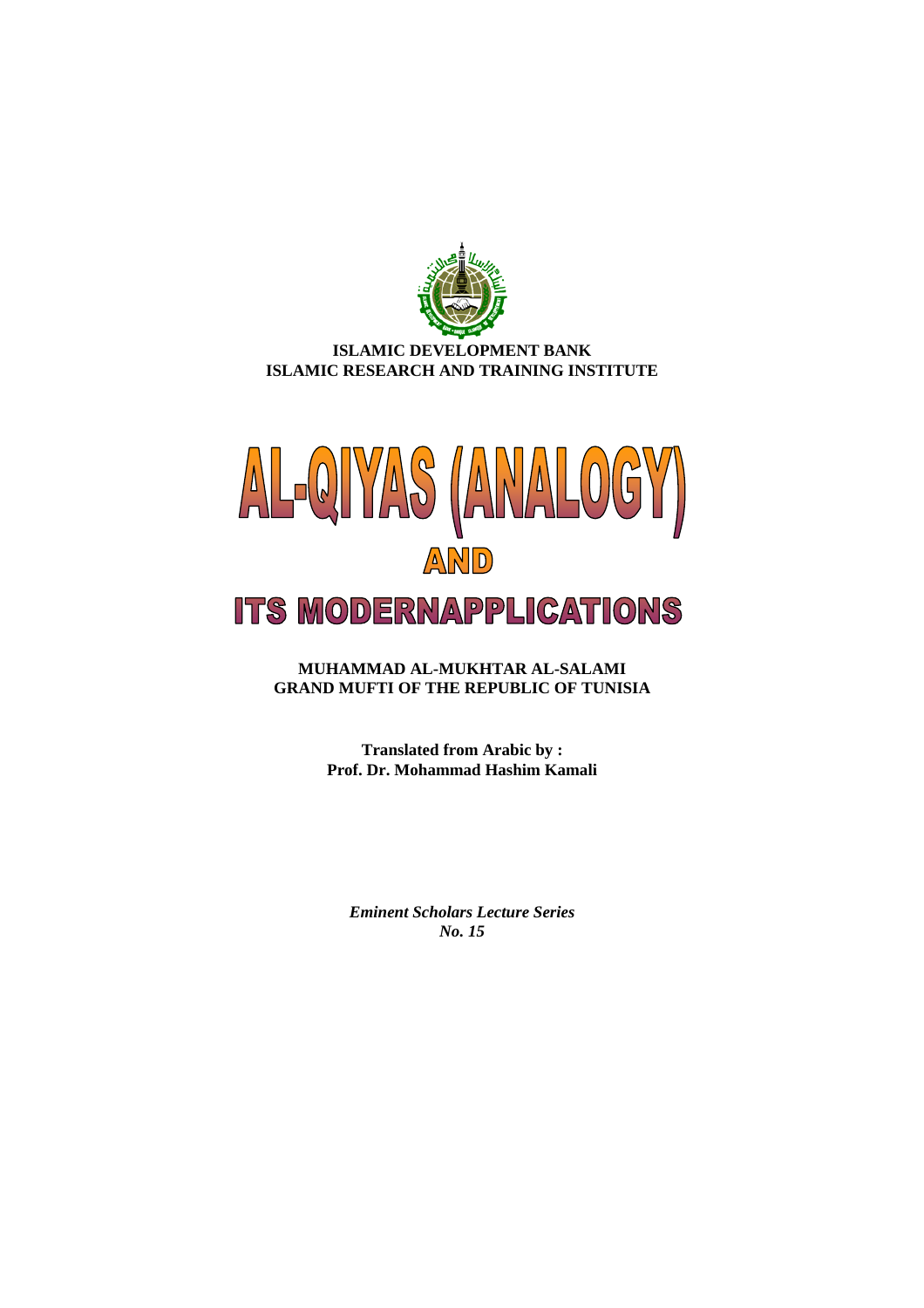

# **ISLAMIC DEVELOPMENT BANK ISLAMIC RESEARCH AND TRAINING INSTITUTE**



**MUHAMMAD AL-MUKHTAR AL-SALAMI GRAND MUFTI OF THE REPUBLIC OF TUNISIA** 

> **Translated from Arabic by : Prof. Dr. Mohammad Hashim Kamali**

*Eminent Scholars Lecture Series No. 15*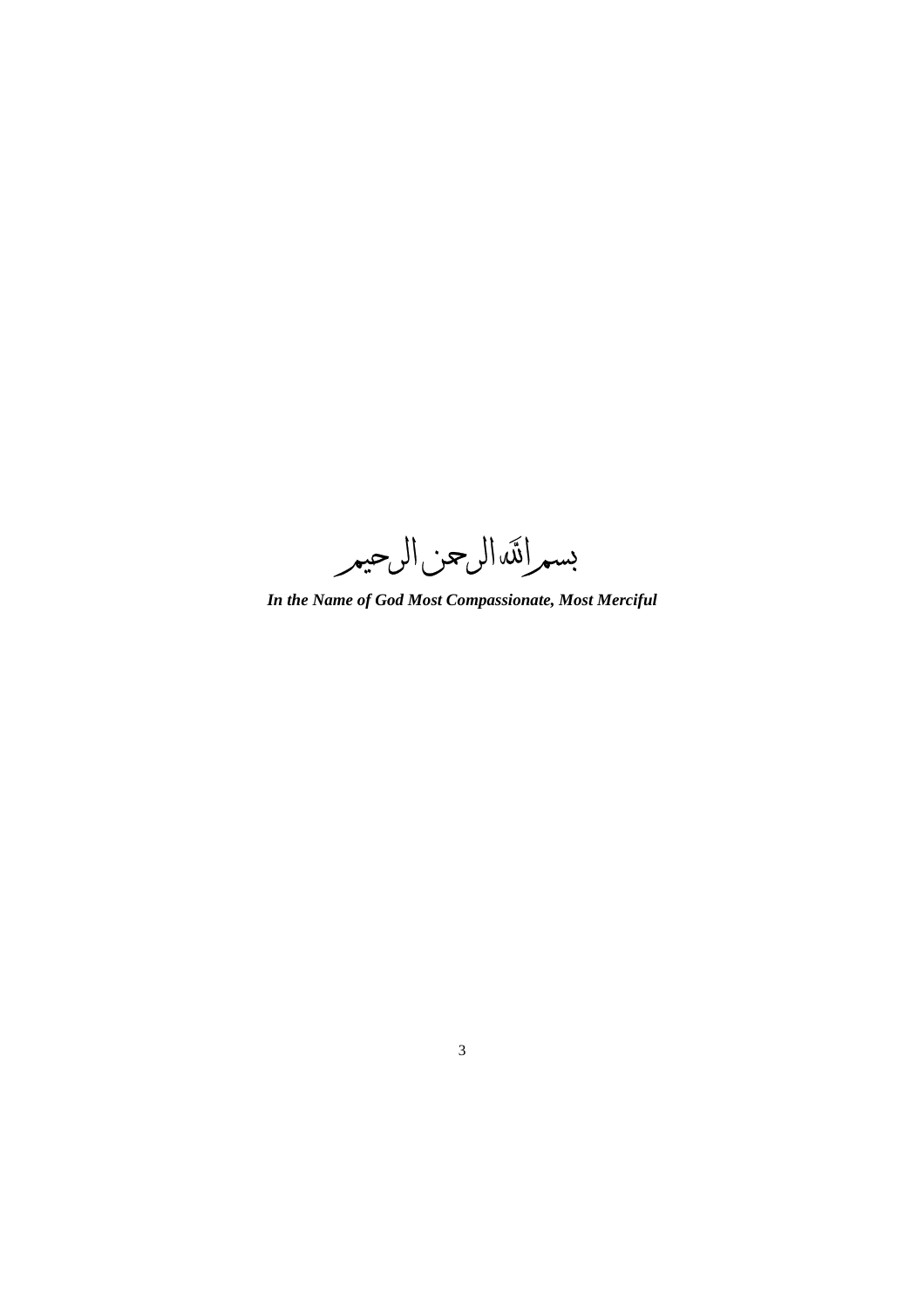بسمرائكه الرحيمر

*In the Name of God Most Compassionate, Most Merciful*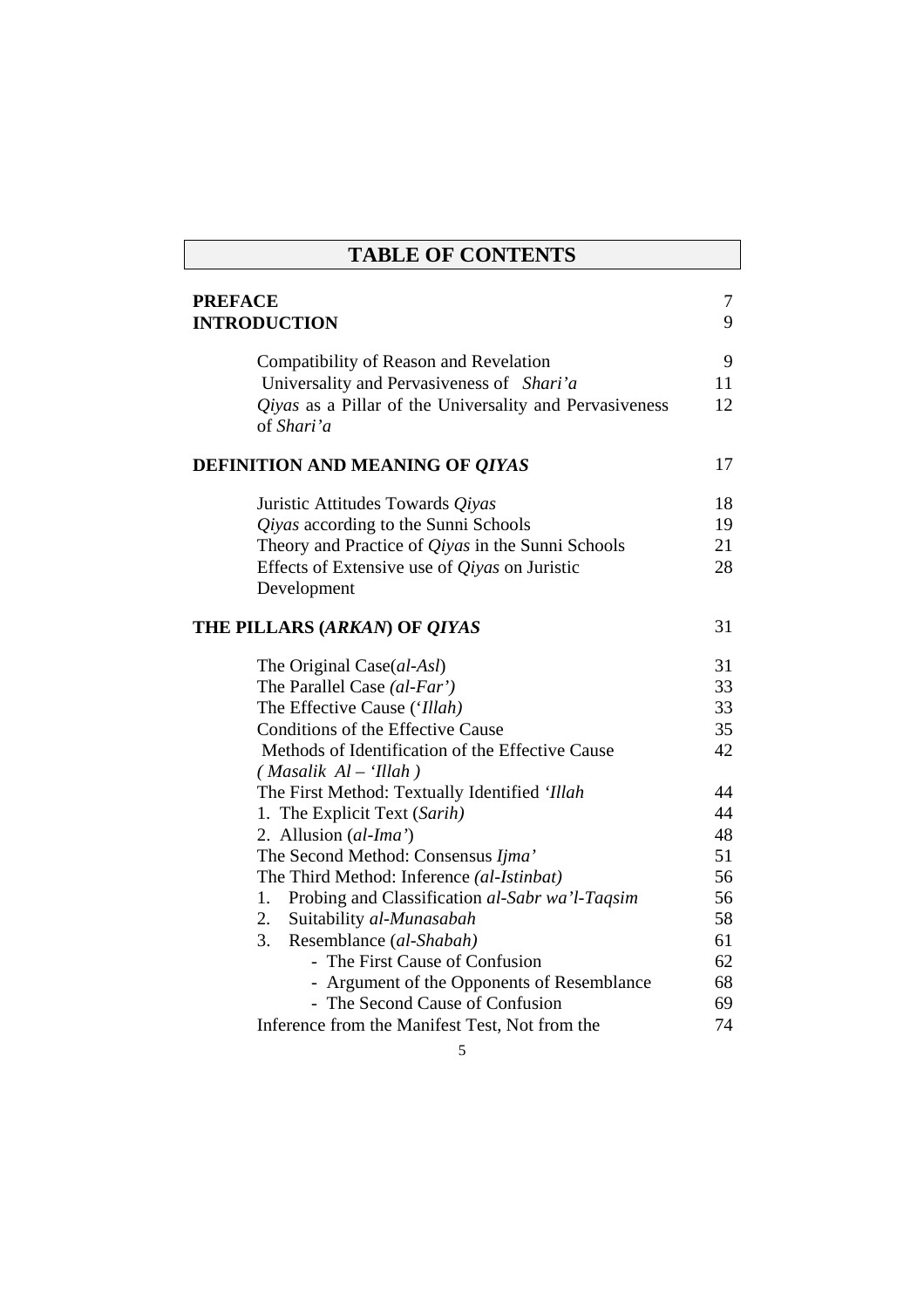| <b>TABLE OF CONTENTS</b>                                                     |    |  |
|------------------------------------------------------------------------------|----|--|
| <b>PREFACE</b>                                                               | 7  |  |
| <b>INTRODUCTION</b>                                                          | 9  |  |
|                                                                              |    |  |
| Compatibility of Reason and Revelation                                       | 9  |  |
| Universality and Pervasiveness of Shari'a                                    | 11 |  |
| <i>Qiyas</i> as a Pillar of the Universality and Pervasiveness<br>of Shari'a | 12 |  |
| DEFINITION AND MEANING OF QIYAS                                              | 17 |  |
| Juristic Attitudes Towards Qiyas                                             | 18 |  |
| Qiyas according to the Sunni Schools                                         | 19 |  |
| Theory and Practice of <i>Qiyas</i> in the Sunni Schools                     | 21 |  |
| Effects of Extensive use of <i>Qiyas</i> on Juristic<br>Development          | 28 |  |
| THE PILLARS (ARKAN) OF QIYAS                                                 | 31 |  |
| The Original Case(al-Asl)                                                    | 31 |  |
| The Parallel Case (al-Far')                                                  | 33 |  |
| The Effective Cause ('Illah)                                                 | 33 |  |
| Conditions of the Effective Cause                                            | 35 |  |
| Methods of Identification of the Effective Cause<br>$(Masalik Al - 'Illah)$  | 42 |  |
| The First Method: Textually Identified 'Illah                                | 44 |  |
| 1. The Explicit Text (Sarih)                                                 | 44 |  |
| 2. Allusion (al-Ima')                                                        | 48 |  |
| The Second Method: Consensus Ijma'                                           | 51 |  |
| The Third Method: Inference (al-Istinbat)                                    | 56 |  |
| Probing and Classification al-Sabr wa'l-Taqsim<br>1.                         | 56 |  |
| 2.<br>Suitability al-Munasabah                                               | 58 |  |
| 3.<br>Resemblance (al-Shabah)                                                | 61 |  |
| - The First Cause of Confusion                                               | 62 |  |
| - Argument of the Opponents of Resemblance                                   | 68 |  |
| - The Second Cause of Confusion                                              | 69 |  |
| Inference from the Manifest Test, Not from the                               | 74 |  |
| 5                                                                            |    |  |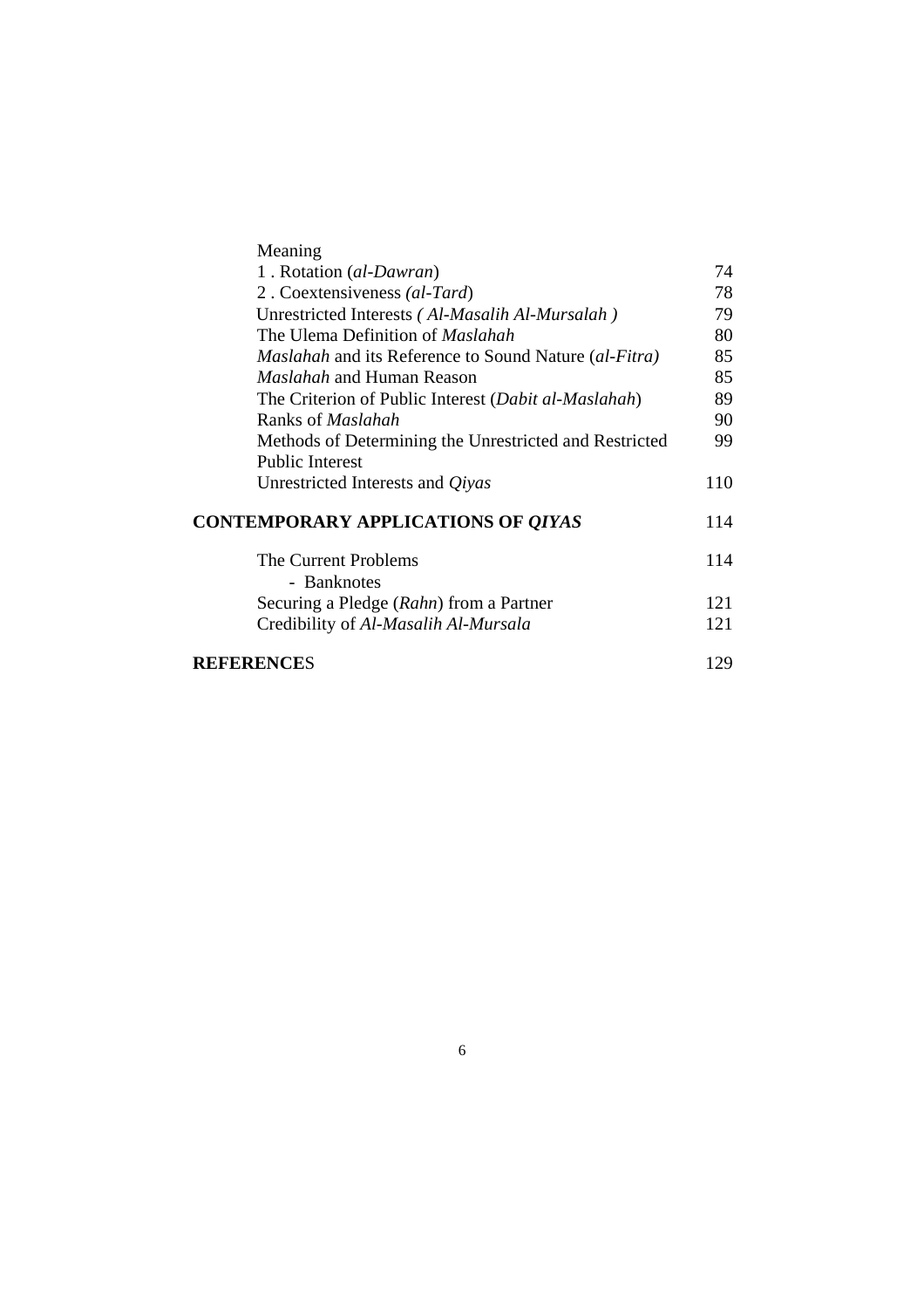| Meaning                                                      |     |
|--------------------------------------------------------------|-----|
| 1. Rotation (al-Dawran)                                      | 74  |
| 2. Coextensiveness (al-Tard)                                 | 78  |
| Unrestricted Interests (Al-Masalih Al-Mursalah)              | 79  |
| The Ulema Definition of <i>Maslahah</i>                      | 80  |
| <i>Maslahah</i> and its Reference to Sound Nature (al-Fitra) | 85  |
| <i>Maslahah</i> and Human Reason                             | 85  |
| The Criterion of Public Interest (Dabit al-Maslahah)         | 89  |
| Ranks of <i>Maslahah</i>                                     | 90  |
| Methods of Determining the Unrestricted and Restricted       | 99  |
| <b>Public Interest</b>                                       |     |
| Unrestricted Interests and <i>Qiyas</i>                      | 110 |
| <b>CONTEMPORARY APPLICATIONS OF QIYAS</b>                    | 114 |
| The Current Problems                                         | 114 |
| - Banknotes                                                  |     |
| Securing a Pledge (Rahn) from a Partner                      | 121 |
| Credibility of Al-Masalih Al-Mursala                         | 121 |
| REFERENCES                                                   | 129 |
|                                                              |     |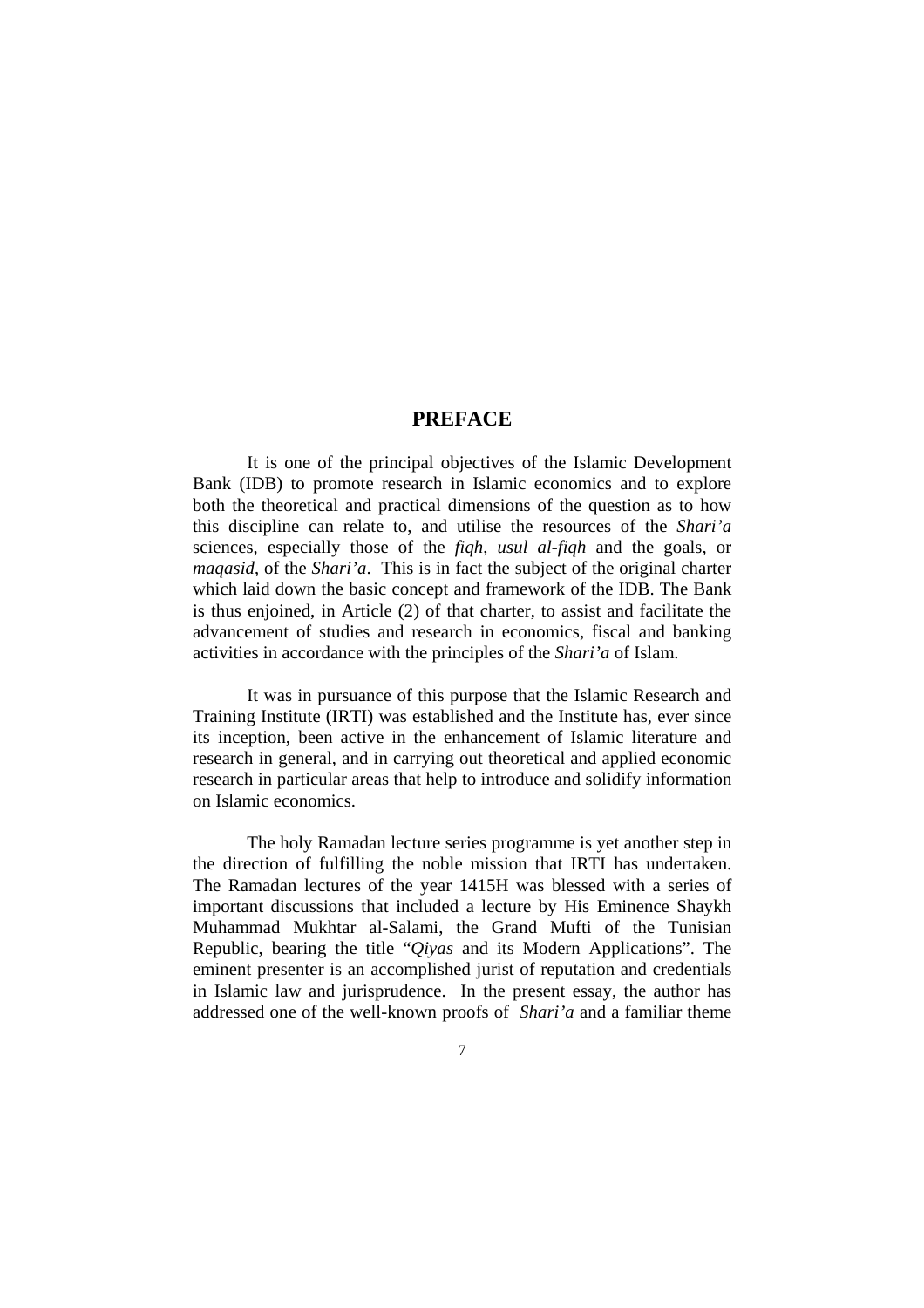# **PREFACE**

It is one of the principal objectives of the Islamic Development Bank (IDB) to promote research in Islamic economics and to explore both the theoretical and practical dimensions of the question as to how this discipline can relate to, and utilise the resources of the *Shari'a* sciences, especially those of the *fiqh*, *usul al-fiqh* and the goals, or *maqasid*, of the *Shari'a*. This is in fact the subject of the original charter which laid down the basic concept and framework of the IDB. The Bank is thus enjoined, in Article (2) of that charter, to assist and facilitate the advancement of studies and research in economics, fiscal and banking activities in accordance with the principles of the *Shari'a* of Islam.

It was in pursuance of this purpose that the Islamic Research and Training Institute (IRTI) was established and the Institute has, ever since its inception, been active in the enhancement of Islamic literature and research in general, and in carrying out theoretical and applied economic research in particular areas that help to introduce and solidify information on Islamic economics.

The holy Ramadan lecture series programme is yet another step in the direction of fulfilling the noble mission that IRTI has undertaken. The Ramadan lectures of the year 1415H was blessed with a series of important discussions that included a lecture by His Eminence Shaykh Muhammad Mukhtar al-Salami, the Grand Mufti of the Tunisian Republic, bearing the title "*Qiyas* and its Modern Applications". The eminent presenter is an accomplished jurist of reputation and credentials in Islamic law and jurisprudence. In the present essay, the author has addressed one of the well-known proofs of *Shari'a* and a familiar theme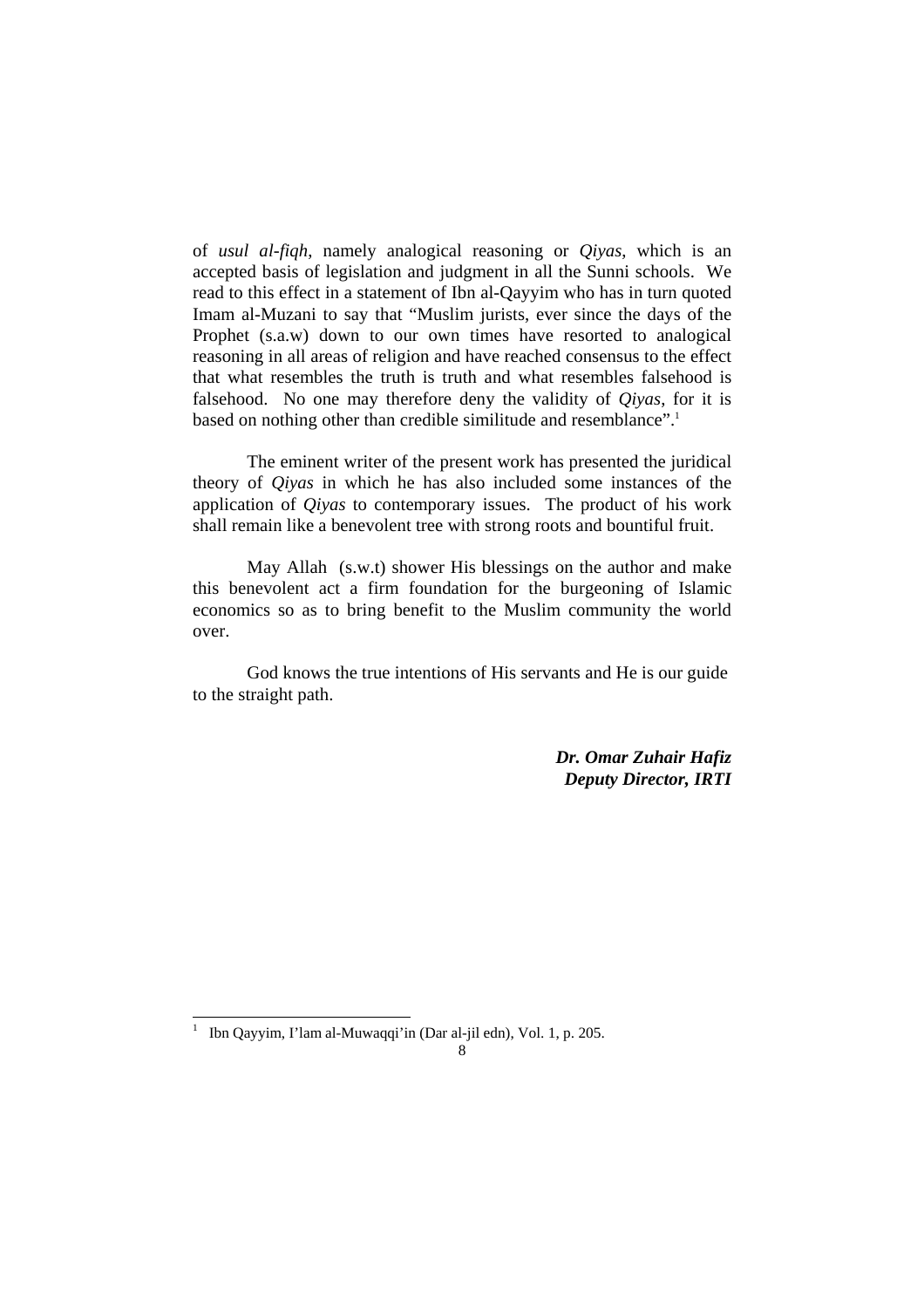of *usul al-fiqh*, namely analogical reasoning or *Qiyas*, which is an accepted basis of legislation and judgment in all the Sunni schools. We read to this effect in a statement of Ibn al-Qayyim who has in turn quoted Imam al-Muzani to say that "Muslim jurists, ever since the days of the Prophet (s.a.w) down to our own times have resorted to analogical reasoning in all areas of religion and have reached consensus to the effect that what resembles the truth is truth and what resembles falsehood is falsehood. No one may therefore deny the validity of *Qiyas*, for it is based on nothing other than credible similitude and resemblance".<sup>1</sup>

 The eminent writer of the present work has presented the juridical theory of *Qiyas* in which he has also included some instances of the application of *Qiyas* to contemporary issues. The product of his work shall remain like a benevolent tree with strong roots and bountiful fruit.

 May Allah (s.w.t) shower His blessings on the author and make this benevolent act a firm foundation for the burgeoning of Islamic economics so as to bring benefit to the Muslim community the world over.

 God knows the true intentions of His servants and He is our guide to the straight path.

> *Dr. Omar Zuhair Hafiz Deputy Director, IRTI*

 $\overline{a}$ 1

Ibn Qayyim, I'lam al-Muwaqqi'in (Dar al-jil edn), Vol. 1, p. 205.

<sup>8</sup>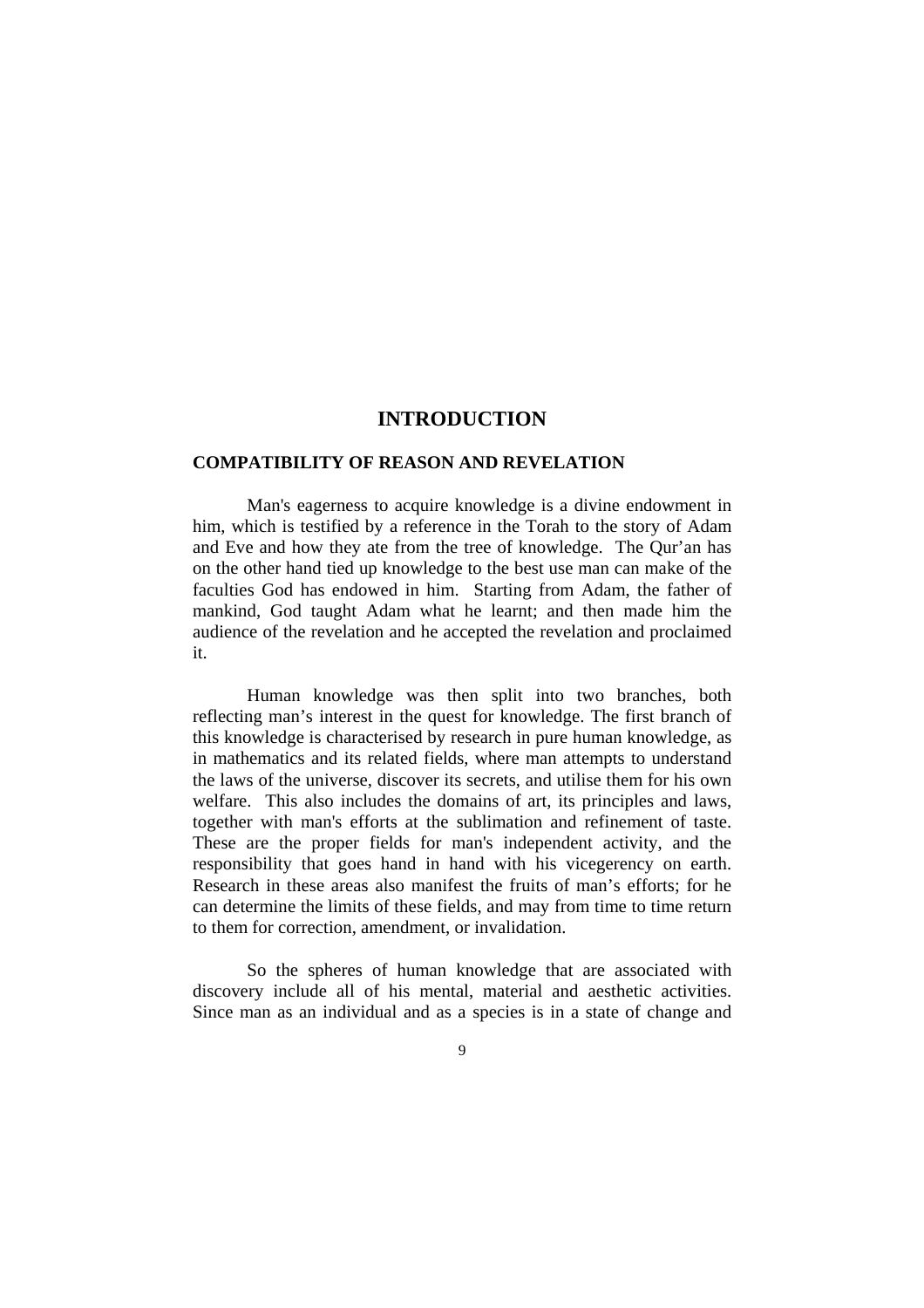## **INTRODUCTION**

#### **COMPATIBILITY OF REASON AND REVELATION**

 Man's eagerness to acquire knowledge is a divine endowment in him, which is testified by a reference in the Torah to the story of Adam and Eve and how they ate from the tree of knowledge. The Qur'an has on the other hand tied up knowledge to the best use man can make of the faculties God has endowed in him. Starting from Adam, the father of mankind, God taught Adam what he learnt; and then made him the audience of the revelation and he accepted the revelation and proclaimed it.

 Human knowledge was then split into two branches, both reflecting man's interest in the quest for knowledge. The first branch of this knowledge is characterised by research in pure human knowledge, as in mathematics and its related fields, where man attempts to understand the laws of the universe, discover its secrets, and utilise them for his own welfare. This also includes the domains of art, its principles and laws, together with man's efforts at the sublimation and refinement of taste. These are the proper fields for man's independent activity, and the responsibility that goes hand in hand with his vicegerency on earth. Research in these areas also manifest the fruits of man's efforts; for he can determine the limits of these fields, and may from time to time return to them for correction, amendment, or invalidation.

 So the spheres of human knowledge that are associated with discovery include all of his mental, material and aesthetic activities. Since man as an individual and as a species is in a state of change and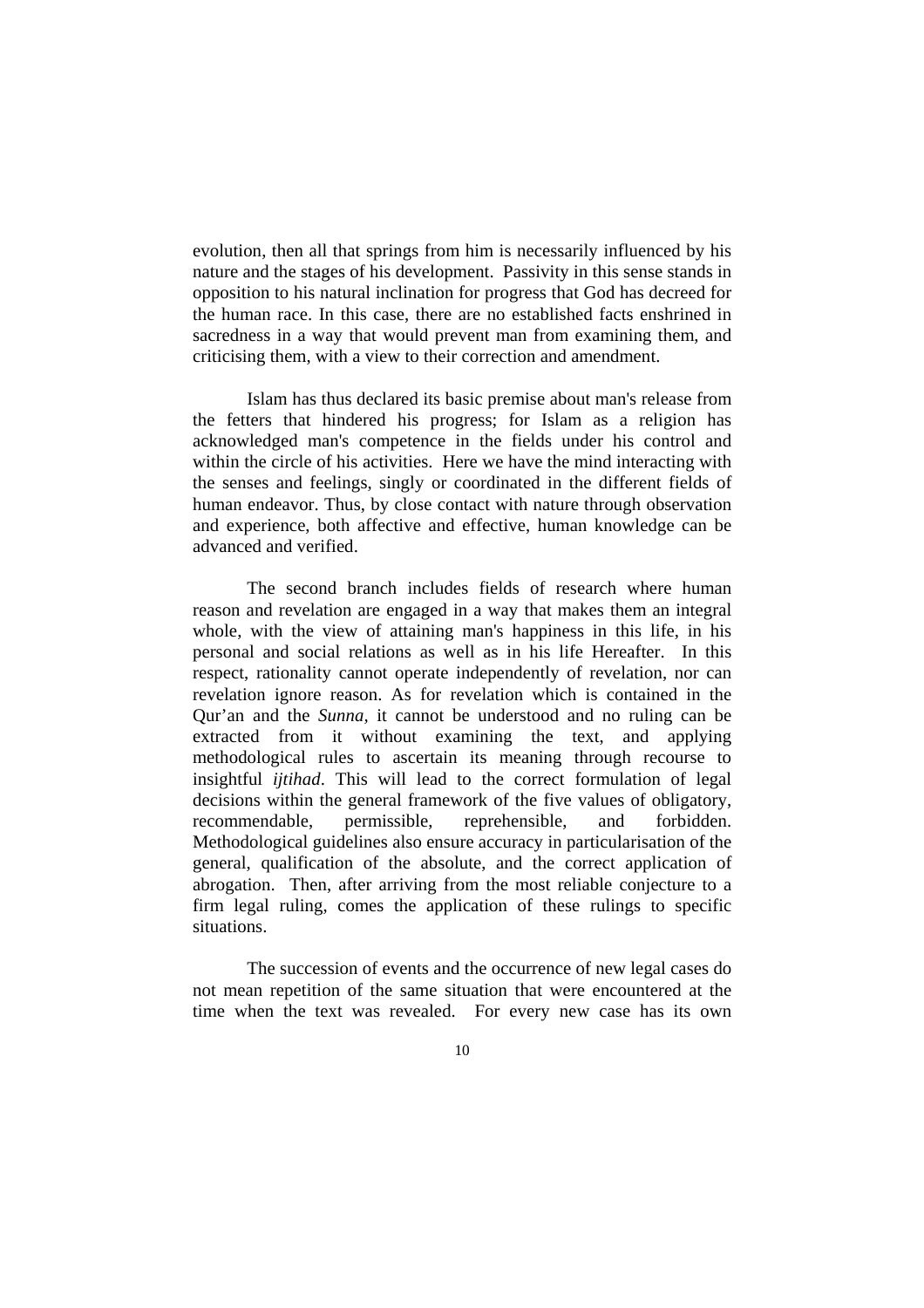evolution, then all that springs from him is necessarily influenced by his nature and the stages of his development. Passivity in this sense stands in opposition to his natural inclination for progress that God has decreed for the human race. In this case, there are no established facts enshrined in sacredness in a way that would prevent man from examining them, and criticising them, with a view to their correction and amendment.

 Islam has thus declared its basic premise about man's release from the fetters that hindered his progress; for Islam as a religion has acknowledged man's competence in the fields under his control and within the circle of his activities. Here we have the mind interacting with the senses and feelings, singly or coordinated in the different fields of human endeavor. Thus, by close contact with nature through observation and experience, both affective and effective, human knowledge can be advanced and verified.

 The second branch includes fields of research where human reason and revelation are engaged in a way that makes them an integral whole, with the view of attaining man's happiness in this life, in his personal and social relations as well as in his life Hereafter. In this respect, rationality cannot operate independently of revelation, nor can revelation ignore reason. As for revelation which is contained in the Qur'an and the *Sunna,* it cannot be understood and no ruling can be extracted from it without examining the text, and applying methodological rules to ascertain its meaning through recourse to insightful *ijtihad*. This will lead to the correct formulation of legal decisions within the general framework of the five values of obligatory, recommendable, permissible, reprehensible, and forbidden. Methodological guidelines also ensure accuracy in particularisation of the general, qualification of the absolute, and the correct application of abrogation. Then, after arriving from the most reliable conjecture to a firm legal ruling, comes the application of these rulings to specific situations.

 The succession of events and the occurrence of new legal cases do not mean repetition of the same situation that were encountered at the time when the text was revealed. For every new case has its own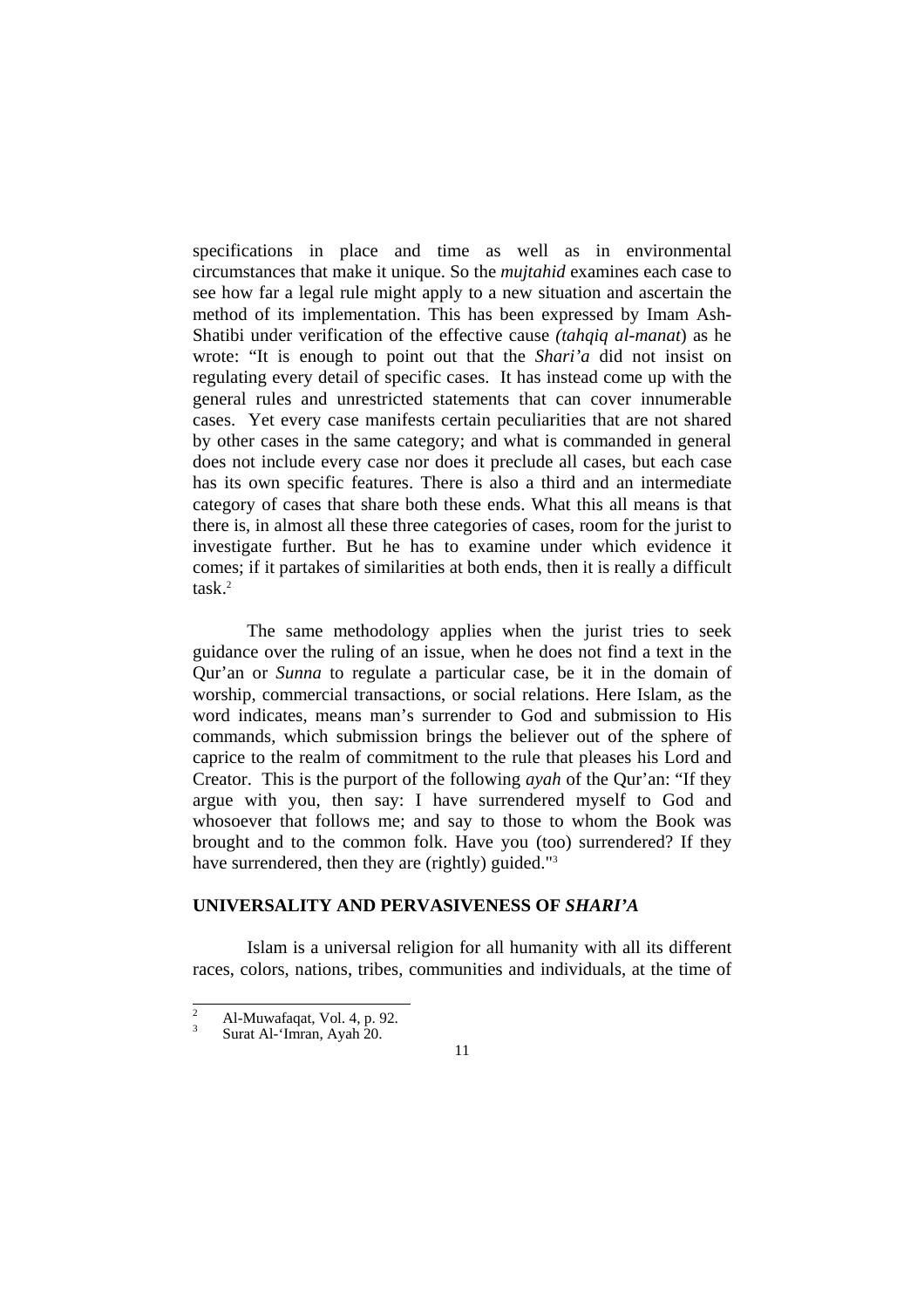specifications in place and time as well as in environmental circumstances that make it unique. So the *mujtahid* examines each case to see how far a legal rule might apply to a new situation and ascertain the method of its implementation. This has been expressed by Imam Ash-Shatibi under verification of the effective cause *(tahqiq al-manat*) as he wrote: "It is enough to point out that the *Shari'a* did not insist on regulating every detail of specific cases. It has instead come up with the general rules and unrestricted statements that can cover innumerable cases. Yet every case manifests certain peculiarities that are not shared by other cases in the same category; and what is commanded in general does not include every case nor does it preclude all cases, but each case has its own specific features. There is also a third and an intermediate category of cases that share both these ends. What this all means is that there is, in almost all these three categories of cases, room for the jurist to investigate further. But he has to examine under which evidence it comes; if it partakes of similarities at both ends, then it is really a difficult task.2

 The same methodology applies when the jurist tries to seek guidance over the ruling of an issue, when he does not find a text in the Qur'an or *Sunna* to regulate a particular case, be it in the domain of worship, commercial transactions, or social relations. Here Islam, as the word indicates, means man's surrender to God and submission to His commands, which submission brings the believer out of the sphere of caprice to the realm of commitment to the rule that pleases his Lord and Creator. This is the purport of the following *ayah* of the Qur'an: "If they argue with you, then say: I have surrendered myself to God and whosoever that follows me; and say to those to whom the Book was brought and to the common folk. Have you (too) surrendered? If they have surrendered, then they are (rightly) guided."<sup>3</sup>

#### **UNIVERSALITY AND PERVASIVENESS OF** *SHARI'A*

 Islam is a universal religion for all humanity with all its different races, colors, nations, tribes, communities and individuals, at the time of

 $\overline{2}$  $\frac{2}{3}$  Al-Muwafaqat, Vol. 4, p. 92.<br>Surat Al-'Imran, Ayah 20.

<sup>11</sup>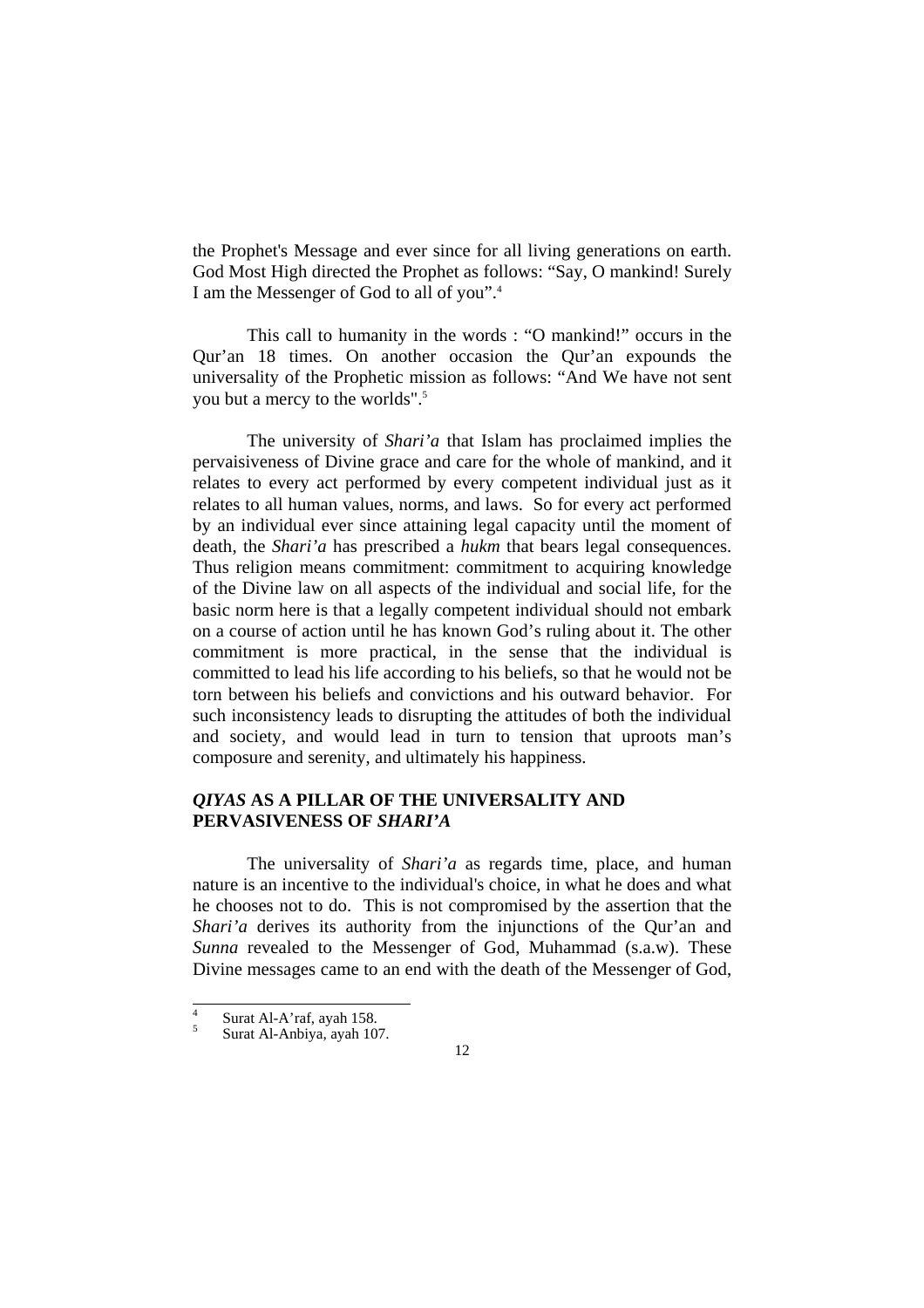the Prophet's Message and ever since for all living generations on earth. God Most High directed the Prophet as follows: "Say, O mankind! Surely I am the Messenger of God to all of you".4

 This call to humanity in the words : "O mankind!" occurs in the Qur'an 18 times. On another occasion the Qur'an expounds the universality of the Prophetic mission as follows: "And We have not sent you but a mercy to the worlds".5

 The university of *Shari'a* that Islam has proclaimed implies the pervaisiveness of Divine grace and care for the whole of mankind, and it relates to every act performed by every competent individual just as it relates to all human values, norms, and laws. So for every act performed by an individual ever since attaining legal capacity until the moment of death, the *Shari'a* has prescribed a *hukm* that bears legal consequences. Thus religion means commitment: commitment to acquiring knowledge of the Divine law on all aspects of the individual and social life, for the basic norm here is that a legally competent individual should not embark on a course of action until he has known God's ruling about it. The other commitment is more practical, in the sense that the individual is committed to lead his life according to his beliefs, so that he would not be torn between his beliefs and convictions and his outward behavior. For such inconsistency leads to disrupting the attitudes of both the individual and society, and would lead in turn to tension that uproots man's composure and serenity, and ultimately his happiness.

## *QIYAS* **AS A PILLAR OF THE UNIVERSALITY AND PERVASIVENESS OF** *SHARI'A*

 The universality of *Shari'a* as regards time, place, and human nature is an incentive to the individual's choice, in what he does and what he chooses not to do. This is not compromised by the assertion that the *Shari'a* derives its authority from the injunctions of the Our'an and *Sunna* revealed to the Messenger of God, Muhammad (s.a.w). These Divine messages came to an end with the death of the Messenger of God,

<sup>-&</sup>lt;br>4 Surat Al-A'raf, ayah 158.

<sup>5</sup> Surat Al-Anbiya, ayah 107.

<sup>12</sup>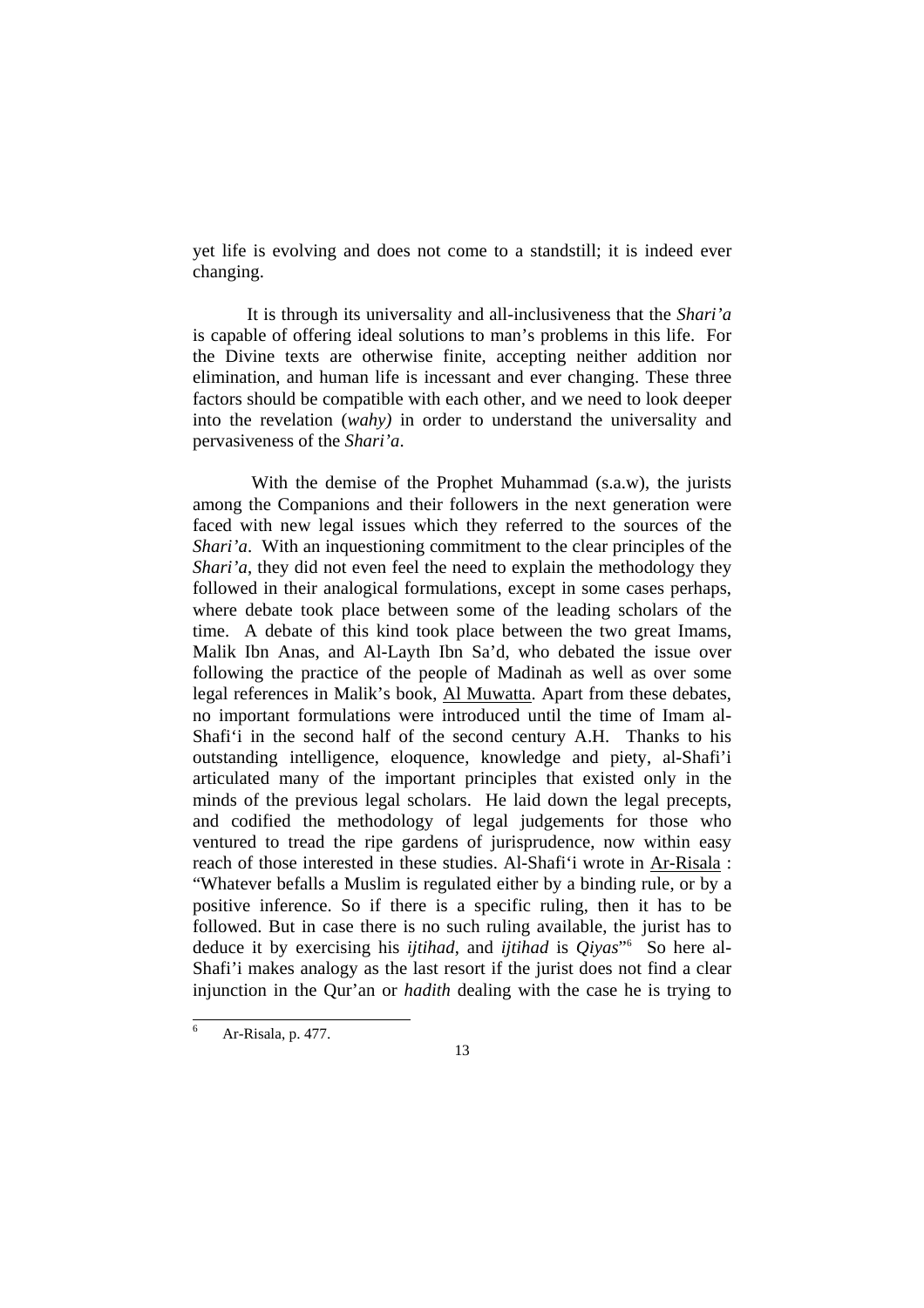yet life is evolving and does not come to a standstill; it is indeed ever changing.

 It is through its universality and all-inclusiveness that the *Shari'a* is capable of offering ideal solutions to man's problems in this life. For the Divine texts are otherwise finite, accepting neither addition nor elimination, and human life is incessant and ever changing. These three factors should be compatible with each other, and we need to look deeper into the revelation (*wahy)* in order to understand the universality and pervasiveness of the *Shari'a*.

 With the demise of the Prophet Muhammad (s.a.w), the jurists among the Companions and their followers in the next generation were faced with new legal issues which they referred to the sources of the *Shari'a*. With an inquestioning commitment to the clear principles of the *Shari'a*, they did not even feel the need to explain the methodology they followed in their analogical formulations, except in some cases perhaps, where debate took place between some of the leading scholars of the time. A debate of this kind took place between the two great Imams, Malik Ibn Anas, and Al-Layth Ibn Sa'd, who debated the issue over following the practice of the people of Madinah as well as over some legal references in Malik's book, Al Muwatta. Apart from these debates, no important formulations were introduced until the time of Imam al-Shafi'i in the second half of the second century A.H. Thanks to his outstanding intelligence, eloquence, knowledge and piety, al-Shafi'i articulated many of the important principles that existed only in the minds of the previous legal scholars. He laid down the legal precepts, and codified the methodology of legal judgements for those who ventured to tread the ripe gardens of jurisprudence, now within easy reach of those interested in these studies. Al-Shafi'i wrote in Ar-Risala : "Whatever befalls a Muslim is regulated either by a binding rule, or by a positive inference. So if there is a specific ruling, then it has to be followed. But in case there is no such ruling available, the jurist has to deduce it by exercising his *ijtihad*, and *ijtihad* is *Qiyas*"6 So here al-Shafi'i makes analogy as the last resort if the jurist does not find a clear injunction in the Qur'an or *hadith* dealing with the case he is trying to

l 6 Ar-Risala, p. 477.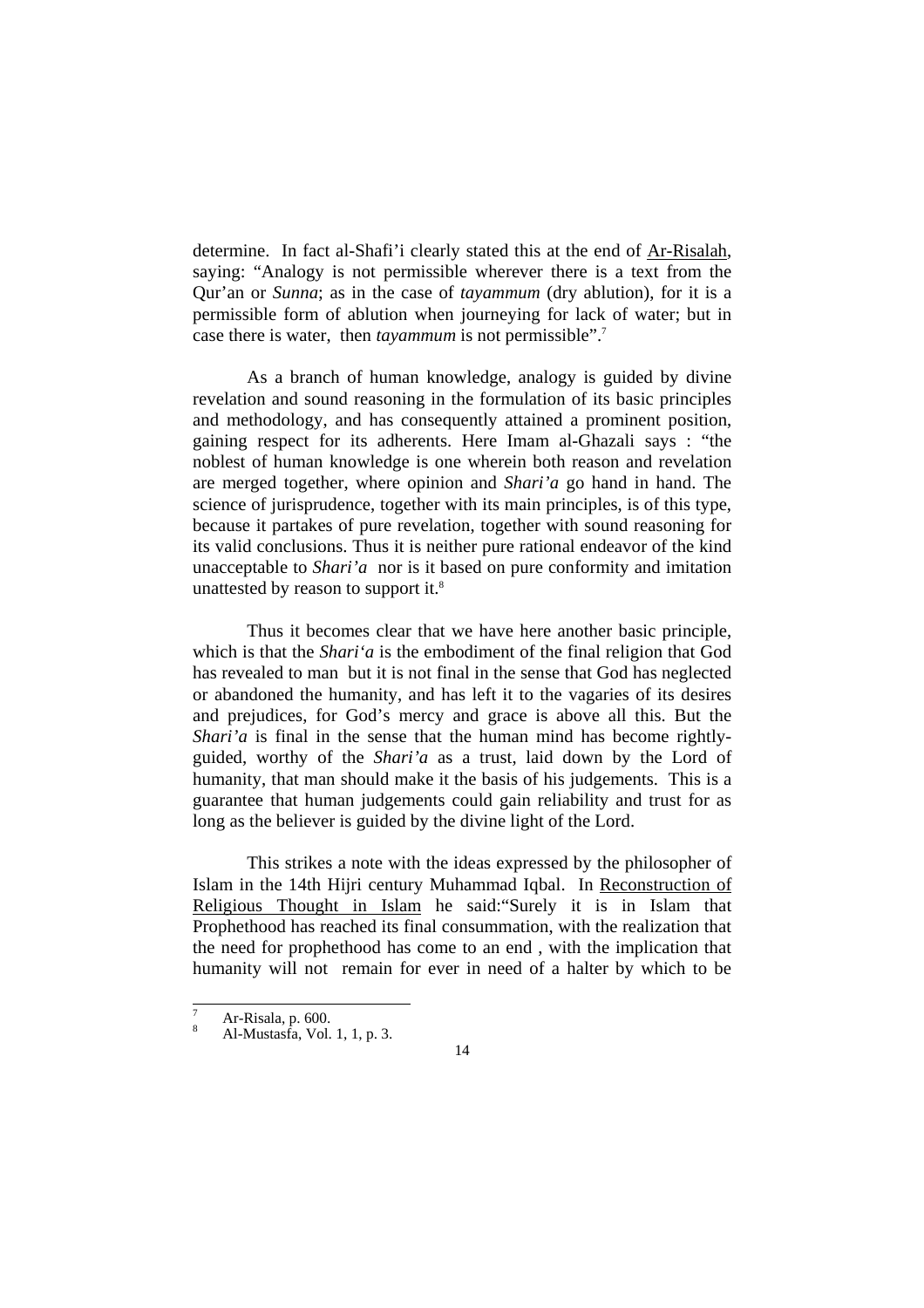determine. In fact al-Shafi'i clearly stated this at the end of Ar-Risalah, saying: "Analogy is not permissible wherever there is a text from the Qur'an or *Sunna*; as in the case of *tayammum* (dry ablution), for it is a permissible form of ablution when journeying for lack of water; but in case there is water, then *tayammum* is not permissible".7

 As a branch of human knowledge, analogy is guided by divine revelation and sound reasoning in the formulation of its basic principles and methodology, and has consequently attained a prominent position, gaining respect for its adherents. Here Imam al-Ghazali says : "the noblest of human knowledge is one wherein both reason and revelation are merged together, where opinion and *Shari'a* go hand in hand. The science of jurisprudence, together with its main principles, is of this type, because it partakes of pure revelation, together with sound reasoning for its valid conclusions. Thus it is neither pure rational endeavor of the kind unacceptable to *Shari'a* nor is it based on pure conformity and imitation unattested by reason to support it.<sup>8</sup>

 Thus it becomes clear that we have here another basic principle, which is that the *Shari'a* is the embodiment of the final religion that God has revealed to man but it is not final in the sense that God has neglected or abandoned the humanity, and has left it to the vagaries of its desires and prejudices, for God's mercy and grace is above all this. But the *Shari'a* is final in the sense that the human mind has become rightlyguided, worthy of the *Shari'a* as a trust, laid down by the Lord of humanity, that man should make it the basis of his judgements. This is a guarantee that human judgements could gain reliability and trust for as long as the believer is guided by the divine light of the Lord.

 This strikes a note with the ideas expressed by the philosopher of Islam in the 14th Hijri century Muhammad Iqbal. In Reconstruction of Religious Thought in Islam he said:"Surely it is in Islam that Prophethood has reached its final consummation, with the realization that the need for prophethood has come to an end , with the implication that humanity will not remain for ever in need of a halter by which to be

l

<sup>7</sup> Ar-Risala, p. 600.

<sup>8</sup> Al-Mustasfa, Vol. 1, 1, p. 3.

<sup>14</sup>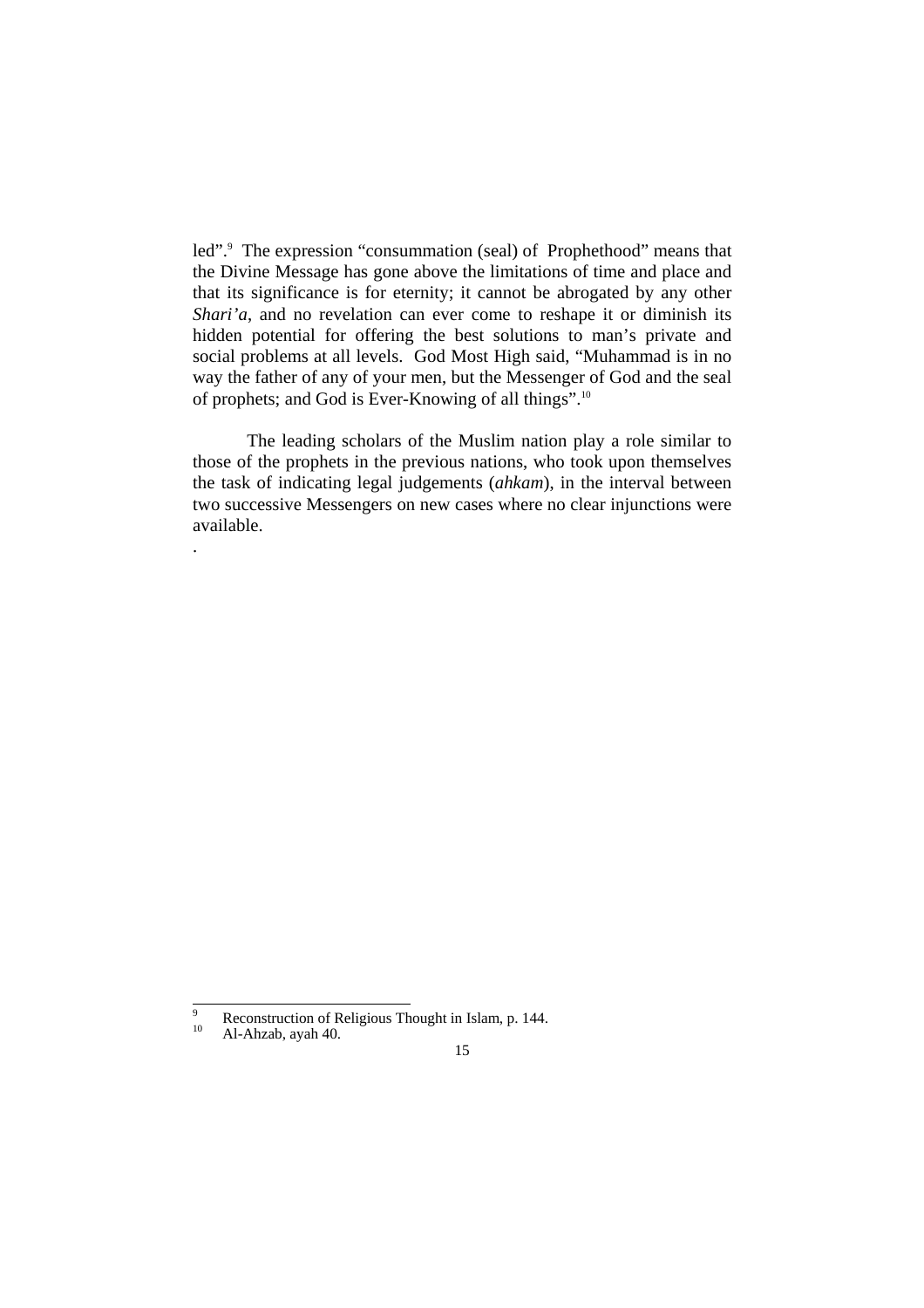led".<sup>9</sup> The expression "consummation (seal) of Prophethood" means that the Divine Message has gone above the limitations of time and place and that its significance is for eternity; it cannot be abrogated by any other *Shari'a*, and no revelation can ever come to reshape it or diminish its hidden potential for offering the best solutions to man's private and social problems at all levels. God Most High said, "Muhammad is in no way the father of any of your men, but the Messenger of God and the seal of prophets; and God is Ever-Knowing of all things".10

 The leading scholars of the Muslim nation play a role similar to those of the prophets in the previous nations, who took upon themselves the task of indicating legal judgements (*ahkam*), in the interval between two successive Messengers on new cases where no clear injunctions were available.

.

 $\overline{9}$  $^{9}$  Reconstruction of Religious Thought in Islam, p. 144.

Al-Ahzab, ayah 40.

<sup>15</sup>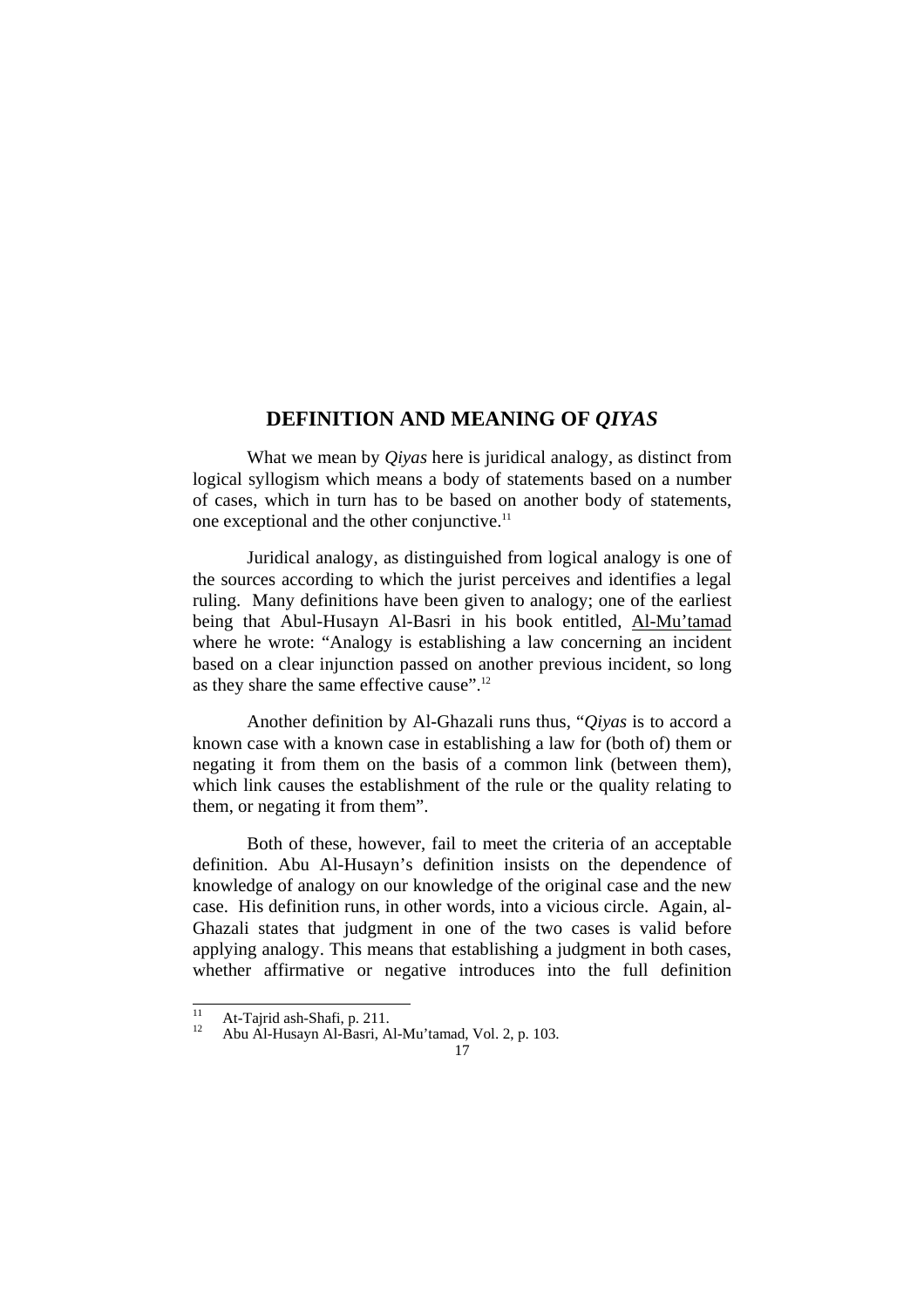## **DEFINITION AND MEANING OF** *QIYAS*

 What we mean by *Qiyas* here is juridical analogy, as distinct from logical syllogism which means a body of statements based on a number of cases, which in turn has to be based on another body of statements, one exceptional and the other conjunctive.<sup>11</sup>

 Juridical analogy, as distinguished from logical analogy is one of the sources according to which the jurist perceives and identifies a legal ruling. Many definitions have been given to analogy; one of the earliest being that Abul-Husayn Al-Basri in his book entitled, Al-Mu'tamad where he wrote: "Analogy is establishing a law concerning an incident based on a clear injunction passed on another previous incident, so long as they share the same effective cause".12

 Another definition by Al-Ghazali runs thus, "*Qiyas* is to accord a known case with a known case in establishing a law for (both of) them or negating it from them on the basis of a common link (between them), which link causes the establishment of the rule or the quality relating to them, or negating it from them".

 Both of these, however, fail to meet the criteria of an acceptable definition. Abu Al-Husayn's definition insists on the dependence of knowledge of analogy on our knowledge of the original case and the new case. His definition runs, in other words, into a vicious circle. Again, al-Ghazali states that judgment in one of the two cases is valid before applying analogy. This means that establishing a judgment in both cases, whether affirmative or negative introduces into the full definition

 $\overline{11}$ 

<sup>&</sup>lt;sup>11</sup> At-Tajrid ash-Shafi, p. 211.<br><sup>12</sup> Abu Al-Husayn Al-Basri, Al-Mu'tamad, Vol. 2, p. 103.

<sup>17</sup>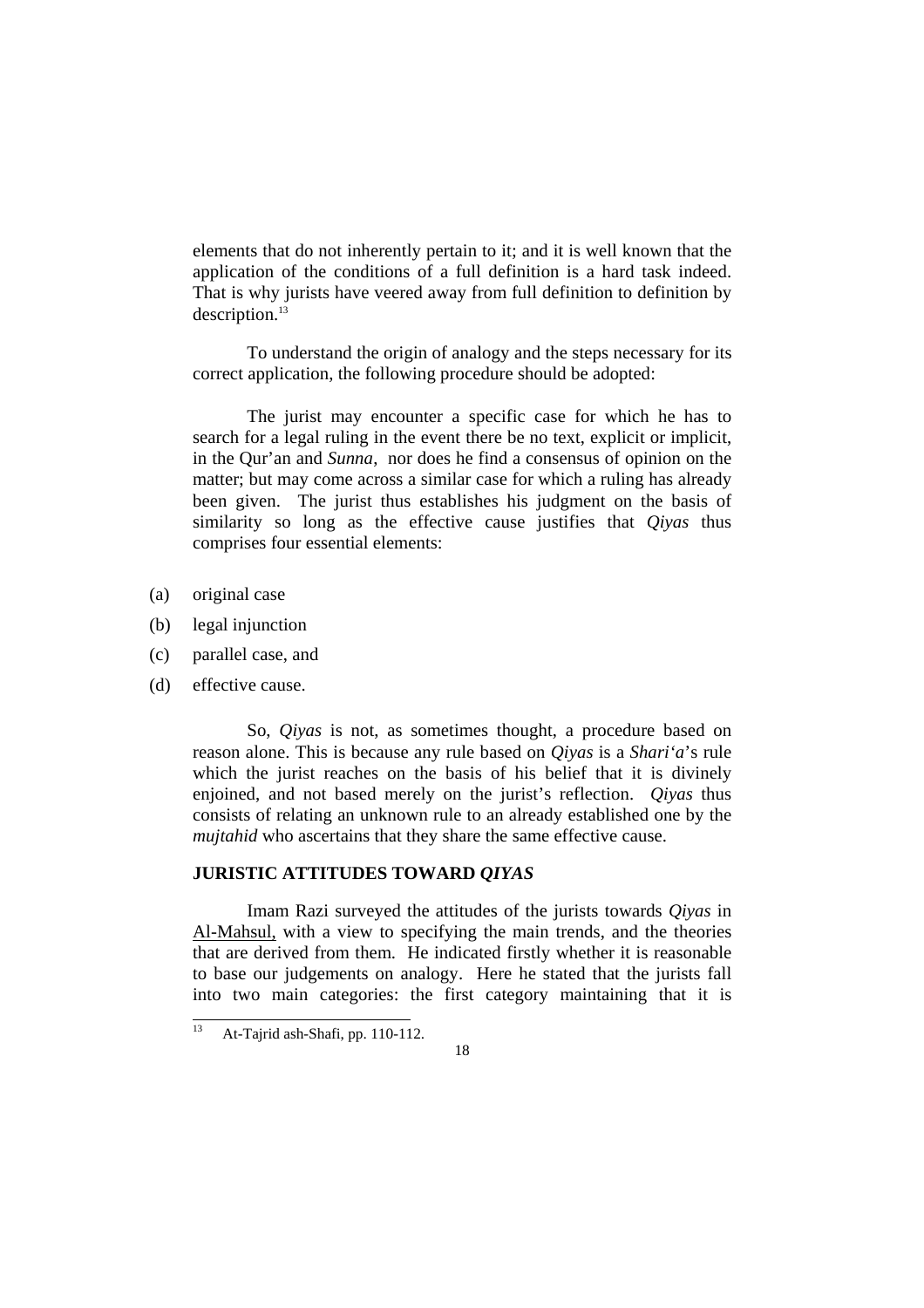elements that do not inherently pertain to it; and it is well known that the application of the conditions of a full definition is a hard task indeed. That is why jurists have veered away from full definition to definition by description.<sup>13</sup>

 To understand the origin of analogy and the steps necessary for its correct application, the following procedure should be adopted:

 The jurist may encounter a specific case for which he has to search for a legal ruling in the event there be no text, explicit or implicit, in the Qur'an and *Sunna*, nor does he find a consensus of opinion on the matter; but may come across a similar case for which a ruling has already been given. The jurist thus establishes his judgment on the basis of similarity so long as the effective cause justifies that *Qiyas* thus comprises four essential elements:

- (a) original case
- (b) legal injunction
- (c) parallel case, and
- (d) effective cause.

 So, *Qiyas* is not, as sometimes thought, a procedure based on reason alone. This is because any rule based on *Qiyas* is a *Shari'a*'s rule which the jurist reaches on the basis of his belief that it is divinely enjoined, and not based merely on the jurist's reflection. *Qiyas* thus consists of relating an unknown rule to an already established one by the *mujtahid* who ascertains that they share the same effective cause.

## **JURISTIC ATTITUDES TOWARD** *QIYAS*

 Imam Razi surveyed the attitudes of the jurists towards *Qiyas* in Al-Mahsul, with a view to specifying the main trends, and the theories that are derived from them. He indicated firstly whether it is reasonable to base our judgements on analogy. Here he stated that the jurists fall into two main categories: the first category maintaining that it is

<sup>13</sup> At-Tajrid ash-Shafi, pp. 110-112.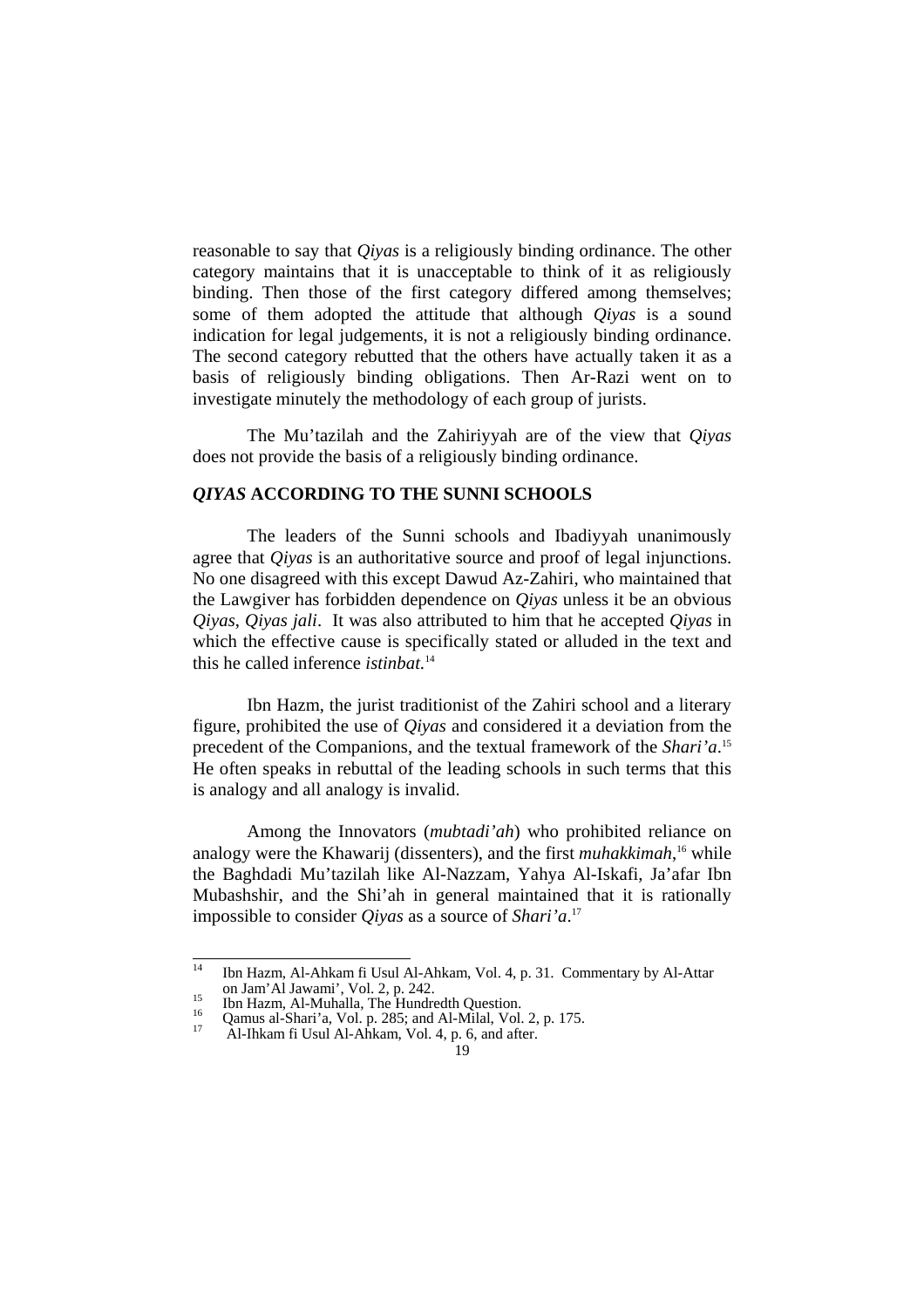reasonable to say that *Qiyas* is a religiously binding ordinance. The other category maintains that it is unacceptable to think of it as religiously binding. Then those of the first category differed among themselves; some of them adopted the attitude that although *Qiyas* is a sound indication for legal judgements, it is not a religiously binding ordinance. The second category rebutted that the others have actually taken it as a basis of religiously binding obligations. Then Ar-Razi went on to investigate minutely the methodology of each group of jurists.

 The Mu'tazilah and the Zahiriyyah are of the view that *Qiyas* does not provide the basis of a religiously binding ordinance.

### *QIYAS* **ACCORDING TO THE SUNNI SCHOOLS**

 The leaders of the Sunni schools and Ibadiyyah unanimously agree that *Qiyas* is an authoritative source and proof of legal injunctions. No one disagreed with this except Dawud Az-Zahiri, who maintained that the Lawgiver has forbidden dependence on *Qiyas* unless it be an obvious *Qiyas*, *Qiyas jali*. It was also attributed to him that he accepted *Qiyas* in which the effective cause is specifically stated or alluded in the text and this he called inference *istinbat.*<sup>14</sup>

 Ibn Hazm, the jurist traditionist of the Zahiri school and a literary figure, prohibited the use of *Qiyas* and considered it a deviation from the precedent of the Companions, and the textual framework of the *Shari'a*. 15 He often speaks in rebuttal of the leading schools in such terms that this is analogy and all analogy is invalid.

 Among the Innovators (*mubtadi'ah*) who prohibited reliance on analogy were the Khawarij (dissenters), and the first *muhakkimah*, 16 while the Baghdadi Mu'tazilah like Al-Nazzam, Yahya Al-Iskafi, Ja'afar Ibn Mubashshir, and the Shi'ah in general maintained that it is rationally impossible to consider *Qiyas* as a source of *Shari'a*. 17

 $\overline{14}$ 14 Ibn Hazm, Al-Ahkam fi Usul Al-Ahkam, Vol. 4, p. 31. Commentary by Al-Attar on Jam'Al Jawami', Vol. 2, p. 242.<br>
<sup>15</sup> Ibn Hazm, Al-Muhalla, The Hundredth Question.<br>
<sup>16</sup> Qamus al-Shari'a, Vol. p. 285; and Al-Milal, Vol. 2, p. 175.<br>
<sup>17</sup> Al-Ihkam fi Usul Al-Ahkam, Vol. 4, p. 6, and after.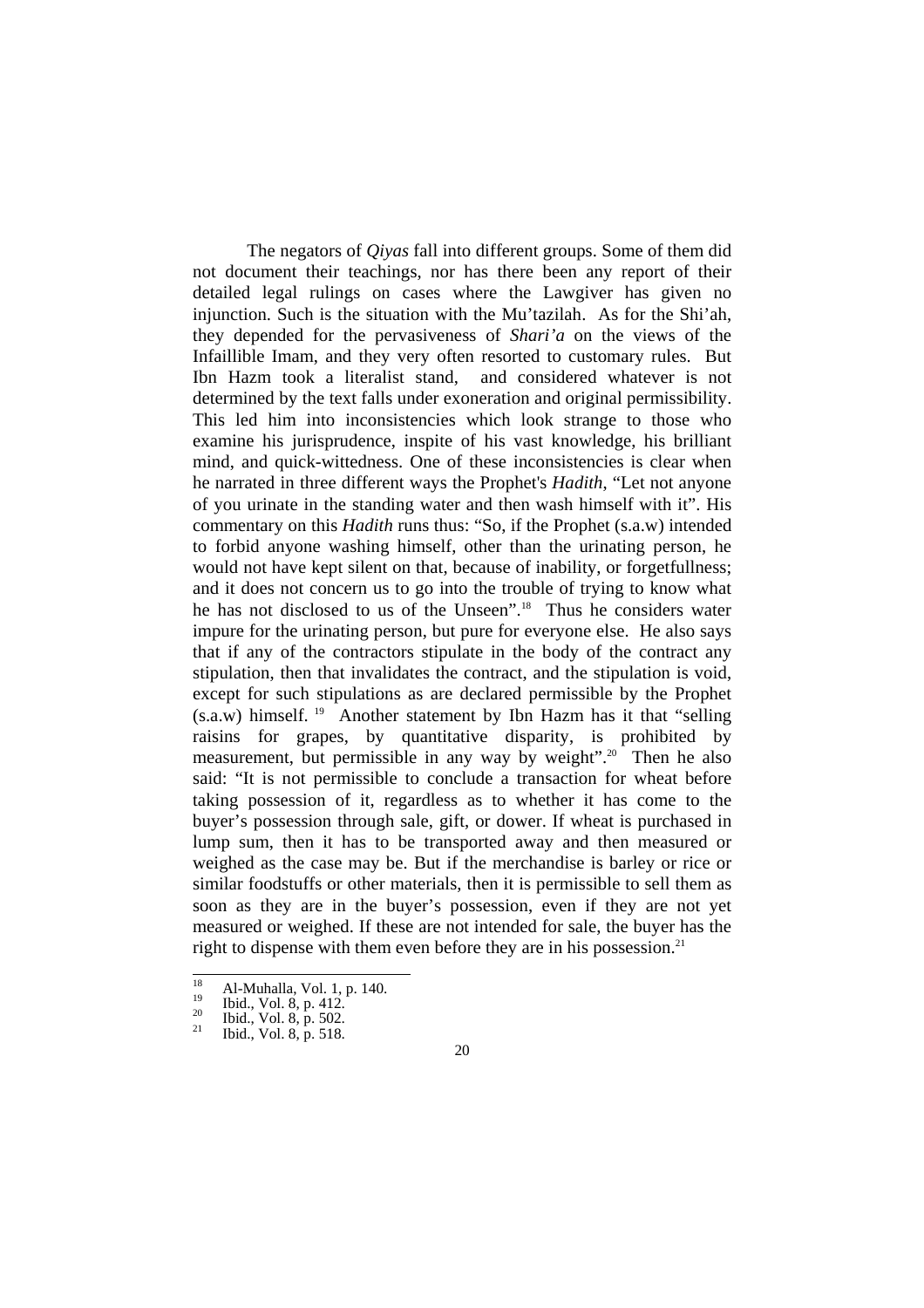The negators of *Qiyas* fall into different groups. Some of them did not document their teachings, nor has there been any report of their detailed legal rulings on cases where the Lawgiver has given no injunction. Such is the situation with the Mu'tazilah. As for the Shi'ah, they depended for the pervasiveness of *Shari'a* on the views of the Infaillible Imam, and they very often resorted to customary rules. But Ibn Hazm took a literalist stand, and considered whatever is not determined by the text falls under exoneration and original permissibility. This led him into inconsistencies which look strange to those who examine his jurisprudence, inspite of his vast knowledge, his brilliant mind, and quick-wittedness. One of these inconsistencies is clear when he narrated in three different ways the Prophet's *Hadith*, "Let not anyone of you urinate in the standing water and then wash himself with it". His commentary on this *Hadith* runs thus: "So, if the Prophet (s.a.w) intended to forbid anyone washing himself, other than the urinating person, he would not have kept silent on that, because of inability, or forgetfullness; and it does not concern us to go into the trouble of trying to know what he has not disclosed to us of the Unseen".<sup>18</sup> Thus he considers water impure for the urinating person, but pure for everyone else. He also says that if any of the contractors stipulate in the body of the contract any stipulation, then that invalidates the contract, and the stipulation is void, except for such stipulations as are declared permissible by the Prophet  $(s.a.w)$  himself. <sup>19</sup> Another statement by Ibn Hazm has it that "selling" raisins for grapes, by quantitative disparity, is prohibited by measurement, but permissible in any way by weight".<sup>20</sup> Then he also said: "It is not permissible to conclude a transaction for wheat before taking possession of it, regardless as to whether it has come to the buyer's possession through sale, gift, or dower. If wheat is purchased in lump sum, then it has to be transported away and then measured or weighed as the case may be. But if the merchandise is barley or rice or similar foodstuffs or other materials, then it is permissible to sell them as soon as they are in the buyer's possession, even if they are not yet measured or weighed. If these are not intended for sale, the buyer has the right to dispense with them even before they are in his possession. $21$ 

 $\overline{18}$ <sup>18</sup> Al-Muhalla, Vol. 1, p. 140.<br><sup>19</sup> Ibid., Vol. 8, p. 412.<br><sup>20</sup> Ibid., Vol. 8, p. 502.<br><sup>21</sup> Ibid., Vol. 8, p. 518.

<sup>20</sup>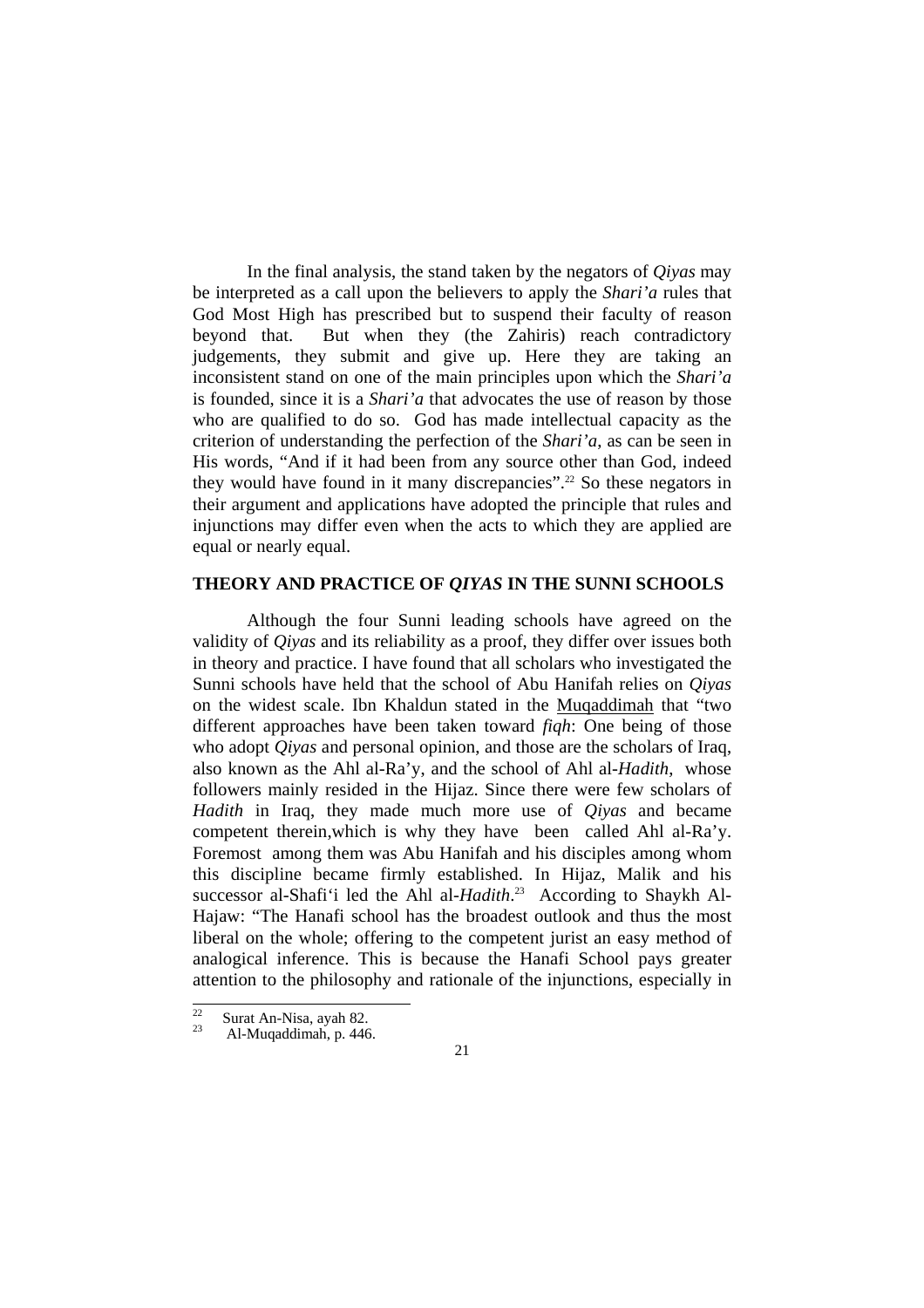In the final analysis, the stand taken by the negators of *Qiyas* may be interpreted as a call upon the believers to apply the *Shari'a* rules that God Most High has prescribed but to suspend their faculty of reason beyond that. But when they (the Zahiris) reach contradictory judgements, they submit and give up. Here they are taking an inconsistent stand on one of the main principles upon which the *Shari'a* is founded, since it is a *Shari'a* that advocates the use of reason by those who are qualified to do so. God has made intellectual capacity as the criterion of understanding the perfection of the *Shari'a*, as can be seen in His words, "And if it had been from any source other than God, indeed they would have found in it many discrepancies".<sup>22</sup> So these negators in their argument and applications have adopted the principle that rules and injunctions may differ even when the acts to which they are applied are equal or nearly equal.

#### **THEORY AND PRACTICE OF** *QIYAS* **IN THE SUNNI SCHOOLS**

 Although the four Sunni leading schools have agreed on the validity of *Qiyas* and its reliability as a proof, they differ over issues both in theory and practice. I have found that all scholars who investigated the Sunni schools have held that the school of Abu Hanifah relies on *Qiyas* on the widest scale. Ibn Khaldun stated in the Muqaddimah that "two different approaches have been taken toward *fiqh*: One being of those who adopt *Qiyas* and personal opinion, and those are the scholars of Iraq, also known as the Ahl al-Ra'y, and the school of Ahl al-*Hadith*, whose followers mainly resided in the Hijaz. Since there were few scholars of *Hadith* in Iraq, they made much more use of *Qiyas* and became competent therein,which is why they have been called Ahl al-Ra'y. Foremost among them was Abu Hanifah and his disciples among whom this discipline became firmly established. In Hijaz, Malik and his successor al-Shafi'i led the Ahl al-*Hadith*. 23 According to Shaykh Al-Hajaw: "The Hanafi school has the broadest outlook and thus the most liberal on the whole; offering to the competent jurist an easy method of analogical inference. This is because the Hanafi School pays greater attention to the philosophy and rationale of the injunctions, especially in

 $\overline{22}$  $\frac{22}{23}$  Surat An-Nisa, ayah 82.<br>Al-Muqaddimah, p. 446.

<sup>21</sup>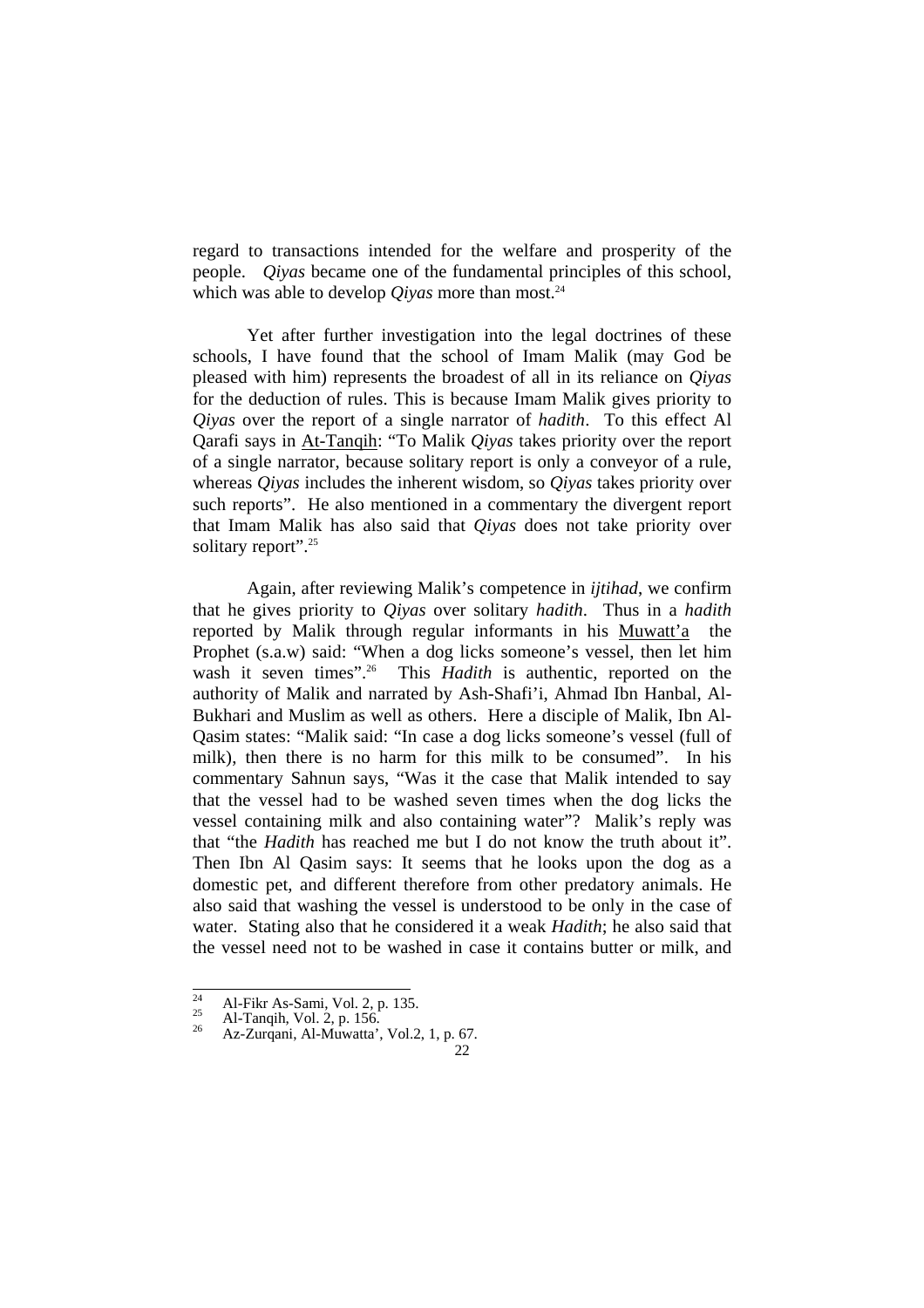regard to transactions intended for the welfare and prosperity of the people. *Qiyas* became one of the fundamental principles of this school, which was able to develop *Qiyas* more than most.<sup>24</sup>

Yet after further investigation into the legal doctrines of these schools, I have found that the school of Imam Malik (may God be pleased with him) represents the broadest of all in its reliance on *Qiyas* for the deduction of rules. This is because Imam Malik gives priority to *Qiyas* over the report of a single narrator of *hadith*. To this effect Al Qarafi says in At-Tanqih: "To Malik *Qiyas* takes priority over the report of a single narrator, because solitary report is only a conveyor of a rule, whereas *Qiyas* includes the inherent wisdom, so *Qiyas* takes priority over such reports". He also mentioned in a commentary the divergent report that Imam Malik has also said that *Qiyas* does not take priority over solitary report".<sup>25</sup>

 Again, after reviewing Malik's competence in *ijtihad*, we confirm that he gives priority to *Qiyas* over solitary *hadith*. Thus in a *hadith* reported by Malik through regular informants in his Muwatt'a the Prophet (s.a.w) said: "When a dog licks someone's vessel, then let him wash it seven times".<sup>26</sup> This *Hadith* is authentic, reported on the authority of Malik and narrated by Ash-Shafi'i, Ahmad Ibn Hanbal, Al-Bukhari and Muslim as well as others. Here a disciple of Malik, Ibn Al-Qasim states: "Malik said: "In case a dog licks someone's vessel (full of milk), then there is no harm for this milk to be consumed". In his commentary Sahnun says, "Was it the case that Malik intended to say that the vessel had to be washed seven times when the dog licks the vessel containing milk and also containing water"? Malik's reply was that "the *Hadith* has reached me but I do not know the truth about it". Then Ibn Al Qasim says: It seems that he looks upon the dog as a domestic pet, and different therefore from other predatory animals. He also said that washing the vessel is understood to be only in the case of water. Stating also that he considered it a weak *Hadith*; he also said that the vessel need not to be washed in case it contains butter or milk, and

 $\overline{24}$ 

<sup>&</sup>lt;sup>24</sup> Al-Fikr As-Sami, Vol. 2, p. 135.<br><sup>25</sup> Al-Tanqih, Vol. 2, p. 156.<br><sup>26</sup> Az-Zurqani, Al-Muwatta', Vol.2, 1, p. 67.

<sup>22</sup>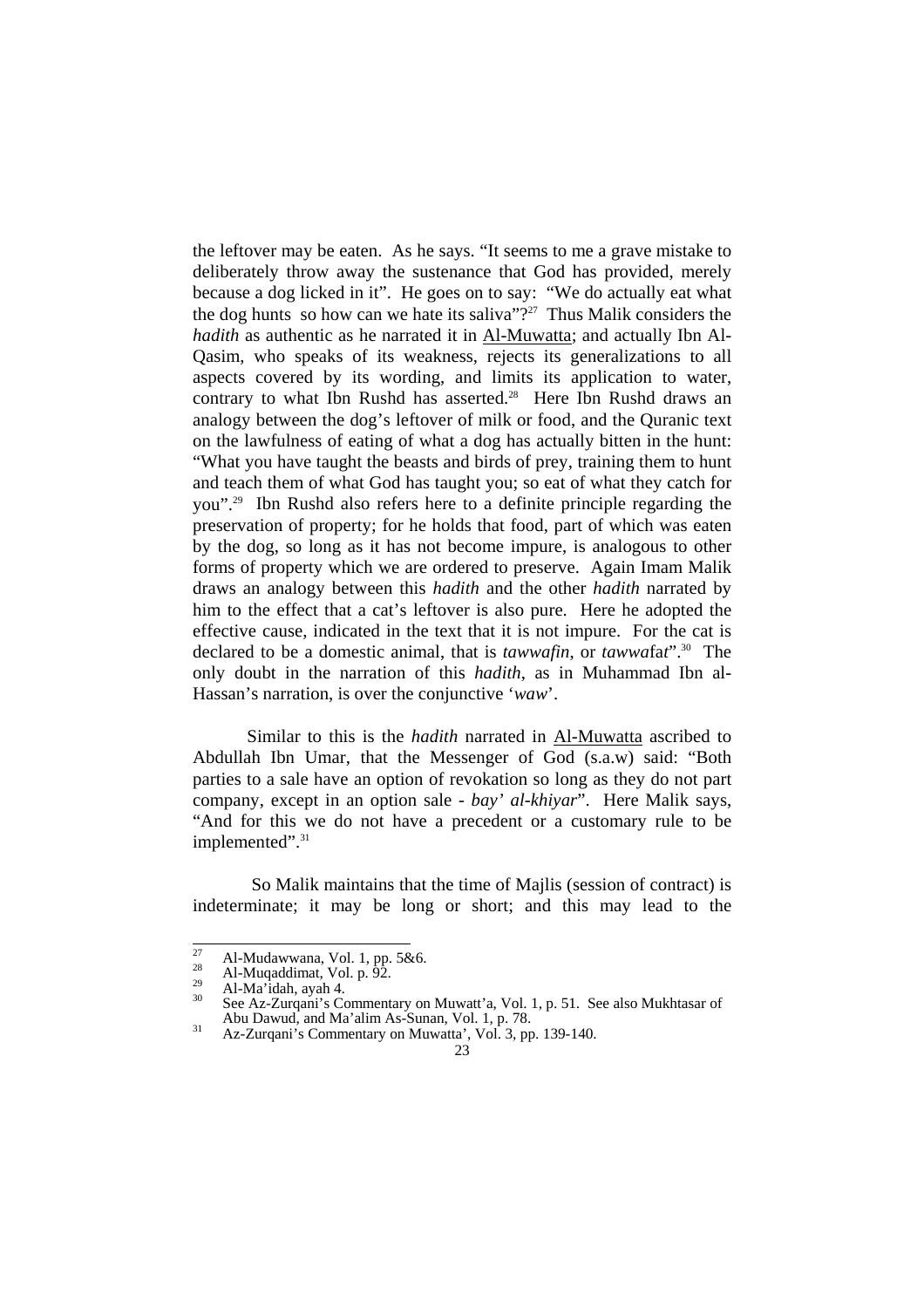the leftover may be eaten. As he says. "It seems to me a grave mistake to deliberately throw away the sustenance that God has provided, merely because a dog licked in it". He goes on to say: "We do actually eat what the dog hunts so how can we hate its saliva<sup>"?27</sup> Thus Malik considers the *hadith* as authentic as he narrated it in Al-Muwatta; and actually Ibn Al-Qasim, who speaks of its weakness, rejects its generalizations to all aspects covered by its wording, and limits its application to water, contrary to what Ibn Rushd has asserted.<sup>28</sup> Here Ibn Rushd draws an analogy between the dog's leftover of milk or food, and the Quranic text on the lawfulness of eating of what a dog has actually bitten in the hunt: "What you have taught the beasts and birds of prey, training them to hunt and teach them of what God has taught you; so eat of what they catch for you".29 Ibn Rushd also refers here to a definite principle regarding the preservation of property; for he holds that food, part of which was eaten by the dog, so long as it has not become impure, is analogous to other forms of property which we are ordered to preserve. Again Imam Malik draws an analogy between this *hadith* and the other *hadith* narrated by him to the effect that a cat's leftover is also pure. Here he adopted the effective cause, indicated in the text that it is not impure. For the cat is declared to be a domestic animal, that is *tawwafin*, or *tawwa*fa*t*".30 The only doubt in the narration of this *hadith*, as in Muhammad Ibn al-Hassan's narration, is over the conjunctive '*waw*'.

 Similar to this is the *hadith* narrated in Al-Muwatta ascribed to Abdullah Ibn Umar, that the Messenger of God (s.a.w) said: "Both parties to a sale have an option of revokation so long as they do not part company, except in an option sale - *bay' al-khiyar*". Here Malik says, "And for this we do not have a precedent or a customary rule to be implemented".<sup>31</sup>

 So Malik maintains that the time of Majlis (session of contract) is indeterminate; it may be long or short; and this may lead to the

 $27$ 

<sup>27</sup> Al-Mudawwana, Vol. 1, pp. 5&6.<br>
<sup>28</sup> Al-Muqaddimat, Vol. p. 92.<br>
<sup>29</sup> Al-Ma'idah, ayah 4.<br>
<sup>30</sup> See Az-Zurqani's Commentary on Muwatt'a, Vol. 1, p. 51. See also Mukhtasar of<br>
Abu Dawud, and Ma'alim As-Sunan, Vol. 1, p.

 $A<sup>31</sup>$  Az-Zurqani's Commentary on Muwatta', Vol. 3, pp. 139-140.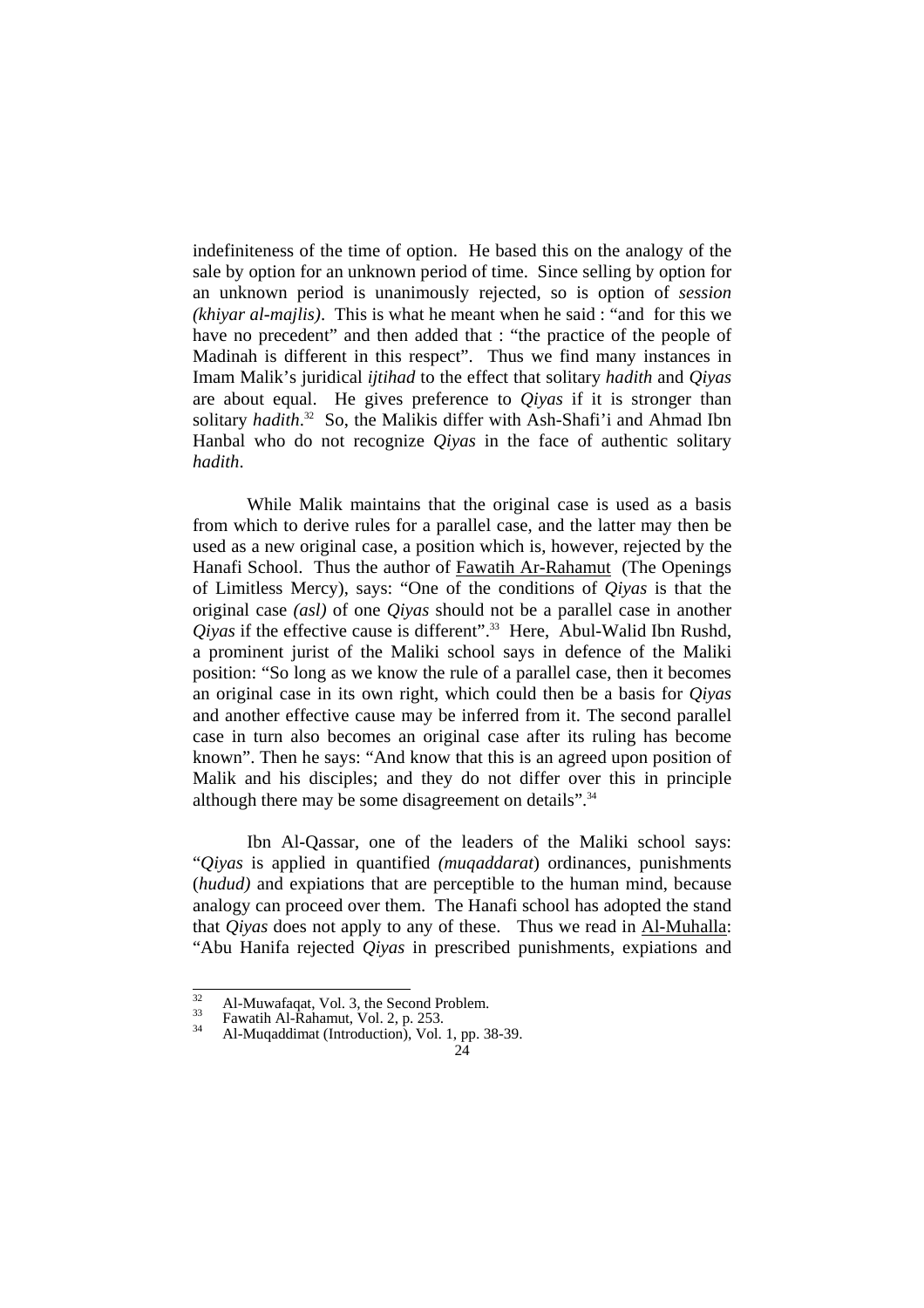indefiniteness of the time of option. He based this on the analogy of the sale by option for an unknown period of time. Since selling by option for an unknown period is unanimously rejected, so is option of *session (khiyar al-majlis)*. This is what he meant when he said : "and for this we have no precedent" and then added that : "the practice of the people of Madinah is different in this respect". Thus we find many instances in Imam Malik's juridical *ijtihad* to the effect that solitary *hadith* and *Qiyas* are about equal. He gives preference to *Qiyas* if it is stronger than solitary *hadith*. 32 So, the Malikis differ with Ash-Shafi'i and Ahmad Ibn Hanbal who do not recognize *Qiyas* in the face of authentic solitary *hadith*.

 While Malik maintains that the original case is used as a basis from which to derive rules for a parallel case, and the latter may then be used as a new original case, a position which is, however, rejected by the Hanafi School. Thus the author of Fawatih Ar-Rahamut (The Openings of Limitless Mercy), says: "One of the conditions of *Qiyas* is that the original case *(asl)* of one *Qiyas* should not be a parallel case in another *Qiyas* if the effective cause is different".<sup>33</sup> Here, Abul-Walid Ibn Rushd, a prominent jurist of the Maliki school says in defence of the Maliki position: "So long as we know the rule of a parallel case, then it becomes an original case in its own right, which could then be a basis for *Qiyas* and another effective cause may be inferred from it. The second parallel case in turn also becomes an original case after its ruling has become known". Then he says: "And know that this is an agreed upon position of Malik and his disciples; and they do not differ over this in principle although there may be some disagreement on details".<sup>34</sup>

 Ibn Al-Qassar, one of the leaders of the Maliki school says: "*Qiyas* is applied in quantified *(muqaddarat*) ordinances, punishments (*hudud)* and expiations that are perceptible to the human mind, because analogy can proceed over them. The Hanafi school has adopted the stand that *Qiyas* does not apply to any of these. Thus we read in Al-Muhalla: "Abu Hanifa rejected *Qiyas* in prescribed punishments, expiations and

 $\overline{32}$ 

<sup>&</sup>lt;sup>32</sup> Al-Muwafaqat, Vol. 3, the Second Problem.<br><sup>33</sup> Fawatih Al-Rahamut, Vol. 2, p. 253.<br><sup>34</sup> Al-Muqaddimat (Introduction), Vol. 1, pp. 38-39.

 $24$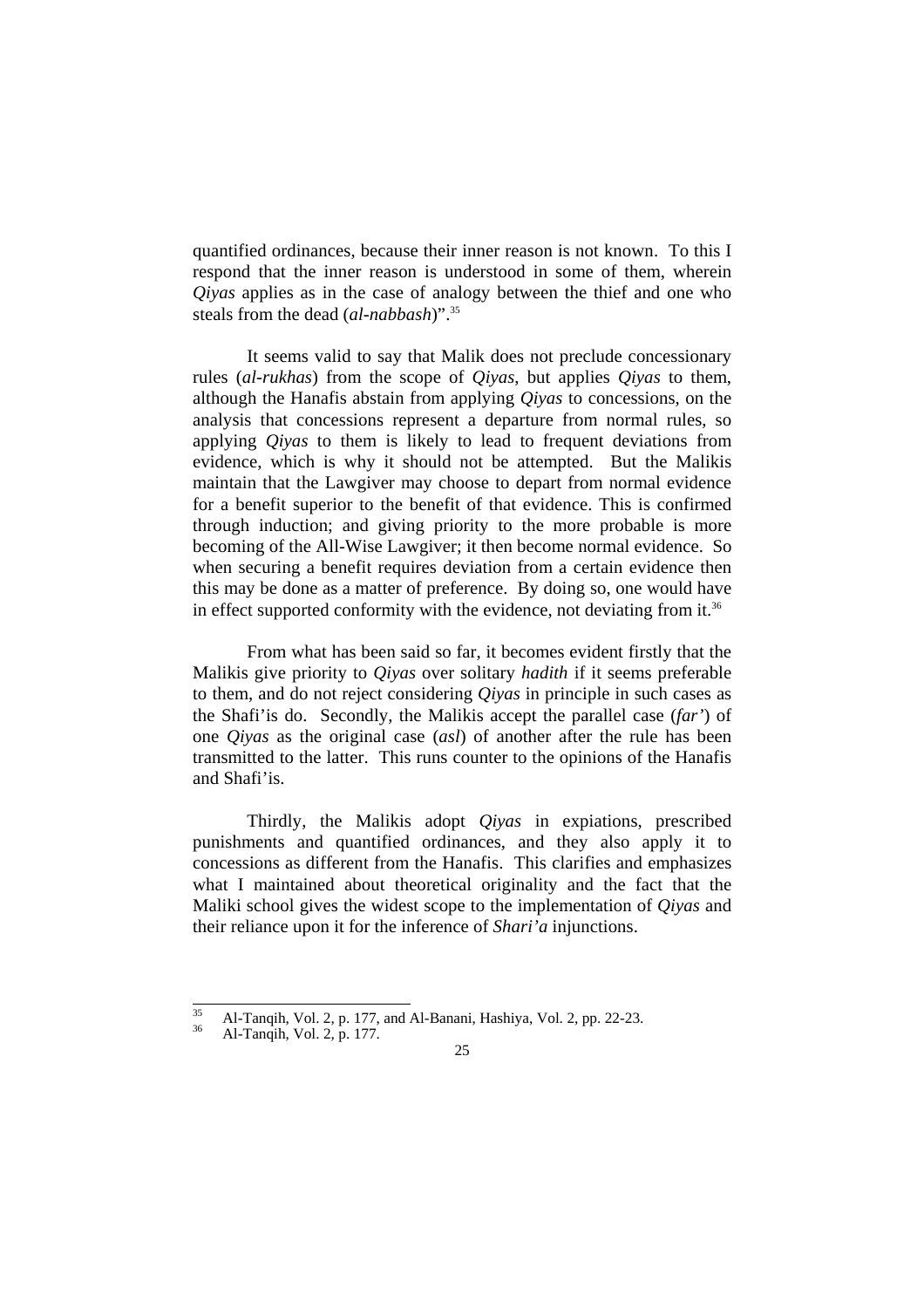quantified ordinances, because their inner reason is not known. To this I respond that the inner reason is understood in some of them, wherein *Qiyas* applies as in the case of analogy between the thief and one who steals from the dead (*al-nabbash*)".35

 It seems valid to say that Malik does not preclude concessionary rules (*al-rukhas*) from the scope of *Qiyas*, but applies *Qiyas* to them, although the Hanafis abstain from applying *Qiyas* to concessions, on the analysis that concessions represent a departure from normal rules, so applying *Qiyas* to them is likely to lead to frequent deviations from evidence, which is why it should not be attempted. But the Malikis maintain that the Lawgiver may choose to depart from normal evidence for a benefit superior to the benefit of that evidence. This is confirmed through induction; and giving priority to the more probable is more becoming of the All-Wise Lawgiver; it then become normal evidence. So when securing a benefit requires deviation from a certain evidence then this may be done as a matter of preference. By doing so, one would have in effect supported conformity with the evidence, not deviating from it.<sup>36</sup>

 From what has been said so far, it becomes evident firstly that the Malikis give priority to *Qiyas* over solitary *hadith* if it seems preferable to them, and do not reject considering *Qiyas* in principle in such cases as the Shafi'is do. Secondly, the Malikis accept the parallel case (*far'*) of one *Qiyas* as the original case (*asl*) of another after the rule has been transmitted to the latter. This runs counter to the opinions of the Hanafis and Shafi'is.

 Thirdly, the Malikis adopt *Qiyas* in expiations, prescribed punishments and quantified ordinances, and they also apply it to concessions as different from the Hanafis. This clarifies and emphasizes what I maintained about theoretical originality and the fact that the Maliki school gives the widest scope to the implementation of *Qiyas* and their reliance upon it for the inference of *Shari'a* injunctions.

 $\overline{35}$ <sup>35</sup> Al-Tanqih, Vol. 2, p. 177, and Al-Banani, Hashiya, Vol. 2, pp. 22-23.<br><sup>36</sup> Al-Tanqih, Vol. 2, p. 177.

<sup>25</sup>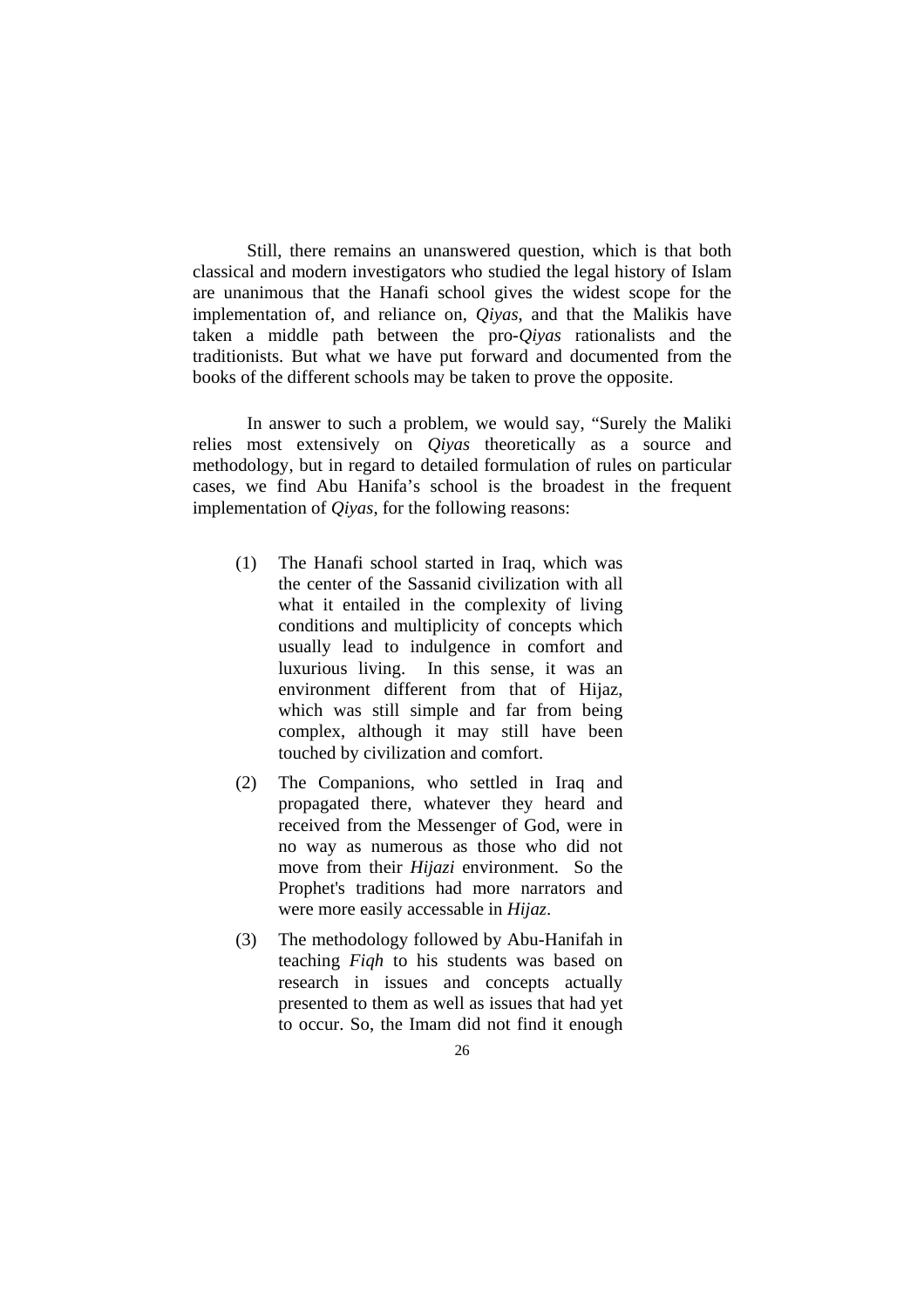Still, there remains an unanswered question, which is that both classical and modern investigators who studied the legal history of Islam are unanimous that the Hanafi school gives the widest scope for the implementation of, and reliance on, *Qiyas*, and that the Malikis have taken a middle path between the pro-*Qiyas* rationalists and the traditionists. But what we have put forward and documented from the books of the different schools may be taken to prove the opposite.

 In answer to such a problem, we would say, "Surely the Maliki relies most extensively on *Qiyas* theoretically as a source and methodology, but in regard to detailed formulation of rules on particular cases, we find Abu Hanifa's school is the broadest in the frequent implementation of *Qiyas*, for the following reasons:

- (1) The Hanafi school started in Iraq, which was the center of the Sassanid civilization with all what it entailed in the complexity of living conditions and multiplicity of concepts which usually lead to indulgence in comfort and luxurious living. In this sense, it was an environment different from that of Hijaz, which was still simple and far from being complex, although it may still have been touched by civilization and comfort.
- (2) The Companions, who settled in Iraq and propagated there, whatever they heard and received from the Messenger of God, were in no way as numerous as those who did not move from their *Hijazi* environment. So the Prophet's traditions had more narrators and were more easily accessable in *Hijaz*.
- (3) The methodology followed by Abu-Hanifah in teaching *Fiqh* to his students was based on research in issues and concepts actually presented to them as well as issues that had yet to occur. So, the Imam did not find it enough
	- 26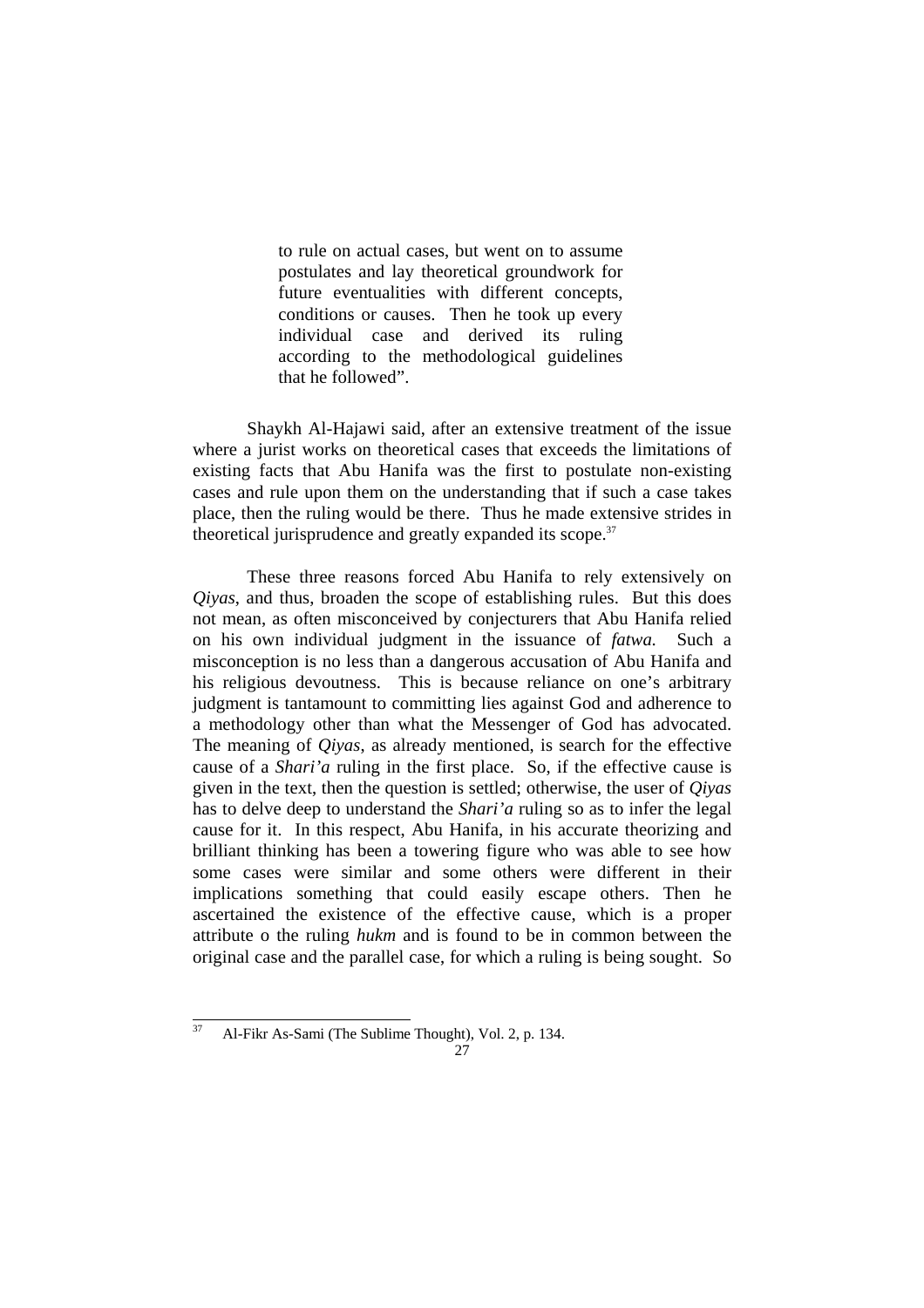to rule on actual cases, but went on to assume postulates and lay theoretical groundwork for future eventualities with different concepts, conditions or causes. Then he took up every individual case and derived its ruling according to the methodological guidelines that he followed".

 Shaykh Al-Hajawi said, after an extensive treatment of the issue where a jurist works on theoretical cases that exceeds the limitations of existing facts that Abu Hanifa was the first to postulate non-existing cases and rule upon them on the understanding that if such a case takes place, then the ruling would be there. Thus he made extensive strides in theoretical jurisprudence and greatly expanded its scope.<sup>37</sup>

 These three reasons forced Abu Hanifa to rely extensively on *Qiyas*, and thus, broaden the scope of establishing rules. But this does not mean, as often misconceived by conjecturers that Abu Hanifa relied on his own individual judgment in the issuance of *fatwa.* Such a misconception is no less than a dangerous accusation of Abu Hanifa and his religious devoutness. This is because reliance on one's arbitrary judgment is tantamount to committing lies against God and adherence to a methodology other than what the Messenger of God has advocated. The meaning of *Qiyas*, as already mentioned, is search for the effective cause of a *Shari'a* ruling in the first place. So, if the effective cause is given in the text, then the question is settled; otherwise, the user of *Qiyas* has to delve deep to understand the *Shari'a* ruling so as to infer the legal cause for it. In this respect, Abu Hanifa, in his accurate theorizing and brilliant thinking has been a towering figure who was able to see how some cases were similar and some others were different in their implications something that could easily escape others. Then he ascertained the existence of the effective cause, which is a proper attribute o the ruling *hukm* and is found to be in common between the original case and the parallel case, for which a ruling is being sought. So

<sup>37</sup> 37 Al-Fikr As-Sami (The Sublime Thought), Vol. 2, p. 134.

<sup>27</sup>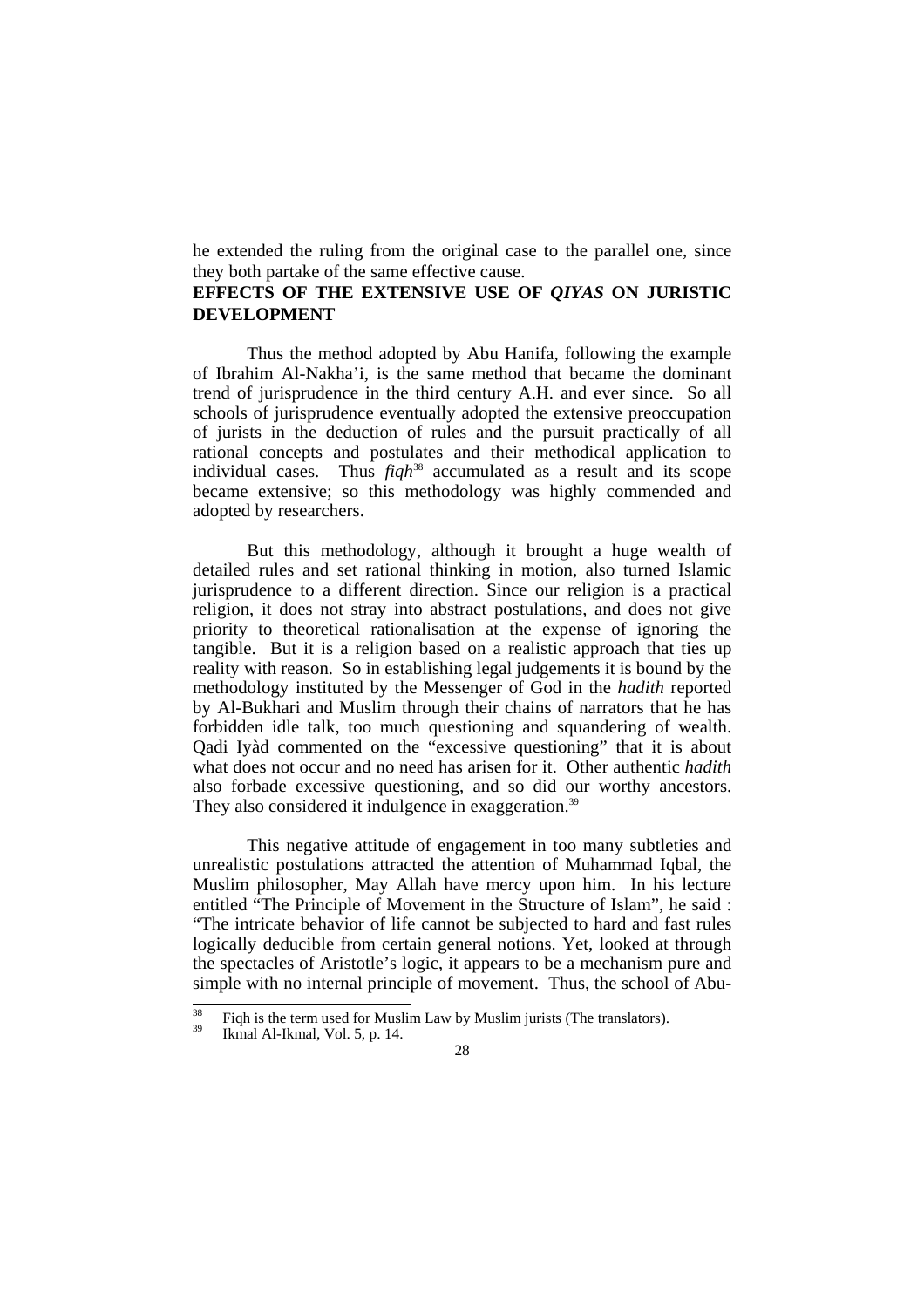he extended the ruling from the original case to the parallel one, since they both partake of the same effective cause.

#### **EFFECTS OF THE EXTENSIVE USE OF** *QIYAS* **ON JURISTIC DEVELOPMENT**

 Thus the method adopted by Abu Hanifa, following the example of Ibrahim Al-Nakha'i, is the same method that became the dominant trend of jurisprudence in the third century A.H. and ever since. So all schools of jurisprudence eventually adopted the extensive preoccupation of jurists in the deduction of rules and the pursuit practically of all rational concepts and postulates and their methodical application to individual cases. Thus *figh*<sup>38</sup> accumulated as a result and its scope became extensive; so this methodology was highly commended and adopted by researchers.

 But this methodology, although it brought a huge wealth of detailed rules and set rational thinking in motion, also turned Islamic jurisprudence to a different direction. Since our religion is a practical religion, it does not stray into abstract postulations, and does not give priority to theoretical rationalisation at the expense of ignoring the tangible. But it is a religion based on a realistic approach that ties up reality with reason. So in establishing legal judgements it is bound by the methodology instituted by the Messenger of God in the *hadith* reported by Al-Bukhari and Muslim through their chains of narrators that he has forbidden idle talk, too much questioning and squandering of wealth. Qadi Iyàd commented on the "excessive questioning" that it is about what does not occur and no need has arisen for it. Other authentic *hadith* also forbade excessive questioning, and so did our worthy ancestors. They also considered it indulgence in exaggeration.<sup>39</sup>

 This negative attitude of engagement in too many subtleties and unrealistic postulations attracted the attention of Muhammad Iqbal, the Muslim philosopher, May Allah have mercy upon him. In his lecture entitled "The Principle of Movement in the Structure of Islam", he said : "The intricate behavior of life cannot be subjected to hard and fast rules logically deducible from certain general notions. Yet, looked at through the spectacles of Aristotle's logic, it appears to be a mechanism pure and simple with no internal principle of movement. Thus, the school of Abu-

 $\overline{38}$ <sup>38</sup> Fiqh is the term used for Muslim Law by Muslim jurists (The translators).<br><sup>39</sup> Ikmal Al-Ikmal, Vol. 5, p. 14.

<sup>28</sup>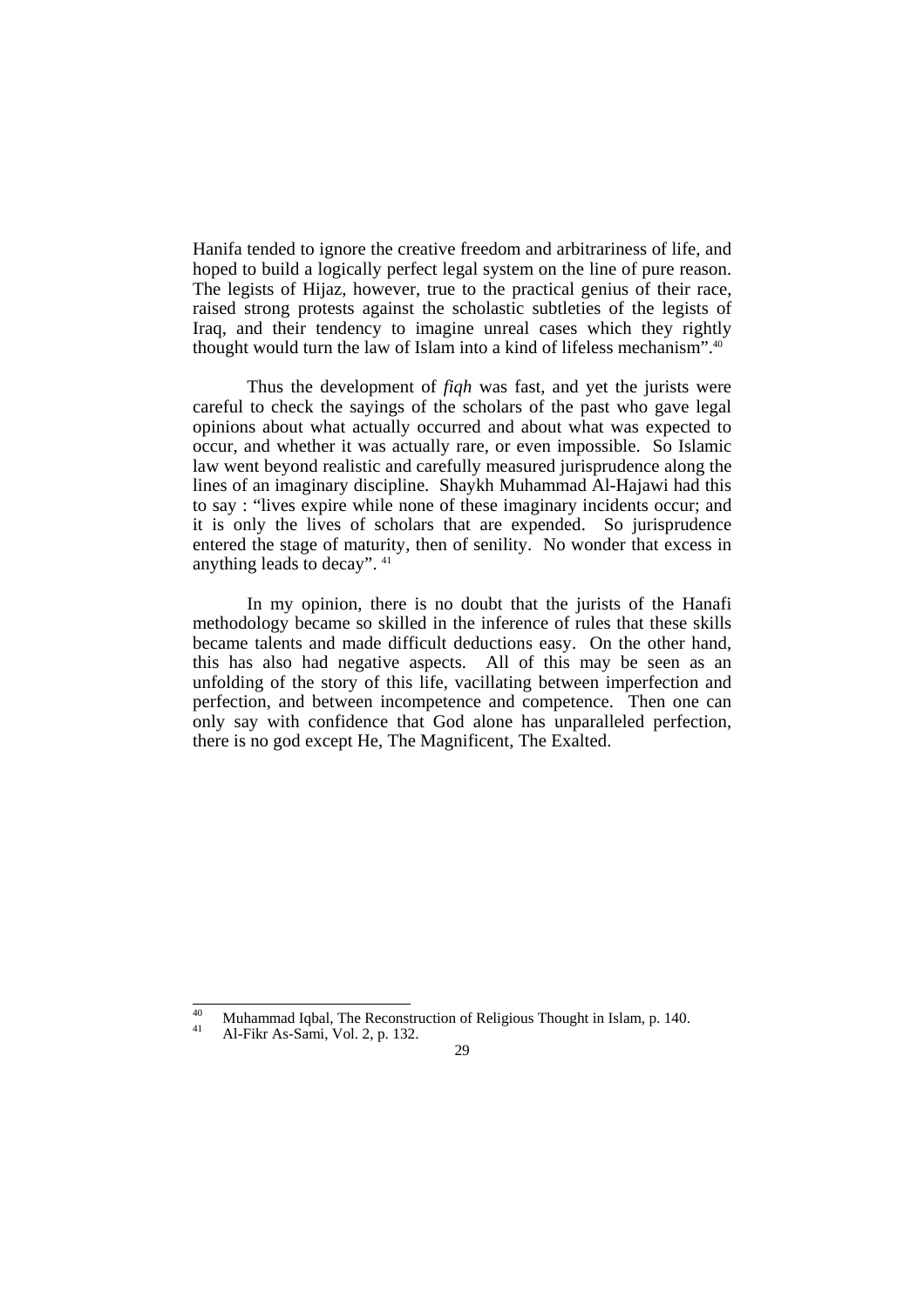Hanifa tended to ignore the creative freedom and arbitrariness of life, and hoped to build a logically perfect legal system on the line of pure reason. The legists of Hijaz, however, true to the practical genius of their race, raised strong protests against the scholastic subtleties of the legists of Iraq, and their tendency to imagine unreal cases which they rightly thought would turn the law of Islam into a kind of lifeless mechanism".40

 Thus the development of *fiqh* was fast, and yet the jurists were careful to check the sayings of the scholars of the past who gave legal opinions about what actually occurred and about what was expected to occur, and whether it was actually rare, or even impossible. So Islamic law went beyond realistic and carefully measured jurisprudence along the lines of an imaginary discipline. Shaykh Muhammad Al-Hajawi had this to say : "lives expire while none of these imaginary incidents occur; and it is only the lives of scholars that are expended. So jurisprudence entered the stage of maturity, then of senility. No wonder that excess in anything leads to decay". 41

 In my opinion, there is no doubt that the jurists of the Hanafi methodology became so skilled in the inference of rules that these skills became talents and made difficult deductions easy. On the other hand, this has also had negative aspects. All of this may be seen as an unfolding of the story of this life, vacillating between imperfection and perfection, and between incompetence and competence. Then one can only say with confidence that God alone has unparalleled perfection, there is no god except He, The Magnificent, The Exalted.

 $\overline{40}$ 40 Muhammad Iqbal, The Reconstruction of Religious Thought in Islam, p. 140.<br>41 Al-Fikr As-Sami, Vol. 2, p. 132.

<sup>29</sup>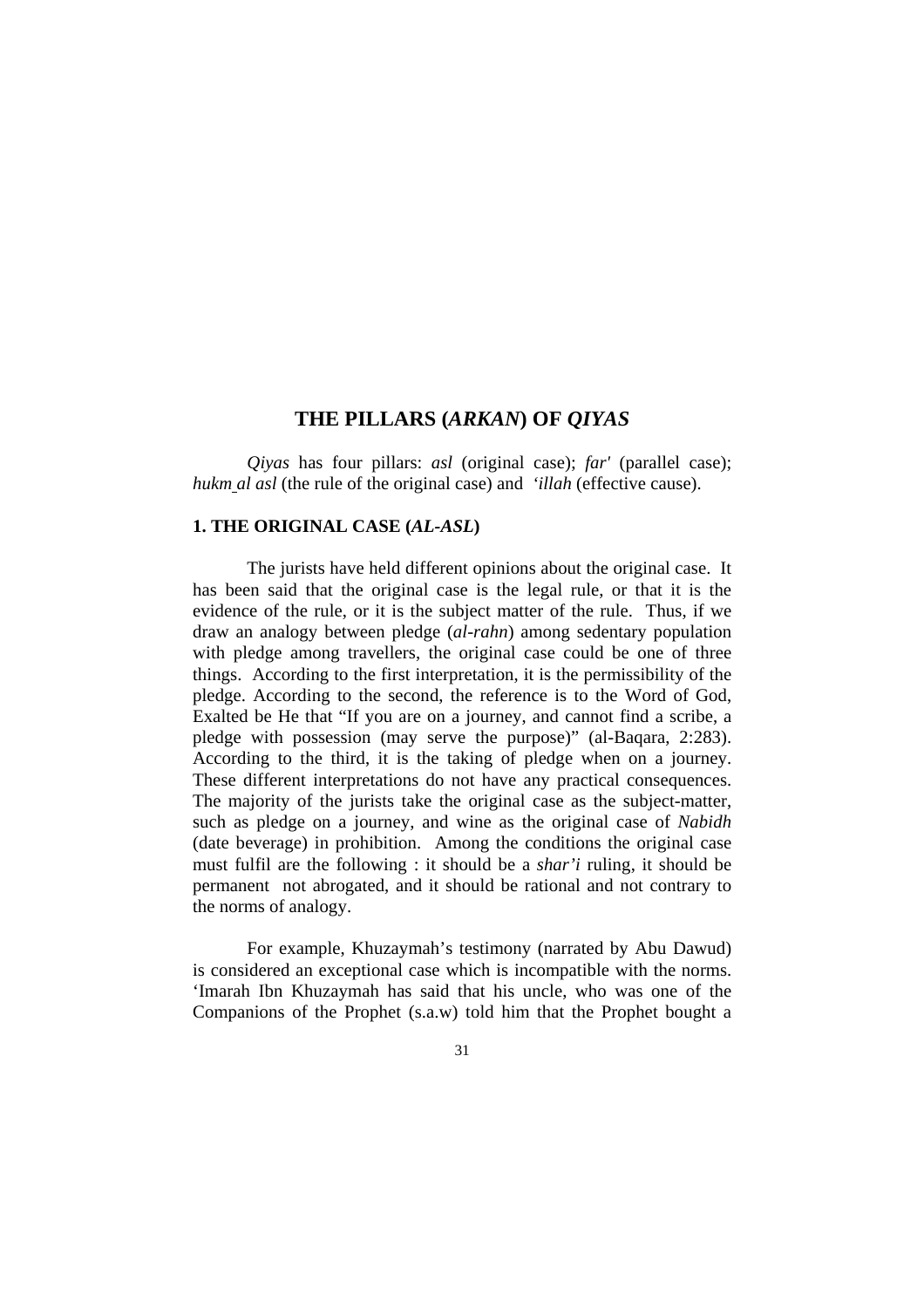## **THE PILLARS (***ARKAN***) OF** *QIYAS*

*Qiyas* has four pillars: *asl* (original case); *far'* (parallel case); *hukm al asl* (the rule of the original case) and *'illah* (effective cause).

### **1. THE ORIGINAL CASE (***AL-ASL***)**

The jurists have held different opinions about the original case. It has been said that the original case is the legal rule, or that it is the evidence of the rule, or it is the subject matter of the rule. Thus, if we draw an analogy between pledge (*al-rahn*) among sedentary population with pledge among travellers, the original case could be one of three things. According to the first interpretation, it is the permissibility of the pledge. According to the second, the reference is to the Word of God, Exalted be He that "If you are on a journey, and cannot find a scribe, a pledge with possession (may serve the purpose)" (al-Baqara, 2:283). According to the third, it is the taking of pledge when on a journey. These different interpretations do not have any practical consequences. The majority of the jurists take the original case as the subject-matter, such as pledge on a journey, and wine as the original case of *Nabidh* (date beverage) in prohibition. Among the conditions the original case must fulfil are the following : it should be a *shar'i* ruling, it should be permanent not abrogated, and it should be rational and not contrary to the norms of analogy.

 For example, Khuzaymah's testimony (narrated by Abu Dawud) is considered an exceptional case which is incompatible with the norms. 'Imarah Ibn Khuzaymah has said that his uncle, who was one of the Companions of the Prophet (s.a.w) told him that the Prophet bought a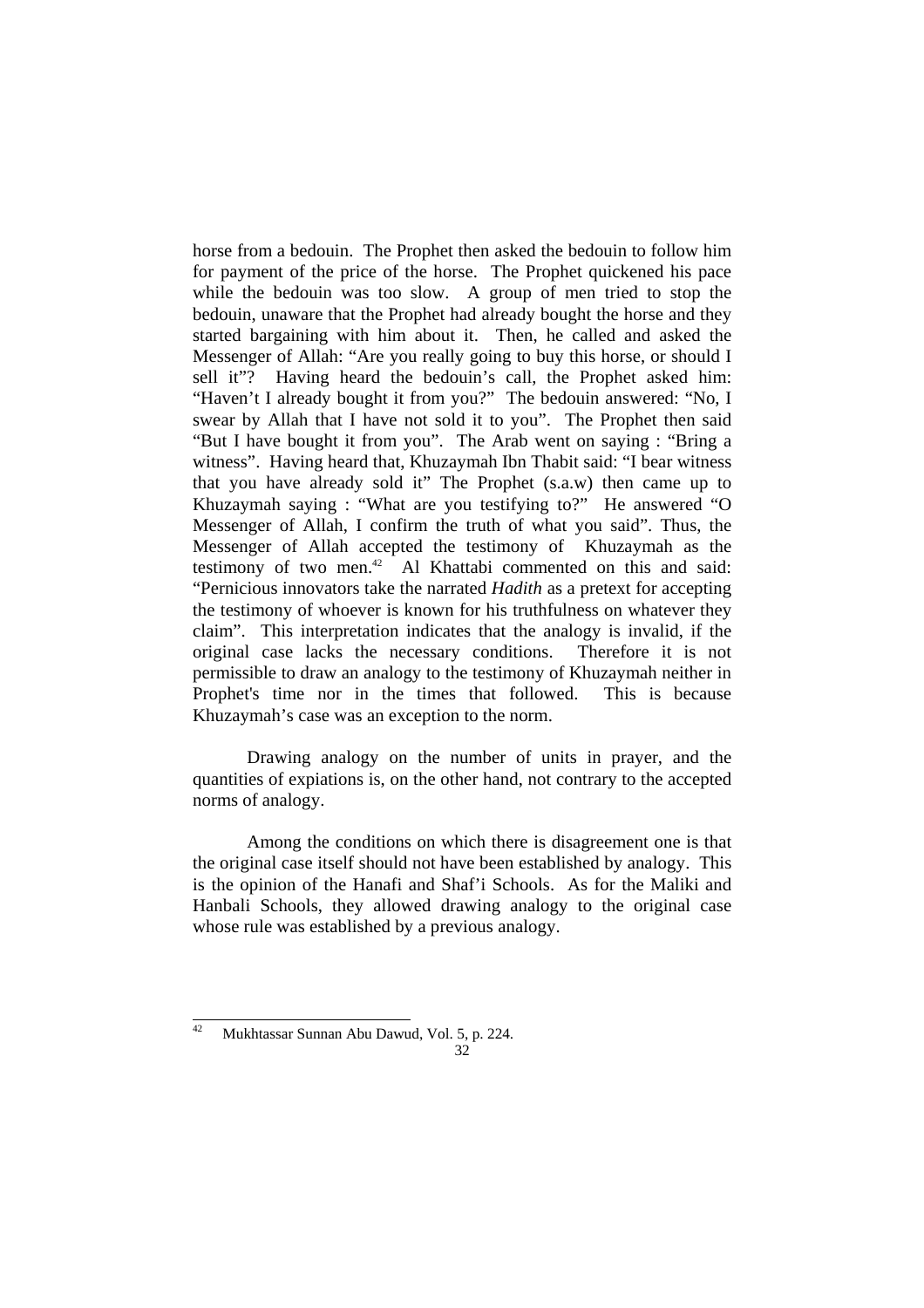horse from a bedouin. The Prophet then asked the bedouin to follow him for payment of the price of the horse. The Prophet quickened his pace while the bedouin was too slow. A group of men tried to stop the bedouin, unaware that the Prophet had already bought the horse and they started bargaining with him about it. Then, he called and asked the Messenger of Allah: "Are you really going to buy this horse, or should I sell it"? Having heard the bedouin's call, the Prophet asked him: "Haven't I already bought it from you?" The bedouin answered: "No, I swear by Allah that I have not sold it to you". The Prophet then said "But I have bought it from you". The Arab went on saying : "Bring a witness". Having heard that, Khuzaymah Ibn Thabit said: "I bear witness that you have already sold it" The Prophet (s.a.w) then came up to Khuzaymah saying : "What are you testifying to?" He answered "O Messenger of Allah, I confirm the truth of what you said". Thus, the Messenger of Allah accepted the testimony of Khuzaymah as the testimony of two men.<sup>42</sup> Al Khattabi commented on this and said: "Pernicious innovators take the narrated *Hadith* as a pretext for accepting the testimony of whoever is known for his truthfulness on whatever they claim". This interpretation indicates that the analogy is invalid, if the original case lacks the necessary conditions. Therefore it is not permissible to draw an analogy to the testimony of Khuzaymah neither in Prophet's time nor in the times that followed. This is because Khuzaymah's case was an exception to the norm.

 Drawing analogy on the number of units in prayer, and the quantities of expiations is, on the other hand, not contrary to the accepted norms of analogy.

 Among the conditions on which there is disagreement one is that the original case itself should not have been established by analogy. This is the opinion of the Hanafi and Shaf'i Schools. As for the Maliki and Hanbali Schools, they allowed drawing analogy to the original case whose rule was established by a previous analogy.

<sup>32</sup>  $42$ 42 Mukhtassar Sunnan Abu Dawud, Vol. 5, p. 224.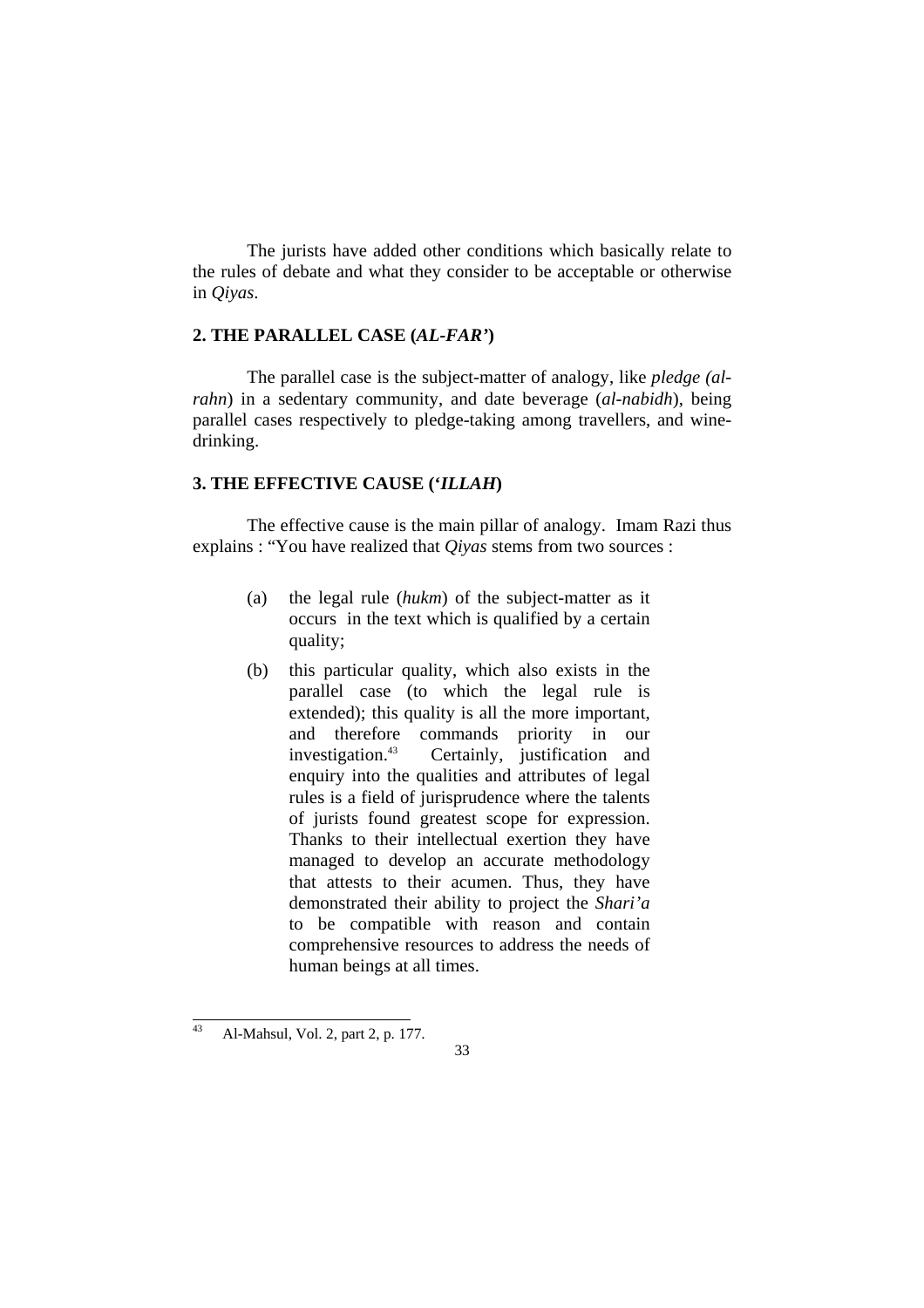The jurists have added other conditions which basically relate to the rules of debate and what they consider to be acceptable or otherwise in *Qiyas*.

## **2. THE PARALLEL CASE (***AL-FAR'***)**

 The parallel case is the subject-matter of analogy, like *pledge (alrahn*) in a sedentary community, and date beverage (*al-nabidh*), being parallel cases respectively to pledge-taking among travellers, and winedrinking.

# **3. THE EFFECTIVE CAUSE ('***ILLAH***)**

 The effective cause is the main pillar of analogy. Imam Razi thus explains : "You have realized that *Qiyas* stems from two sources :

- (a) the legal rule (*hukm*) of the subject-matter as it occurs in the text which is qualified by a certain quality;
- (b) this particular quality, which also exists in the parallel case (to which the legal rule is extended); this quality is all the more important, and therefore commands priority in our investigation.<sup>43</sup> Certainly, justification and enquiry into the qualities and attributes of legal rules is a field of jurisprudence where the talents of jurists found greatest scope for expression. Thanks to their intellectual exertion they have managed to develop an accurate methodology that attests to their acumen. Thus, they have demonstrated their ability to project the *Shari'a* to be compatible with reason and contain comprehensive resources to address the needs of human beings at all times.

 $43$ 43 Al-Mahsul, Vol. 2, part 2, p. 177.

<sup>33</sup>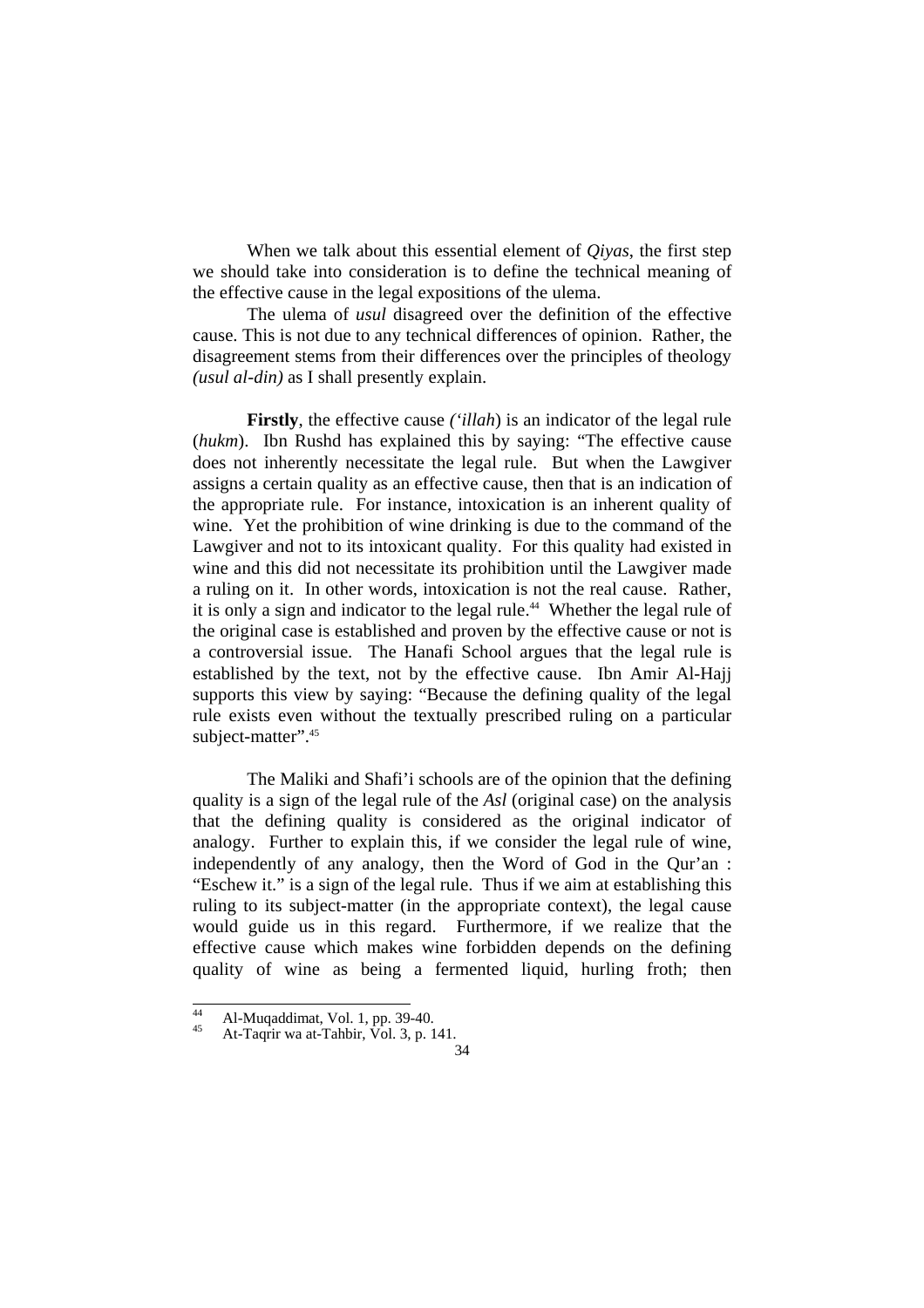When we talk about this essential element of *Qiyas*, the first step we should take into consideration is to define the technical meaning of the effective cause in the legal expositions of the ulema.

 The ulema of *usul* disagreed over the definition of the effective cause. This is not due to any technical differences of opinion. Rather, the disagreement stems from their differences over the principles of theology *(usul al-din)* as I shall presently explain.

**Firstly**, the effective cause *('illah*) is an indicator of the legal rule (*hukm*). Ibn Rushd has explained this by saying: "The effective cause does not inherently necessitate the legal rule. But when the Lawgiver assigns a certain quality as an effective cause, then that is an indication of the appropriate rule. For instance, intoxication is an inherent quality of wine. Yet the prohibition of wine drinking is due to the command of the Lawgiver and not to its intoxicant quality. For this quality had existed in wine and this did not necessitate its prohibition until the Lawgiver made a ruling on it. In other words, intoxication is not the real cause. Rather, it is only a sign and indicator to the legal rule.<sup>44</sup> Whether the legal rule of the original case is established and proven by the effective cause or not is a controversial issue. The Hanafi School argues that the legal rule is established by the text, not by the effective cause. Ibn Amir Al-Hajj supports this view by saying: "Because the defining quality of the legal rule exists even without the textually prescribed ruling on a particular subject-matter".<sup>45</sup>

 The Maliki and Shafi'i schools are of the opinion that the defining quality is a sign of the legal rule of the *Asl* (original case) on the analysis that the defining quality is considered as the original indicator of analogy. Further to explain this, if we consider the legal rule of wine, independently of any analogy, then the Word of God in the Qur'an : "Eschew it." is a sign of the legal rule. Thus if we aim at establishing this ruling to its subject-matter (in the appropriate context), the legal cause would guide us in this regard. Furthermore, if we realize that the effective cause which makes wine forbidden depends on the defining quality of wine as being a fermented liquid, hurling froth; then

 $\overline{44}$ 

<sup>&</sup>lt;sup>44</sup> Al-Muqaddimat, Vol. 1, pp. 39-40.<br>
<sup>45</sup> At-Taqrir wa at-Tahbir, Vol. 3, p. 141.

<sup>34</sup>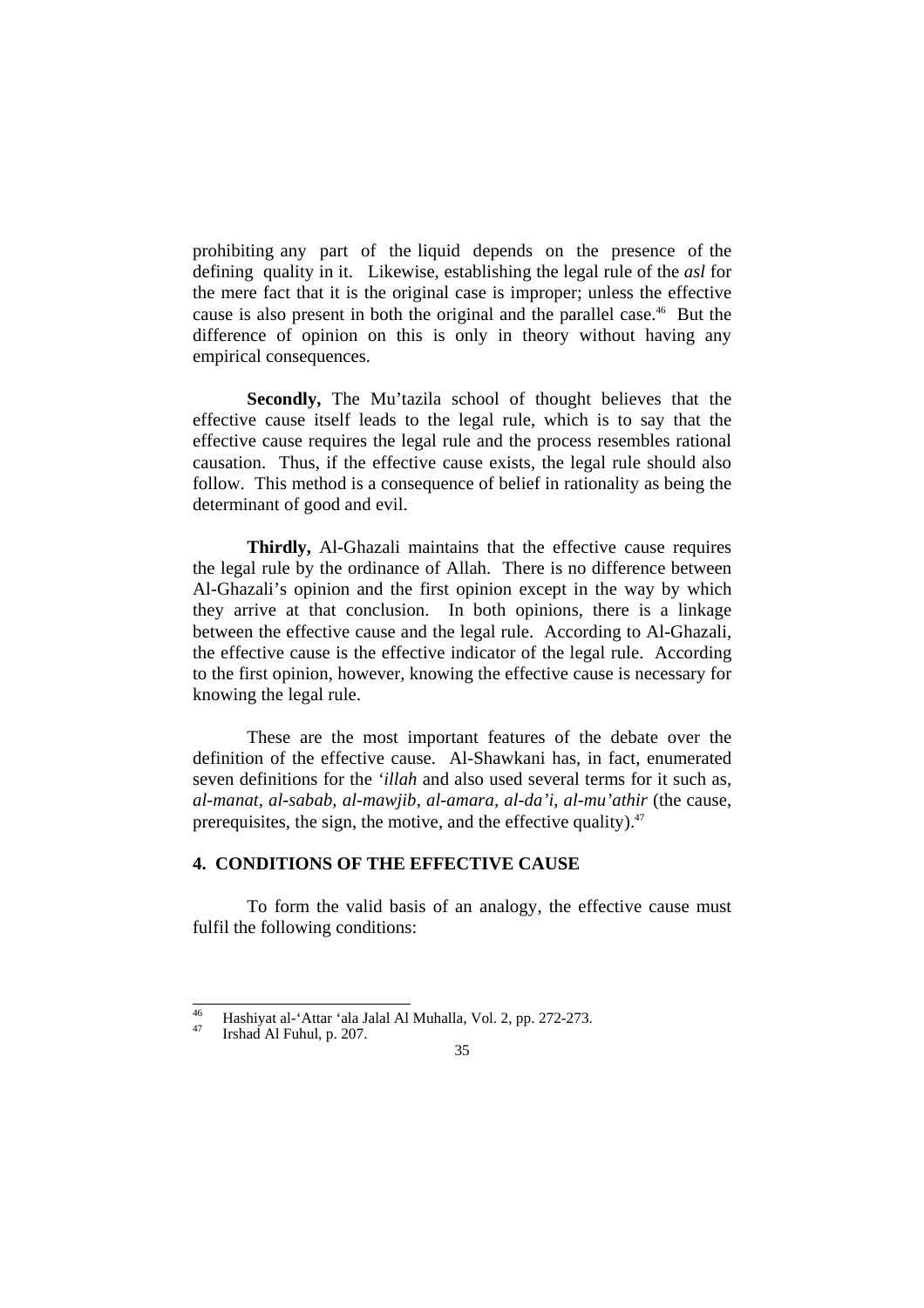prohibiting any part of the liquid depends on the presence of the defining quality in it. Likewise, establishing the legal rule of the *asl* for the mere fact that it is the original case is improper; unless the effective cause is also present in both the original and the parallel case.<sup>46</sup> But the difference of opinion on this is only in theory without having any empirical consequences.

**Secondly,** The Mu'tazila school of thought believes that the effective cause itself leads to the legal rule, which is to say that the effective cause requires the legal rule and the process resembles rational causation. Thus, if the effective cause exists, the legal rule should also follow. This method is a consequence of belief in rationality as being the determinant of good and evil.

**Thirdly,** Al-Ghazali maintains that the effective cause requires the legal rule by the ordinance of Allah. There is no difference between Al-Ghazali's opinion and the first opinion except in the way by which they arrive at that conclusion. In both opinions, there is a linkage between the effective cause and the legal rule. According to Al-Ghazali, the effective cause is the effective indicator of the legal rule. According to the first opinion, however, knowing the effective cause is necessary for knowing the legal rule.

 These are the most important features of the debate over the definition of the effective cause. Al-Shawkani has, in fact, enumerated seven definitions for the *'illah* and also used several terms for it such as, *al-manat, al-sabab, al-mawjib, al-amara, al-da'i, al-mu'athir* (the cause, prerequisites, the sign, the motive, and the effective quality). $47$ 

# **4. CONDITIONS OF THE EFFECTIVE CAUSE**

 To form the valid basis of an analogy, the effective cause must fulfil the following conditions:

 $46$ <sup>46</sup> Hashiyat al-'Attar 'ala Jalal Al Muhalla, Vol. 2, pp. 272-273.<br><sup>47</sup> Irshad Al Fuhul, p. 207.

<sup>35</sup>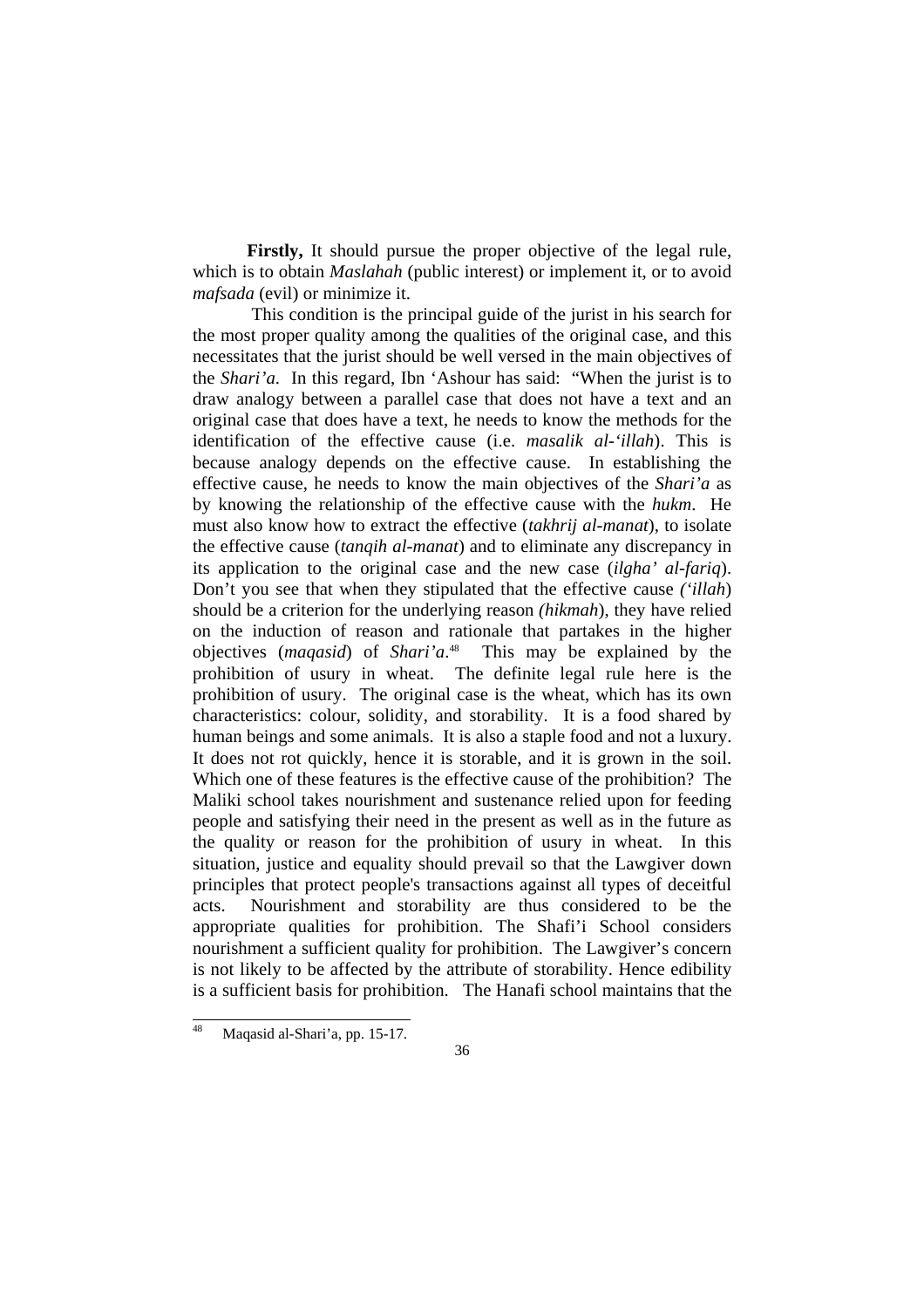**Firstly,** It should pursue the proper objective of the legal rule, which is to obtain *Maslahah* (public interest) or implement it, or to avoid *mafsada* (evil) or minimize it.

 This condition is the principal guide of the jurist in his search for the most proper quality among the qualities of the original case, and this necessitates that the jurist should be well versed in the main objectives of the *Shari'a*. In this regard, Ibn 'Ashour has said: "When the jurist is to draw analogy between a parallel case that does not have a text and an original case that does have a text, he needs to know the methods for the identification of the effective cause (i.e. *masalik al-'illah*). This is because analogy depends on the effective cause. In establishing the effective cause, he needs to know the main objectives of the *Shari'a* as by knowing the relationship of the effective cause with the *hukm*. He must also know how to extract the effective (*takhrij al-manat*), to isolate the effective cause (*tanqih al-manat*) and to eliminate any discrepancy in its application to the original case and the new case (*ilgha' al-fariq*). Don't you see that when they stipulated that the effective cause *('illah*) should be a criterion for the underlying reason *(hikmah*), they have relied on the induction of reason and rationale that partakes in the higher objectives (*maqasid*) of *Shari'a*. 48 This may be explained by the prohibition of usury in wheat. The definite legal rule here is the prohibition of usury. The original case is the wheat, which has its own characteristics: colour, solidity, and storability. It is a food shared by human beings and some animals. It is also a staple food and not a luxury. It does not rot quickly, hence it is storable, and it is grown in the soil. Which one of these features is the effective cause of the prohibition? The Maliki school takes nourishment and sustenance relied upon for feeding people and satisfying their need in the present as well as in the future as the quality or reason for the prohibition of usury in wheat. In this situation, justice and equality should prevail so that the Lawgiver down principles that protect people's transactions against all types of deceitful acts. Nourishment and storability are thus considered to be the appropriate qualities for prohibition. The Shafi'i School considers nourishment a sufficient quality for prohibition. The Lawgiver's concern is not likely to be affected by the attribute of storability. Hence edibility is a sufficient basis for prohibition. The Hanafi school maintains that the

l Maqasid al-Shari'a, pp. 15-17.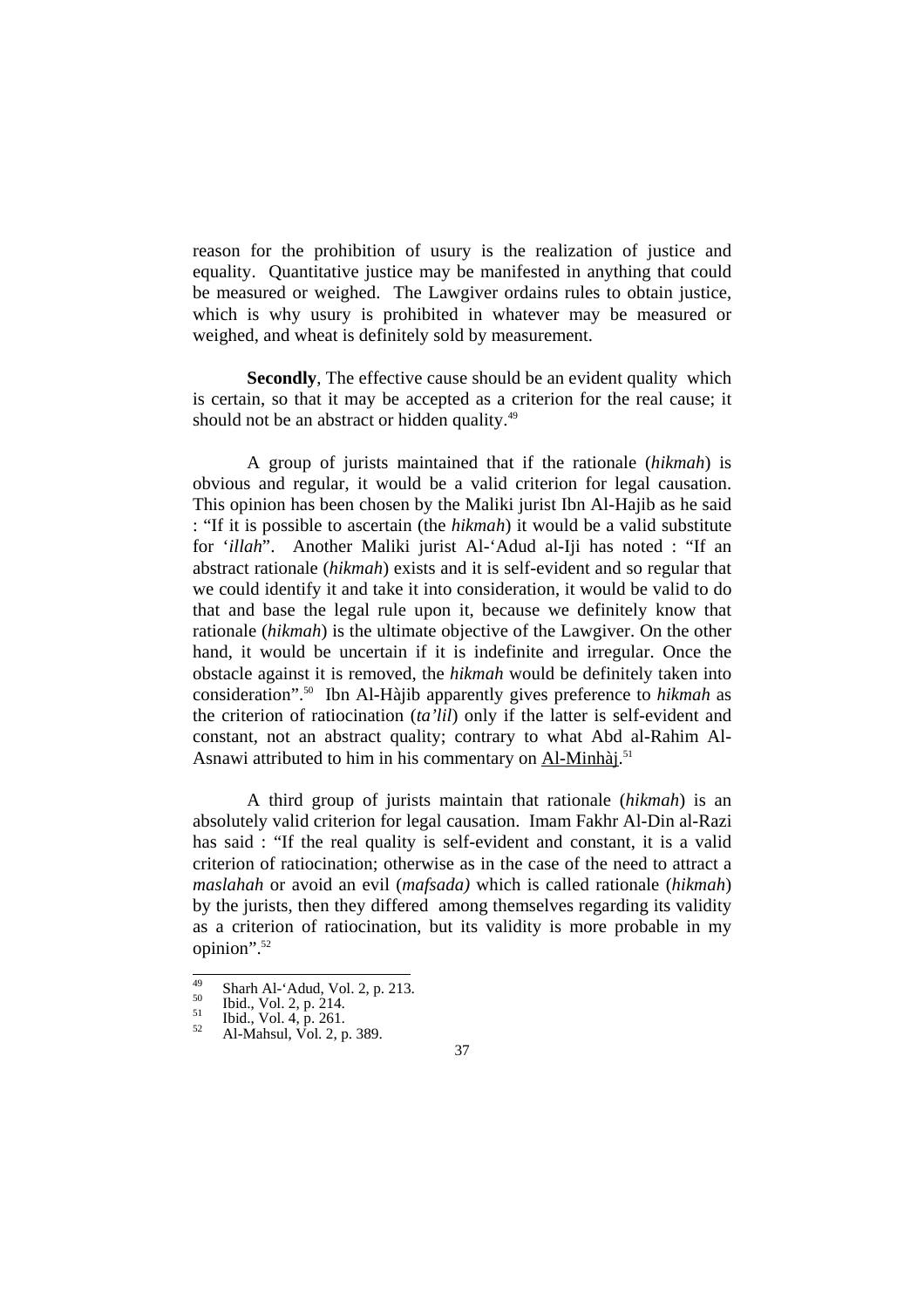reason for the prohibition of usury is the realization of justice and equality. Quantitative justice may be manifested in anything that could be measured or weighed. The Lawgiver ordains rules to obtain justice, which is why usury is prohibited in whatever may be measured or weighed, and wheat is definitely sold by measurement.

**Secondly**, The effective cause should be an evident quality which is certain, so that it may be accepted as a criterion for the real cause; it should not be an abstract or hidden quality.<sup>49</sup>

 A group of jurists maintained that if the rationale (*hikmah*) is obvious and regular, it would be a valid criterion for legal causation. This opinion has been chosen by the Maliki jurist Ibn Al-Hajib as he said : "If it is possible to ascertain (the *hikmah*) it would be a valid substitute for '*illah*". Another Maliki jurist Al-'Adud al-Iji has noted : "If an abstract rationale (*hikmah*) exists and it is self-evident and so regular that we could identify it and take it into consideration, it would be valid to do that and base the legal rule upon it, because we definitely know that rationale (*hikmah*) is the ultimate objective of the Lawgiver. On the other hand, it would be uncertain if it is indefinite and irregular. Once the obstacle against it is removed, the *hikmah* would be definitely taken into consideration".50 Ibn Al-Hàjib apparently gives preference to *hikmah* as the criterion of ratiocination (*ta'lil*) only if the latter is self-evident and constant, not an abstract quality; contrary to what Abd al-Rahim Al-Asnawi attributed to him in his commentary on Al-Minhài.<sup>51</sup>

 A third group of jurists maintain that rationale (*hikmah*) is an absolutely valid criterion for legal causation. Imam Fakhr Al-Din al-Razi has said : "If the real quality is self-evident and constant, it is a valid criterion of ratiocination; otherwise as in the case of the need to attract a *maslahah* or avoid an evil (*mafsada)* which is called rationale (*hikmah*) by the jurists, then they differed among themselves regarding its validity as a criterion of ratiocination, but its validity is more probable in my opinion".52

 $\overline{49}$ 49 Sharh Al-'Adud, Vol. 2, p. 213.<br>
<sup>50</sup> Ibid., Vol. 2, p. 214.<br>
<sup>51</sup> Ibid., Vol. 4, p. 261.<br>
Al-Mahsul, Vol. 2, p. 389.

<sup>37</sup>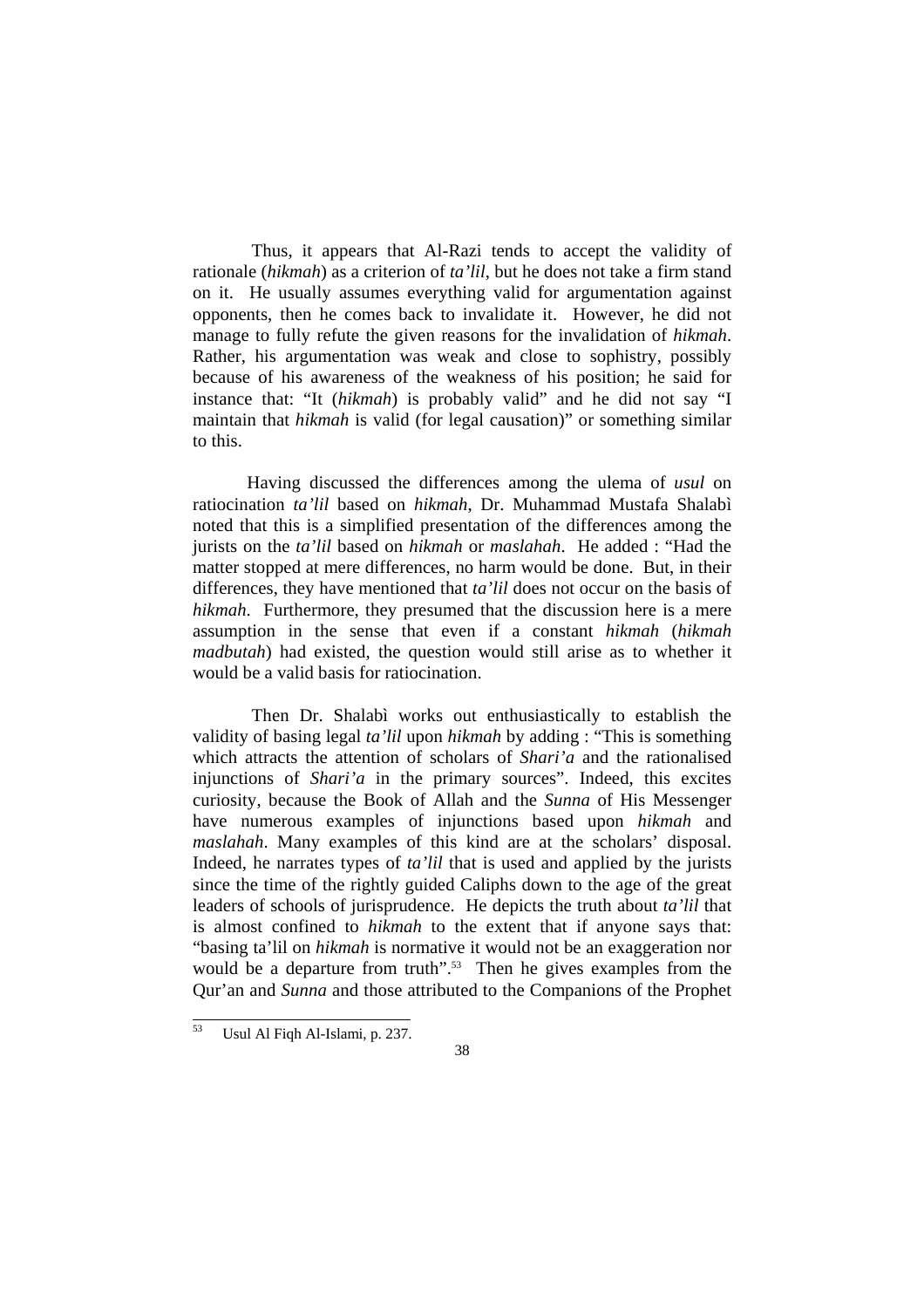Thus, it appears that Al-Razi tends to accept the validity of rationale (*hikmah*) as a criterion of *ta'lil*, but he does not take a firm stand on it. He usually assumes everything valid for argumentation against opponents, then he comes back to invalidate it. However, he did not manage to fully refute the given reasons for the invalidation of *hikmah*. Rather, his argumentation was weak and close to sophistry, possibly because of his awareness of the weakness of his position; he said for instance that: "It (*hikmah*) is probably valid" and he did not say "I maintain that *hikmah* is valid (for legal causation)" or something similar to this.

 Having discussed the differences among the ulema of *usul* on ratiocination *ta'lil* based on *hikmah*, Dr. Muhammad Mustafa Shalabì noted that this is a simplified presentation of the differences among the jurists on the *ta'lil* based on *hikmah* or *maslahah*. He added : "Had the matter stopped at mere differences, no harm would be done. But, in their differences, they have mentioned that *ta'lil* does not occur on the basis of *hikmah*. Furthermore, they presumed that the discussion here is a mere assumption in the sense that even if a constant *hikmah* (*hikmah madbutah*) had existed, the question would still arise as to whether it would be a valid basis for ratiocination.

 Then Dr. Shalabì works out enthusiastically to establish the validity of basing legal *ta'lil* upon *hikmah* by adding : "This is something which attracts the attention of scholars of *Shari'a* and the rationalised injunctions of *Shari'a* in the primary sources". Indeed, this excites curiosity, because the Book of Allah and the *Sunna* of His Messenger have numerous examples of injunctions based upon *hikmah* and *maslahah*. Many examples of this kind are at the scholars' disposal. Indeed, he narrates types of *ta'lil* that is used and applied by the jurists since the time of the rightly guided Caliphs down to the age of the great leaders of schools of jurisprudence. He depicts the truth about *ta'lil* that is almost confined to *hikmah* to the extent that if anyone says that: "basing ta'lil on *hikmah* is normative it would not be an exaggeration nor would be a departure from truth".<sup>53</sup> Then he gives examples from the Qur'an and *Sunna* and those attributed to the Companions of the Prophet

l

Usul Al Fiqh Al-Islami, p. 237.

<sup>38</sup>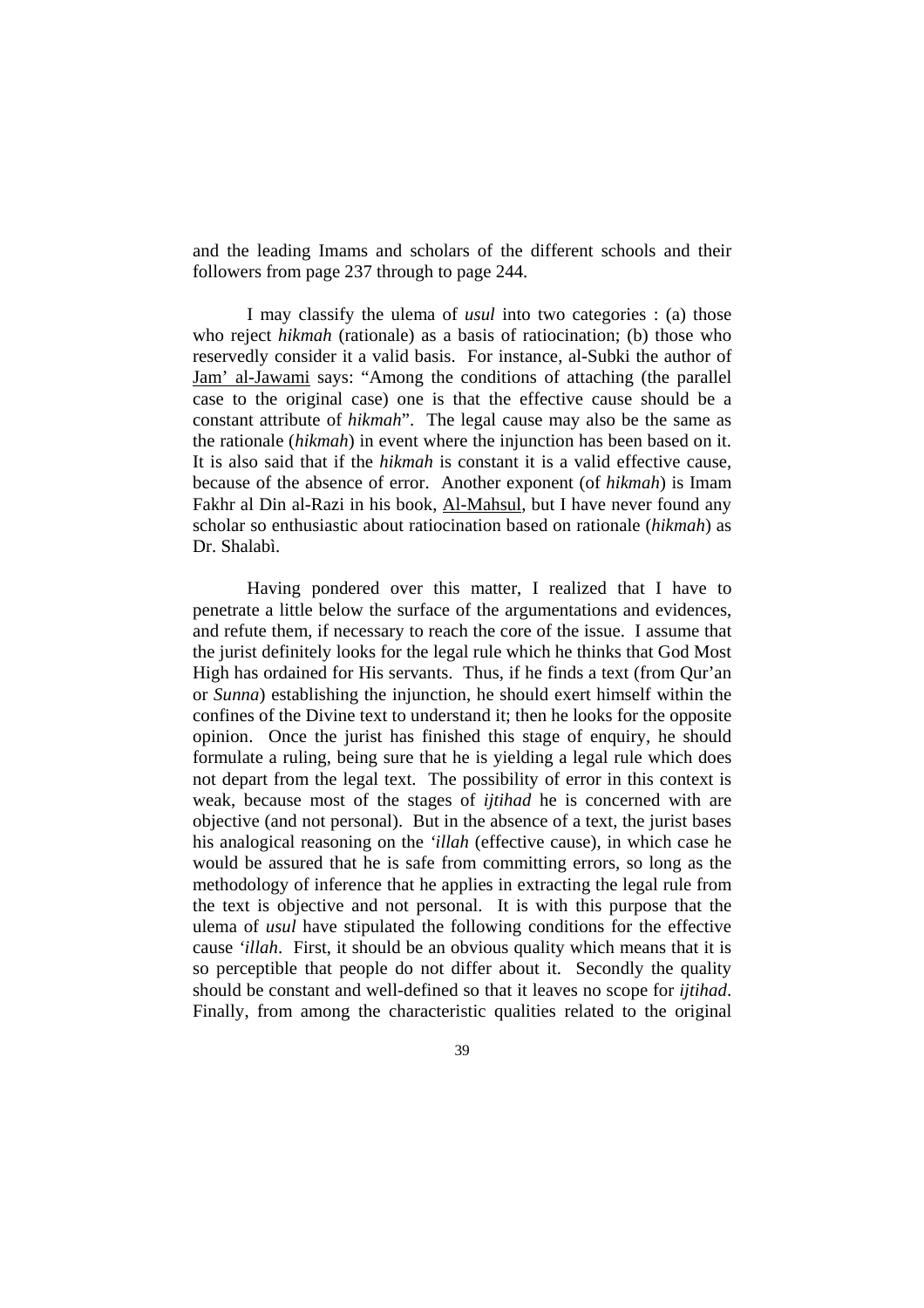and the leading Imams and scholars of the different schools and their followers from page 237 through to page 244.

 I may classify the ulema of *usul* into two categories : (a) those who reject *hikmah* (rationale) as a basis of ratiocination; (b) those who reservedly consider it a valid basis. For instance, al-Subki the author of Jam' al-Jawami says: "Among the conditions of attaching (the parallel case to the original case) one is that the effective cause should be a constant attribute of *hikmah*". The legal cause may also be the same as the rationale (*hikmah*) in event where the injunction has been based on it. It is also said that if the *hikmah* is constant it is a valid effective cause, because of the absence of error. Another exponent (of *hikmah*) is Imam Fakhr al Din al-Razi in his book, Al-Mahsul, but I have never found any scholar so enthusiastic about ratiocination based on rationale (*hikmah*) as Dr. Shalabì.

 Having pondered over this matter, I realized that I have to penetrate a little below the surface of the argumentations and evidences, and refute them, if necessary to reach the core of the issue. I assume that the jurist definitely looks for the legal rule which he thinks that God Most High has ordained for His servants. Thus, if he finds a text (from Qur'an or *Sunna*) establishing the injunction, he should exert himself within the confines of the Divine text to understand it; then he looks for the opposite opinion. Once the jurist has finished this stage of enquiry, he should formulate a ruling, being sure that he is yielding a legal rule which does not depart from the legal text. The possibility of error in this context is weak, because most of the stages of *ijtihad* he is concerned with are objective (and not personal). But in the absence of a text, the jurist bases his analogical reasoning on the *'illah* (effective cause), in which case he would be assured that he is safe from committing errors, so long as the methodology of inference that he applies in extracting the legal rule from the text is objective and not personal. It is with this purpose that the ulema of *usul* have stipulated the following conditions for the effective cause *'illah*. First, it should be an obvious quality which means that it is so perceptible that people do not differ about it. Secondly the quality should be constant and well-defined so that it leaves no scope for *ijtihad*. Finally, from among the characteristic qualities related to the original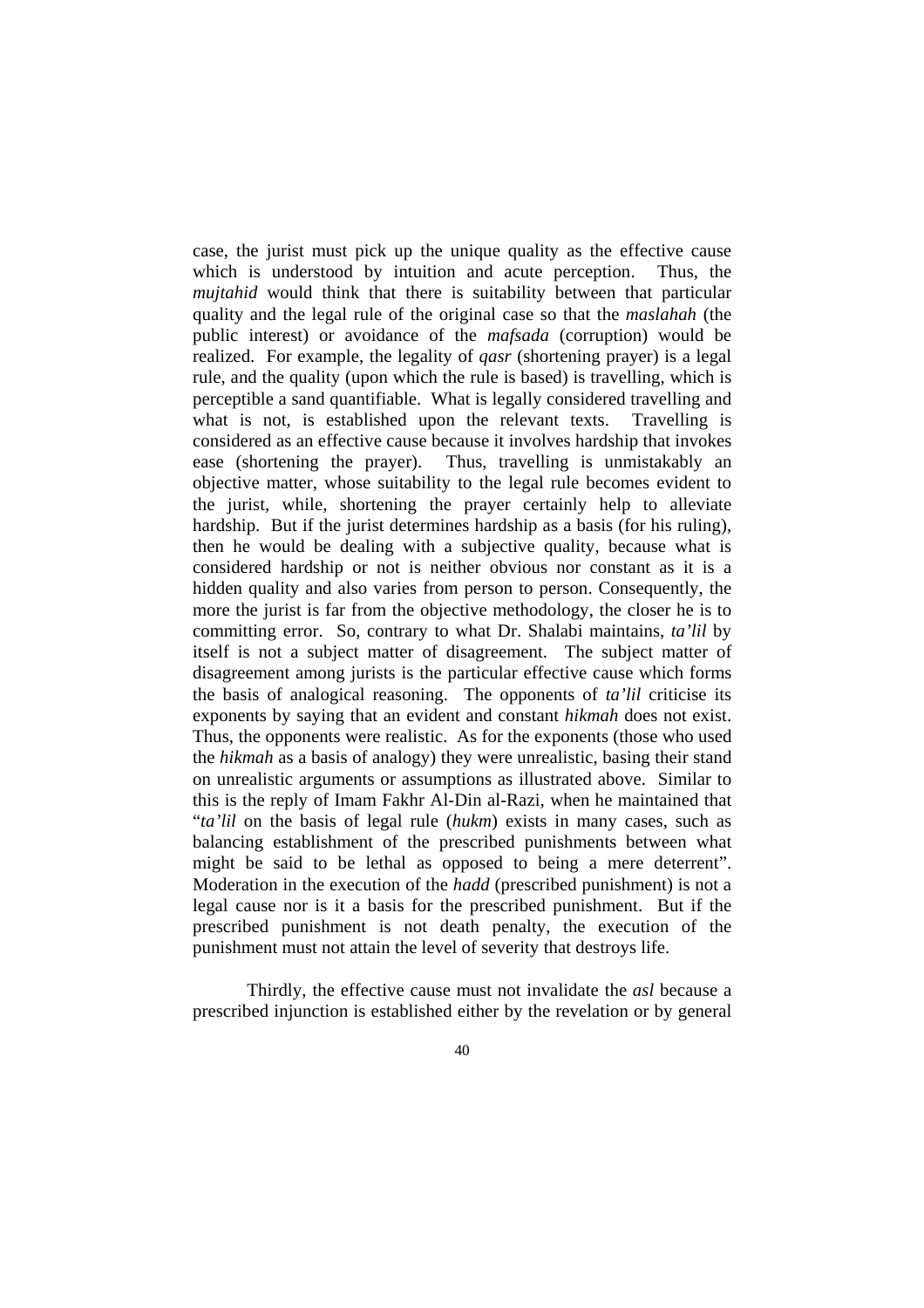case, the jurist must pick up the unique quality as the effective cause which is understood by intuition and acute perception. Thus, the *mujtahid* would think that there is suitability between that particular quality and the legal rule of the original case so that the *maslahah* (the public interest) or avoidance of the *mafsada* (corruption) would be realized. For example, the legality of *qasr* (shortening prayer) is a legal rule, and the quality (upon which the rule is based) is travelling, which is perceptible a sand quantifiable. What is legally considered travelling and what is not, is established upon the relevant texts. Travelling is considered as an effective cause because it involves hardship that invokes ease (shortening the prayer). Thus, travelling is unmistakably an objective matter, whose suitability to the legal rule becomes evident to the jurist, while, shortening the prayer certainly help to alleviate hardship. But if the jurist determines hardship as a basis (for his ruling), then he would be dealing with a subjective quality, because what is considered hardship or not is neither obvious nor constant as it is a hidden quality and also varies from person to person. Consequently, the more the jurist is far from the objective methodology, the closer he is to committing error. So, contrary to what Dr. Shalabi maintains, *ta'lil* by itself is not a subject matter of disagreement. The subject matter of disagreement among jurists is the particular effective cause which forms the basis of analogical reasoning. The opponents of *ta'lil* criticise its exponents by saying that an evident and constant *hikmah* does not exist. Thus, the opponents were realistic. As for the exponents (those who used the *hikmah* as a basis of analogy) they were unrealistic, basing their stand on unrealistic arguments or assumptions as illustrated above. Similar to this is the reply of Imam Fakhr Al-Din al-Razi, when he maintained that "*ta'lil* on the basis of legal rule (*hukm*) exists in many cases, such as balancing establishment of the prescribed punishments between what might be said to be lethal as opposed to being a mere deterrent". Moderation in the execution of the *hadd* (prescribed punishment) is not a legal cause nor is it a basis for the prescribed punishment. But if the prescribed punishment is not death penalty, the execution of the punishment must not attain the level of severity that destroys life.

 Thirdly, the effective cause must not invalidate the *asl* because a prescribed injunction is established either by the revelation or by general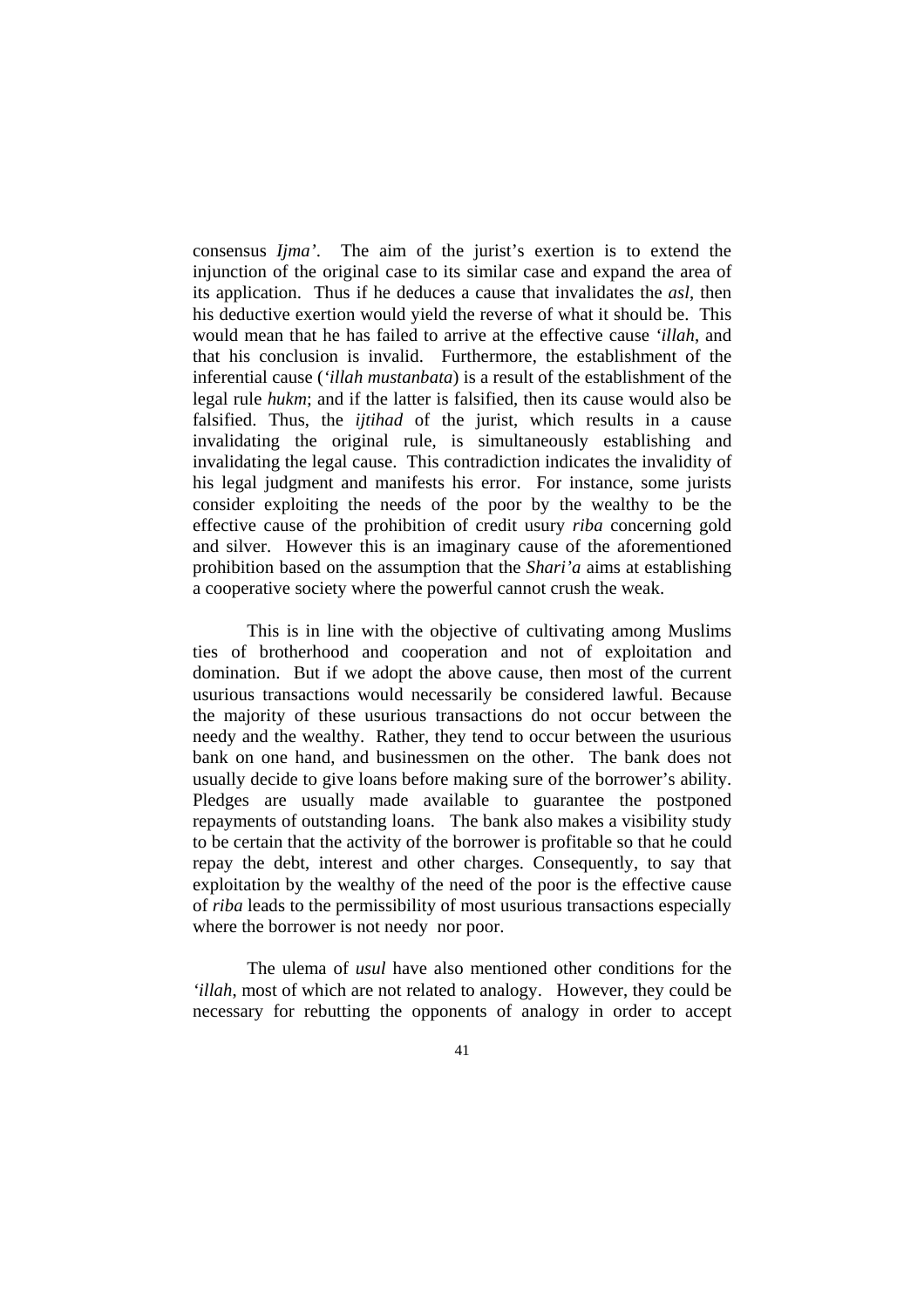consensus *Ijma'*. The aim of the jurist's exertion is to extend the injunction of the original case to its similar case and expand the area of its application. Thus if he deduces a cause that invalidates the *asl*, then his deductive exertion would yield the reverse of what it should be. This would mean that he has failed to arrive at the effective cause *'illah*, and that his conclusion is invalid. Furthermore, the establishment of the inferential cause (*'illah mustanbata*) is a result of the establishment of the legal rule *hukm*; and if the latter is falsified, then its cause would also be falsified. Thus, the *ijtihad* of the jurist, which results in a cause invalidating the original rule, is simultaneously establishing and invalidating the legal cause. This contradiction indicates the invalidity of his legal judgment and manifests his error. For instance, some jurists consider exploiting the needs of the poor by the wealthy to be the effective cause of the prohibition of credit usury *riba* concerning gold and silver. However this is an imaginary cause of the aforementioned prohibition based on the assumption that the *Shari'a* aims at establishing a cooperative society where the powerful cannot crush the weak.

This is in line with the objective of cultivating among Muslims ties of brotherhood and cooperation and not of exploitation and domination. But if we adopt the above cause, then most of the current usurious transactions would necessarily be considered lawful. Because the majority of these usurious transactions do not occur between the needy and the wealthy. Rather, they tend to occur between the usurious bank on one hand, and businessmen on the other. The bank does not usually decide to give loans before making sure of the borrower's ability. Pledges are usually made available to guarantee the postponed repayments of outstanding loans. The bank also makes a visibility study to be certain that the activity of the borrower is profitable so that he could repay the debt, interest and other charges. Consequently, to say that exploitation by the wealthy of the need of the poor is the effective cause of *riba* leads to the permissibility of most usurious transactions especially where the borrower is not needy nor poor.

 The ulema of *usul* have also mentioned other conditions for the *'illah*, most of which are not related to analogy. However, they could be necessary for rebutting the opponents of analogy in order to accept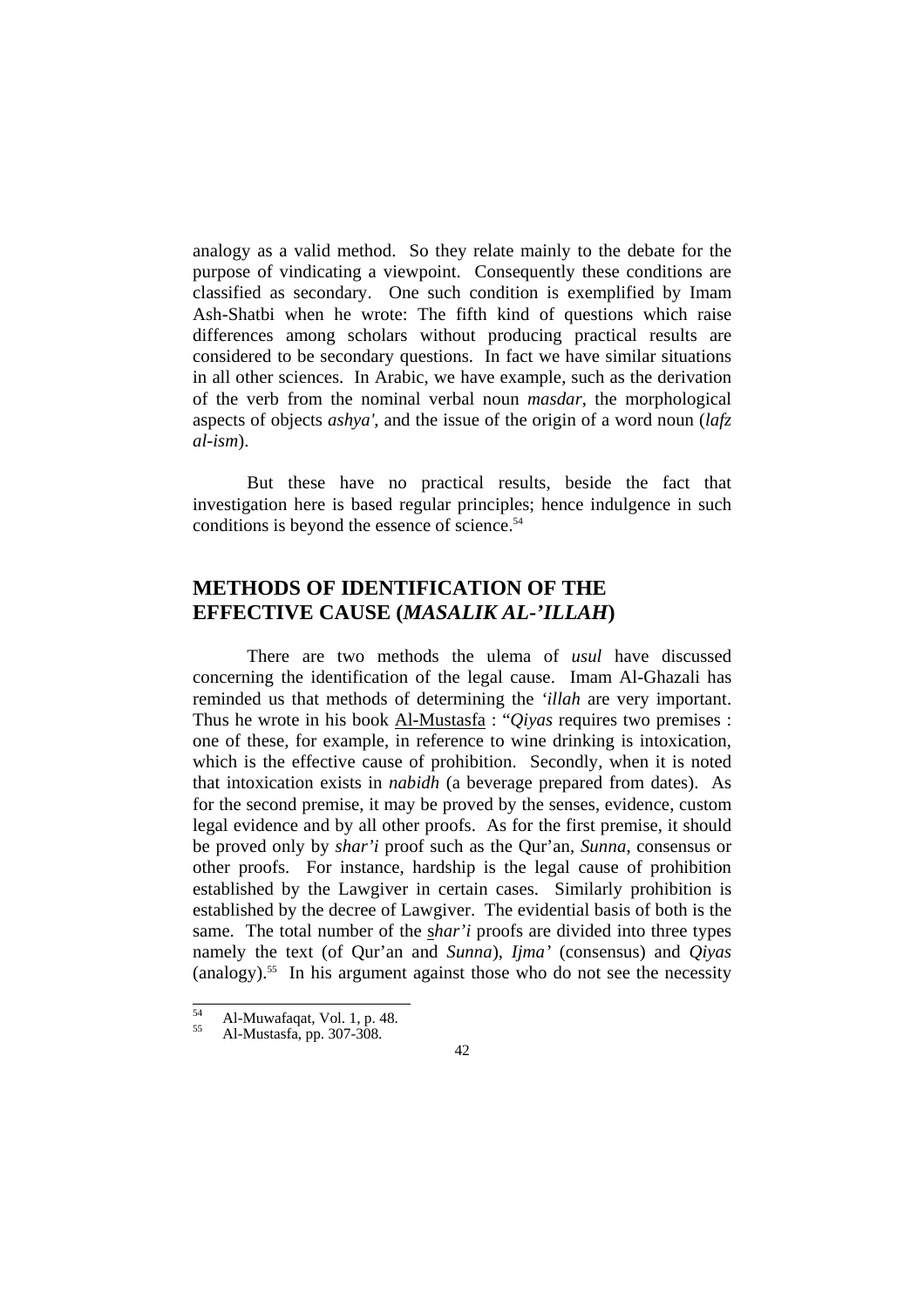analogy as a valid method. So they relate mainly to the debate for the purpose of vindicating a viewpoint. Consequently these conditions are classified as secondary. One such condition is exemplified by Imam Ash-Shatbi when he wrote: The fifth kind of questions which raise differences among scholars without producing practical results are considered to be secondary questions. In fact we have similar situations in all other sciences. In Arabic, we have example, such as the derivation of the verb from the nominal verbal noun *masdar*, the morphological aspects of objects *ashya'*, and the issue of the origin of a word noun (*lafz al-ism*).

But these have no practical results, beside the fact that investigation here is based regular principles; hence indulgence in such conditions is beyond the essence of science.<sup>54</sup>

# **METHODS OF IDENTIFICATION OF THE EFFECTIVE CAUSE (***MASALIK AL-'ILLAH***)**

 There are two methods the ulema of *usul* have discussed concerning the identification of the legal cause. Imam Al-Ghazali has reminded us that methods of determining the *'illah* are very important. Thus he wrote in his book Al-Mustasfa : "*Qiyas* requires two premises : one of these, for example, in reference to wine drinking is intoxication, which is the effective cause of prohibition. Secondly, when it is noted that intoxication exists in *nabidh* (a beverage prepared from dates). As for the second premise, it may be proved by the senses, evidence, custom legal evidence and by all other proofs. As for the first premise, it should be proved only by *shar'i* proof such as the Qur'an, *Sunna*, consensus or other proofs. For instance, hardship is the legal cause of prohibition established by the Lawgiver in certain cases. Similarly prohibition is established by the decree of Lawgiver. The evidential basis of both is the same. The total number of the s*har'i* proofs are divided into three types namely the text (of Qur'an and *Sunna*), *Ijma'* (consensus) and *Qiyas* (analogy).55 In his argument against those who do not see the necessity

 $\overline{54}$  $55<sup>54</sup>$  Al-Muwafaqat, Vol. 1, p. 48.<br>Al-Mustasfa, pp. 307-308.

<sup>42</sup>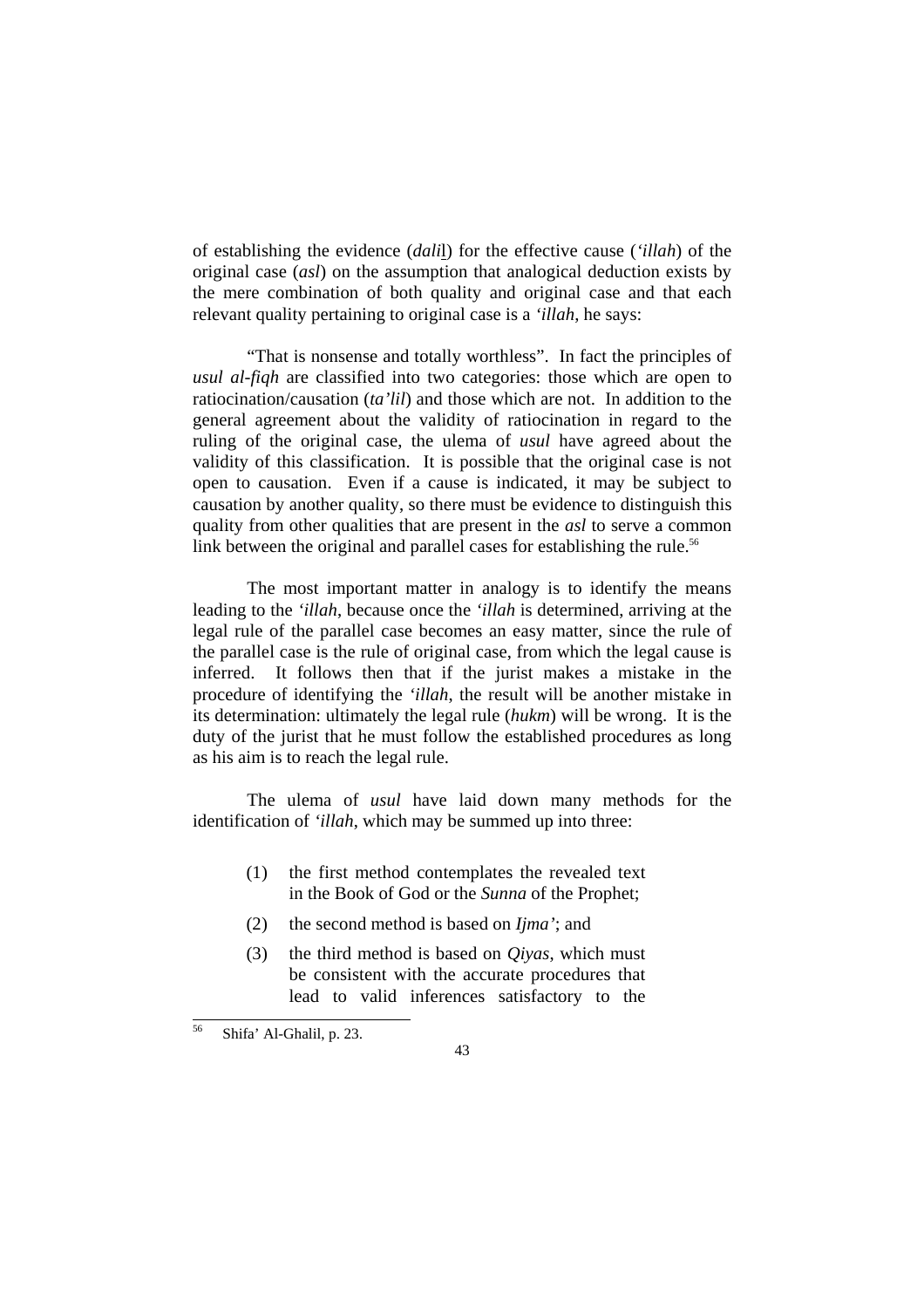of establishing the evidence (*dali*l) for the effective cause (*'illah*) of the original case (*asl*) on the assumption that analogical deduction exists by the mere combination of both quality and original case and that each relevant quality pertaining to original case is a *'illah*, he says:

 "That is nonsense and totally worthless". In fact the principles of *usul al-fiqh* are classified into two categories: those which are open to ratiocination/causation (*ta'lil*) and those which are not. In addition to the general agreement about the validity of ratiocination in regard to the ruling of the original case, the ulema of *usul* have agreed about the validity of this classification. It is possible that the original case is not open to causation. Even if a cause is indicated, it may be subject to causation by another quality, so there must be evidence to distinguish this quality from other qualities that are present in the *asl* to serve a common link between the original and parallel cases for establishing the rule.<sup>56</sup>

 The most important matter in analogy is to identify the means leading to the *'illah*, because once the *'illah* is determined, arriving at the legal rule of the parallel case becomes an easy matter, since the rule of the parallel case is the rule of original case, from which the legal cause is inferred. It follows then that if the jurist makes a mistake in the procedure of identifying the *'illah*, the result will be another mistake in its determination: ultimately the legal rule (*hukm*) will be wrong. It is the duty of the jurist that he must follow the established procedures as long as his aim is to reach the legal rule.

 The ulema of *usul* have laid down many methods for the identification of *'illah*, which may be summed up into three:

- (1) the first method contemplates the revealed text in the Book of God or the *Sunna* of the Prophet;
- (2) the second method is based on *Ijma'*; and
- (3) the third method is based on *Qiyas*, which must be consistent with the accurate procedures that lead to valid inferences satisfactory to the

<sup>56</sup> 56 Shifa' Al-Ghalil, p. 23.

<sup>43</sup>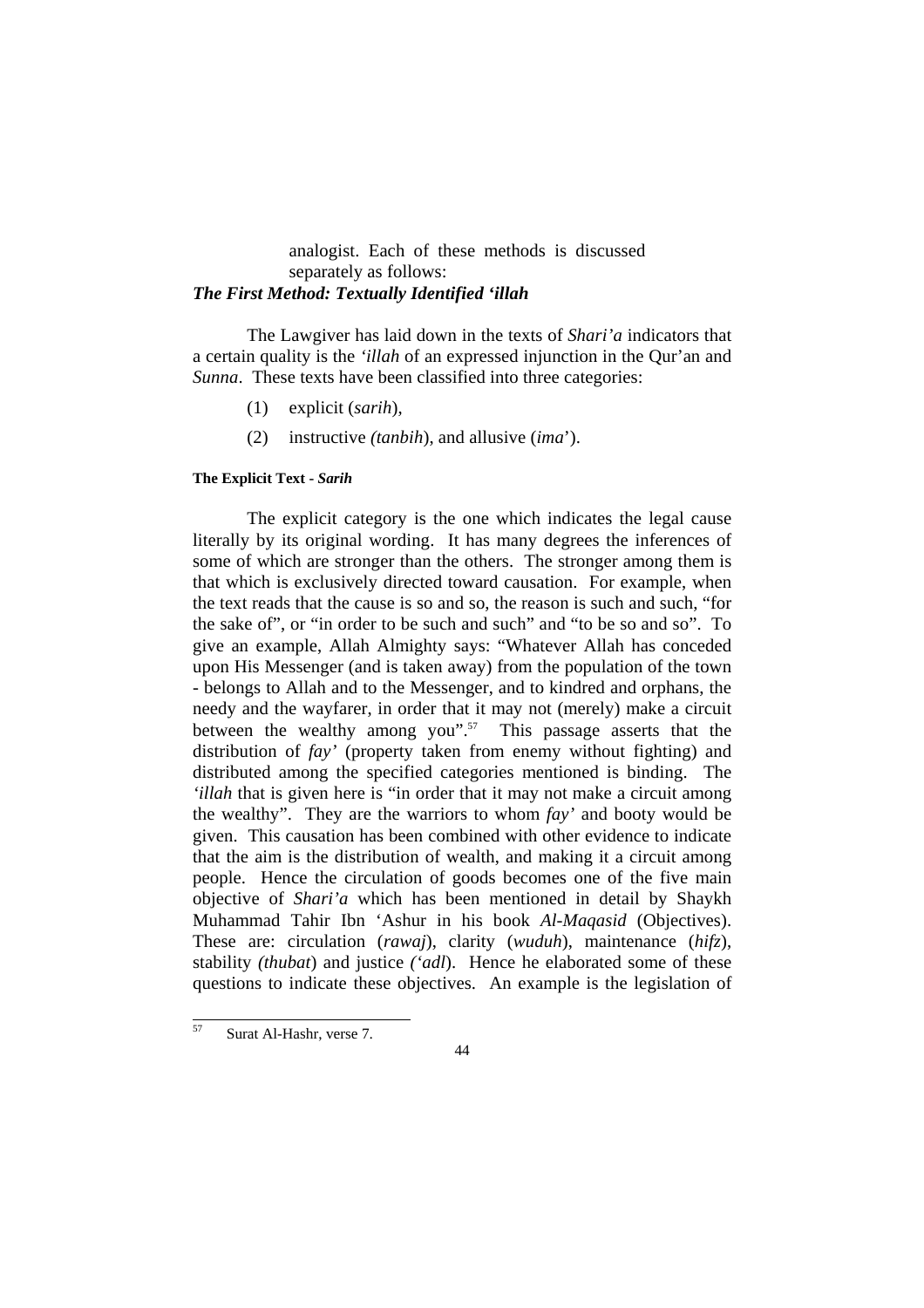# analogist. Each of these methods is discussed separately as follows: *The First Method: Textually Identified 'illah*

 The Lawgiver has laid down in the texts of *Shari'a* indicators that a certain quality is the *'illah* of an expressed injunction in the Qur'an and *Sunna*. These texts have been classified into three categories:

- (1) explicit (*sarih*),
- (2) instructive *(tanbih*), and allusive (*ima*').

#### **The Explicit Text -** *Sarih*

 The explicit category is the one which indicates the legal cause literally by its original wording. It has many degrees the inferences of some of which are stronger than the others. The stronger among them is that which is exclusively directed toward causation. For example, when the text reads that the cause is so and so, the reason is such and such, "for the sake of", or "in order to be such and such" and "to be so and so". To give an example, Allah Almighty says: "Whatever Allah has conceded upon His Messenger (and is taken away) from the population of the town - belongs to Allah and to the Messenger, and to kindred and orphans, the needy and the wayfarer, in order that it may not (merely) make a circuit between the wealthy among you".<sup>57</sup> This passage asserts that the distribution of *fay'* (property taken from enemy without fighting) and distributed among the specified categories mentioned is binding. The *'illah* that is given here is "in order that it may not make a circuit among the wealthy". They are the warriors to whom *fay'* and booty would be given. This causation has been combined with other evidence to indicate that the aim is the distribution of wealth, and making it a circuit among people. Hence the circulation of goods becomes one of the five main objective of *Shari'a* which has been mentioned in detail by Shaykh Muhammad Tahir Ibn 'Ashur in his book *Al-Maqasid* (Objectives). These are: circulation (*rawaj*), clarity (*wuduh*), maintenance (*hifz*), stability *(thubat*) and justice *('adl*). Hence he elaborated some of these questions to indicate these objectives. An example is the legislation of

 $57$ Surat Al-Hashr, verse 7.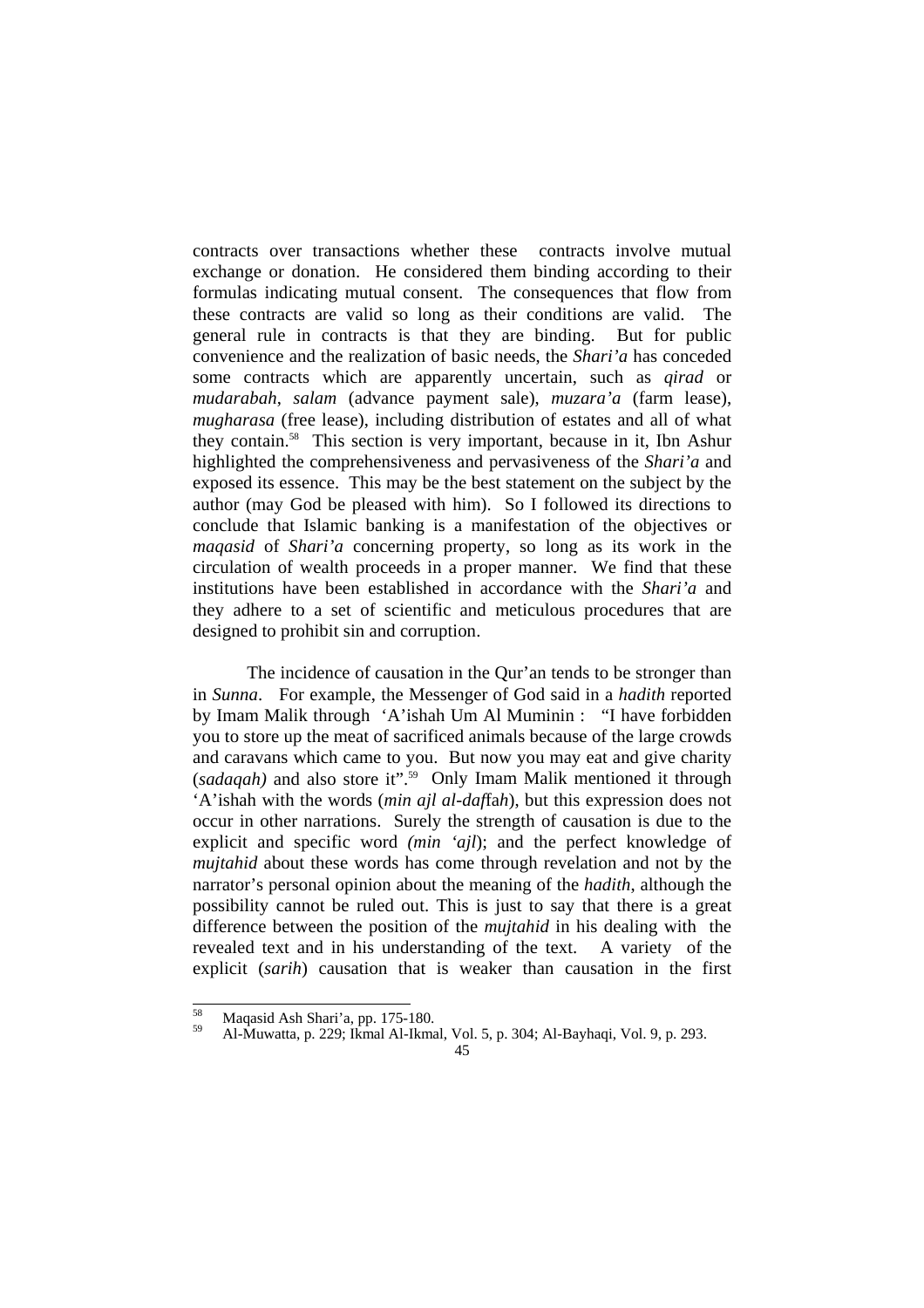contracts over transactions whether these contracts involve mutual exchange or donation. He considered them binding according to their formulas indicating mutual consent. The consequences that flow from these contracts are valid so long as their conditions are valid. The general rule in contracts is that they are binding. But for public convenience and the realization of basic needs, the *Shari'a* has conceded some contracts which are apparently uncertain, such as *qirad* or *mudarabah*, *salam* (advance payment sale), *muzara'a* (farm lease), *mugharasa* (free lease), including distribution of estates and all of what they contain.58 This section is very important, because in it, Ibn Ashur highlighted the comprehensiveness and pervasiveness of the *Shari'a* and exposed its essence. This may be the best statement on the subject by the author (may God be pleased with him). So I followed its directions to conclude that Islamic banking is a manifestation of the objectives or *maqasid* of *Shari'a* concerning property, so long as its work in the circulation of wealth proceeds in a proper manner. We find that these institutions have been established in accordance with the *Shari'a* and they adhere to a set of scientific and meticulous procedures that are designed to prohibit sin and corruption.

The incidence of causation in the Qur'an tends to be stronger than in *Sunna*. For example, the Messenger of God said in a *hadith* reported by Imam Malik through 'A'ishah Um Al Muminin : "I have forbidden you to store up the meat of sacrificed animals because of the large crowds and caravans which came to you. But now you may eat and give charity (*sadaqah)* and also store it".59 Only Imam Malik mentioned it through 'A'ishah with the words (*min ajl al-daf*fa*h*), but this expression does not occur in other narrations. Surely the strength of causation is due to the explicit and specific word *(min 'ajl*); and the perfect knowledge of *mujtahid* about these words has come through revelation and not by the narrator's personal opinion about the meaning of the *hadith*, although the possibility cannot be ruled out. This is just to say that there is a great difference between the position of the *mujtahid* in his dealing with the revealed text and in his understanding of the text. A variety of the explicit (*sarih*) causation that is weaker than causation in the first

<sup>58</sup> 

<sup>&</sup>lt;sup>58</sup> Maqasid Ash Shari'a, pp. 175-180.<br><sup>59</sup> Al-Muwatta, p. 229; Ikmal Al-Ikmal, Vol. 5, p. 304; Al-Bayhaqi, Vol. 9, p. 293.

<sup>45</sup>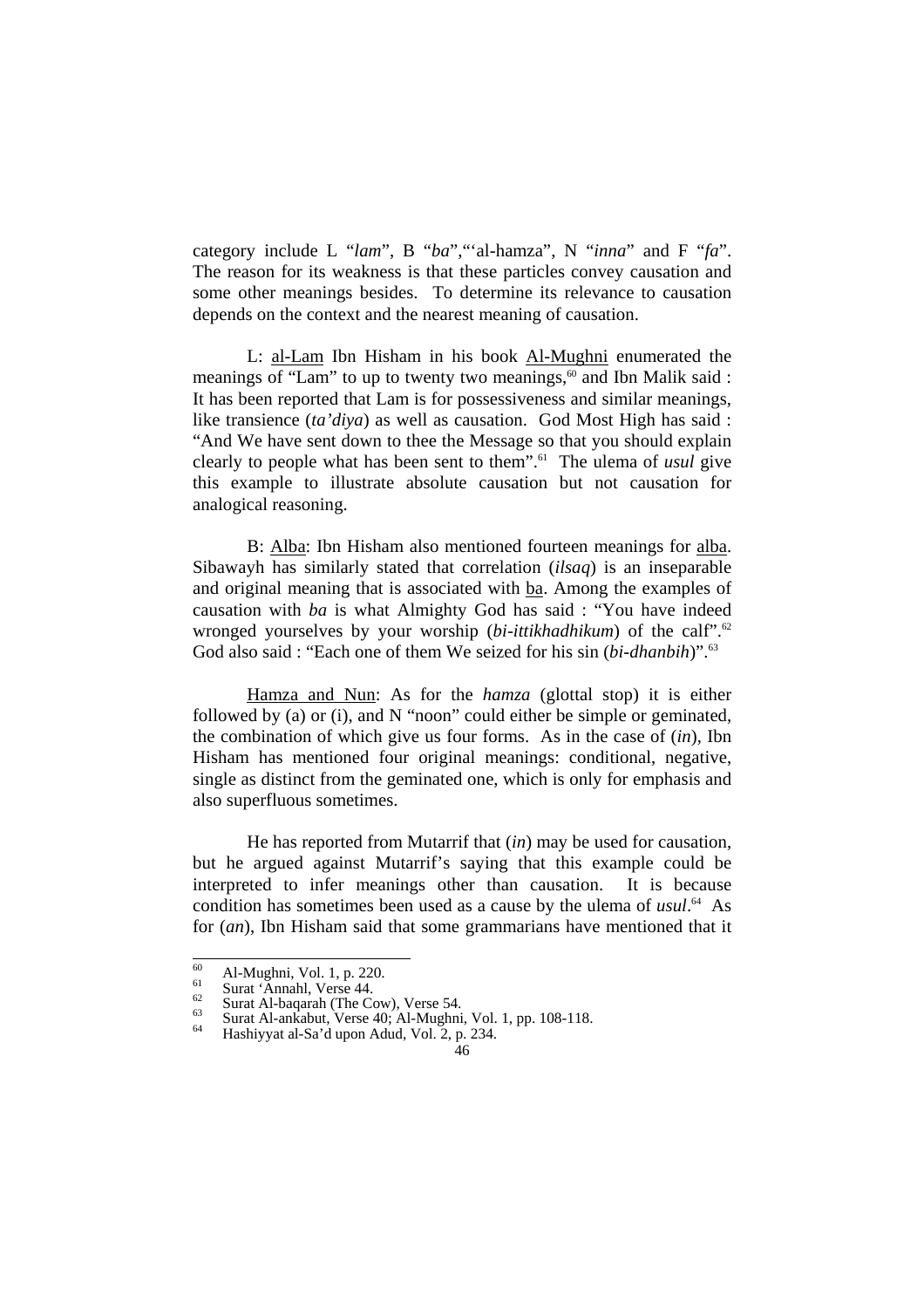category include L "*lam*", B "*ba*","'al-hamza", N "*inna*" and F "*fa*". The reason for its weakness is that these particles convey causation and some other meanings besides. To determine its relevance to causation depends on the context and the nearest meaning of causation.

L: al-Lam Ibn Hisham in his book Al-Mughni enumerated the meanings of "Lam" to up to twenty two meanings, $60$  and Ibn Malik said : It has been reported that Lam is for possessiveness and similar meanings, like transience (*ta'diya*) as well as causation. God Most High has said : "And We have sent down to thee the Message so that you should explain clearly to people what has been sent to them".61 The ulema of *usul* give this example to illustrate absolute causation but not causation for analogical reasoning.

B: Alba: Ibn Hisham also mentioned fourteen meanings for alba. Sibawayh has similarly stated that correlation (*ilsaq*) is an inseparable and original meaning that is associated with ba. Among the examples of causation with *ba* is what Almighty God has said : "You have indeed wronged yourselves by your worship (*bi-ittikhadhikum*) of the calf<sup>".62</sup> God also said : "Each one of them We seized for his sin (*bi-dhanbih*)".<sup>63</sup>

Hamza and Nun: As for the *hamza* (glottal stop) it is either followed by (a) or (i), and N "noon" could either be simple or geminated, the combination of which give us four forms. As in the case of (*in*), Ibn Hisham has mentioned four original meanings: conditional, negative, single as distinct from the geminated one, which is only for emphasis and also superfluous sometimes.

He has reported from Mutarrif that (*in*) may be used for causation, but he argued against Mutarrif's saying that this example could be interpreted to infer meanings other than causation. It is because condition has sometimes been used as a cause by the ulema of *usul*. 64 As for (*an*), Ibn Hisham said that some grammarians have mentioned that it

 $\overline{60}$ 

<sup>60</sup> Al-Mughni, Vol. 1, p. 220.<br>
<sup>61</sup> Surat 'Annahl, Verse 44.<br>
<sup>62</sup> Surat Al-baqarah (The Cow), Verse 54.<br>
<sup>64</sup> Surat Al-ankabut, Verse 40; Al-Mughni, Vol. 1, pp. 108-118.<br>
<sup>64</sup> Hashiyyat al-Sa'd upon Adud, Vol. 2, p. 234.

<sup>46</sup>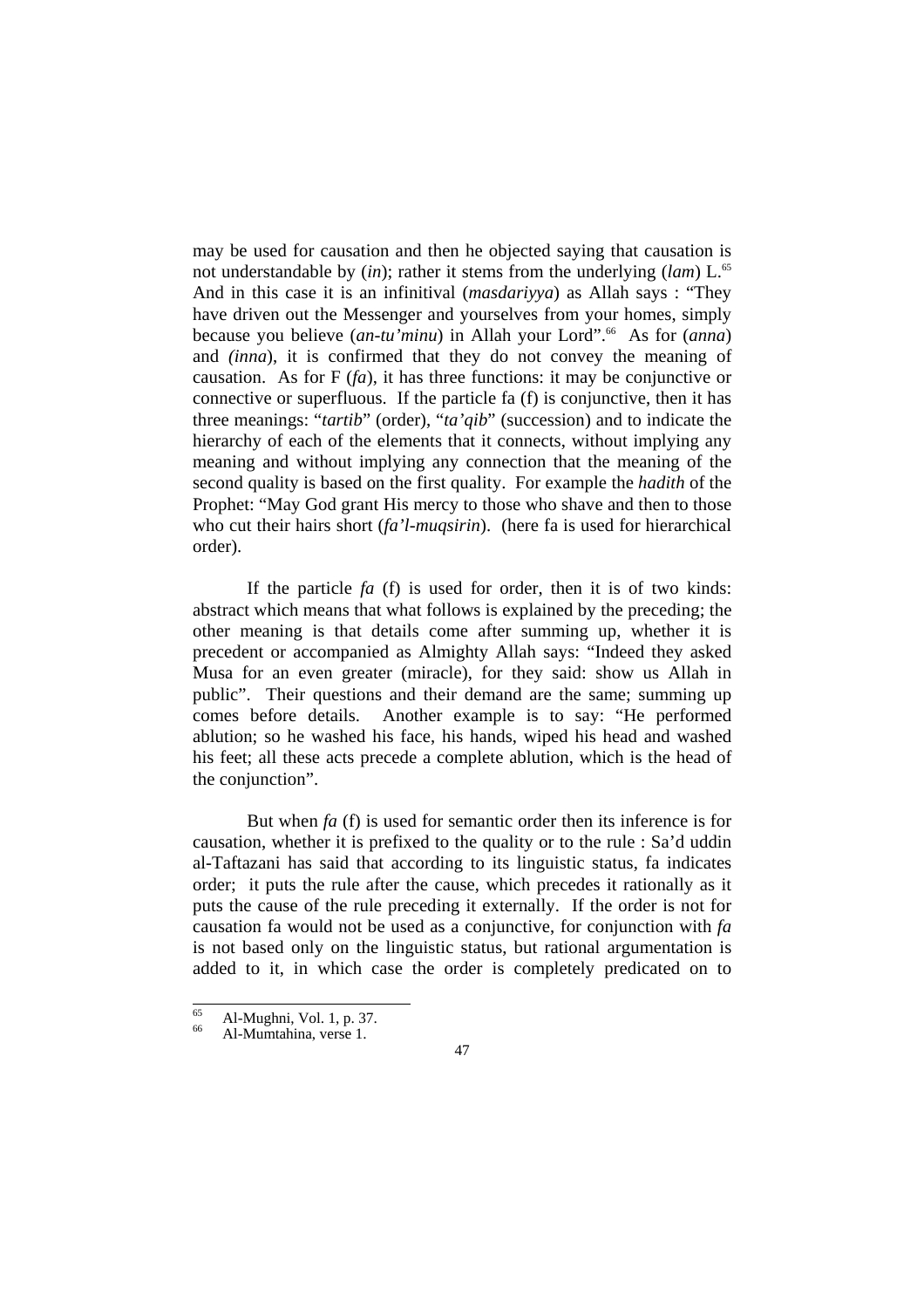may be used for causation and then he objected saying that causation is not understandable by *(in)*; rather it stems from the underlying *(lam)* L.<sup>65</sup> And in this case it is an infinitival (*masdariyya*) as Allah says : "They have driven out the Messenger and yourselves from your homes, simply because you believe (*an-tu'minu*) in Allah your Lord".66 As for (*anna*) and *(inna*), it is confirmed that they do not convey the meaning of causation. As for F (*fa*), it has three functions: it may be conjunctive or connective or superfluous. If the particle fa (f) is conjunctive, then it has three meanings: "*tartib*" (order), "*ta'qib*" (succession) and to indicate the hierarchy of each of the elements that it connects, without implying any meaning and without implying any connection that the meaning of the second quality is based on the first quality. For example the *hadith* of the Prophet: "May God grant His mercy to those who shave and then to those who cut their hairs short (*fa'l-muqsirin*). (here fa is used for hierarchical order).

If the particle *fa* (f) is used for order, then it is of two kinds: abstract which means that what follows is explained by the preceding; the other meaning is that details come after summing up, whether it is precedent or accompanied as Almighty Allah says: "Indeed they asked Musa for an even greater (miracle), for they said: show us Allah in public". Their questions and their demand are the same; summing up comes before details. Another example is to say: "He performed ablution; so he washed his face, his hands, wiped his head and washed his feet; all these acts precede a complete ablution, which is the head of the conjunction".

But when *fa* (f) is used for semantic order then its inference is for causation, whether it is prefixed to the quality or to the rule : Sa'd uddin al-Taftazani has said that according to its linguistic status, fa indicates order; it puts the rule after the cause, which precedes it rationally as it puts the cause of the rule preceding it externally. If the order is not for causation fa would not be used as a conjunctive, for conjunction with *fa* is not based only on the linguistic status, but rational argumentation is added to it, in which case the order is completely predicated on to

 $\overline{65}$  $\begin{array}{c} 65 \\ 66 \end{array}$  Al-Mughni, Vol. 1, p. 37.<br>Al-Mumtahina, verse 1.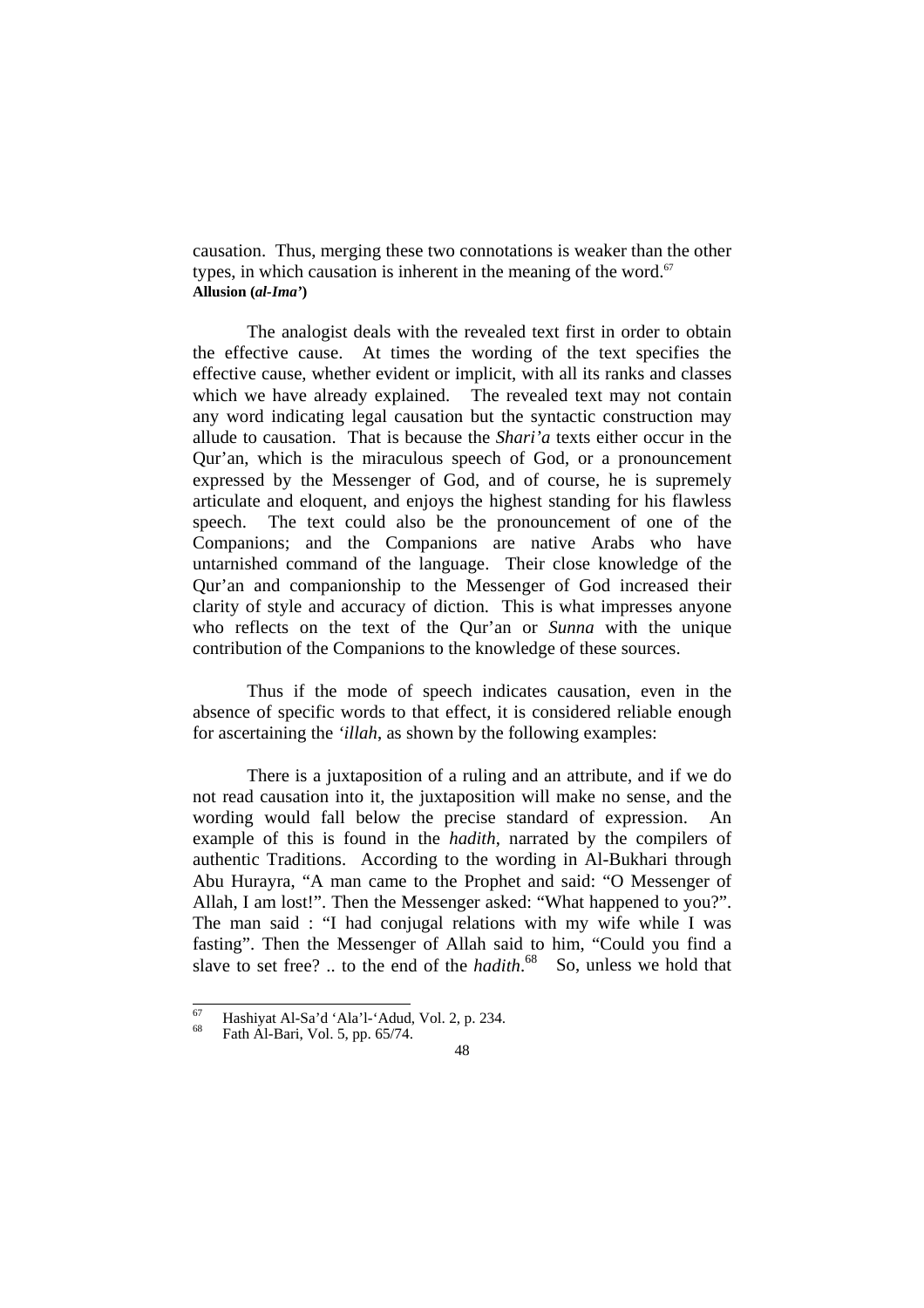causation. Thus, merging these two connotations is weaker than the other types, in which causation is inherent in the meaning of the word. $67$ **Allusion (***al-Ima'***)**

 The analogist deals with the revealed text first in order to obtain the effective cause. At times the wording of the text specifies the effective cause, whether evident or implicit, with all its ranks and classes which we have already explained. The revealed text may not contain any word indicating legal causation but the syntactic construction may allude to causation. That is because the *Shari'a* texts either occur in the Qur'an, which is the miraculous speech of God, or a pronouncement expressed by the Messenger of God, and of course, he is supremely articulate and eloquent, and enjoys the highest standing for his flawless speech. The text could also be the pronouncement of one of the Companions; and the Companions are native Arabs who have untarnished command of the language. Their close knowledge of the Qur'an and companionship to the Messenger of God increased their clarity of style and accuracy of diction. This is what impresses anyone who reflects on the text of the Qur'an or *Sunna* with the unique contribution of the Companions to the knowledge of these sources.

 Thus if the mode of speech indicates causation, even in the absence of specific words to that effect, it is considered reliable enough for ascertaining the *'illah*, as shown by the following examples:

There is a juxtaposition of a ruling and an attribute, and if we do not read causation into it, the juxtaposition will make no sense, and the wording would fall below the precise standard of expression. An example of this is found in the *hadith*, narrated by the compilers of authentic Traditions. According to the wording in Al-Bukhari through Abu Hurayra, "A man came to the Prophet and said: "O Messenger of Allah, I am lost!". Then the Messenger asked: "What happened to you?". The man said : "I had conjugal relations with my wife while I was fasting". Then the Messenger of Allah said to him, "Could you find a slave to set free? .. to the end of the *hadith*.<sup>68</sup> So, unless we hold that

 $\overline{67}$  $^{67}$  Hashiyat Al-Sa'd 'Ala'l-'Adud, Vol. 2, p. 234.<br>
Fath Al-Bari, Vol. 5, pp. 65/74.

<sup>48</sup>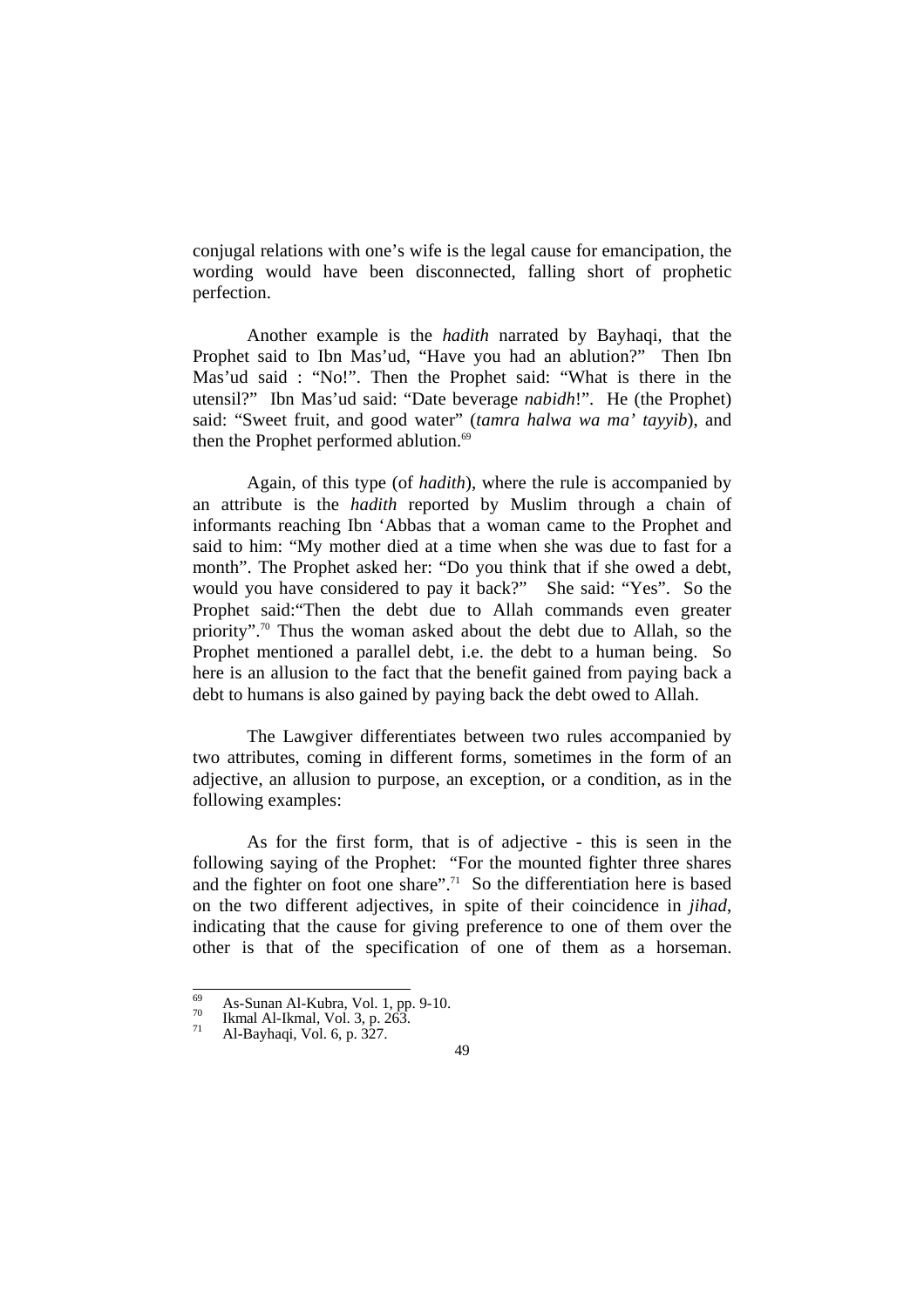conjugal relations with one's wife is the legal cause for emancipation, the wording would have been disconnected, falling short of prophetic perfection.

 Another example is the *hadith* narrated by Bayhaqi, that the Prophet said to Ibn Mas'ud, "Have you had an ablution?" Then Ibn Mas'ud said : "No!". Then the Prophet said: "What is there in the utensil?" Ibn Mas'ud said: "Date beverage *nabidh*!". He (the Prophet) said: "Sweet fruit, and good water" (*tamra halwa wa ma' tayyib*), and then the Prophet performed ablution.<sup>69</sup>

 Again, of this type (of *hadith*), where the rule is accompanied by an attribute is the *hadith* reported by Muslim through a chain of informants reaching Ibn 'Abbas that a woman came to the Prophet and said to him: "My mother died at a time when she was due to fast for a month". The Prophet asked her: "Do you think that if she owed a debt, would you have considered to pay it back?" She said: "Yes". So the Prophet said:"Then the debt due to Allah commands even greater priority".70 Thus the woman asked about the debt due to Allah, so the Prophet mentioned a parallel debt, i.e. the debt to a human being. So here is an allusion to the fact that the benefit gained from paying back a debt to humans is also gained by paying back the debt owed to Allah.

The Lawgiver differentiates between two rules accompanied by two attributes, coming in different forms, sometimes in the form of an adjective, an allusion to purpose, an exception, or a condition, as in the following examples:

 As for the first form, that is of adjective - this is seen in the following saying of the Prophet: "For the mounted fighter three shares and the fighter on foot one share".<sup>71</sup> So the differentiation here is based on the two different adjectives, in spite of their coincidence in *jihad*, indicating that the cause for giving preference to one of them over the other is that of the specification of one of them as a horseman.

 $69$ 69 As-Sunan Al-Kubra, Vol. 1, pp. 9-10.<br>
<sup>70</sup> Ikmal Al-Ikmal, Vol. 3, p. 263.<br>
<sup>71</sup> Al-Bayhaqi, Vol. 6, p. 327.

<sup>49</sup>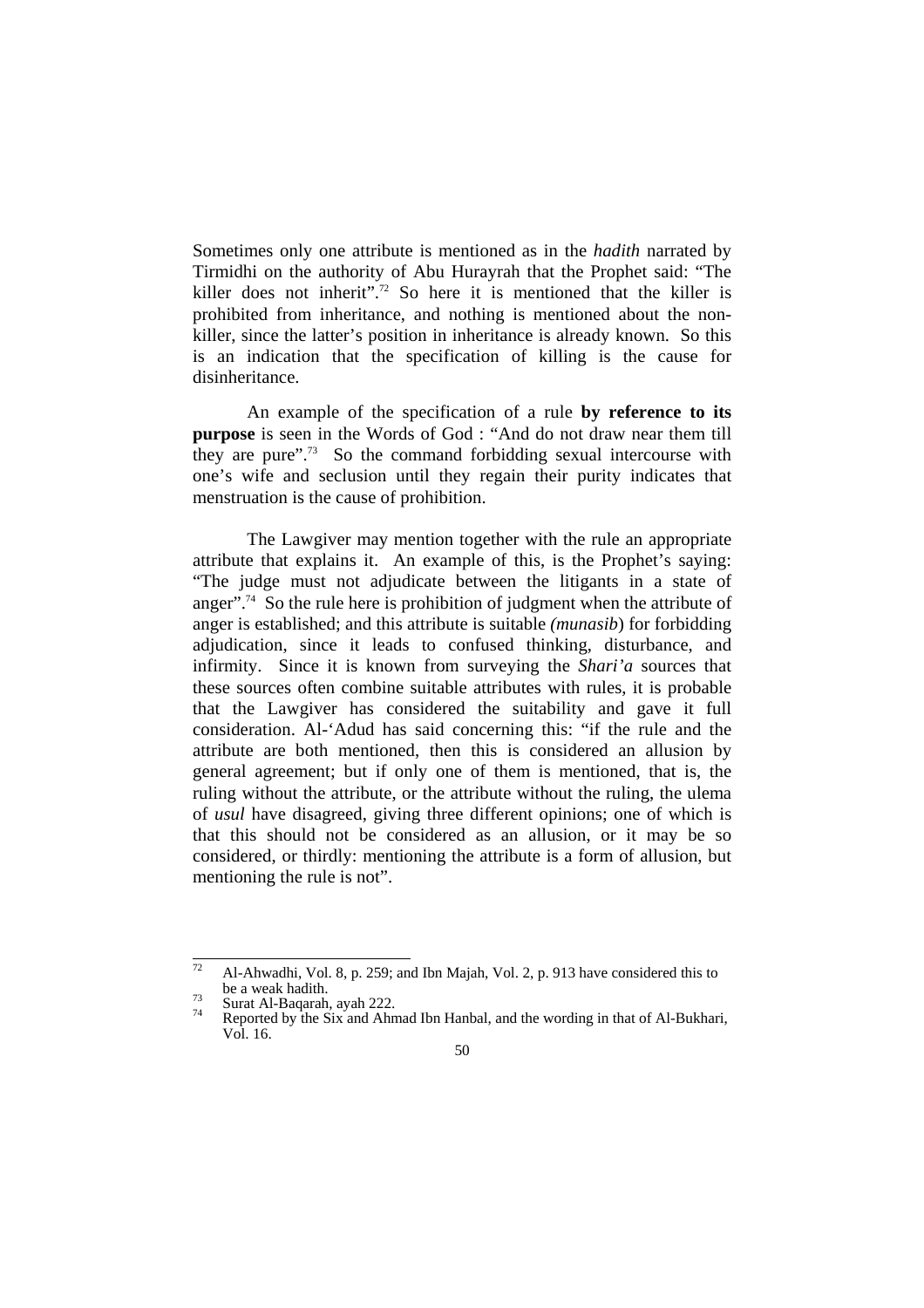Sometimes only one attribute is mentioned as in the *hadith* narrated by Tirmidhi on the authority of Abu Hurayrah that the Prophet said: "The killer does not inherit".<sup>72</sup> So here it is mentioned that the killer is prohibited from inheritance, and nothing is mentioned about the nonkiller, since the latter's position in inheritance is already known. So this is an indication that the specification of killing is the cause for disinheritance.

 An example of the specification of a rule **by reference to its purpose** is seen in the Words of God : "And do not draw near them till they are pure".<sup>73</sup> So the command forbidding sexual intercourse with one's wife and seclusion until they regain their purity indicates that menstruation is the cause of prohibition.

The Lawgiver may mention together with the rule an appropriate attribute that explains it. An example of this, is the Prophet's saying: "The judge must not adjudicate between the litigants in a state of anger".<sup>74</sup> So the rule here is prohibition of judgment when the attribute of anger is established; and this attribute is suitable *(munasib*) for forbidding adjudication, since it leads to confused thinking, disturbance, and infirmity. Since it is known from surveying the *Shari'a* sources that these sources often combine suitable attributes with rules, it is probable that the Lawgiver has considered the suitability and gave it full consideration. Al-'Adud has said concerning this: "if the rule and the attribute are both mentioned, then this is considered an allusion by general agreement; but if only one of them is mentioned, that is, the ruling without the attribute, or the attribute without the ruling, the ulema of *usul* have disagreed, giving three different opinions; one of which is that this should not be considered as an allusion, or it may be so considered, or thirdly: mentioning the attribute is a form of allusion, but mentioning the rule is not".

 $\overline{72}$ Al-Ahwadhi, Vol. 8, p. 259; and Ibn Majah, Vol. 2, p. 913 have considered this to be a weak hadith.<br>
<sup>73</sup> Surat Al-Baqarah, ayah 222.<br>
<sup>74</sup> Reported by the Six and Ahmad Ibn Hanbal, and the wording in that of Al-Bukhari,

Vol. 16.

<sup>50</sup>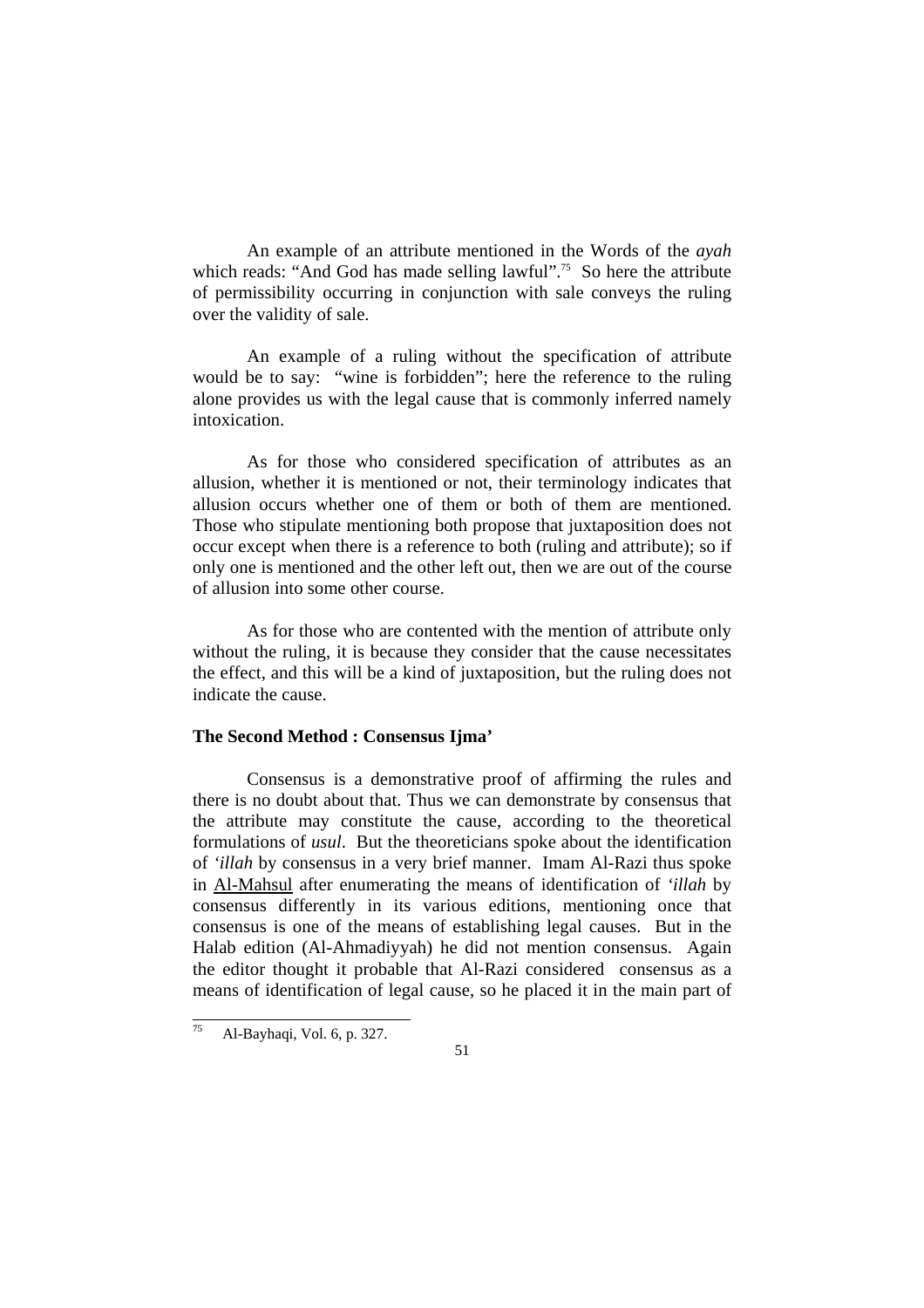An example of an attribute mentioned in the Words of the *ayah* which reads: "And God has made selling lawful".<sup>75</sup> So here the attribute of permissibility occurring in conjunction with sale conveys the ruling over the validity of sale.

 An example of a ruling without the specification of attribute would be to say: "wine is forbidden"; here the reference to the ruling alone provides us with the legal cause that is commonly inferred namely intoxication.

 As for those who considered specification of attributes as an allusion, whether it is mentioned or not, their terminology indicates that allusion occurs whether one of them or both of them are mentioned. Those who stipulate mentioning both propose that juxtaposition does not occur except when there is a reference to both (ruling and attribute); so if only one is mentioned and the other left out, then we are out of the course of allusion into some other course.

 As for those who are contented with the mention of attribute only without the ruling, it is because they consider that the cause necessitates the effect, and this will be a kind of juxtaposition, but the ruling does not indicate the cause.

#### **The Second Method : Consensus Ijma'**

 Consensus is a demonstrative proof of affirming the rules and there is no doubt about that. Thus we can demonstrate by consensus that the attribute may constitute the cause, according to the theoretical formulations of *usul*. But the theoreticians spoke about the identification of *'illah* by consensus in a very brief manner. Imam Al-Razi thus spoke in Al-Mahsul after enumerating the means of identification of *'illah* by consensus differently in its various editions, mentioning once that consensus is one of the means of establishing legal causes. But in the Halab edition (Al-Ahmadiyyah) he did not mention consensus. Again the editor thought it probable that Al-Razi considered consensus as a means of identification of legal cause, so he placed it in the main part of

 $75\,$ 75 Al-Bayhaqi, Vol. 6, p. 327.

<sup>51</sup>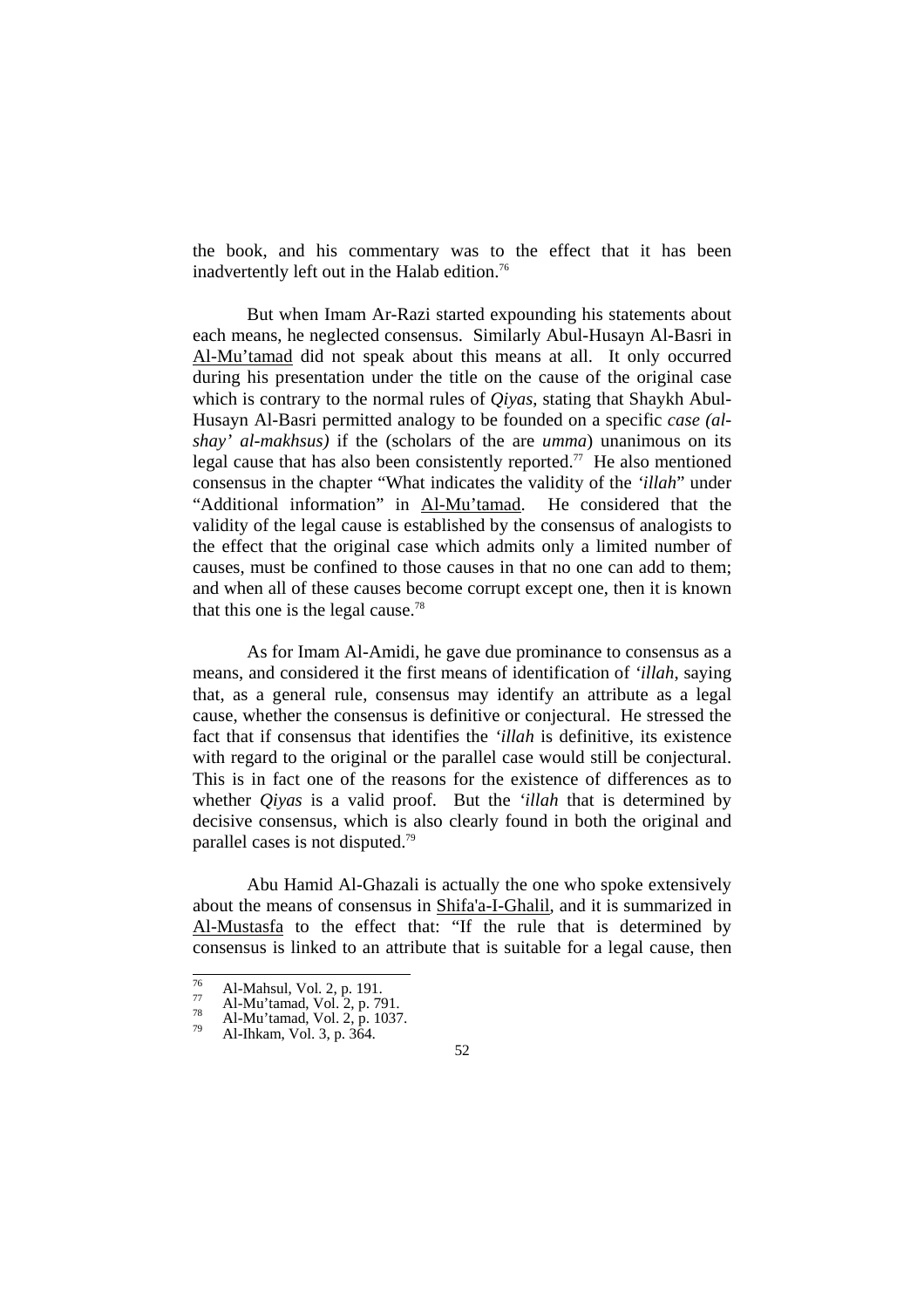the book, and his commentary was to the effect that it has been inadvertently left out in the Halab edition.<sup>76</sup>

 But when Imam Ar-Razi started expounding his statements about each means, he neglected consensus. Similarly Abul-Husayn Al-Basri in Al-Mu'tamad did not speak about this means at all. It only occurred during his presentation under the title on the cause of the original case which is contrary to the normal rules of *Qiyas*, stating that Shaykh Abul-Husayn Al-Basri permitted analogy to be founded on a specific *case (alshay' al-makhsus)* if the (scholars of the are *umma*) unanimous on its legal cause that has also been consistently reported.<sup>77</sup> He also mentioned consensus in the chapter "What indicates the validity of the *'illah*" under "Additional information" in Al-Mu'tamad. He considered that the validity of the legal cause is established by the consensus of analogists to the effect that the original case which admits only a limited number of causes, must be confined to those causes in that no one can add to them; and when all of these causes become corrupt except one, then it is known that this one is the legal cause.<sup>78</sup>

 As for Imam Al-Amidi, he gave due prominance to consensus as a means, and considered it the first means of identification of *'illah*, saying that, as a general rule, consensus may identify an attribute as a legal cause, whether the consensus is definitive or conjectural. He stressed the fact that if consensus that identifies the *'illah* is definitive, its existence with regard to the original or the parallel case would still be conjectural. This is in fact one of the reasons for the existence of differences as to whether *Qiyas* is a valid proof. But the *'illah* that is determined by decisive consensus, which is also clearly found in both the original and parallel cases is not disputed.79

 Abu Hamid Al-Ghazali is actually the one who spoke extensively about the means of consensus in Shifa'a-I-Ghalil, and it is summarized in Al-Mustasfa to the effect that: "If the rule that is determined by consensus is linked to an attribute that is suitable for a legal cause, then

 $76$ 

<sup>&</sup>lt;sup>76</sup> Al-Mahsul, Vol. 2, p. 191.<br>
<sup>77</sup> Al-Mu'tamad, Vol. 2, p. 791.<br>
<sup>79</sup> Al-Ihkam, Vol. 3, p. 364.

<sup>52</sup>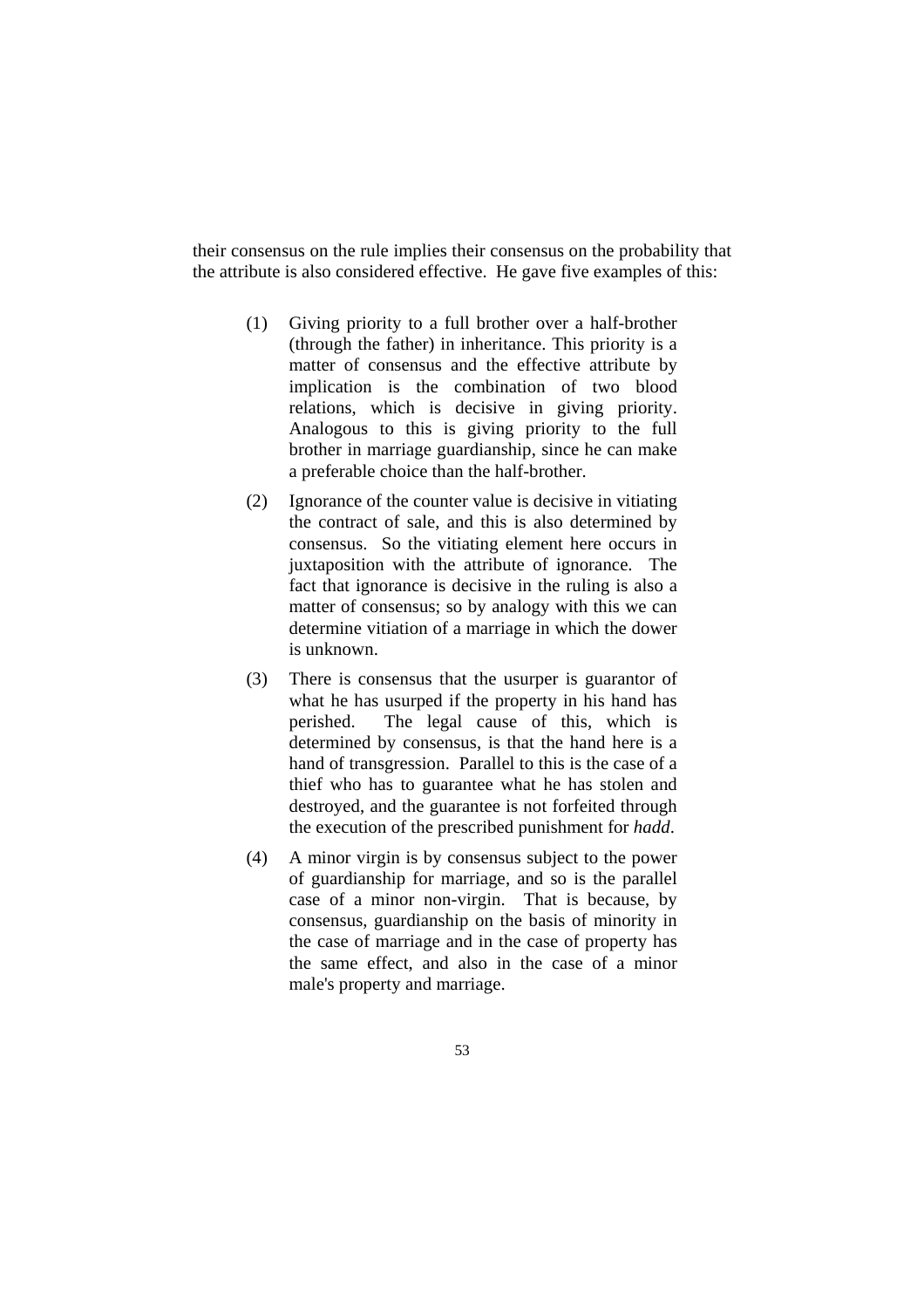their consensus on the rule implies their consensus on the probability that the attribute is also considered effective. He gave five examples of this:

- (1) Giving priority to a full brother over a half-brother (through the father) in inheritance. This priority is a matter of consensus and the effective attribute by implication is the combination of two blood relations, which is decisive in giving priority. Analogous to this is giving priority to the full brother in marriage guardianship, since he can make a preferable choice than the half-brother.
- (2) Ignorance of the counter value is decisive in vitiating the contract of sale, and this is also determined by consensus. So the vitiating element here occurs in juxtaposition with the attribute of ignorance. The fact that ignorance is decisive in the ruling is also a matter of consensus; so by analogy with this we can determine vitiation of a marriage in which the dower is unknown.
- (3) There is consensus that the usurper is guarantor of what he has usurped if the property in his hand has perished. The legal cause of this, which is determined by consensus, is that the hand here is a hand of transgression. Parallel to this is the case of a thief who has to guarantee what he has stolen and destroyed, and the guarantee is not forfeited through the execution of the prescribed punishment for *hadd*.
- (4) A minor virgin is by consensus subject to the power of guardianship for marriage, and so is the parallel case of a minor non-virgin. That is because, by consensus, guardianship on the basis of minority in the case of marriage and in the case of property has the same effect, and also in the case of a minor male's property and marriage.
	- 53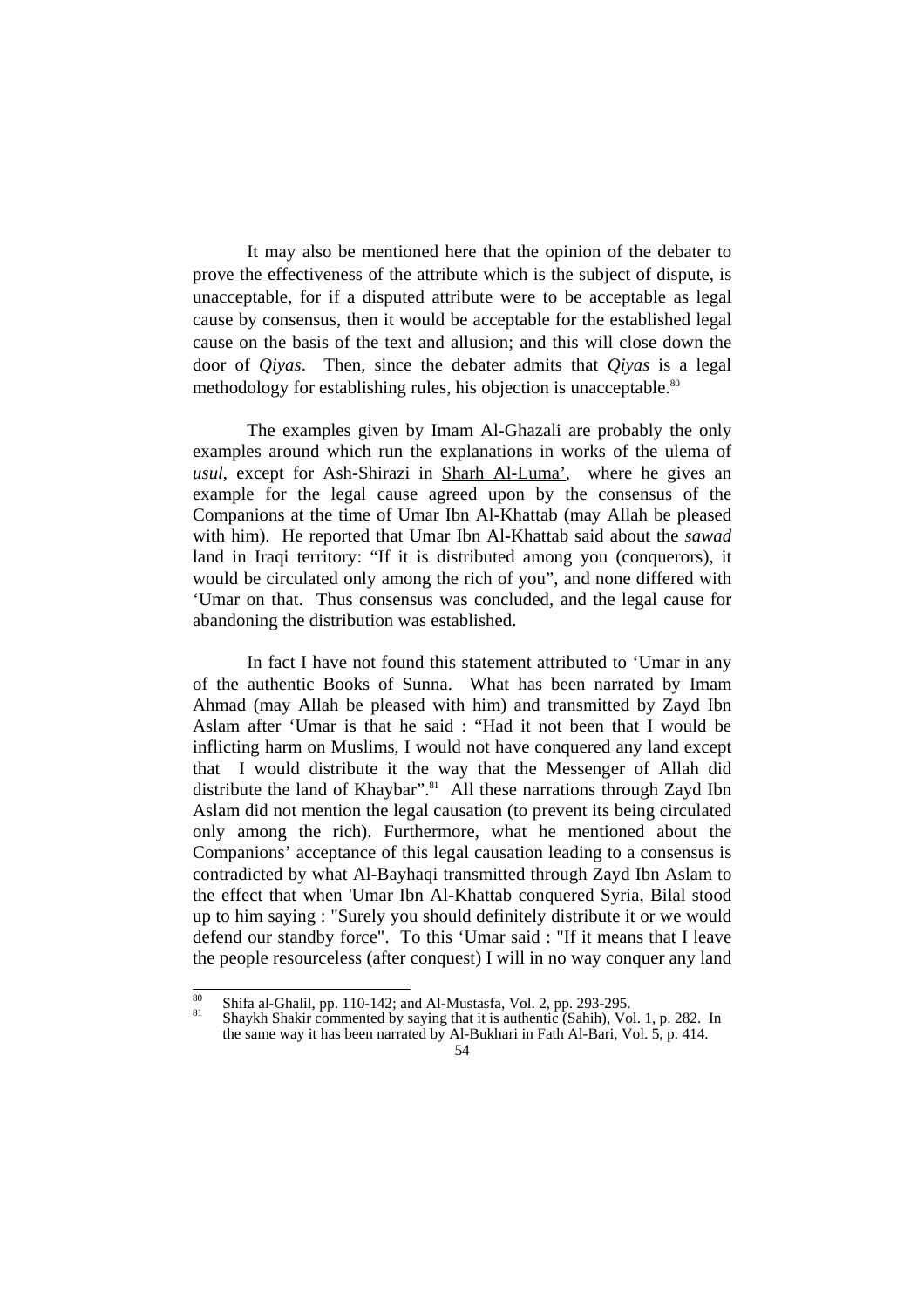It may also be mentioned here that the opinion of the debater to prove the effectiveness of the attribute which is the subject of dispute, is unacceptable, for if a disputed attribute were to be acceptable as legal cause by consensus, then it would be acceptable for the established legal cause on the basis of the text and allusion; and this will close down the door of *Qiyas*. Then, since the debater admits that *Qiyas* is a legal methodology for establishing rules, his objection is unacceptable.<sup>80</sup>

 The examples given by Imam Al-Ghazali are probably the only examples around which run the explanations in works of the ulema of *usul*, except for Ash-Shirazi in Sharh Al-Luma', where he gives an example for the legal cause agreed upon by the consensus of the Companions at the time of Umar Ibn Al-Khattab (may Allah be pleased with him). He reported that Umar Ibn Al-Khattab said about the *sawad* land in Iraqi territory: "If it is distributed among you (conquerors), it would be circulated only among the rich of you", and none differed with 'Umar on that. Thus consensus was concluded, and the legal cause for abandoning the distribution was established.

 In fact I have not found this statement attributed to 'Umar in any of the authentic Books of Sunna. What has been narrated by Imam Ahmad (may Allah be pleased with him) and transmitted by Zayd Ibn Aslam after 'Umar is that he said : "Had it not been that I would be inflicting harm on Muslims, I would not have conquered any land except that I would distribute it the way that the Messenger of Allah did distribute the land of Khaybar".<sup>81</sup> All these narrations through Zayd Ibn Aslam did not mention the legal causation (to prevent its being circulated only among the rich). Furthermore, what he mentioned about the Companions' acceptance of this legal causation leading to a consensus is contradicted by what Al-Bayhaqi transmitted through Zayd Ibn Aslam to the effect that when 'Umar Ibn Al-Khattab conquered Syria, Bilal stood up to him saying : "Surely you should definitely distribute it or we would defend our standby force". To this 'Umar said : "If it means that I leave the people resourceless (after conquest) I will in no way conquer any land

 $\overline{80}$ 

<sup>80</sup> Shifa al-Ghalil, pp. 110-142; and Al-Mustasfa, Vol. 2, pp. 293-295. 81 Shaykh Shakir commented by saying that it is authentic (Sahih), Vol. 1, p. 282. In the same way it has been narrated by Al-Bukhari in Fath Al-Bari, Vol. 5, p. 414.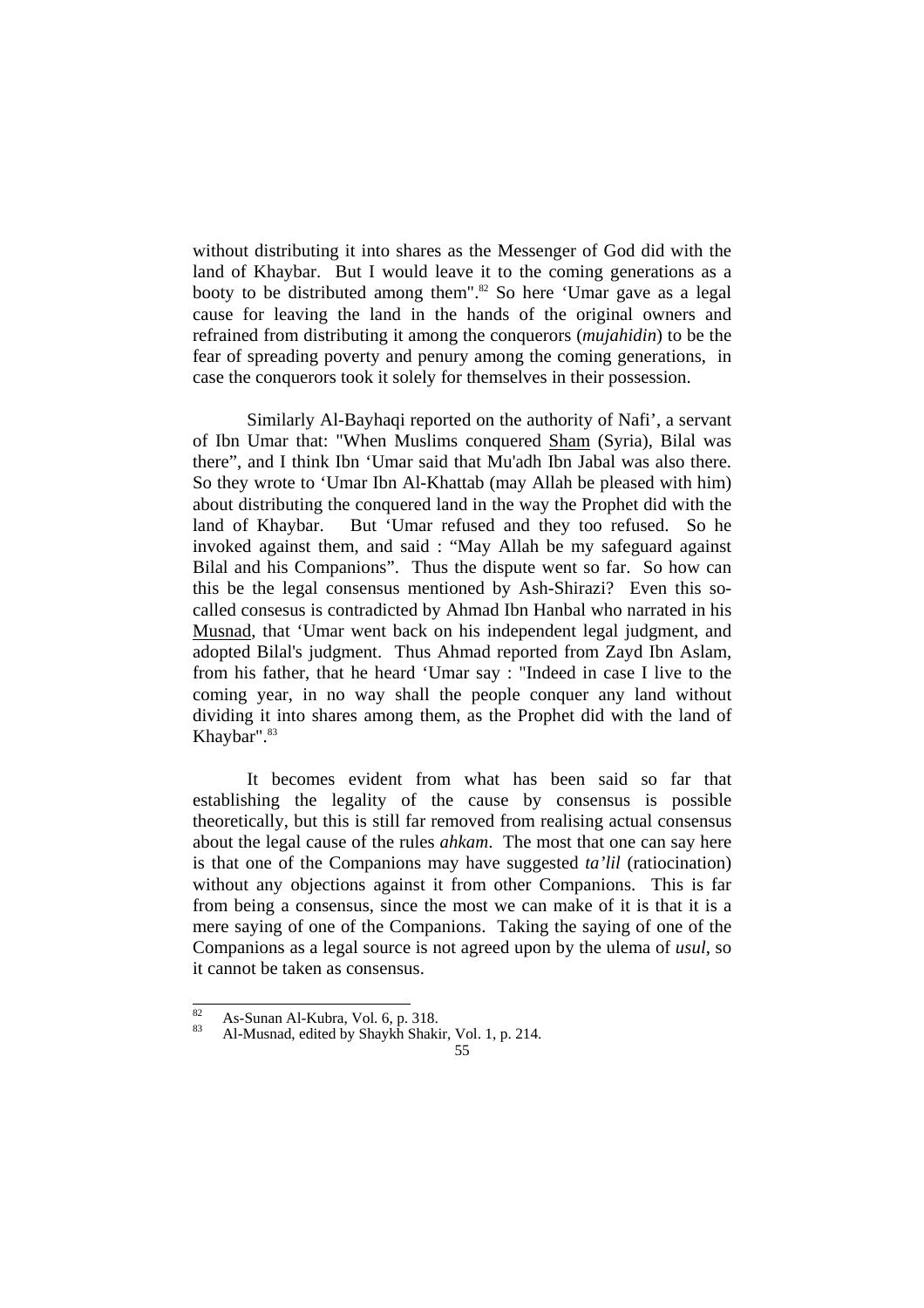without distributing it into shares as the Messenger of God did with the land of Khaybar. But I would leave it to the coming generations as a booty to be distributed among them".<sup>82</sup> So here 'Umar gave as a legal cause for leaving the land in the hands of the original owners and refrained from distributing it among the conquerors (*mujahidin*) to be the fear of spreading poverty and penury among the coming generations, in case the conquerors took it solely for themselves in their possession.

 Similarly Al-Bayhaqi reported on the authority of Nafi', a servant of Ibn Umar that: "When Muslims conquered Sham (Syria), Bilal was there", and I think Ibn 'Umar said that Mu'adh Ibn Jabal was also there. So they wrote to 'Umar Ibn Al-Khattab (may Allah be pleased with him) about distributing the conquered land in the way the Prophet did with the land of Khaybar. But 'Umar refused and they too refused. So he invoked against them, and said : "May Allah be my safeguard against Bilal and his Companions". Thus the dispute went so far. So how can this be the legal consensus mentioned by Ash-Shirazi? Even this socalled consesus is contradicted by Ahmad Ibn Hanbal who narrated in his Musnad, that 'Umar went back on his independent legal judgment, and adopted Bilal's judgment. Thus Ahmad reported from Zayd Ibn Aslam, from his father, that he heard 'Umar say : "Indeed in case I live to the coming year, in no way shall the people conquer any land without dividing it into shares among them, as the Prophet did with the land of Khaybar".<sup>83</sup>

 It becomes evident from what has been said so far that establishing the legality of the cause by consensus is possible theoretically, but this is still far removed from realising actual consensus about the legal cause of the rules *ahkam*. The most that one can say here is that one of the Companions may have suggested *ta'lil* (ratiocination) without any objections against it from other Companions. This is far from being a consensus, since the most we can make of it is that it is a mere saying of one of the Companions. Taking the saying of one of the Companions as a legal source is not agreed upon by the ulema of *usul*, so it cannot be taken as consensus.

 $\overline{82}$ 

<sup>&</sup>lt;sup>82</sup> As-Sunan Al-Kubra, Vol. 6, p. 318.<br><sup>83</sup> Al-Musnad, edited by Shaykh Shakir, Vol. 1, p. 214.

<sup>55</sup>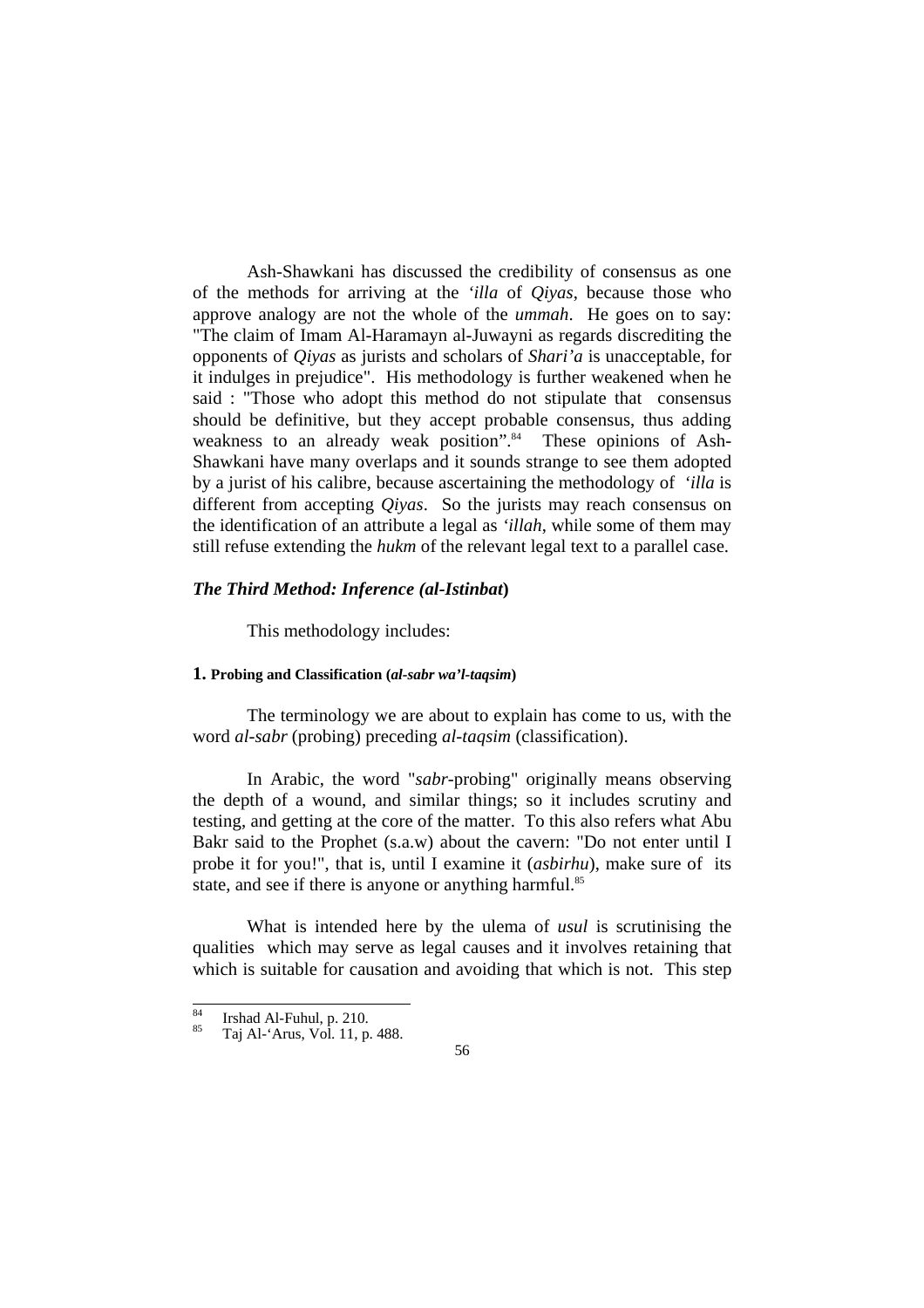Ash-Shawkani has discussed the credibility of consensus as one of the methods for arriving at the *'illa* of *Qiyas*, because those who approve analogy are not the whole of the *ummah*. He goes on to say: "The claim of Imam Al-Haramayn al-Juwayni as regards discrediting the opponents of *Qiyas* as jurists and scholars of *Shari'a* is unacceptable, for it indulges in prejudice". His methodology is further weakened when he said : "Those who adopt this method do not stipulate that consensus should be definitive, but they accept probable consensus, thus adding weakness to an already weak position".<sup>84</sup> These opinions of Ash-Shawkani have many overlaps and it sounds strange to see them adopted by a jurist of his calibre, because ascertaining the methodology of *'illa* is different from accepting *Qiyas*. So the jurists may reach consensus on the identification of an attribute a legal as *'illah*, while some of them may still refuse extending the *hukm* of the relevant legal text to a parallel case.

## *The Third Method: Inference (al-Istinbat***)**

This methodology includes:

### **1. Probing and Classification (***al-sabr wa'l-taqsim***)**

 The terminology we are about to explain has come to us, with the word *al-sabr* (probing) preceding *al-taqsim* (classification).

 In Arabic, the word "*sabr*-probing" originally means observing the depth of a wound, and similar things; so it includes scrutiny and testing, and getting at the core of the matter. To this also refers what Abu Bakr said to the Prophet (s.a.w) about the cavern: "Do not enter until I probe it for you!", that is, until I examine it (*asbirhu*), make sure of its state, and see if there is anyone or anything harmful.<sup>85</sup>

 What is intended here by the ulema of *usul* is scrutinising the qualities which may serve as legal causes and it involves retaining that which is suitable for causation and avoiding that which is not. This step

 $\overline{84}$ <sup>84</sup> Irshad Al-Fuhul, p. 210.<br><sup>85</sup> Taj Al-'Arus, Vol. 11, p. 488.

<sup>56</sup>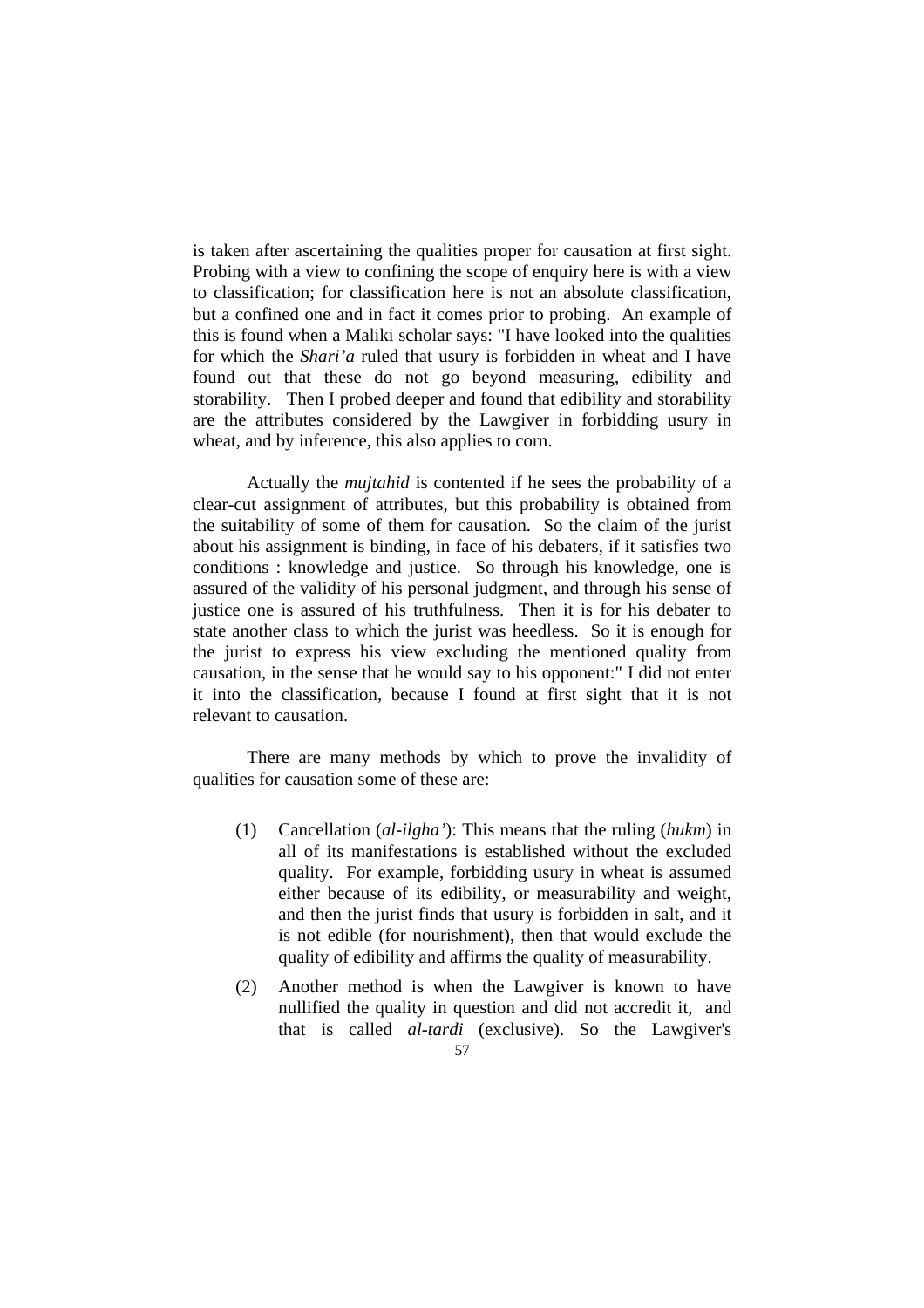is taken after ascertaining the qualities proper for causation at first sight. Probing with a view to confining the scope of enquiry here is with a view to classification; for classification here is not an absolute classification, but a confined one and in fact it comes prior to probing. An example of this is found when a Maliki scholar says: "I have looked into the qualities for which the *Shari'a* ruled that usury is forbidden in wheat and I have found out that these do not go beyond measuring, edibility and storability. Then I probed deeper and found that edibility and storability are the attributes considered by the Lawgiver in forbidding usury in wheat, and by inference, this also applies to corn.

 Actually the *mujtahid* is contented if he sees the probability of a clear-cut assignment of attributes, but this probability is obtained from the suitability of some of them for causation. So the claim of the jurist about his assignment is binding, in face of his debaters, if it satisfies two conditions : knowledge and justice. So through his knowledge, one is assured of the validity of his personal judgment, and through his sense of justice one is assured of his truthfulness. Then it is for his debater to state another class to which the jurist was heedless. So it is enough for the jurist to express his view excluding the mentioned quality from causation, in the sense that he would say to his opponent:" I did not enter it into the classification, because I found at first sight that it is not relevant to causation.

 There are many methods by which to prove the invalidity of qualities for causation some of these are:

- (1) Cancellation (*al-ilgha'*): This means that the ruling (*hukm*) in all of its manifestations is established without the excluded quality. For example, forbidding usury in wheat is assumed either because of its edibility, or measurability and weight, and then the jurist finds that usury is forbidden in salt, and it is not edible (for nourishment), then that would exclude the quality of edibility and affirms the quality of measurability.
- (2) Another method is when the Lawgiver is known to have nullified the quality in question and did not accredit it, and that is called *al-tardi* (exclusive). So the Lawgiver's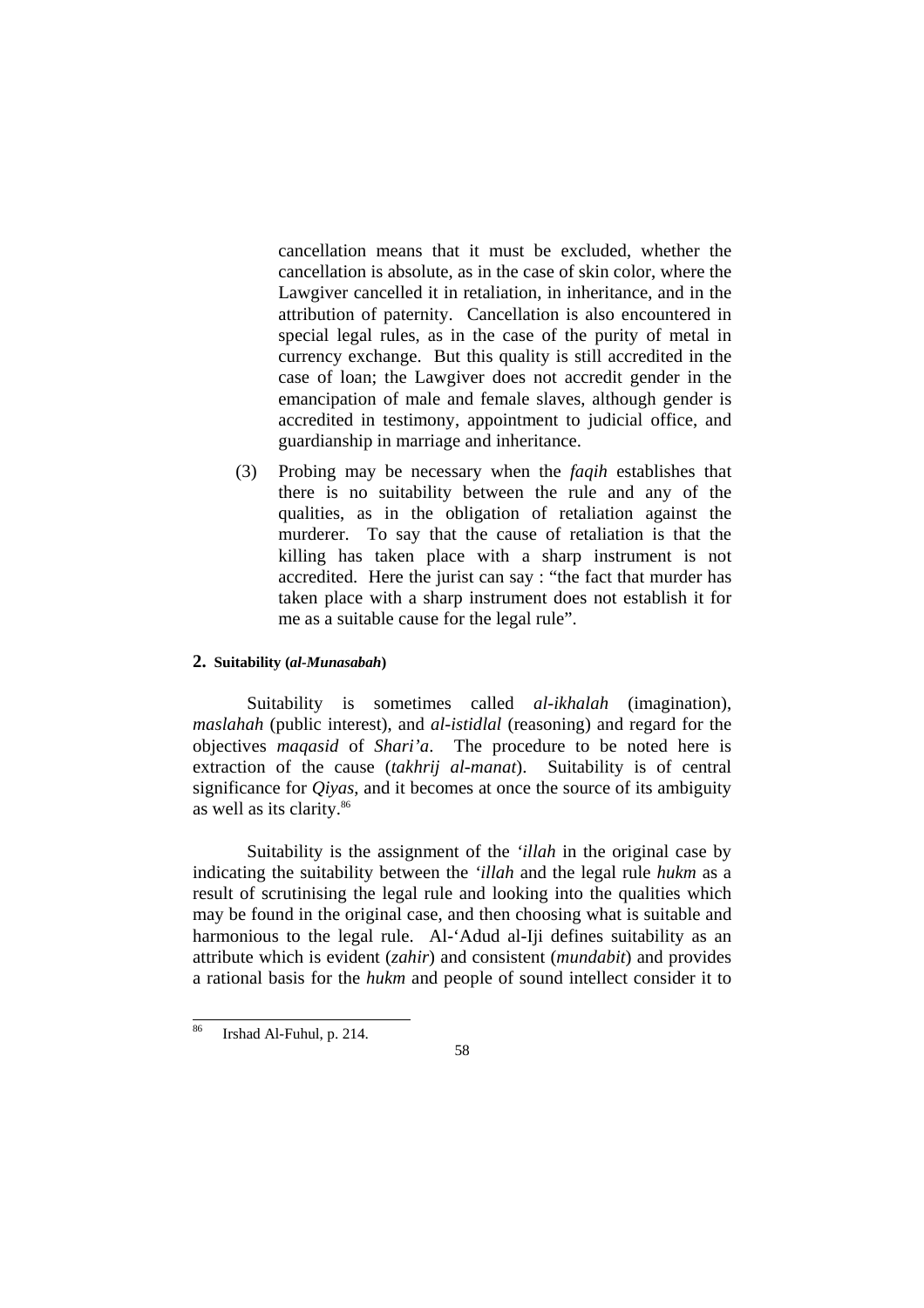cancellation means that it must be excluded, whether the cancellation is absolute, as in the case of skin color, where the Lawgiver cancelled it in retaliation, in inheritance, and in the attribution of paternity. Cancellation is also encountered in special legal rules, as in the case of the purity of metal in currency exchange. But this quality is still accredited in the case of loan; the Lawgiver does not accredit gender in the emancipation of male and female slaves, although gender is accredited in testimony, appointment to judicial office, and guardianship in marriage and inheritance.

(3) Probing may be necessary when the *faqih* establishes that there is no suitability between the rule and any of the qualities, as in the obligation of retaliation against the murderer. To say that the cause of retaliation is that the killing has taken place with a sharp instrument is not accredited. Here the jurist can say : "the fact that murder has taken place with a sharp instrument does not establish it for me as a suitable cause for the legal rule".

#### **2. Suitability (***al-Munasabah***)**

 Suitability is sometimes called *al-ikhalah* (imagination), *maslahah* (public interest), and *al-istidlal* (reasoning) and regard for the objectives *maqasid* of *Shari'a*. The procedure to be noted here is extraction of the cause (*takhrij al-manat*). Suitability is of central significance for *Qiyas*, and it becomes at once the source of its ambiguity as well as its clarity.86

 Suitability is the assignment of the *'illah* in the original case by indicating the suitability between the *'illah* and the legal rule *hukm* as a result of scrutinising the legal rule and looking into the qualities which may be found in the original case, and then choosing what is suitable and harmonious to the legal rule. Al-'Adud al-Iji defines suitability as an attribute which is evident (*zahir*) and consistent (*mundabit*) and provides a rational basis for the *hukm* and people of sound intellect consider it to

<sup>86</sup> Irshad Al-Fuhul, p. 214.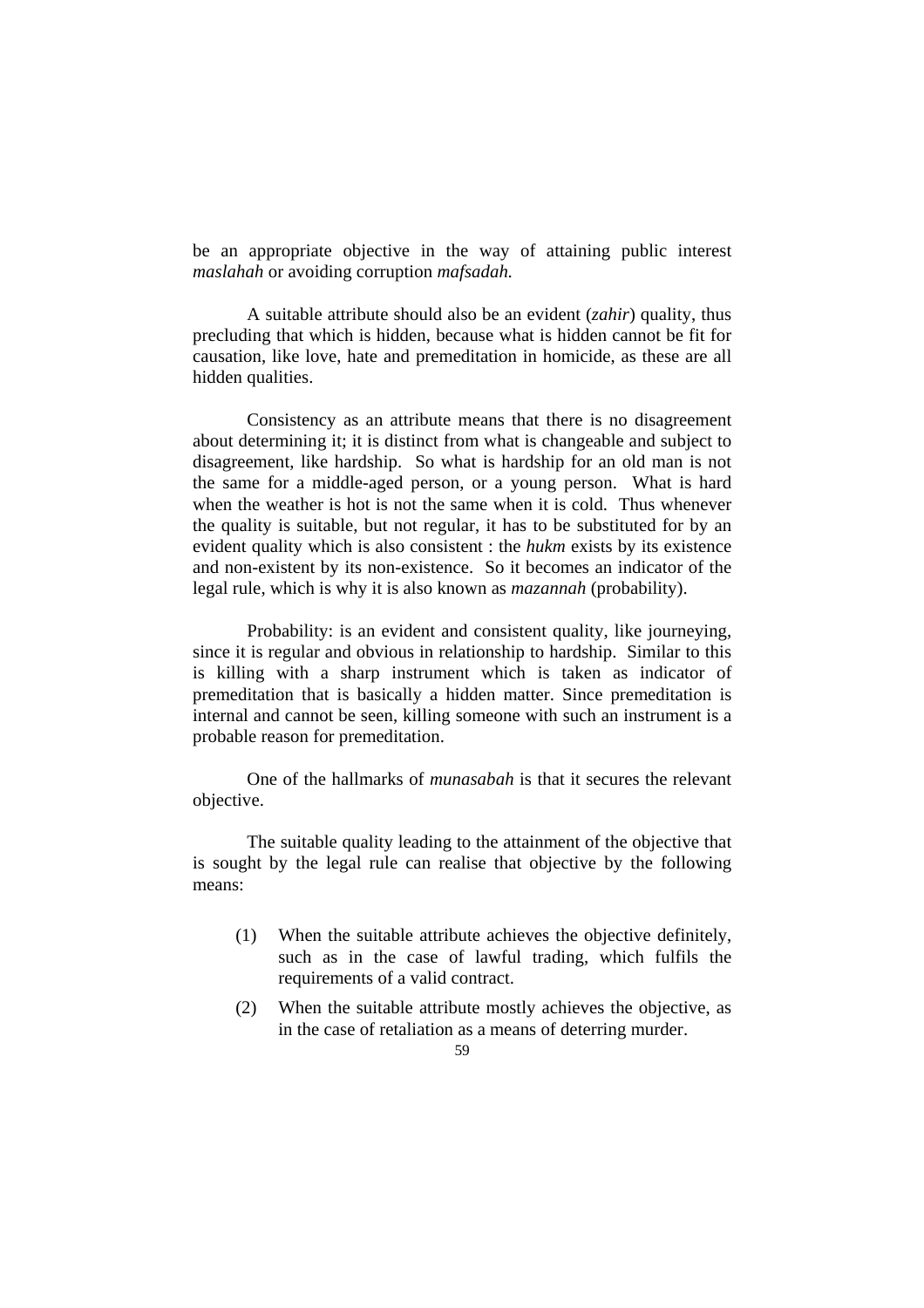be an appropriate objective in the way of attaining public interest *maslahah* or avoiding corruption *mafsadah.*

 A suitable attribute should also be an evident (*zahir*) quality, thus precluding that which is hidden, because what is hidden cannot be fit for causation, like love, hate and premeditation in homicide, as these are all hidden qualities.

Consistency as an attribute means that there is no disagreement about determining it; it is distinct from what is changeable and subject to disagreement, like hardship. So what is hardship for an old man is not the same for a middle-aged person, or a young person. What is hard when the weather is hot is not the same when it is cold. Thus whenever the quality is suitable, but not regular, it has to be substituted for by an evident quality which is also consistent : the *hukm* exists by its existence and non-existent by its non-existence. So it becomes an indicator of the legal rule, which is why it is also known as *mazannah* (probability).

Probability: is an evident and consistent quality, like journeying, since it is regular and obvious in relationship to hardship. Similar to this is killing with a sharp instrument which is taken as indicator of premeditation that is basically a hidden matter. Since premeditation is internal and cannot be seen, killing someone with such an instrument is a probable reason for premeditation.

 One of the hallmarks of *munasabah* is that it secures the relevant objective.

 The suitable quality leading to the attainment of the objective that is sought by the legal rule can realise that objective by the following means:

- (1) When the suitable attribute achieves the objective definitely, such as in the case of lawful trading, which fulfils the requirements of a valid contract.
- (2) When the suitable attribute mostly achieves the objective, as in the case of retaliation as a means of deterring murder.
	- 59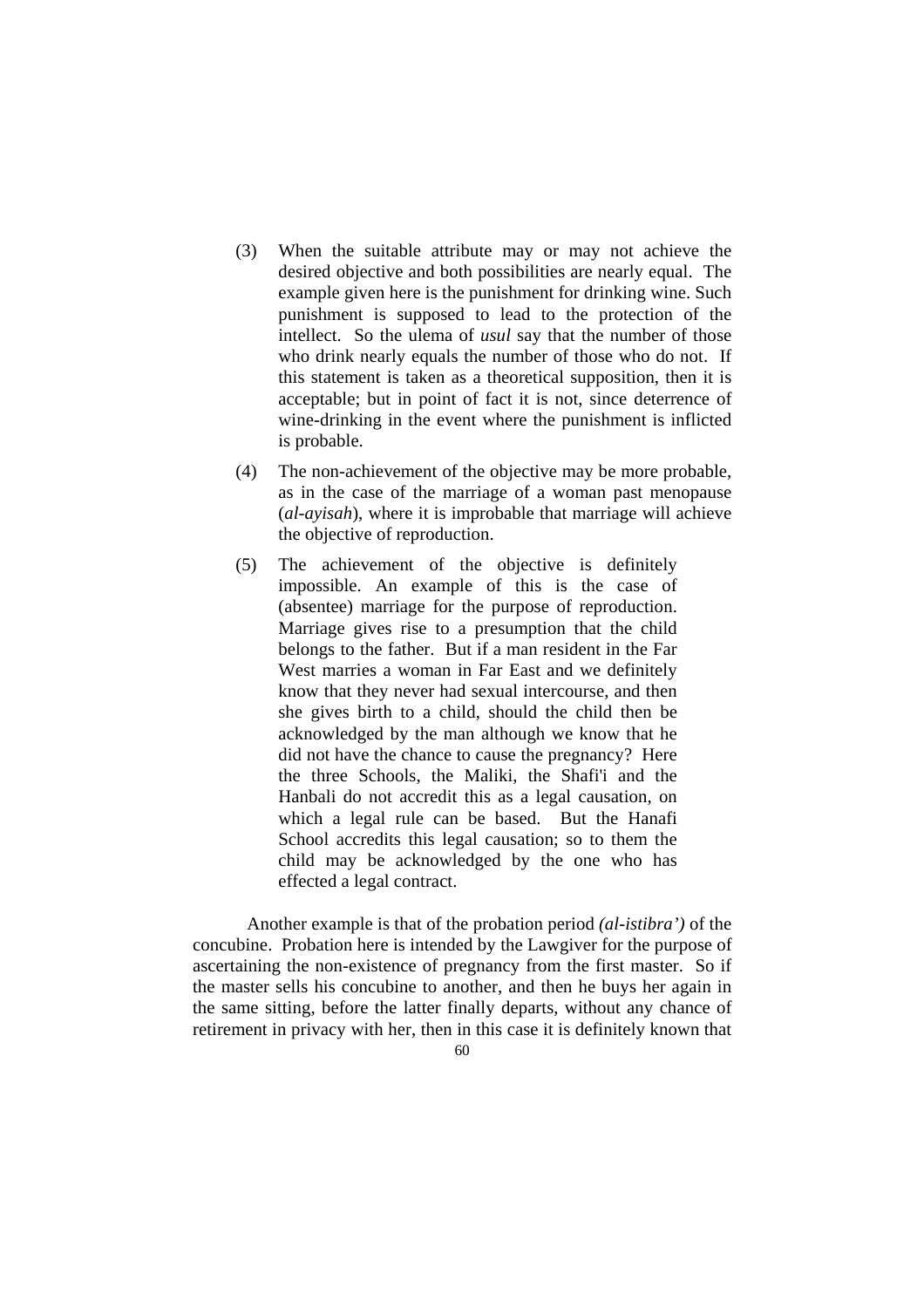- (3) When the suitable attribute may or may not achieve the desired objective and both possibilities are nearly equal. The example given here is the punishment for drinking wine. Such punishment is supposed to lead to the protection of the intellect. So the ulema of *usul* say that the number of those who drink nearly equals the number of those who do not. If this statement is taken as a theoretical supposition, then it is acceptable; but in point of fact it is not, since deterrence of wine-drinking in the event where the punishment is inflicted is probable.
- (4) The non-achievement of the objective may be more probable, as in the case of the marriage of a woman past menopause (*al-ayisah*), where it is improbable that marriage will achieve the objective of reproduction.
- (5) The achievement of the objective is definitely impossible. An example of this is the case of (absentee) marriage for the purpose of reproduction. Marriage gives rise to a presumption that the child belongs to the father. But if a man resident in the Far West marries a woman in Far East and we definitely know that they never had sexual intercourse, and then she gives birth to a child, should the child then be acknowledged by the man although we know that he did not have the chance to cause the pregnancy? Here the three Schools, the Maliki, the Shafi'i and the Hanbali do not accredit this as a legal causation, on which a legal rule can be based. But the Hanafi School accredits this legal causation; so to them the child may be acknowledged by the one who has effected a legal contract.

 Another example is that of the probation period *(al-istibra')* of the concubine. Probation here is intended by the Lawgiver for the purpose of ascertaining the non-existence of pregnancy from the first master. So if the master sells his concubine to another, and then he buys her again in the same sitting, before the latter finally departs, without any chance of retirement in privacy with her, then in this case it is definitely known that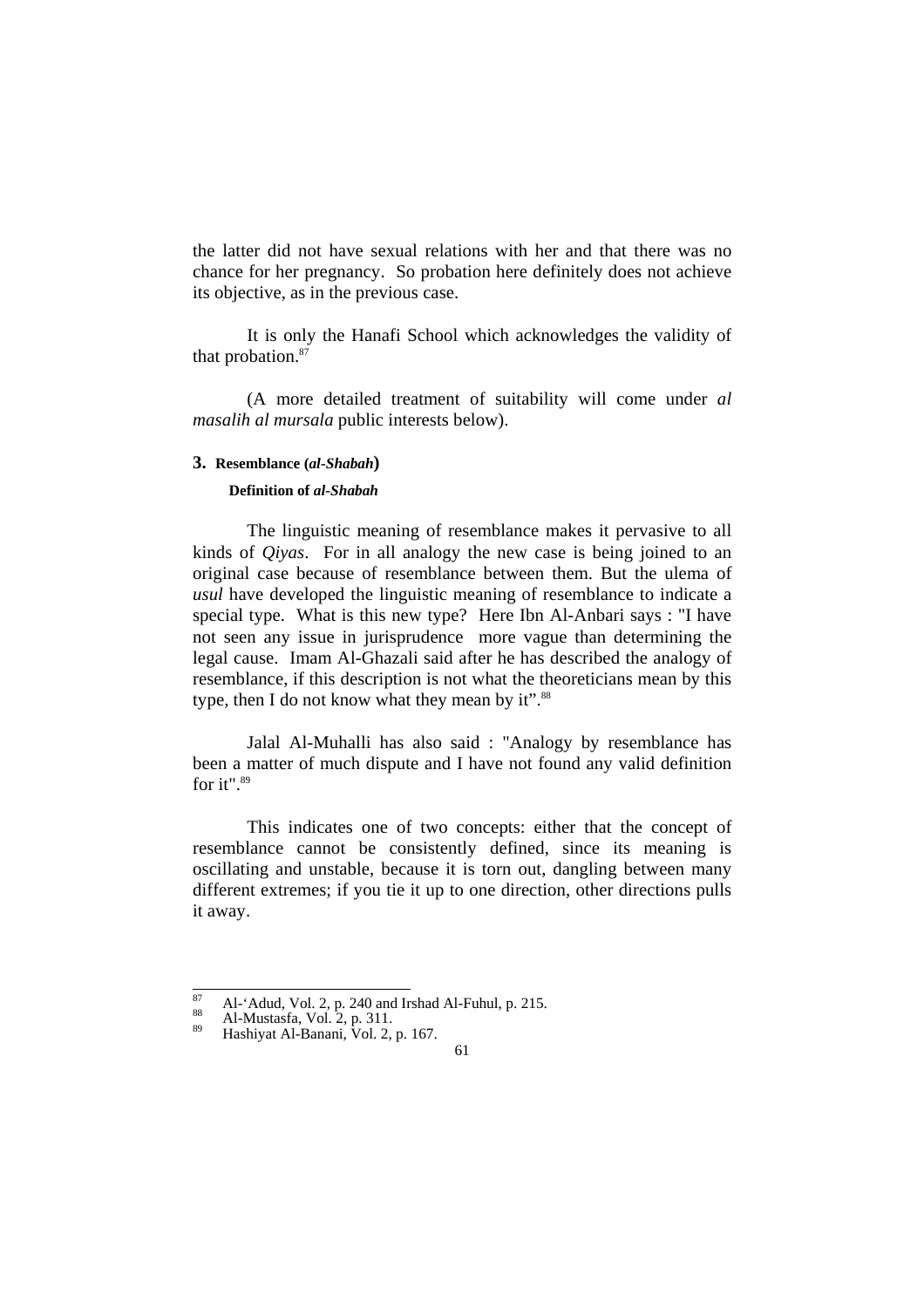the latter did not have sexual relations with her and that there was no chance for her pregnancy. So probation here definitely does not achieve its objective, as in the previous case.

 It is only the Hanafi School which acknowledges the validity of that probation.<sup>87</sup>

(A more detailed treatment of suitability will come under *al masalih al mursala* public interests below).

#### **3. Resemblance (***al-Shabah***)**

### **Definition of** *al-Shabah*

 The linguistic meaning of resemblance makes it pervasive to all kinds of *Qiyas*. For in all analogy the new case is being joined to an original case because of resemblance between them. But the ulema of *usul* have developed the linguistic meaning of resemblance to indicate a special type. What is this new type? Here Ibn Al-Anbari says : "I have not seen any issue in jurisprudence more vague than determining the legal cause. Imam Al-Ghazali said after he has described the analogy of resemblance, if this description is not what the theoreticians mean by this type, then I do not know what they mean by it".<sup>88</sup>

 Jalal Al-Muhalli has also said : "Analogy by resemblance has been a matter of much dispute and I have not found any valid definition for it".89

 This indicates one of two concepts: either that the concept of resemblance cannot be consistently defined, since its meaning is oscillating and unstable, because it is torn out, dangling between many different extremes; if you tie it up to one direction, other directions pulls it away.

 $\overline{87}$  $^{87}$  Al-'Adud, Vol. 2, p. 240 and Irshad Al-Fuhul, p. 215.<br>  $^{88}$  Al-Mustasfa, Vol. 2, p. 311.<br>
Hashiyat Al-Banani, Vol. 2, p. 167.

<sup>61</sup>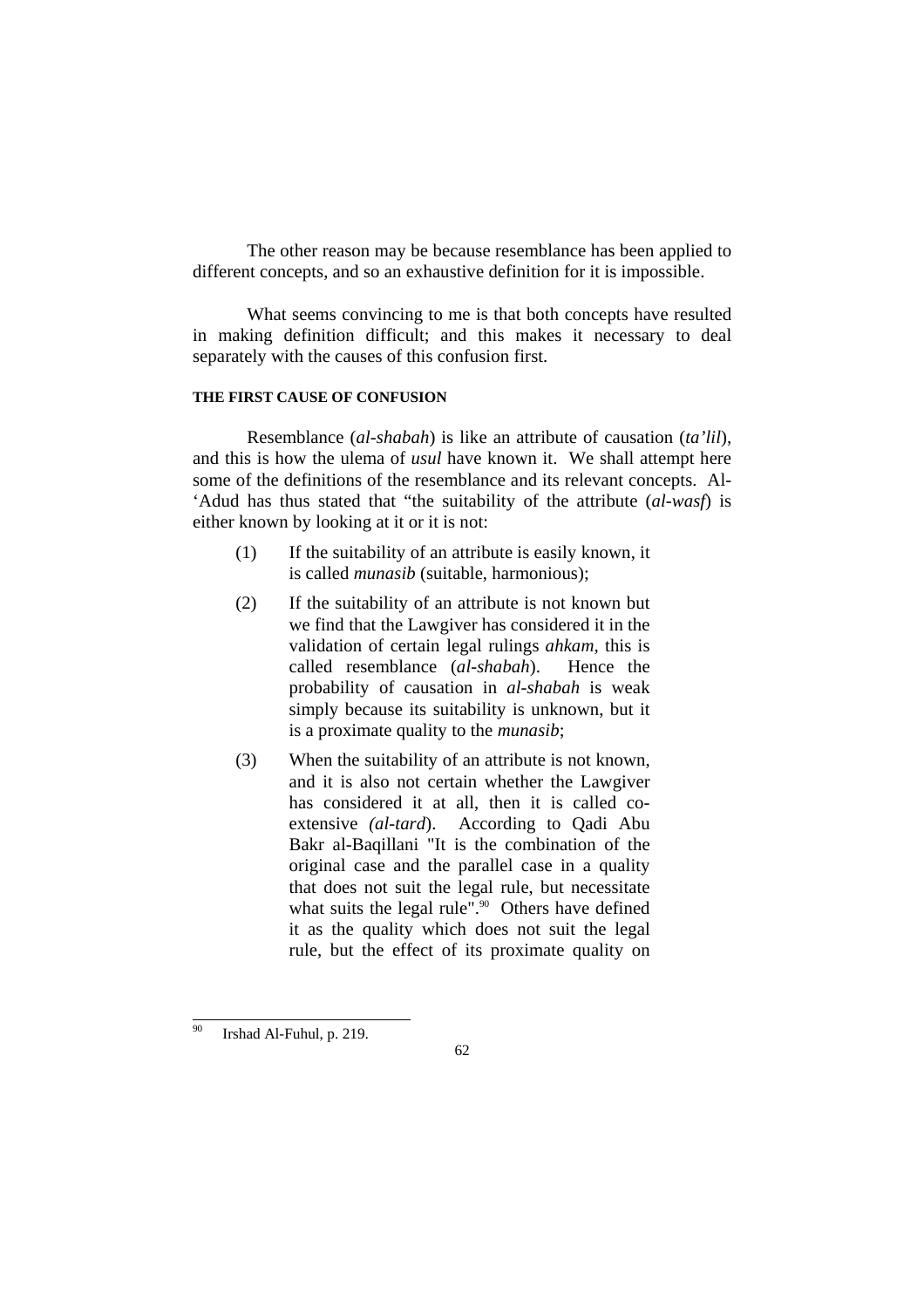The other reason may be because resemblance has been applied to different concepts, and so an exhaustive definition for it is impossible.

 What seems convincing to me is that both concepts have resulted in making definition difficult; and this makes it necessary to deal separately with the causes of this confusion first.

#### **THE FIRST CAUSE OF CONFUSION**

 Resemblance (*al-shabah*) is like an attribute of causation (*ta'lil*), and this is how the ulema of *usul* have known it. We shall attempt here some of the definitions of the resemblance and its relevant concepts. Al- 'Adud has thus stated that "the suitability of the attribute (*al-wasf*) is either known by looking at it or it is not:

- (1) If the suitability of an attribute is easily known, it is called *munasib* (suitable, harmonious);
- (2) If the suitability of an attribute is not known but we find that the Lawgiver has considered it in the validation of certain legal rulings *ahkam*, this is called resemblance (*al-shabah*). Hence the probability of causation in *al-shabah* is weak simply because its suitability is unknown, but it is a proximate quality to the *munasib*;
- (3) When the suitability of an attribute is not known, and it is also not certain whether the Lawgiver has considered it at all, then it is called coextensive *(al-tard*). According to Qadi Abu Bakr al-Baqillani "It is the combination of the original case and the parallel case in a quality that does not suit the legal rule, but necessitate what suits the legal rule". $90$  Others have defined it as the quality which does not suit the legal rule, but the effect of its proximate quality on

 $90\,$ Irshad Al-Fuhul, p. 219.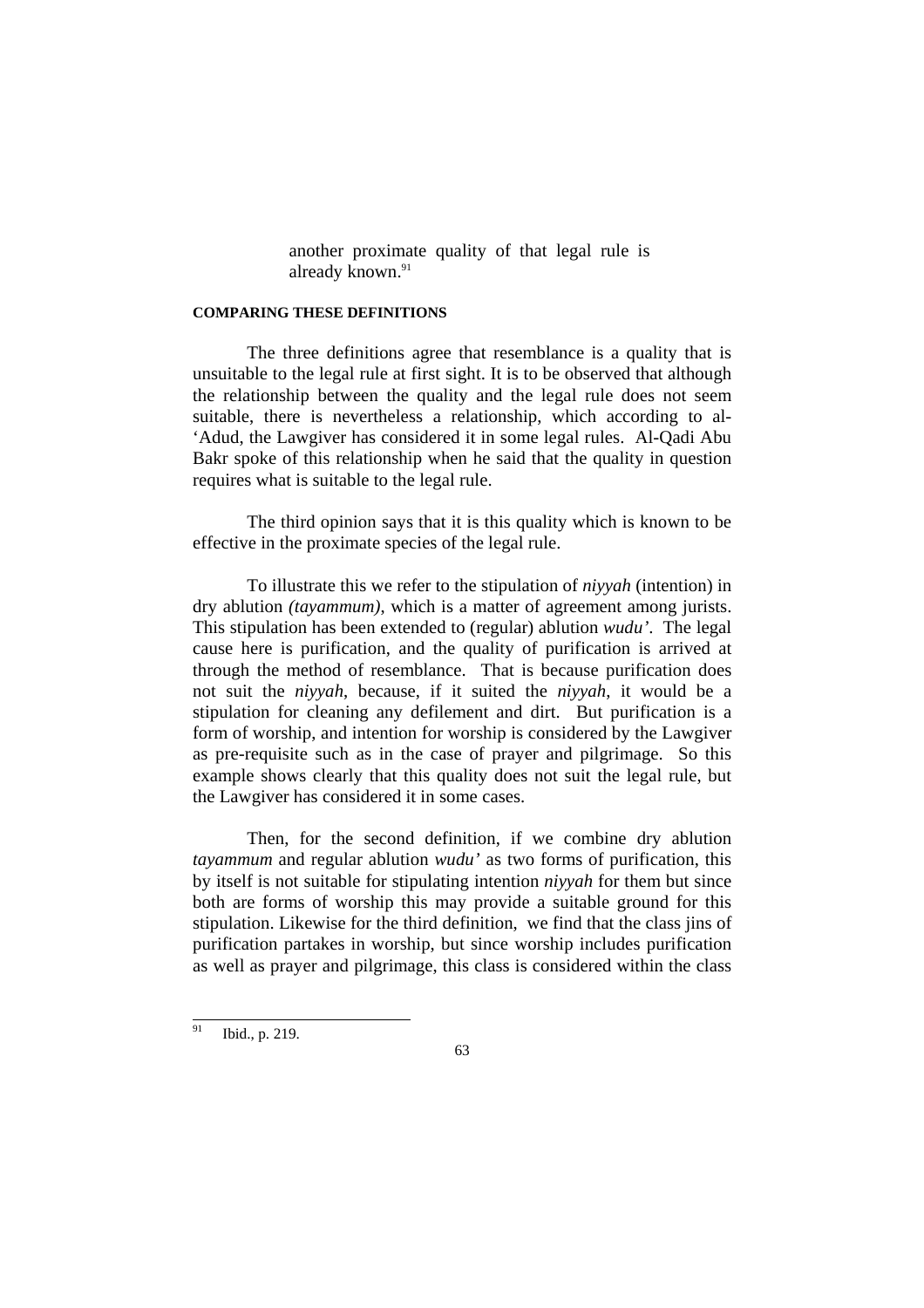another proximate quality of that legal rule is already known.<sup>91</sup>

#### **COMPARING THESE DEFINITIONS**

 The three definitions agree that resemblance is a quality that is unsuitable to the legal rule at first sight. It is to be observed that although the relationship between the quality and the legal rule does not seem suitable, there is nevertheless a relationship, which according to al- 'Adud, the Lawgiver has considered it in some legal rules. Al-Qadi Abu Bakr spoke of this relationship when he said that the quality in question requires what is suitable to the legal rule.

The third opinion says that it is this quality which is known to be effective in the proximate species of the legal rule.

To illustrate this we refer to the stipulation of *niyyah* (intention) in dry ablution *(tayammum)*, which is a matter of agreement among jurists. This stipulation has been extended to (regular) ablution *wudu'*. The legal cause here is purification, and the quality of purification is arrived at through the method of resemblance. That is because purification does not suit the *niyyah*, because, if it suited the *niyyah*, it would be a stipulation for cleaning any defilement and dirt. But purification is a form of worship, and intention for worship is considered by the Lawgiver as pre-requisite such as in the case of prayer and pilgrimage. So this example shows clearly that this quality does not suit the legal rule, but the Lawgiver has considered it in some cases.

 Then, for the second definition, if we combine dry ablution *tayammum* and regular ablution *wudu'* as two forms of purification, this by itself is not suitable for stipulating intention *niyyah* for them but since both are forms of worship this may provide a suitable ground for this stipulation. Likewise for the third definition, we find that the class jins of purification partakes in worship, but since worship includes purification as well as prayer and pilgrimage, this class is considered within the class

<sup>91</sup> Ibid., p. 219.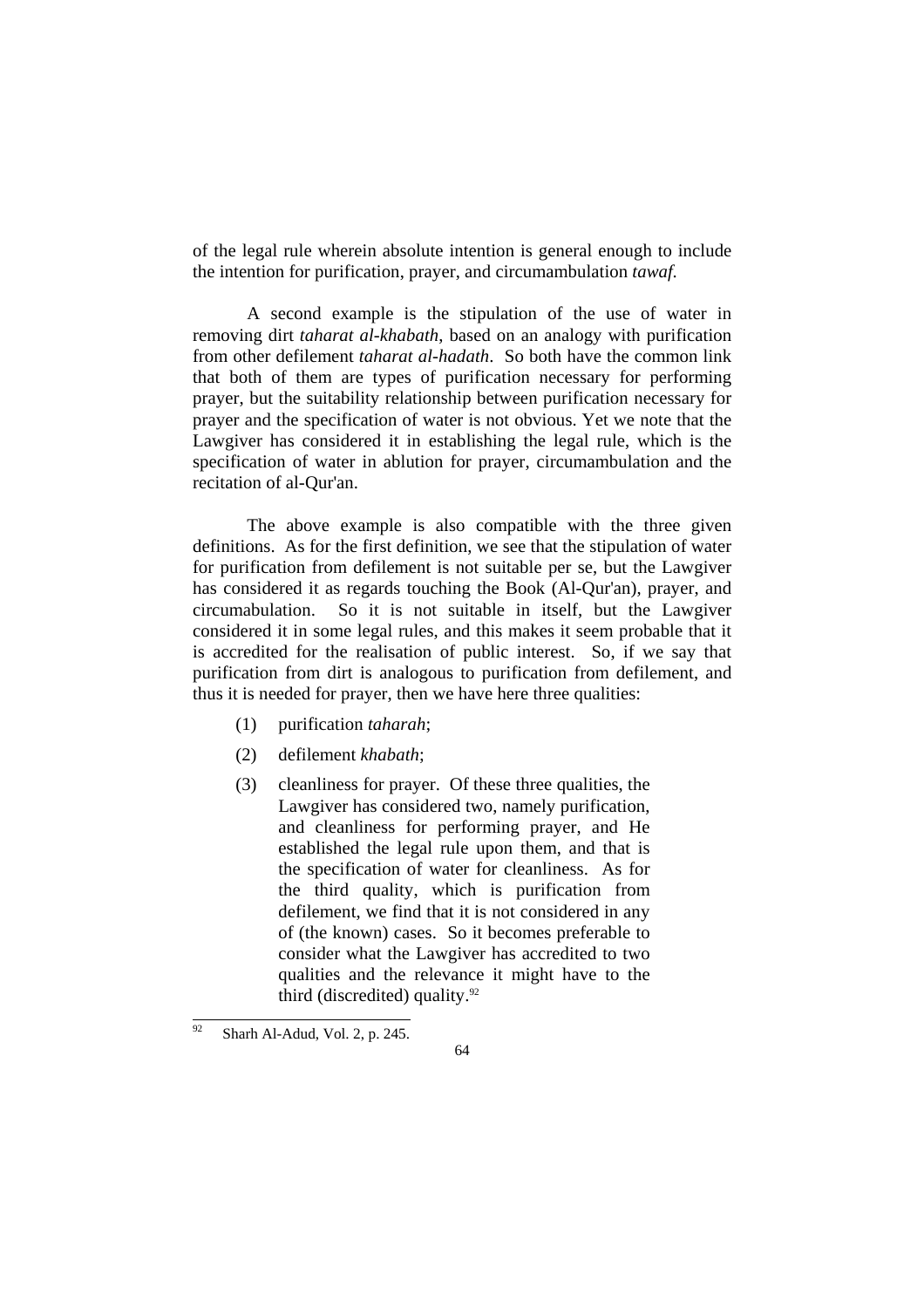of the legal rule wherein absolute intention is general enough to include the intention for purification, prayer, and circumambulation *tawaf.* 

 A second example is the stipulation of the use of water in removing dirt *taharat al-khabath*, based on an analogy with purification from other defilement *taharat al-hadath*. So both have the common link that both of them are types of purification necessary for performing prayer, but the suitability relationship between purification necessary for prayer and the specification of water is not obvious. Yet we note that the Lawgiver has considered it in establishing the legal rule, which is the specification of water in ablution for prayer, circumambulation and the recitation of al-Qur'an.

 The above example is also compatible with the three given definitions. As for the first definition, we see that the stipulation of water for purification from defilement is not suitable per se, but the Lawgiver has considered it as regards touching the Book (Al-Qur'an), prayer, and circumabulation. So it is not suitable in itself, but the Lawgiver considered it in some legal rules, and this makes it seem probable that it is accredited for the realisation of public interest. So, if we say that purification from dirt is analogous to purification from defilement, and thus it is needed for prayer, then we have here three qualities:

- (1) purification *taharah*;
- (2) defilement *khabath*;
- (3) cleanliness for prayer. Of these three qualities, the Lawgiver has considered two, namely purification, and cleanliness for performing prayer, and He established the legal rule upon them, and that is the specification of water for cleanliness. As for the third quality, which is purification from defilement, we find that it is not considered in any of (the known) cases. So it becomes preferable to consider what the Lawgiver has accredited to two qualities and the relevance it might have to the third (discredited) quality. $92$

 $92$ Sharh Al-Adud, Vol. 2, p. 245.

<sup>64</sup>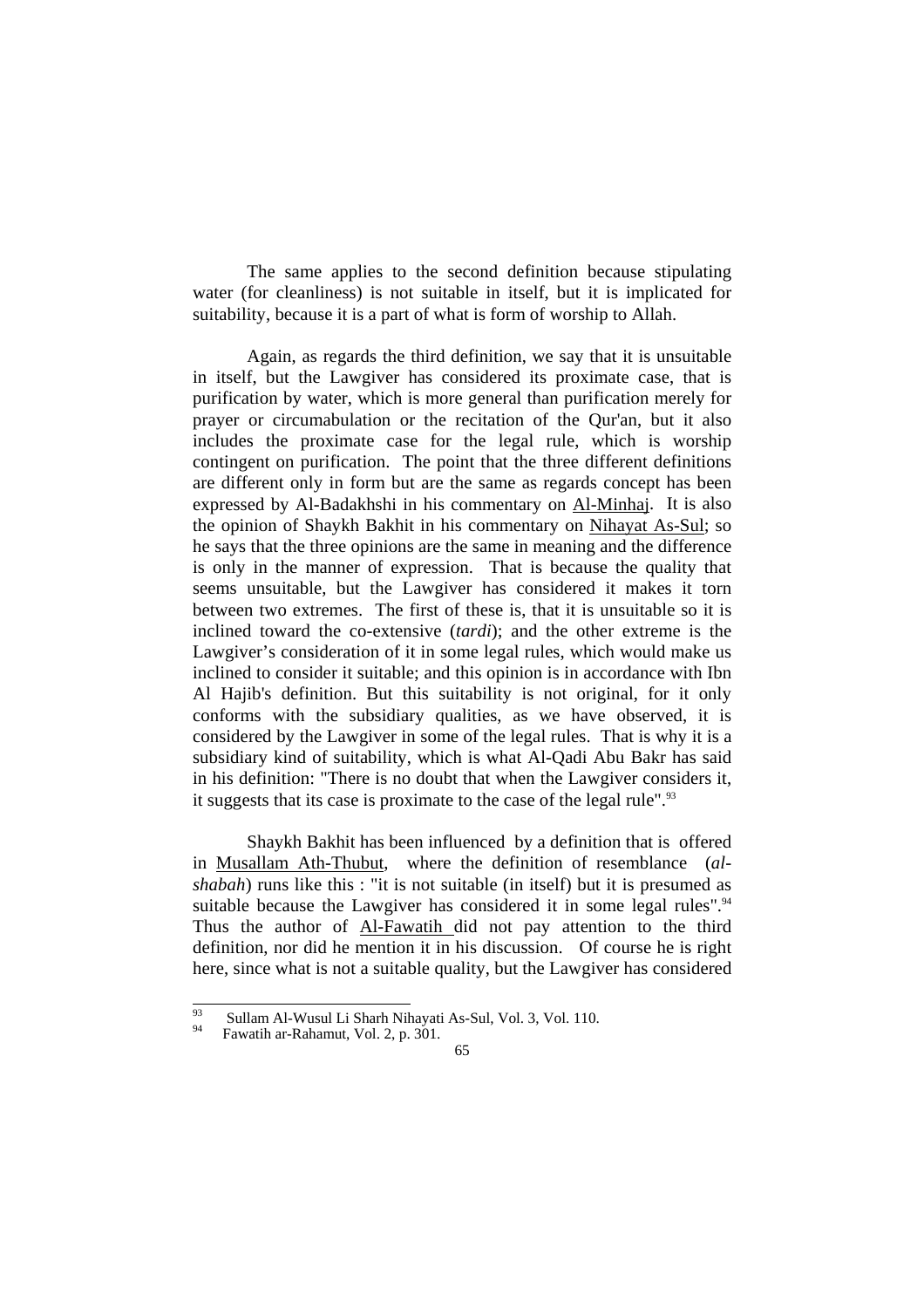The same applies to the second definition because stipulating water (for cleanliness) is not suitable in itself, but it is implicated for suitability, because it is a part of what is form of worship to Allah.

Again, as regards the third definition, we say that it is unsuitable in itself, but the Lawgiver has considered its proximate case, that is purification by water, which is more general than purification merely for prayer or circumabulation or the recitation of the Qur'an, but it also includes the proximate case for the legal rule, which is worship contingent on purification. The point that the three different definitions are different only in form but are the same as regards concept has been expressed by Al-Badakhshi in his commentary on Al-Minhaj. It is also the opinion of Shaykh Bakhit in his commentary on Nihayat As-Sul; so he says that the three opinions are the same in meaning and the difference is only in the manner of expression. That is because the quality that seems unsuitable, but the Lawgiver has considered it makes it torn between two extremes. The first of these is, that it is unsuitable so it is inclined toward the co-extensive (*tardi*); and the other extreme is the Lawgiver's consideration of it in some legal rules, which would make us inclined to consider it suitable; and this opinion is in accordance with Ibn Al Hajib's definition. But this suitability is not original, for it only conforms with the subsidiary qualities, as we have observed, it is considered by the Lawgiver in some of the legal rules. That is why it is a subsidiary kind of suitability, which is what Al-Qadi Abu Bakr has said in his definition: "There is no doubt that when the Lawgiver considers it, it suggests that its case is proximate to the case of the legal rule".<sup>93</sup>

 Shaykh Bakhit has been influenced by a definition that is offered in Musallam Ath-Thubut, where the definition of resemblance (*alshabah*) runs like this : "it is not suitable (in itself) but it is presumed as suitable because the Lawgiver has considered it in some legal rules".<sup>94</sup> Thus the author of Al-Fawatih did not pay attention to the third definition, nor did he mention it in his discussion. Of course he is right here, since what is not a suitable quality, but the Lawgiver has considered

 $\overline{93}$ <sup>93</sup> Sullam Al-Wusul Li Sharh Nihayati As-Sul, Vol. 3, Vol. 110.<br>Fawatih ar-Rahamut, Vol. 2, p. 301.

<sup>65</sup>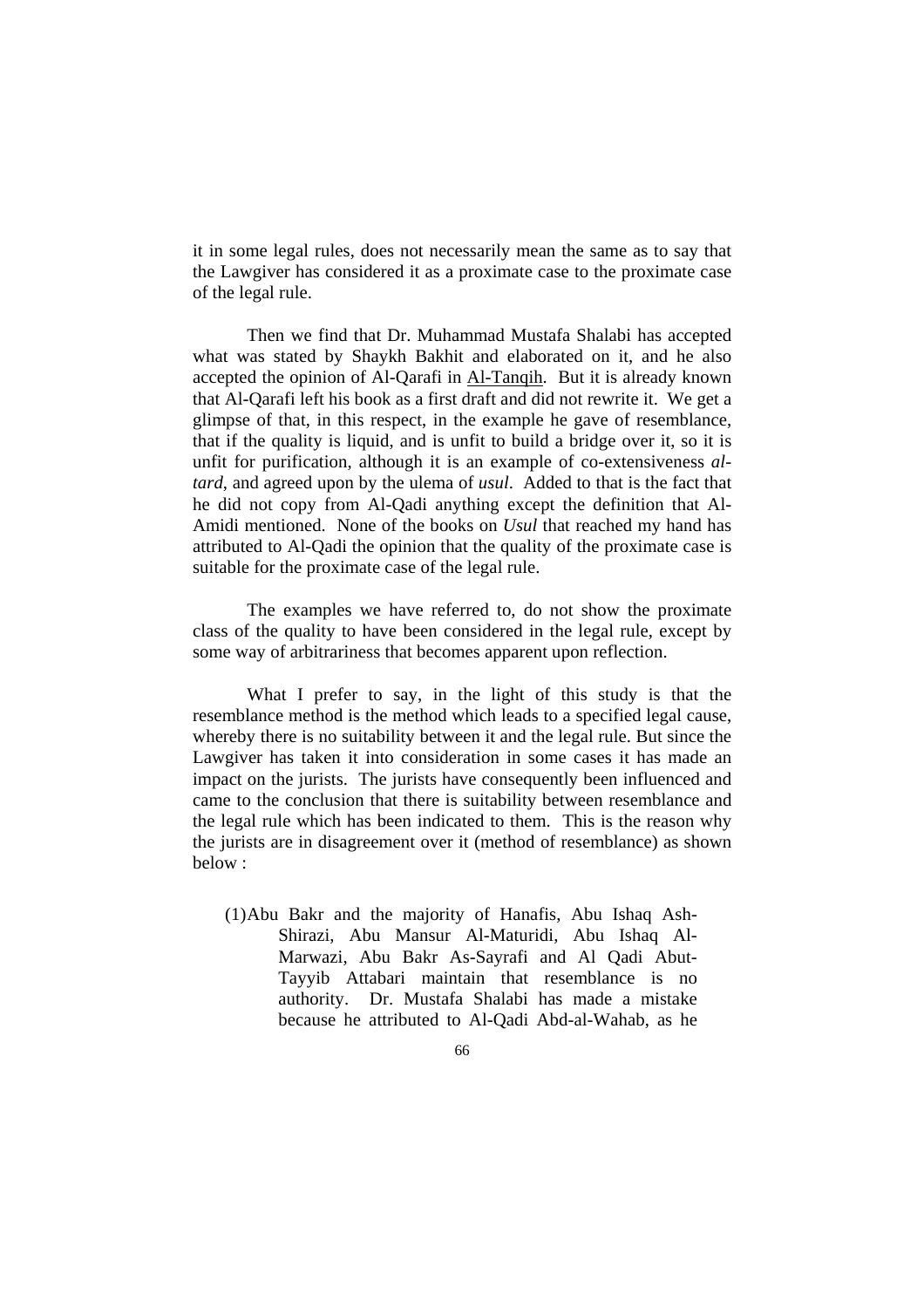it in some legal rules, does not necessarily mean the same as to say that the Lawgiver has considered it as a proximate case to the proximate case of the legal rule.

Then we find that Dr. Muhammad Mustafa Shalabi has accepted what was stated by Shaykh Bakhit and elaborated on it, and he also accepted the opinion of Al-Qarafi in Al-Tanqih. But it is already known that Al-Qarafi left his book as a first draft and did not rewrite it. We get a glimpse of that, in this respect, in the example he gave of resemblance, that if the quality is liquid, and is unfit to build a bridge over it, so it is unfit for purification, although it is an example of co-extensiveness *altard*, and agreed upon by the ulema of *usul*. Added to that is the fact that he did not copy from Al-Qadi anything except the definition that Al-Amidi mentioned. None of the books on *Usul* that reached my hand has attributed to Al-Qadi the opinion that the quality of the proximate case is suitable for the proximate case of the legal rule.

 The examples we have referred to, do not show the proximate class of the quality to have been considered in the legal rule, except by some way of arbitrariness that becomes apparent upon reflection.

 What I prefer to say, in the light of this study is that the resemblance method is the method which leads to a specified legal cause, whereby there is no suitability between it and the legal rule. But since the Lawgiver has taken it into consideration in some cases it has made an impact on the jurists. The jurists have consequently been influenced and came to the conclusion that there is suitability between resemblance and the legal rule which has been indicated to them. This is the reason why the jurists are in disagreement over it (method of resemblance) as shown below :

(1)Abu Bakr and the majority of Hanafis, Abu Ishaq Ash-Shirazi, Abu Mansur Al-Maturidi, Abu Ishaq Al-Marwazi, Abu Bakr As-Sayrafi and Al Qadi Abut-Tayyib Attabari maintain that resemblance is no authority. Dr. Mustafa Shalabi has made a mistake because he attributed to Al-Qadi Abd-al-Wahab, as he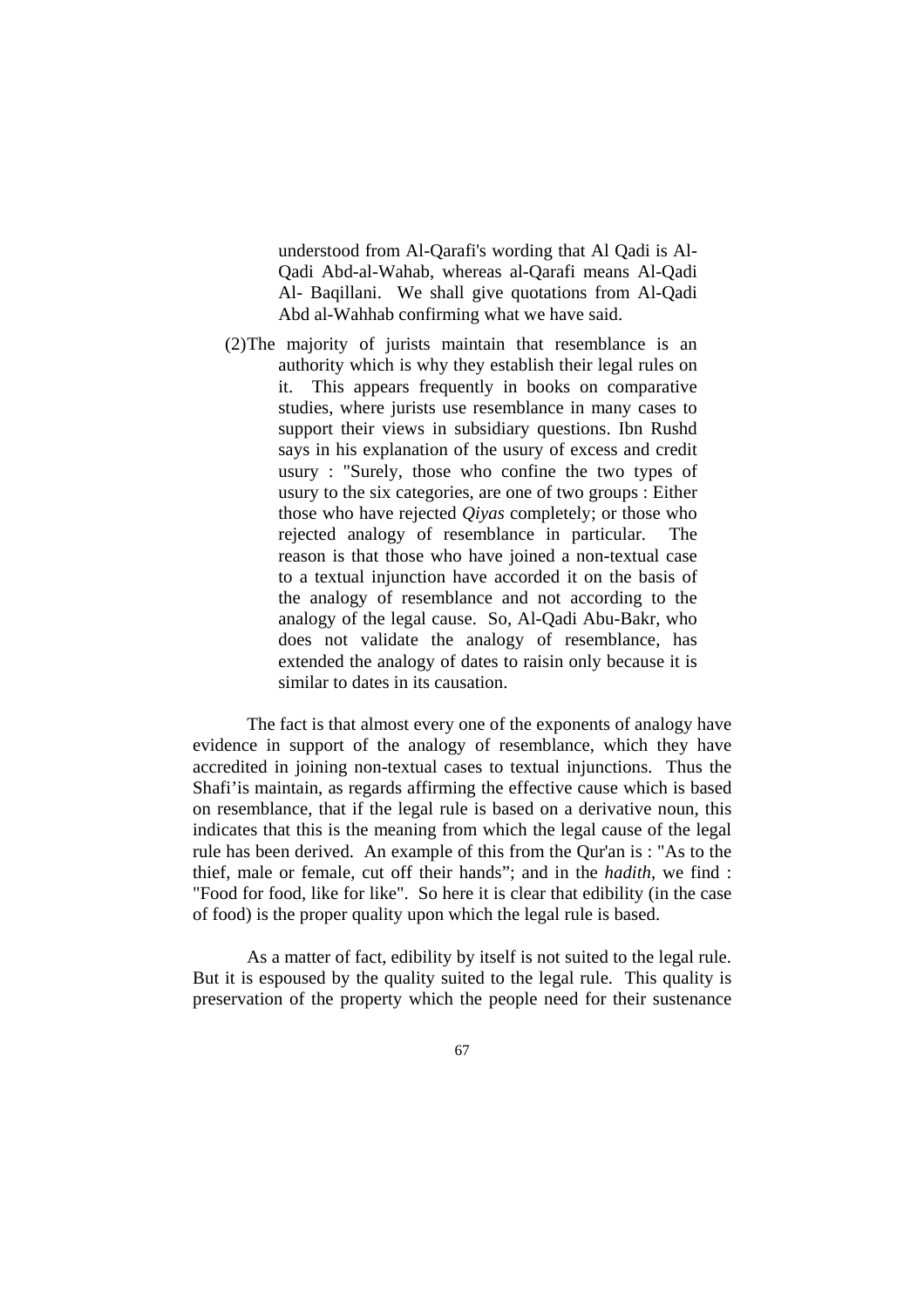understood from Al-Qarafi's wording that Al Qadi is Al-Qadi Abd-al-Wahab, whereas al-Qarafi means Al-Qadi Al- Baqillani. We shall give quotations from Al-Qadi Abd al-Wahhab confirming what we have said.

(2)The majority of jurists maintain that resemblance is an authority which is why they establish their legal rules on it. This appears frequently in books on comparative studies, where jurists use resemblance in many cases to support their views in subsidiary questions. Ibn Rushd says in his explanation of the usury of excess and credit usury : "Surely, those who confine the two types of usury to the six categories, are one of two groups : Either those who have rejected *Qiyas* completely; or those who rejected analogy of resemblance in particular. The reason is that those who have joined a non-textual case to a textual injunction have accorded it on the basis of the analogy of resemblance and not according to the analogy of the legal cause. So, Al-Qadi Abu-Bakr, who does not validate the analogy of resemblance, has extended the analogy of dates to raisin only because it is similar to dates in its causation.

 The fact is that almost every one of the exponents of analogy have evidence in support of the analogy of resemblance, which they have accredited in joining non-textual cases to textual injunctions. Thus the Shafi'is maintain, as regards affirming the effective cause which is based on resemblance, that if the legal rule is based on a derivative noun, this indicates that this is the meaning from which the legal cause of the legal rule has been derived. An example of this from the Qur'an is : "As to the thief, male or female, cut off their hands"; and in the *hadith*, we find : "Food for food, like for like". So here it is clear that edibility (in the case of food) is the proper quality upon which the legal rule is based.

 As a matter of fact, edibility by itself is not suited to the legal rule. But it is espoused by the quality suited to the legal rule. This quality is preservation of the property which the people need for their sustenance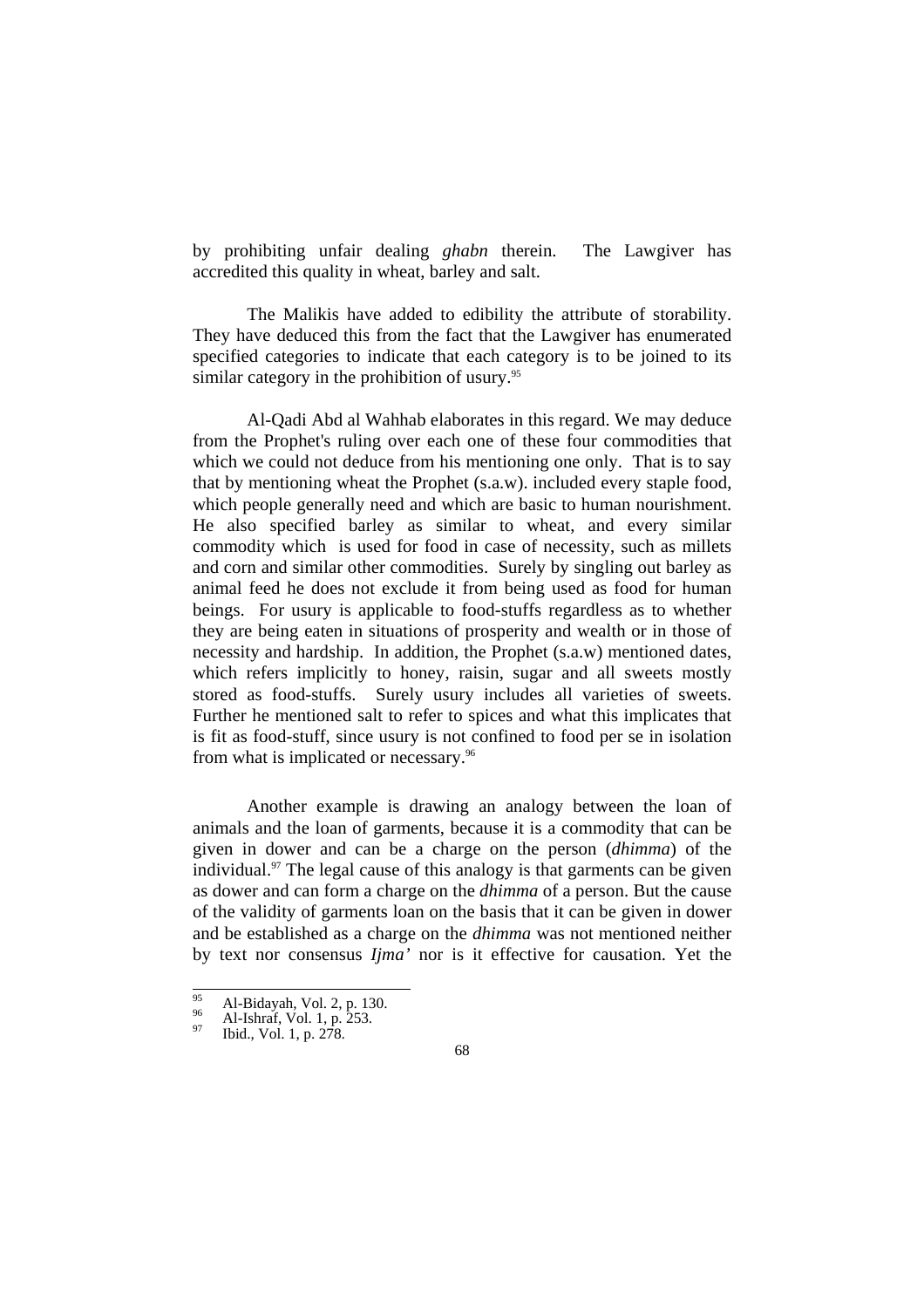by prohibiting unfair dealing *ghabn* therein. The Lawgiver has accredited this quality in wheat, barley and salt.

 The Malikis have added to edibility the attribute of storability. They have deduced this from the fact that the Lawgiver has enumerated specified categories to indicate that each category is to be joined to its similar category in the prohibition of usury.<sup>95</sup>

 Al-Qadi Abd al Wahhab elaborates in this regard. We may deduce from the Prophet's ruling over each one of these four commodities that which we could not deduce from his mentioning one only. That is to say that by mentioning wheat the Prophet (s.a.w). included every staple food, which people generally need and which are basic to human nourishment. He also specified barley as similar to wheat, and every similar commodity which is used for food in case of necessity, such as millets and corn and similar other commodities. Surely by singling out barley as animal feed he does not exclude it from being used as food for human beings. For usury is applicable to food-stuffs regardless as to whether they are being eaten in situations of prosperity and wealth or in those of necessity and hardship. In addition, the Prophet (s.a.w) mentioned dates, which refers implicitly to honey, raisin, sugar and all sweets mostly stored as food-stuffs. Surely usury includes all varieties of sweets. Further he mentioned salt to refer to spices and what this implicates that is fit as food-stuff, since usury is not confined to food per se in isolation from what is implicated or necessary.<sup>96</sup>

 Another example is drawing an analogy between the loan of animals and the loan of garments, because it is a commodity that can be given in dower and can be a charge on the person (*dhimma*) of the individual. $97$  The legal cause of this analogy is that garments can be given as dower and can form a charge on the *dhimma* of a person. But the cause of the validity of garments loan on the basis that it can be given in dower and be established as a charge on the *dhimma* was not mentioned neither by text nor consensus *Ijma'* nor is it effective for causation. Yet the

 $\overline{95}$ <sup>95</sup> Al-Bidayah, Vol. 2, p. 130.<br>
<sup>96</sup> Al-Ishraf, Vol. 1, p. 253.<br>
196 Ibid., Vol. 1, p. 278.

<sup>68</sup>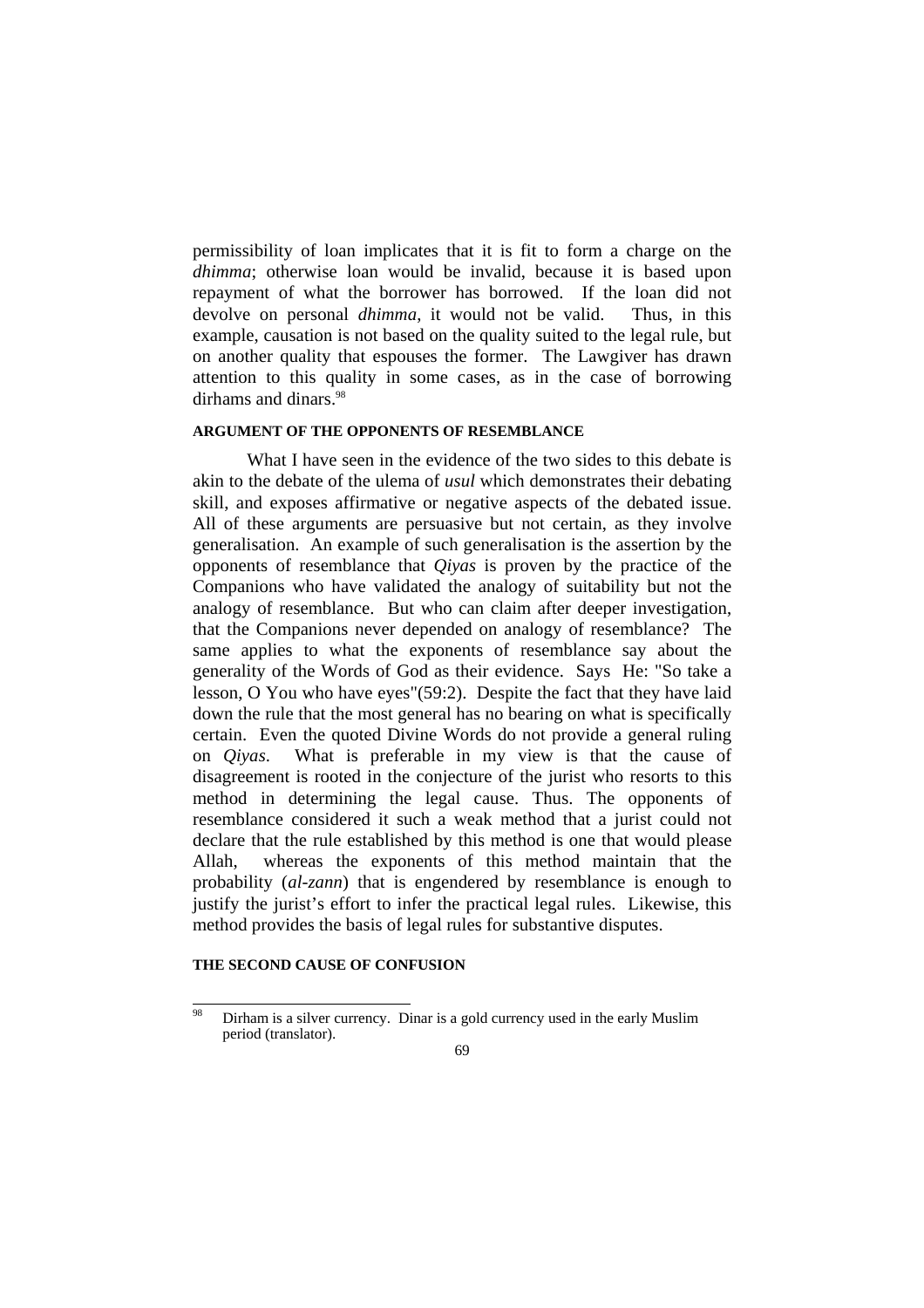permissibility of loan implicates that it is fit to form a charge on the *dhimma*; otherwise loan would be invalid, because it is based upon repayment of what the borrower has borrowed. If the loan did not devolve on personal *dhimma*, it would not be valid. Thus, in this example, causation is not based on the quality suited to the legal rule, but on another quality that espouses the former. The Lawgiver has drawn attention to this quality in some cases, as in the case of borrowing dirhams and dinars.<sup>98</sup>

# **ARGUMENT OF THE OPPONENTS OF RESEMBLANCE**

What I have seen in the evidence of the two sides to this debate is akin to the debate of the ulema of *usul* which demonstrates their debating skill, and exposes affirmative or negative aspects of the debated issue. All of these arguments are persuasive but not certain, as they involve generalisation. An example of such generalisation is the assertion by the opponents of resemblance that *Qiyas* is proven by the practice of the Companions who have validated the analogy of suitability but not the analogy of resemblance. But who can claim after deeper investigation, that the Companions never depended on analogy of resemblance? The same applies to what the exponents of resemblance say about the generality of the Words of God as their evidence. Says He: "So take a lesson, O You who have eyes"(59:2). Despite the fact that they have laid down the rule that the most general has no bearing on what is specifically certain. Even the quoted Divine Words do not provide a general ruling on *Qiyas*. What is preferable in my view is that the cause of disagreement is rooted in the conjecture of the jurist who resorts to this method in determining the legal cause. Thus. The opponents of resemblance considered it such a weak method that a jurist could not declare that the rule established by this method is one that would please Allah, whereas the exponents of this method maintain that the probability (*al-zann*) that is engendered by resemblance is enough to justify the jurist's effort to infer the practical legal rules. Likewise, this method provides the basis of legal rules for substantive disputes.

## **THE SECOND CAUSE OF CONFUSION**

<sup>98</sup> Dirham is a silver currency. Dinar is a gold currency used in the early Muslim period (translator).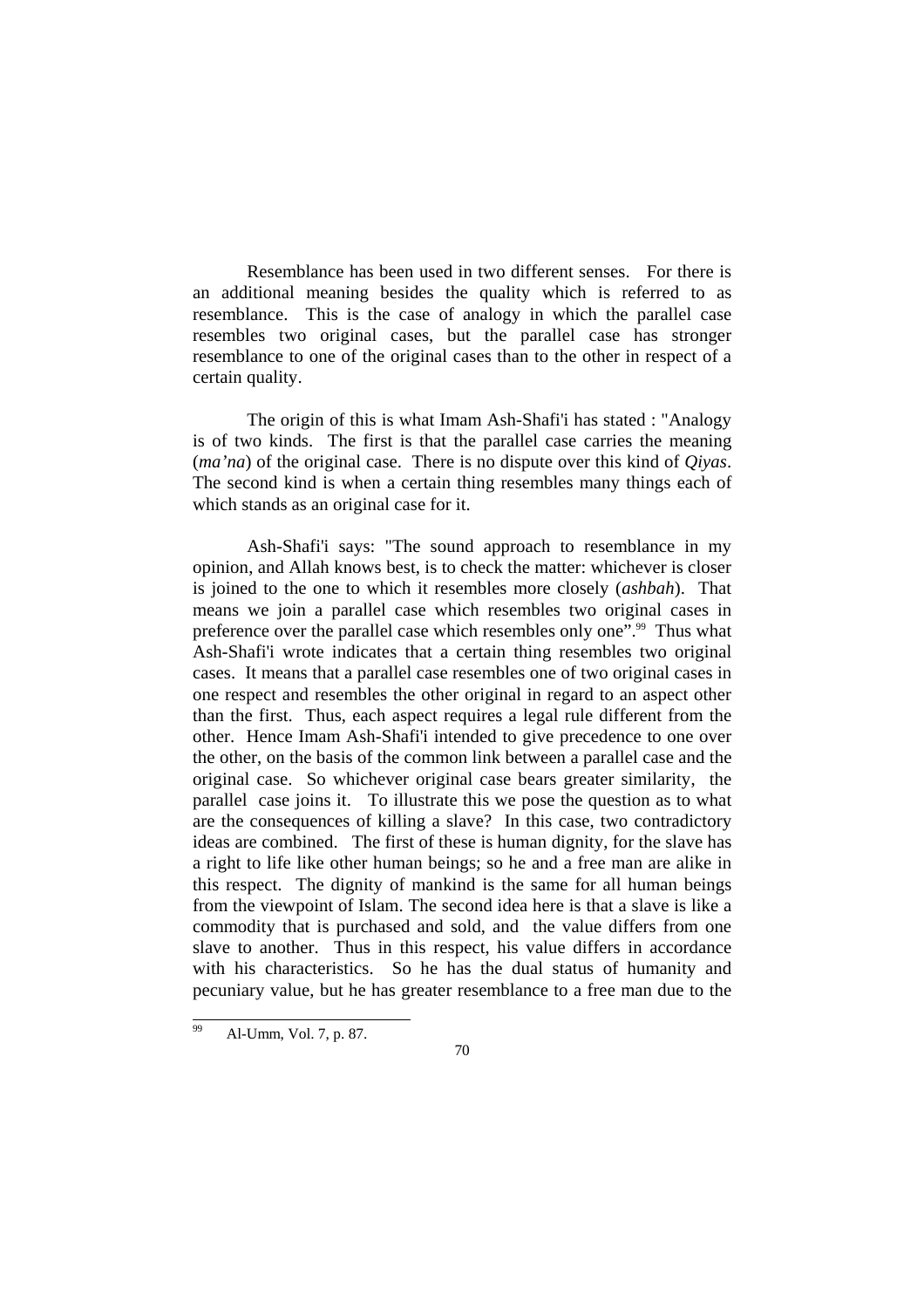Resemblance has been used in two different senses. For there is an additional meaning besides the quality which is referred to as resemblance. This is the case of analogy in which the parallel case resembles two original cases, but the parallel case has stronger resemblance to one of the original cases than to the other in respect of a certain quality.

 The origin of this is what Imam Ash-Shafi'i has stated : "Analogy is of two kinds. The first is that the parallel case carries the meaning (*ma'na*) of the original case. There is no dispute over this kind of *Qiyas*. The second kind is when a certain thing resembles many things each of which stands as an original case for it.

 Ash-Shafi'i says: "The sound approach to resemblance in my opinion, and Allah knows best, is to check the matter: whichever is closer is joined to the one to which it resembles more closely (*ashbah*). That means we join a parallel case which resembles two original cases in preference over the parallel case which resembles only one".<sup>99</sup> Thus what Ash-Shafi'i wrote indicates that a certain thing resembles two original cases. It means that a parallel case resembles one of two original cases in one respect and resembles the other original in regard to an aspect other than the first. Thus, each aspect requires a legal rule different from the other. Hence Imam Ash-Shafi'i intended to give precedence to one over the other, on the basis of the common link between a parallel case and the original case. So whichever original case bears greater similarity, the parallel case joins it. To illustrate this we pose the question as to what are the consequences of killing a slave? In this case, two contradictory ideas are combined. The first of these is human dignity, for the slave has a right to life like other human beings; so he and a free man are alike in this respect. The dignity of mankind is the same for all human beings from the viewpoint of Islam. The second idea here is that a slave is like a commodity that is purchased and sold, and the value differs from one slave to another. Thus in this respect, his value differs in accordance with his characteristics. So he has the dual status of humanity and pecuniary value, but he has greater resemblance to a free man due to the

l

Al-Umm, Vol. 7, p. 87.

<sup>70</sup>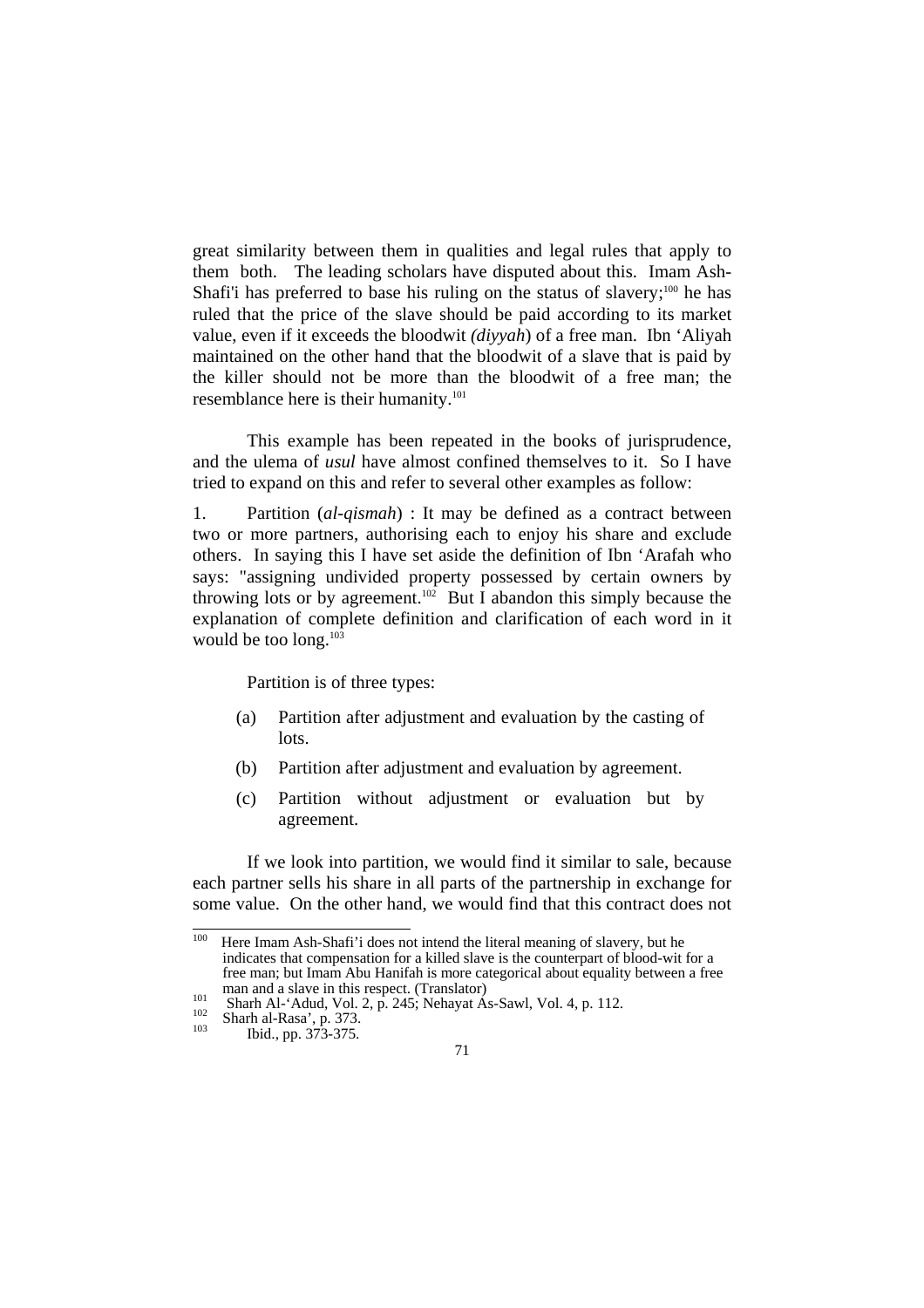great similarity between them in qualities and legal rules that apply to them both. The leading scholars have disputed about this. Imam Ash-Shafi'i has preferred to base his ruling on the status of slavery;<sup>100</sup> he has ruled that the price of the slave should be paid according to its market value, even if it exceeds the bloodwit *(diyyah*) of a free man. Ibn 'Aliyah maintained on the other hand that the bloodwit of a slave that is paid by the killer should not be more than the bloodwit of a free man; the resemblance here is their humanity.<sup>101</sup>

 This example has been repeated in the books of jurisprudence, and the ulema of *usul* have almost confined themselves to it. So I have tried to expand on this and refer to several other examples as follow:

1. Partition (*al-qismah*) : It may be defined as a contract between two or more partners, authorising each to enjoy his share and exclude others. In saying this I have set aside the definition of Ibn 'Arafah who says: "assigning undivided property possessed by certain owners by throwing lots or by agreement.<sup>102</sup> But I abandon this simply because the explanation of complete definition and clarification of each word in it would be too long.<sup>103</sup>

Partition is of three types:

- (a) Partition after adjustment and evaluation by the casting of lots.
- (b) Partition after adjustment and evaluation by agreement.
- (c) Partition without adjustment or evaluation but by agreement.

 If we look into partition, we would find it similar to sale, because each partner sells his share in all parts of the partnership in exchange for some value. On the other hand, we would find that this contract does not

<sup>100</sup> Here Imam Ash-Shafi'i does not intend the literal meaning of slavery, but he indicates that compensation for a killed slave is the counterpart of blood-wit for a free man; but Imam Abu Hanifah is more categorical about equality between a free man and a slave in this respect. (Translator)<br>
101 Sharh Al-'Adud, Vol. 2, p. 245; Nehayat As-Sawl, Vol. 4, p. 112.<br>
<sup>103</sup> Sharh al-Rasa', p. 373.<br>
Ibid., pp. 373-375.

<sup>71</sup>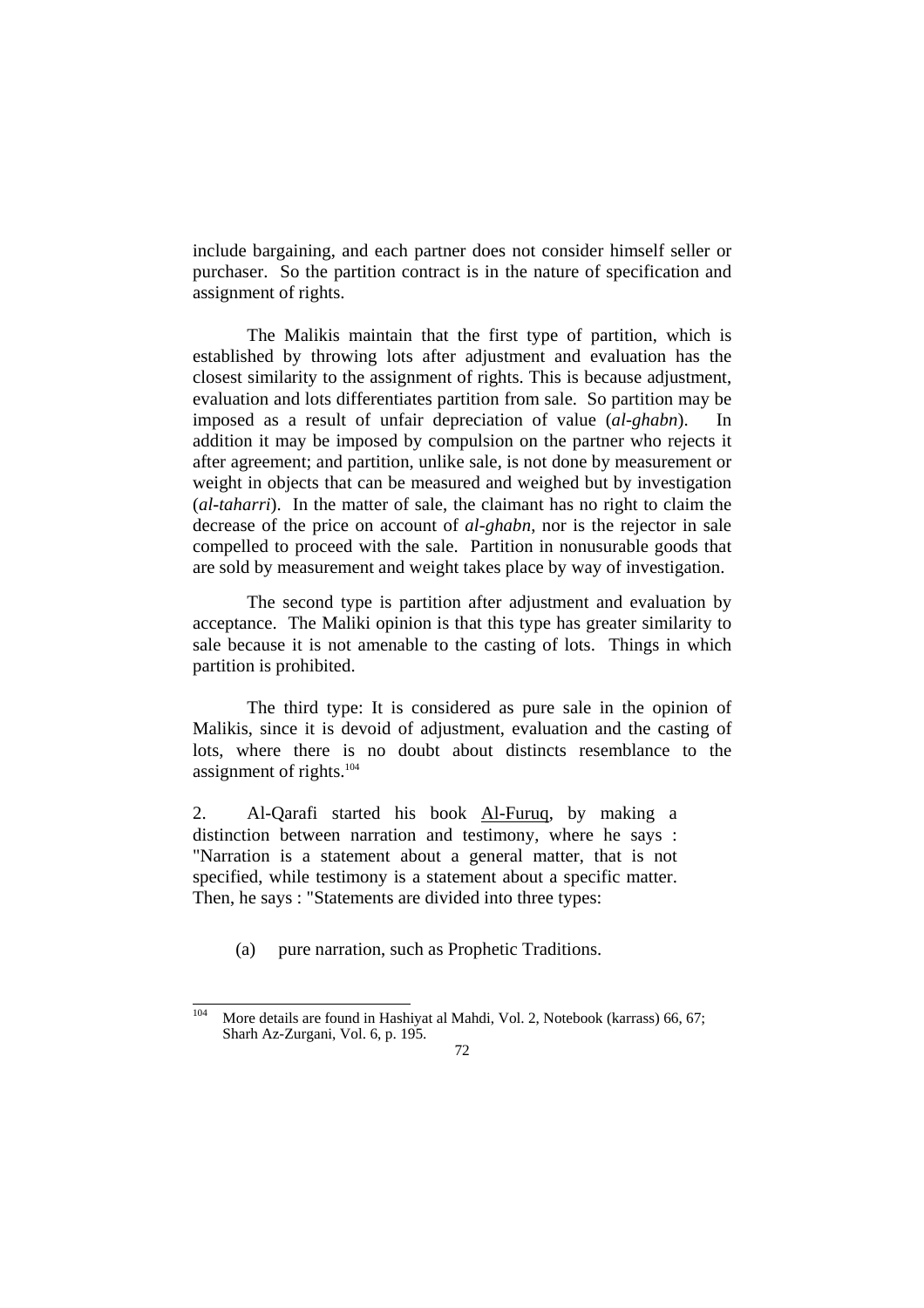include bargaining, and each partner does not consider himself seller or purchaser. So the partition contract is in the nature of specification and assignment of rights.

 The Malikis maintain that the first type of partition, which is established by throwing lots after adjustment and evaluation has the closest similarity to the assignment of rights. This is because adjustment, evaluation and lots differentiates partition from sale. So partition may be imposed as a result of unfair depreciation of value (*al-ghabn*). In addition it may be imposed by compulsion on the partner who rejects it after agreement; and partition, unlike sale, is not done by measurement or weight in objects that can be measured and weighed but by investigation (*al-taharri*). In the matter of sale, the claimant has no right to claim the decrease of the price on account of *al-ghabn*, nor is the rejector in sale compelled to proceed with the sale. Partition in nonusurable goods that are sold by measurement and weight takes place by way of investigation.

 The second type is partition after adjustment and evaluation by acceptance. The Maliki opinion is that this type has greater similarity to sale because it is not amenable to the casting of lots. Things in which partition is prohibited.

 The third type: It is considered as pure sale in the opinion of Malikis, since it is devoid of adjustment, evaluation and the casting of lots, where there is no doubt about distincts resemblance to the assignment of rights. $104$ 

2. Al-Qarafi started his book Al-Furuq, by making a distinction between narration and testimony, where he says : "Narration is a statement about a general matter, that is not specified, while testimony is a statement about a specific matter. Then, he says : "Statements are divided into three types:

(a) pure narration, such as Prophetic Traditions.

<sup>104</sup> More details are found in Hashiyat al Mahdi, Vol. 2, Notebook (karrass) 66, 67; Sharh Az-Zurgani, Vol. 6, p. 195.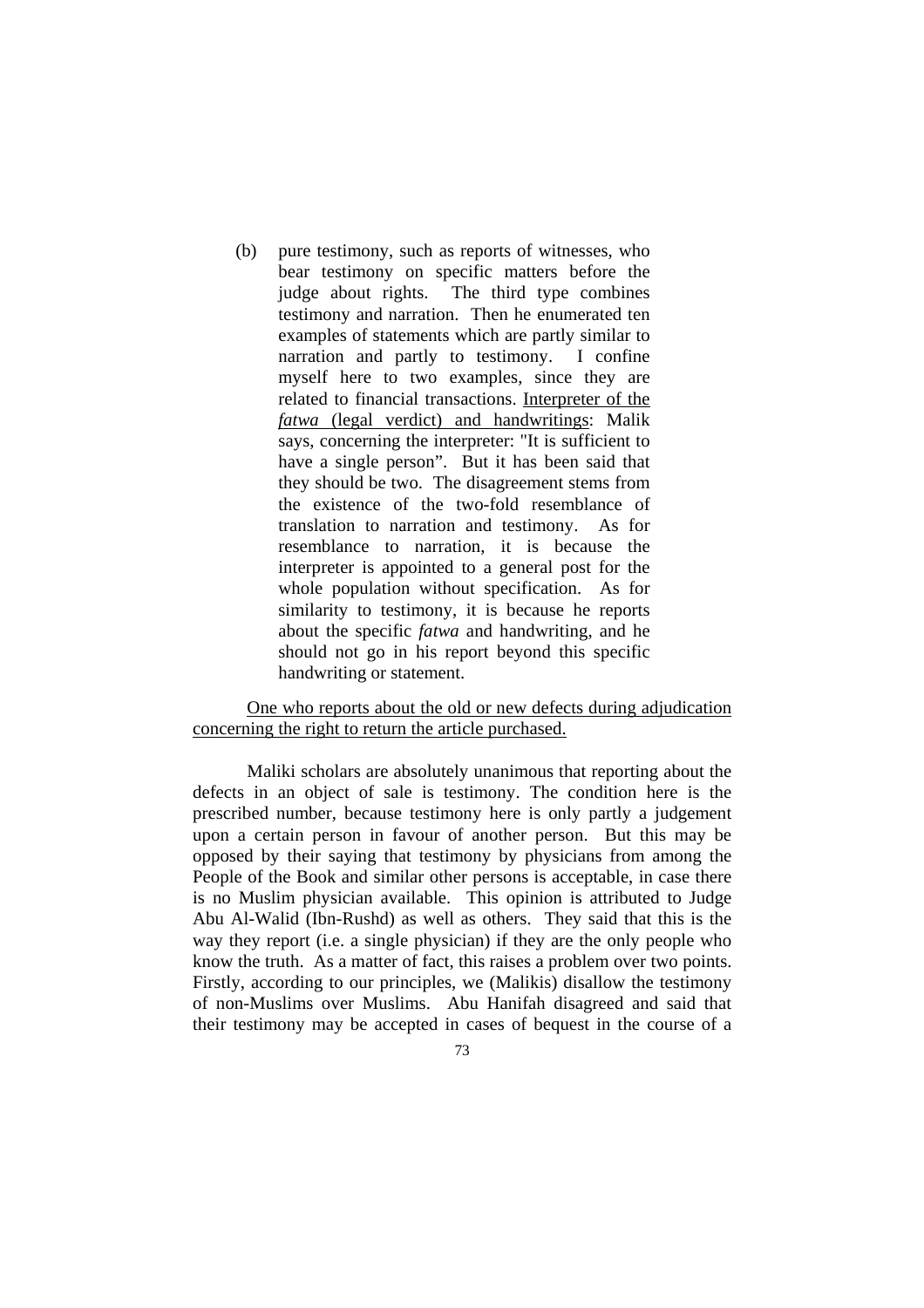(b) pure testimony, such as reports of witnesses, who bear testimony on specific matters before the judge about rights. The third type combines testimony and narration. Then he enumerated ten examples of statements which are partly similar to narration and partly to testimony. I confine myself here to two examples, since they are related to financial transactions. Interpreter of the *fatwa* (legal verdict) and handwritings: Malik says, concerning the interpreter: "It is sufficient to have a single person". But it has been said that they should be two. The disagreement stems from the existence of the two-fold resemblance of translation to narration and testimony. As for resemblance to narration, it is because the interpreter is appointed to a general post for the whole population without specification. As for similarity to testimony, it is because he reports about the specific *fatwa* and handwriting, and he should not go in his report beyond this specific handwriting or statement.

# One who reports about the old or new defects during adjudication concerning the right to return the article purchased.

 Maliki scholars are absolutely unanimous that reporting about the defects in an object of sale is testimony. The condition here is the prescribed number, because testimony here is only partly a judgement upon a certain person in favour of another person. But this may be opposed by their saying that testimony by physicians from among the People of the Book and similar other persons is acceptable, in case there is no Muslim physician available. This opinion is attributed to Judge Abu Al-Walid (Ibn-Rushd) as well as others. They said that this is the way they report (i.e. a single physician) if they are the only people who know the truth. As a matter of fact, this raises a problem over two points. Firstly, according to our principles, we (Malikis) disallow the testimony of non-Muslims over Muslims. Abu Hanifah disagreed and said that their testimony may be accepted in cases of bequest in the course of a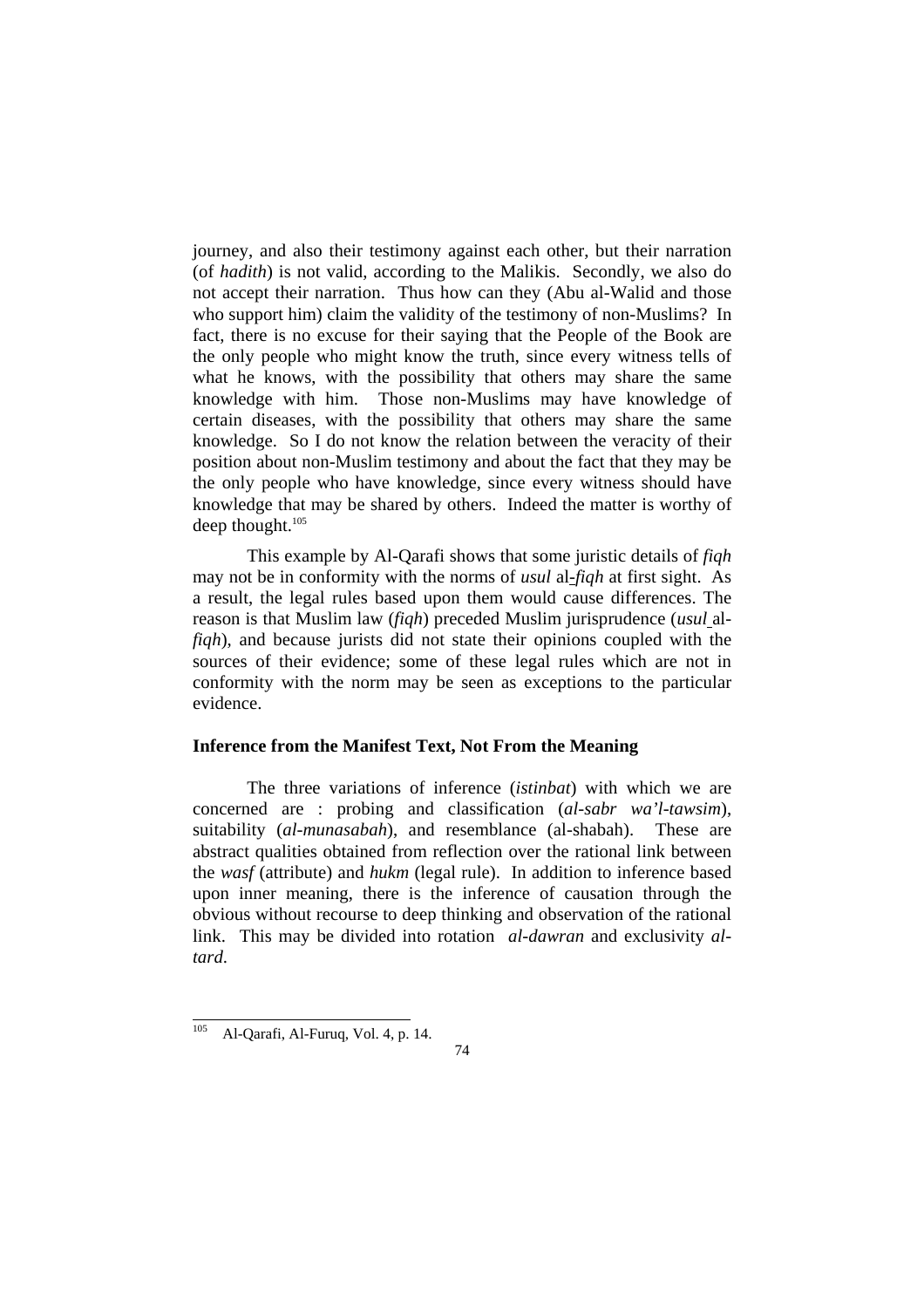journey, and also their testimony against each other, but their narration (of *hadith*) is not valid, according to the Malikis. Secondly, we also do not accept their narration. Thus how can they (Abu al-Walid and those who support him) claim the validity of the testimony of non-Muslims? In fact, there is no excuse for their saying that the People of the Book are the only people who might know the truth, since every witness tells of what he knows, with the possibility that others may share the same knowledge with him. Those non-Muslims may have knowledge of certain diseases, with the possibility that others may share the same knowledge. So I do not know the relation between the veracity of their position about non-Muslim testimony and about the fact that they may be the only people who have knowledge, since every witness should have knowledge that may be shared by others. Indeed the matter is worthy of deep thought.<sup>105</sup>

 This example by Al-Qarafi shows that some juristic details of *fiqh* may not be in conformity with the norms of *usul* al-*fiqh* at first sight. As a result, the legal rules based upon them would cause differences. The reason is that Muslim law (*fiqh*) preceded Muslim jurisprudence (*usul* al*fiqh*), and because jurists did not state their opinions coupled with the sources of their evidence; some of these legal rules which are not in conformity with the norm may be seen as exceptions to the particular evidence.

# **Inference from the Manifest Text, Not From the Meaning**

 The three variations of inference (*istinbat*) with which we are concerned are : probing and classification (*al-sabr wa'l-tawsim*), suitability (*al-munasabah*), and resemblance (al-shabah). These are abstract qualities obtained from reflection over the rational link between the *wasf* (attribute) and *hukm* (legal rule). In addition to inference based upon inner meaning, there is the inference of causation through the obvious without recourse to deep thinking and observation of the rational link. This may be divided into rotation *al-dawran* and exclusivity *altard*.

<sup>105</sup> Al-Qarafi, Al-Furuq, Vol. 4, p. 14.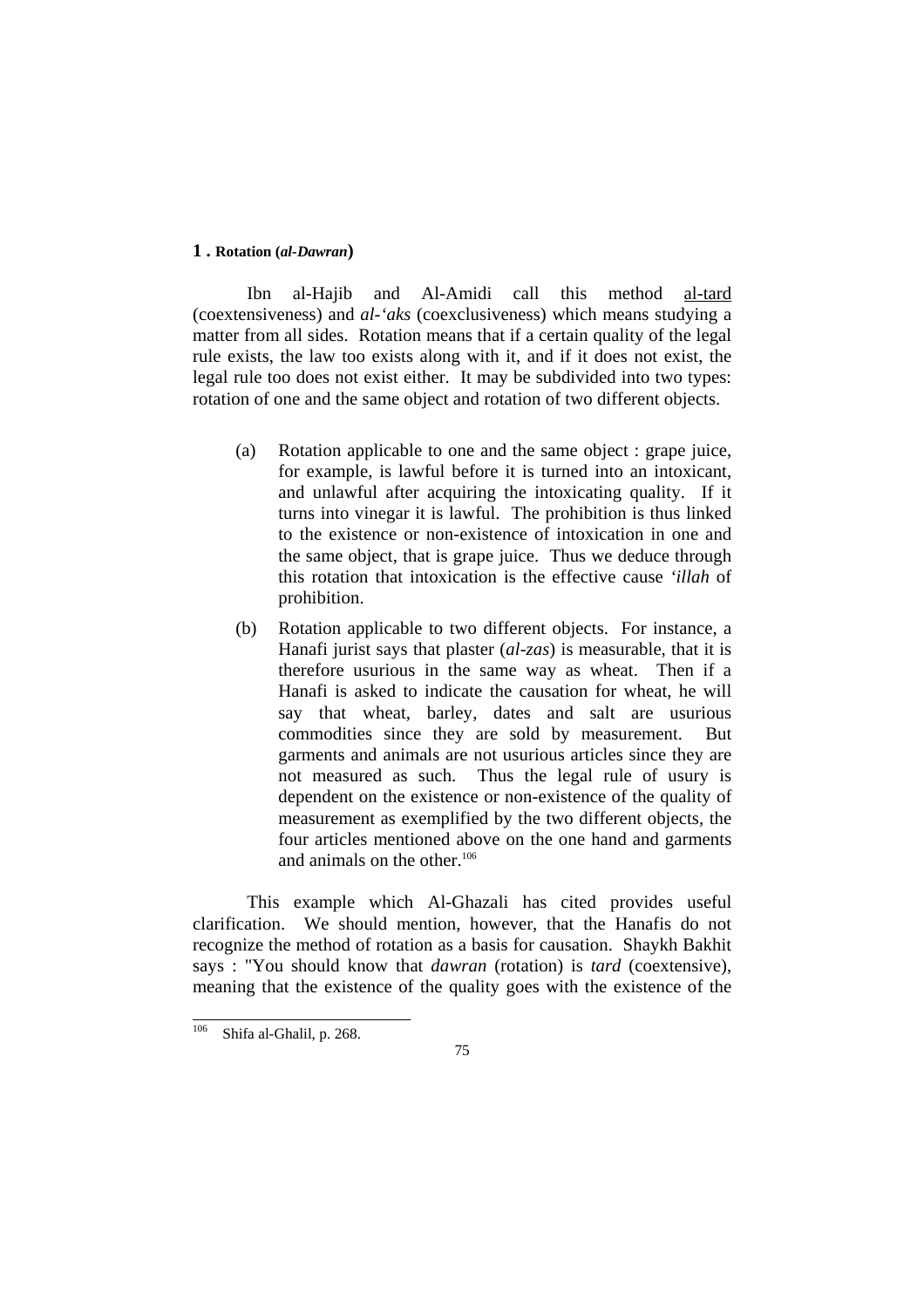### **1 . Rotation (***al-Dawran***)**

 Ibn al-Hajib and Al-Amidi call this method al-tard (coextensiveness) and *al-'aks* (coexclusiveness) which means studying a matter from all sides. Rotation means that if a certain quality of the legal rule exists, the law too exists along with it, and if it does not exist, the legal rule too does not exist either. It may be subdivided into two types: rotation of one and the same object and rotation of two different objects.

- (a) Rotation applicable to one and the same object : grape juice, for example, is lawful before it is turned into an intoxicant, and unlawful after acquiring the intoxicating quality. If it turns into vinegar it is lawful. The prohibition is thus linked to the existence or non-existence of intoxication in one and the same object, that is grape juice. Thus we deduce through this rotation that intoxication is the effective cause *'illah* of prohibition.
- (b) Rotation applicable to two different objects. For instance, a Hanafi jurist says that plaster (*al-zas*) is measurable, that it is therefore usurious in the same way as wheat. Then if a Hanafi is asked to indicate the causation for wheat, he will say that wheat, barley, dates and salt are usurious commodities since they are sold by measurement. But garments and animals are not usurious articles since they are not measured as such. Thus the legal rule of usury is dependent on the existence or non-existence of the quality of measurement as exemplified by the two different objects, the four articles mentioned above on the one hand and garments and animals on the other. $106$

 This example which Al-Ghazali has cited provides useful clarification. We should mention, however, that the Hanafis do not recognize the method of rotation as a basis for causation. Shaykh Bakhit says : "You should know that *dawran* (rotation) is *tard* (coextensive), meaning that the existence of the quality goes with the existence of the

<sup>106</sup> Shifa al-Ghalil, p. 268.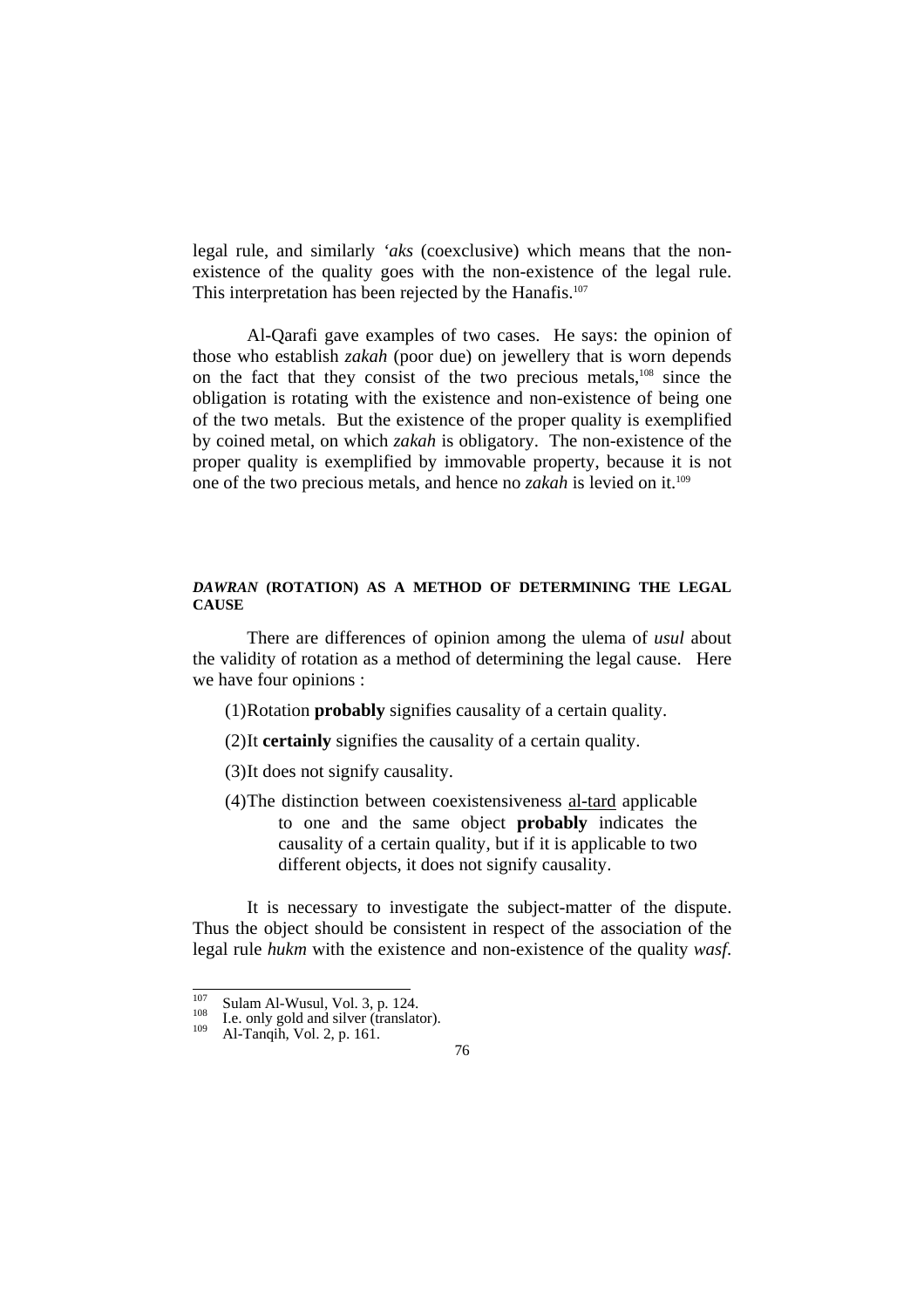legal rule, and similarly *'aks* (coexclusive) which means that the nonexistence of the quality goes with the non-existence of the legal rule. This interpretation has been rejected by the Hanafis.<sup>107</sup>

 Al-Qarafi gave examples of two cases. He says: the opinion of those who establish *zakah* (poor due) on jewellery that is worn depends on the fact that they consist of the two precious metals,108 since the obligation is rotating with the existence and non-existence of being one of the two metals. But the existence of the proper quality is exemplified by coined metal, on which *zakah* is obligatory. The non-existence of the proper quality is exemplified by immovable property, because it is not one of the two precious metals, and hence no *zakah* is levied on it.109

#### *DAWRAN* **(ROTATION) AS A METHOD OF DETERMINING THE LEGAL CAUSE**

 There are differences of opinion among the ulema of *usul* about the validity of rotation as a method of determining the legal cause. Here we have four opinions :

- (1)Rotation **probably** signifies causality of a certain quality.
- (2)It **certainly** signifies the causality of a certain quality.
- (3)It does not signify causality.
- (4)The distinction between coexistensiveness al-tard applicable to one and the same object **probably** indicates the causality of a certain quality, but if it is applicable to two different objects, it does not signify causality.

 It is necessary to investigate the subject-matter of the dispute. Thus the object should be consistent in respect of the association of the legal rule *hukm* with the existence and non-existence of the quality *wasf*.

 $\frac{107}{107}$ 

<sup>&</sup>lt;sup>107</sup> Sulam Al-Wusul, Vol. 3, p. 124.<br><sup>108</sup> I.e. only gold and silver (translator).<br><sup>109</sup> Al-Tanqih, Vol. 2, p. 161.

<sup>76</sup>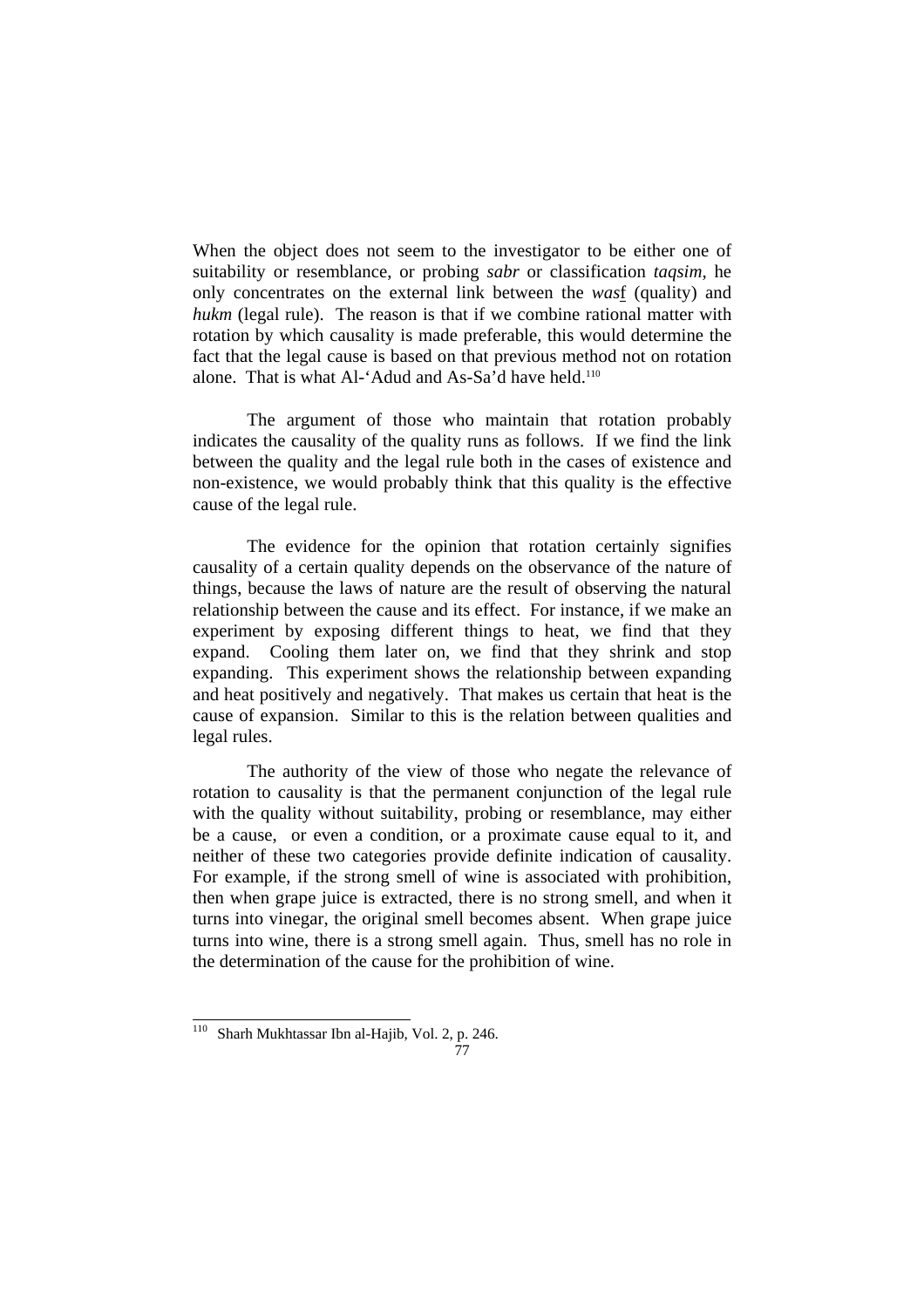When the object does not seem to the investigator to be either one of suitability or resemblance, or probing *sabr* or classification *taqsim*, he only concentrates on the external link between the *was*f (quality) and *hukm* (legal rule). The reason is that if we combine rational matter with rotation by which causality is made preferable, this would determine the fact that the legal cause is based on that previous method not on rotation alone. That is what Al-'Adud and As-Sa'd have held.<sup>110</sup>

 The argument of those who maintain that rotation probably indicates the causality of the quality runs as follows. If we find the link between the quality and the legal rule both in the cases of existence and non-existence, we would probably think that this quality is the effective cause of the legal rule.

 The evidence for the opinion that rotation certainly signifies causality of a certain quality depends on the observance of the nature of things, because the laws of nature are the result of observing the natural relationship between the cause and its effect. For instance, if we make an experiment by exposing different things to heat, we find that they expand. Cooling them later on, we find that they shrink and stop expanding. This experiment shows the relationship between expanding and heat positively and negatively. That makes us certain that heat is the cause of expansion. Similar to this is the relation between qualities and legal rules.

The authority of the view of those who negate the relevance of rotation to causality is that the permanent conjunction of the legal rule with the quality without suitability, probing or resemblance, may either be a cause, or even a condition, or a proximate cause equal to it, and neither of these two categories provide definite indication of causality. For example, if the strong smell of wine is associated with prohibition, then when grape juice is extracted, there is no strong smell, and when it turns into vinegar, the original smell becomes absent. When grape juice turns into wine, there is a strong smell again. Thus, smell has no role in the determination of the cause for the prohibition of wine.

l <sup>110</sup> Sharh Mukhtassar Ibn al-Hajib, Vol. 2, p. 246.

<sup>77</sup>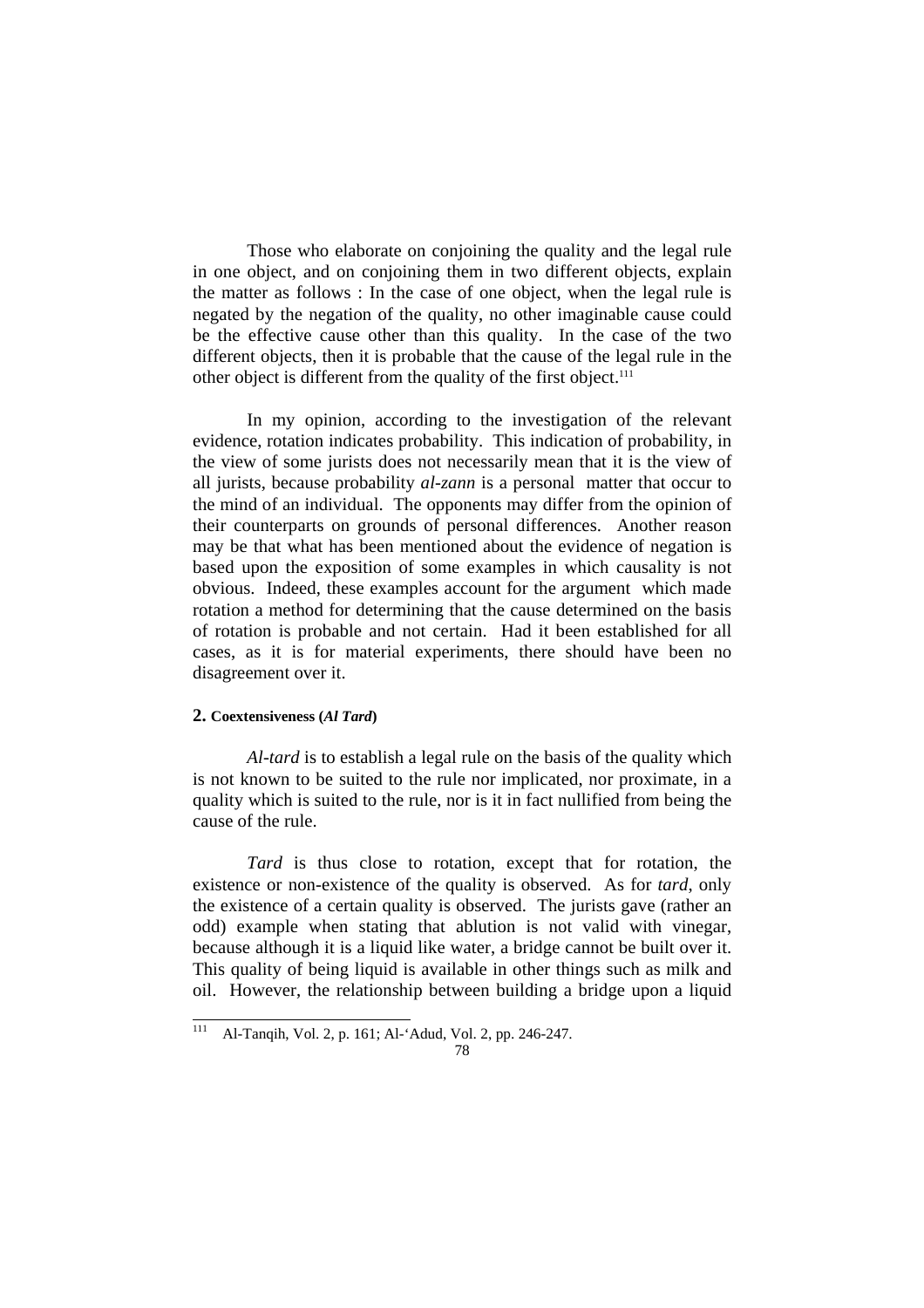Those who elaborate on conjoining the quality and the legal rule in one object, and on conjoining them in two different objects, explain the matter as follows : In the case of one object, when the legal rule is negated by the negation of the quality, no other imaginable cause could be the effective cause other than this quality. In the case of the two different objects, then it is probable that the cause of the legal rule in the other object is different from the quality of the first object.<sup>111</sup>

 In my opinion, according to the investigation of the relevant evidence, rotation indicates probability. This indication of probability, in the view of some jurists does not necessarily mean that it is the view of all jurists, because probability *al-zann* is a personal matter that occur to the mind of an individual. The opponents may differ from the opinion of their counterparts on grounds of personal differences. Another reason may be that what has been mentioned about the evidence of negation is based upon the exposition of some examples in which causality is not obvious. Indeed, these examples account for the argument which made rotation a method for determining that the cause determined on the basis of rotation is probable and not certain. Had it been established for all cases, as it is for material experiments, there should have been no disagreement over it.

#### **2. Coextensiveness (***Al Tard***)**

*Al-tard* is to establish a legal rule on the basis of the quality which is not known to be suited to the rule nor implicated, nor proximate, in a quality which is suited to the rule, nor is it in fact nullified from being the cause of the rule.

 *Tard* is thus close to rotation, except that for rotation, the existence or non-existence of the quality is observed. As for *tard*, only the existence of a certain quality is observed. The jurists gave (rather an odd) example when stating that ablution is not valid with vinegar, because although it is a liquid like water, a bridge cannot be built over it. This quality of being liquid is available in other things such as milk and oil. However, the relationship between building a bridge upon a liquid

 $111$ 111 Al-Tanqih, Vol. 2, p. 161; Al-'Adud, Vol. 2, pp. 246-247.

<sup>78</sup>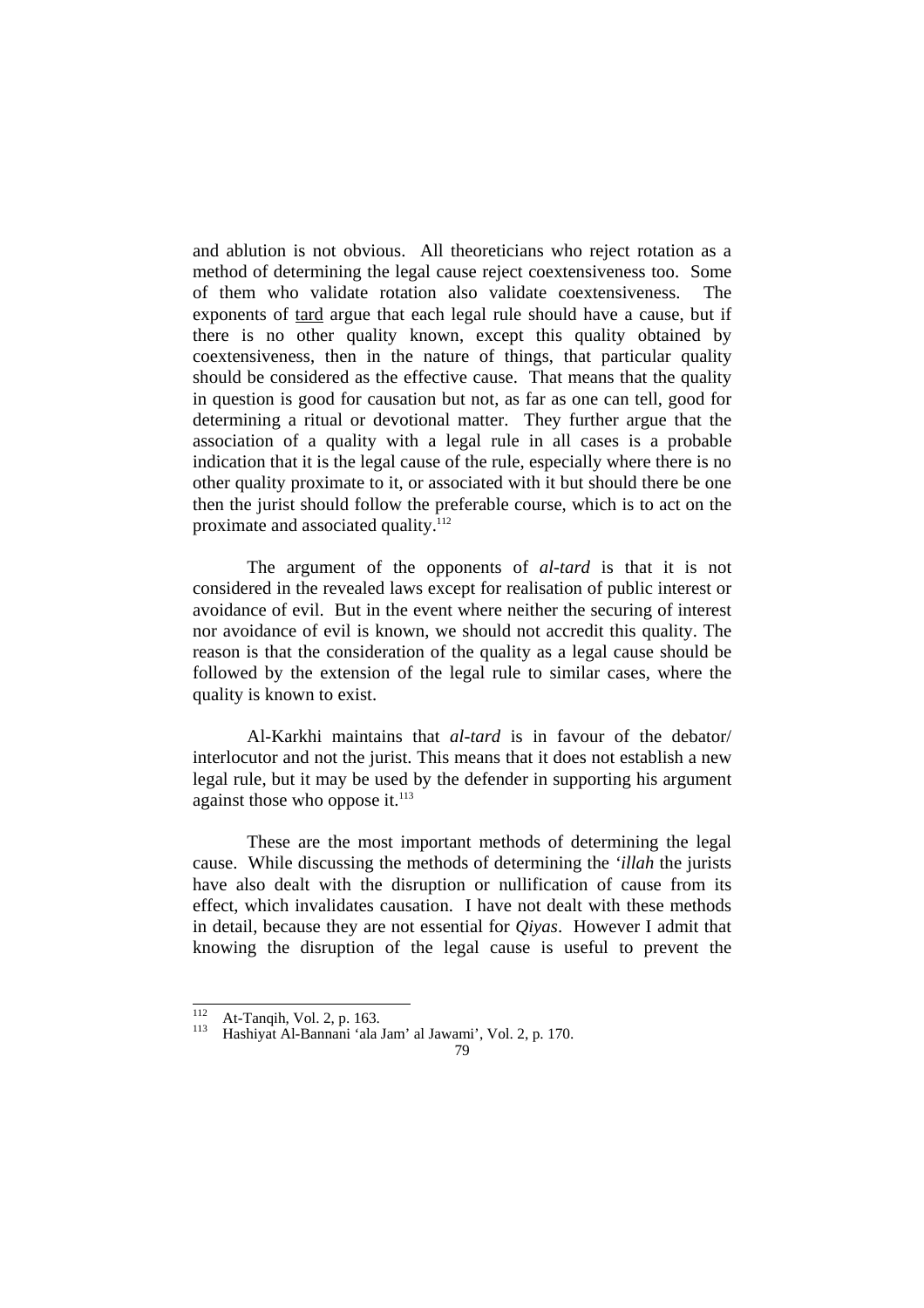and ablution is not obvious. All theoreticians who reject rotation as a method of determining the legal cause reject coextensiveness too. Some of them who validate rotation also validate coextensiveness. The exponents of tard argue that each legal rule should have a cause, but if there is no other quality known, except this quality obtained by coextensiveness, then in the nature of things, that particular quality should be considered as the effective cause. That means that the quality in question is good for causation but not, as far as one can tell, good for determining a ritual or devotional matter. They further argue that the association of a quality with a legal rule in all cases is a probable indication that it is the legal cause of the rule, especially where there is no other quality proximate to it, or associated with it but should there be one then the jurist should follow the preferable course, which is to act on the proximate and associated quality.112

 The argument of the opponents of *al-tard* is that it is not considered in the revealed laws except for realisation of public interest or avoidance of evil. But in the event where neither the securing of interest nor avoidance of evil is known, we should not accredit this quality. The reason is that the consideration of the quality as a legal cause should be followed by the extension of the legal rule to similar cases, where the quality is known to exist.

 Al-Karkhi maintains that *al-tard* is in favour of the debator/ interlocutor and not the jurist. This means that it does not establish a new legal rule, but it may be used by the defender in supporting his argument against those who oppose it. $^{113}$ 

 These are the most important methods of determining the legal cause. While discussing the methods of determining the *'illah* the jurists have also dealt with the disruption or nullification of cause from its effect, which invalidates causation. I have not dealt with these methods in detail, because they are not essential for *Qiyas*. However I admit that knowing the disruption of the legal cause is useful to prevent the

 $\frac{112}{112}$ 

<sup>&</sup>lt;sup>112</sup> At-Tanqih, Vol. 2, p. 163.<br><sup>113</sup> Hashiyat Al-Bannani 'ala Jam' al Jawami', Vol. 2, p. 170.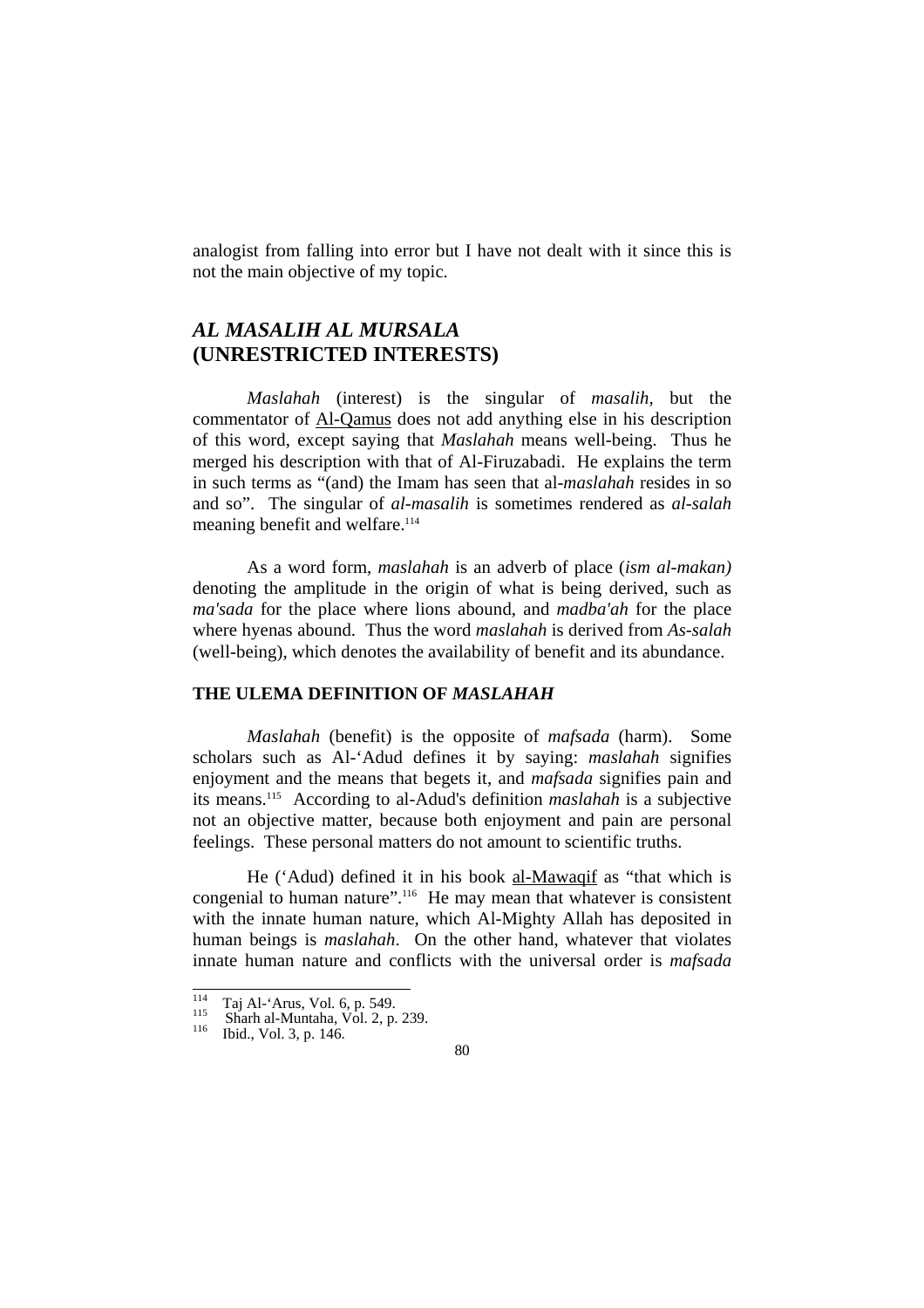analogist from falling into error but I have not dealt with it since this is not the main objective of my topic.

# *AL MASALIH AL MURSALA*  **(UNRESTRICTED INTERESTS)**

 *Maslahah* (interest) is the singular of *masalih,* but the commentator of Al-Qamus does not add anything else in his description of this word, except saying that *Maslahah* means well-being. Thus he merged his description with that of Al-Firuzabadi. He explains the term in such terms as "(and) the Imam has seen that al-*maslahah* resides in so and so". The singular of *al-masalih* is sometimes rendered as *al-salah* meaning benefit and welfare.<sup>114</sup>

 As a word form, *maslahah* is an adverb of place (*ism al-makan)* denoting the amplitude in the origin of what is being derived, such as *ma'sada* for the place where lions abound, and *madba'ah* for the place where hyenas abound. Thus the word *maslahah* is derived from *As-salah* (well-being), which denotes the availability of benefit and its abundance.

#### **THE ULEMA DEFINITION OF** *MASLAHAH*

*Maslahah* (benefit) is the opposite of *mafsada* (harm). Some scholars such as Al-'Adud defines it by saying: *maslahah* signifies enjoyment and the means that begets it, and *mafsada* signifies pain and its means.115 According to al-Adud's definition *maslahah* is a subjective not an objective matter, because both enjoyment and pain are personal feelings. These personal matters do not amount to scientific truths.

 He ('Adud) defined it in his book al-Mawaqif as "that which is congenial to human nature".<sup>116</sup> He may mean that whatever is consistent with the innate human nature, which Al-Mighty Allah has deposited in human beings is *maslahah*. On the other hand, whatever that violates innate human nature and conflicts with the universal order is *mafsada*

 $\frac{1}{114}$ 

<sup>&</sup>lt;sup>114</sup> Taj Al-'Arus, Vol. 6, p. 549.<br><sup>115</sup> Sharh al-Muntaha, Vol. 2, p. 239.<br><sup>116</sup> Ibid., Vol. 3, p. 146.

<sup>80</sup>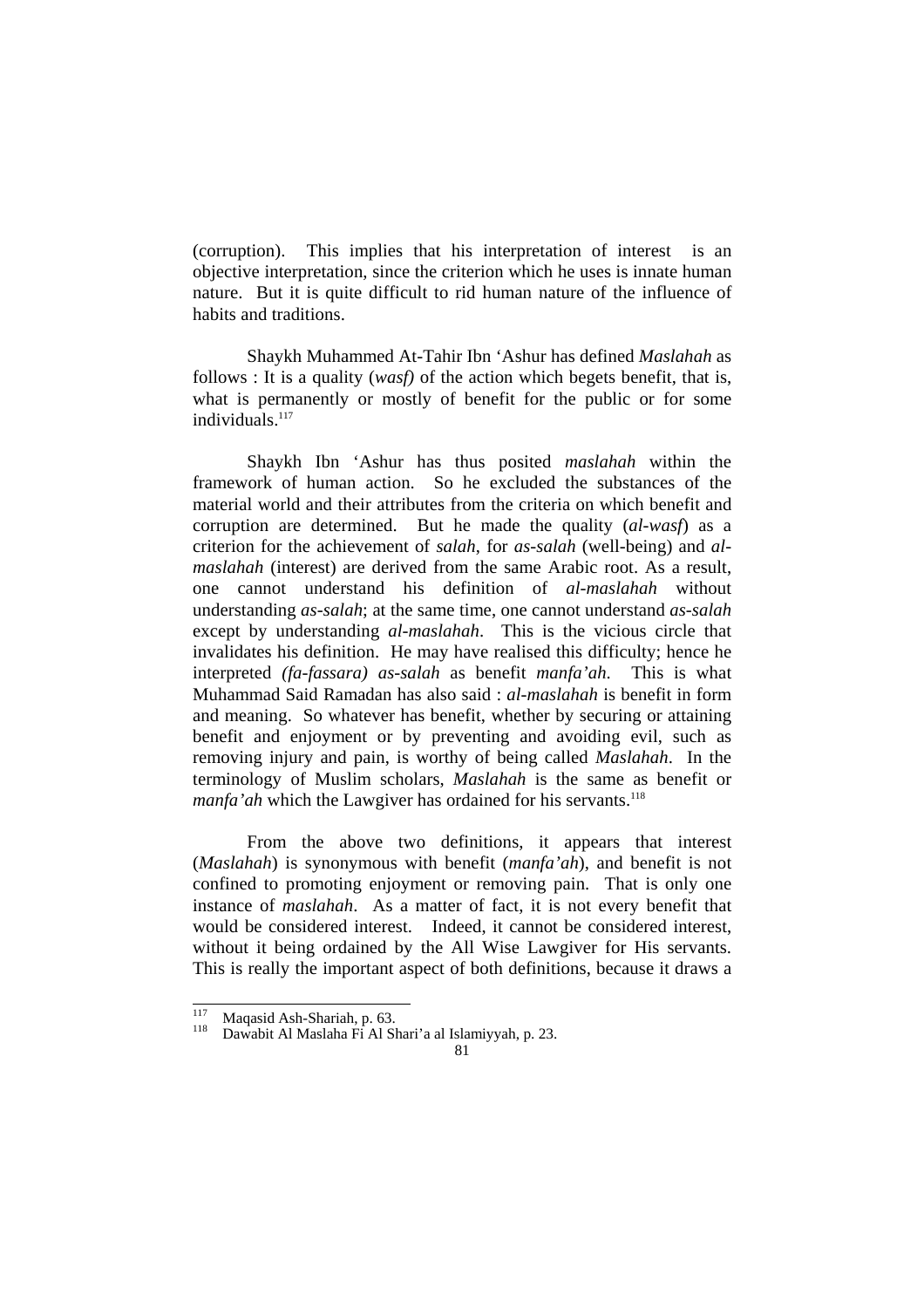(corruption). This implies that his interpretation of interest is an objective interpretation, since the criterion which he uses is innate human nature. But it is quite difficult to rid human nature of the influence of habits and traditions.

 Shaykh Muhammed At-Tahir Ibn 'Ashur has defined *Maslahah* as follows : It is a quality (*wasf)* of the action which begets benefit, that is, what is permanently or mostly of benefit for the public or for some individuals. $117$ 

 Shaykh Ibn 'Ashur has thus posited *maslahah* within the framework of human action. So he excluded the substances of the material world and their attributes from the criteria on which benefit and corruption are determined. But he made the quality (*al-wasf*) as a criterion for the achievement of *salah*, for *as-salah* (well-being) and *almaslahah* (interest) are derived from the same Arabic root. As a result, one cannot understand his definition of *al-maslahah* without understanding *as-salah*; at the same time, one cannot understand *as-salah* except by understanding *al-maslahah*. This is the vicious circle that invalidates his definition. He may have realised this difficulty; hence he interpreted *(fa-fassara) as-salah* as benefit *manfa'ah*. This is what Muhammad Said Ramadan has also said : *al*-*maslahah* is benefit in form and meaning. So whatever has benefit, whether by securing or attaining benefit and enjoyment or by preventing and avoiding evil, such as removing injury and pain, is worthy of being called *Maslahah*. In the terminology of Muslim scholars, *Maslahah* is the same as benefit or *manfa'ah* which the Lawgiver has ordained for his servants.<sup>118</sup>

 From the above two definitions, it appears that interest (*Maslahah*) is synonymous with benefit (*manfa'ah*), and benefit is not confined to promoting enjoyment or removing pain. That is only one instance of *maslahah*. As a matter of fact, it is not every benefit that would be considered interest. Indeed, it cannot be considered interest, without it being ordained by the All Wise Lawgiver for His servants. This is really the important aspect of both definitions, because it draws a

 $117$ 

<sup>&</sup>lt;sup>117</sup> Maqasid Ash-Shariah, p. 63.<br><sup>118</sup> Dawabit Al Maslaha Fi Al Shari'a al Islamiyyah, p. 23.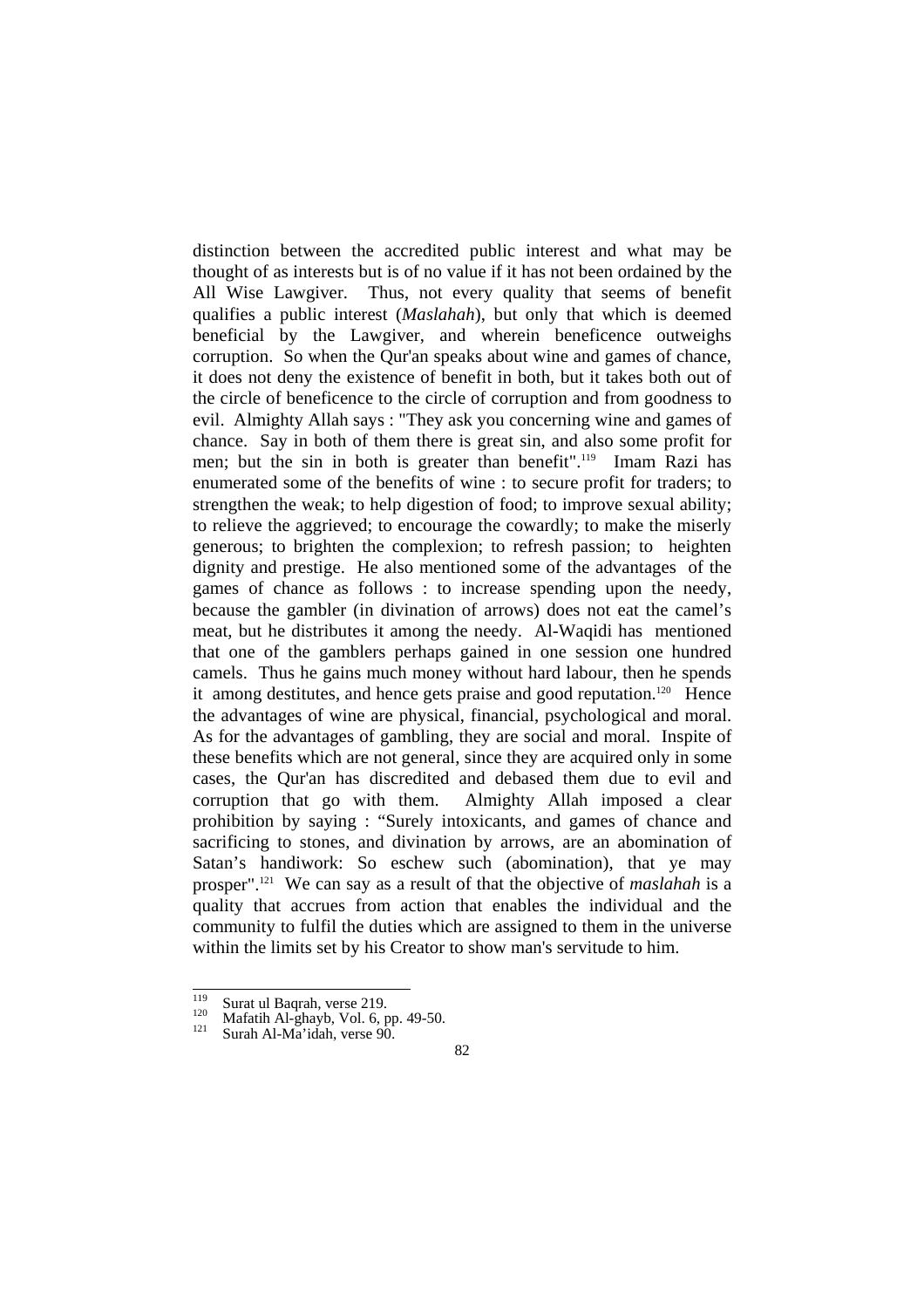distinction between the accredited public interest and what may be thought of as interests but is of no value if it has not been ordained by the All Wise Lawgiver. Thus, not every quality that seems of benefit qualifies a public interest (*Maslahah*), but only that which is deemed beneficial by the Lawgiver, and wherein beneficence outweighs corruption. So when the Qur'an speaks about wine and games of chance, it does not deny the existence of benefit in both, but it takes both out of the circle of beneficence to the circle of corruption and from goodness to evil. Almighty Allah says : "They ask you concerning wine and games of chance. Say in both of them there is great sin, and also some profit for men; but the sin in both is greater than benefit".119 Imam Razi has enumerated some of the benefits of wine : to secure profit for traders; to strengthen the weak; to help digestion of food; to improve sexual ability; to relieve the aggrieved; to encourage the cowardly; to make the miserly generous; to brighten the complexion; to refresh passion; to heighten dignity and prestige. He also mentioned some of the advantages of the games of chance as follows : to increase spending upon the needy, because the gambler (in divination of arrows) does not eat the camel's meat, but he distributes it among the needy. Al-Waqidi has mentioned that one of the gamblers perhaps gained in one session one hundred camels. Thus he gains much money without hard labour, then he spends it among destitutes, and hence gets praise and good reputation.<sup>120</sup> Hence the advantages of wine are physical, financial, psychological and moral. As for the advantages of gambling, they are social and moral. Inspite of these benefits which are not general, since they are acquired only in some cases, the Qur'an has discredited and debased them due to evil and corruption that go with them. Almighty Allah imposed a clear prohibition by saying : "Surely intoxicants, and games of chance and sacrificing to stones, and divination by arrows, are an abomination of Satan's handiwork: So eschew such (abomination), that ye may prosper".121 We can say as a result of that the objective of *maslahah* is a quality that accrues from action that enables the individual and the community to fulfil the duties which are assigned to them in the universe within the limits set by his Creator to show man's servitude to him.

 $\frac{1}{119}$ 

<sup>&</sup>lt;sup>119</sup> Surat ul Baqrah, verse 219.<br><sup>120</sup> Mafatih Al-ghayb, Vol. 6, pp. 49-50.<br><sup>121</sup> Surah Al-Ma'idah, verse 90.

<sup>82</sup>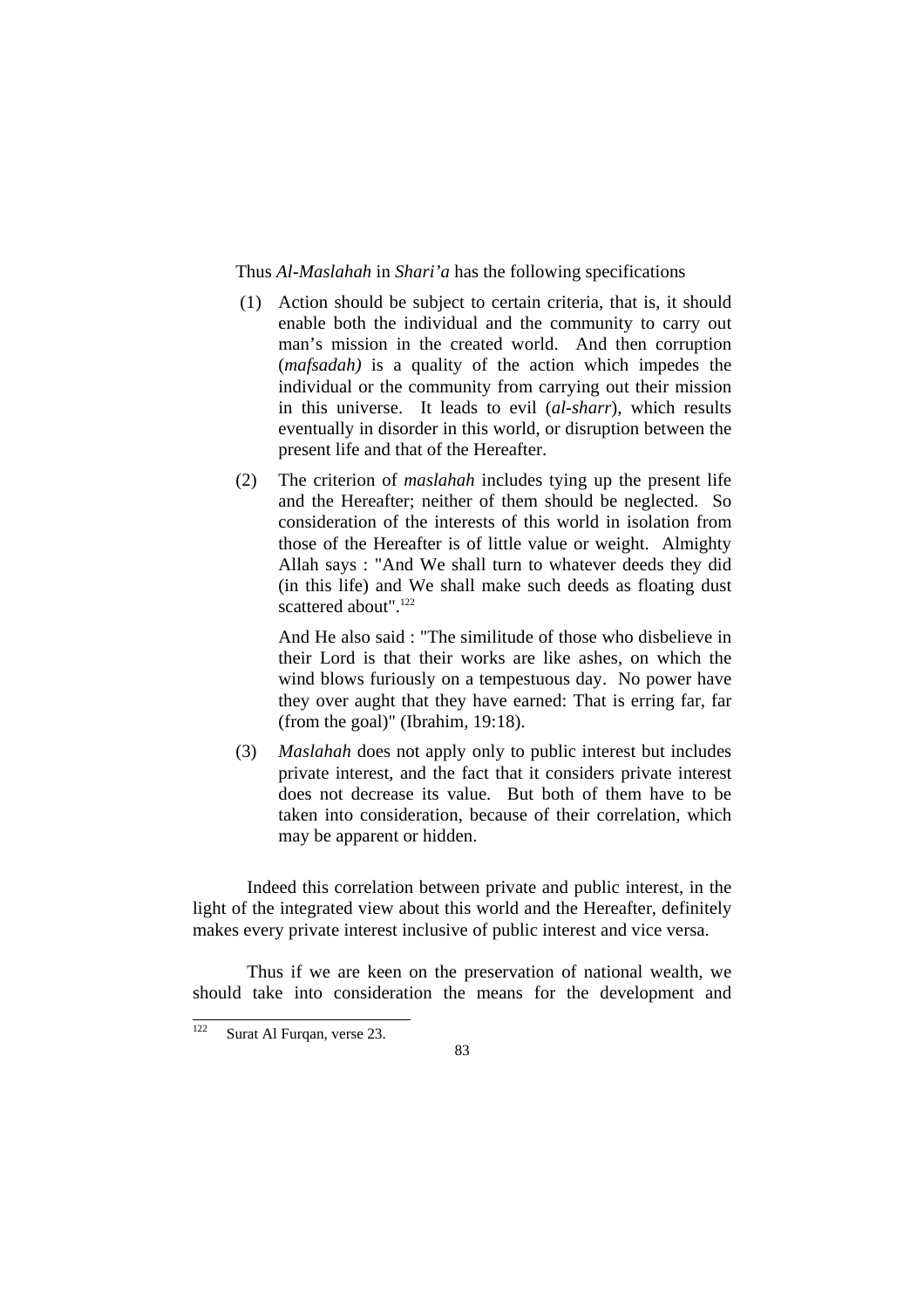Thus *Al-Maslahah* in *Shari'a* has the following specifications

- (1) Action should be subject to certain criteria, that is, it should enable both the individual and the community to carry out man's mission in the created world. And then corruption (*mafsadah)* is a quality of the action which impedes the individual or the community from carrying out their mission in this universe. It leads to evil (*al-sharr*), which results eventually in disorder in this world, or disruption between the present life and that of the Hereafter.
- (2) The criterion of *maslahah* includes tying up the present life and the Hereafter; neither of them should be neglected. So consideration of the interests of this world in isolation from those of the Hereafter is of little value or weight. Almighty Allah says : "And We shall turn to whatever deeds they did (in this life) and We shall make such deeds as floating dust scattered about" <sup>122</sup>

And He also said : "The similitude of those who disbelieve in their Lord is that their works are like ashes, on which the wind blows furiously on a tempestuous day. No power have they over aught that they have earned: That is erring far, far (from the goal)" (Ibrahim, 19:18).

(3) *Maslahah* does not apply only to public interest but includes private interest, and the fact that it considers private interest does not decrease its value. But both of them have to be taken into consideration, because of their correlation, which may be apparent or hidden.

 Indeed this correlation between private and public interest, in the light of the integrated view about this world and the Hereafter, definitely makes every private interest inclusive of public interest and vice versa.

 Thus if we are keen on the preservation of national wealth, we should take into consideration the means for the development and

<sup>122</sup> Surat Al Furqan, verse 23.

<sup>83</sup>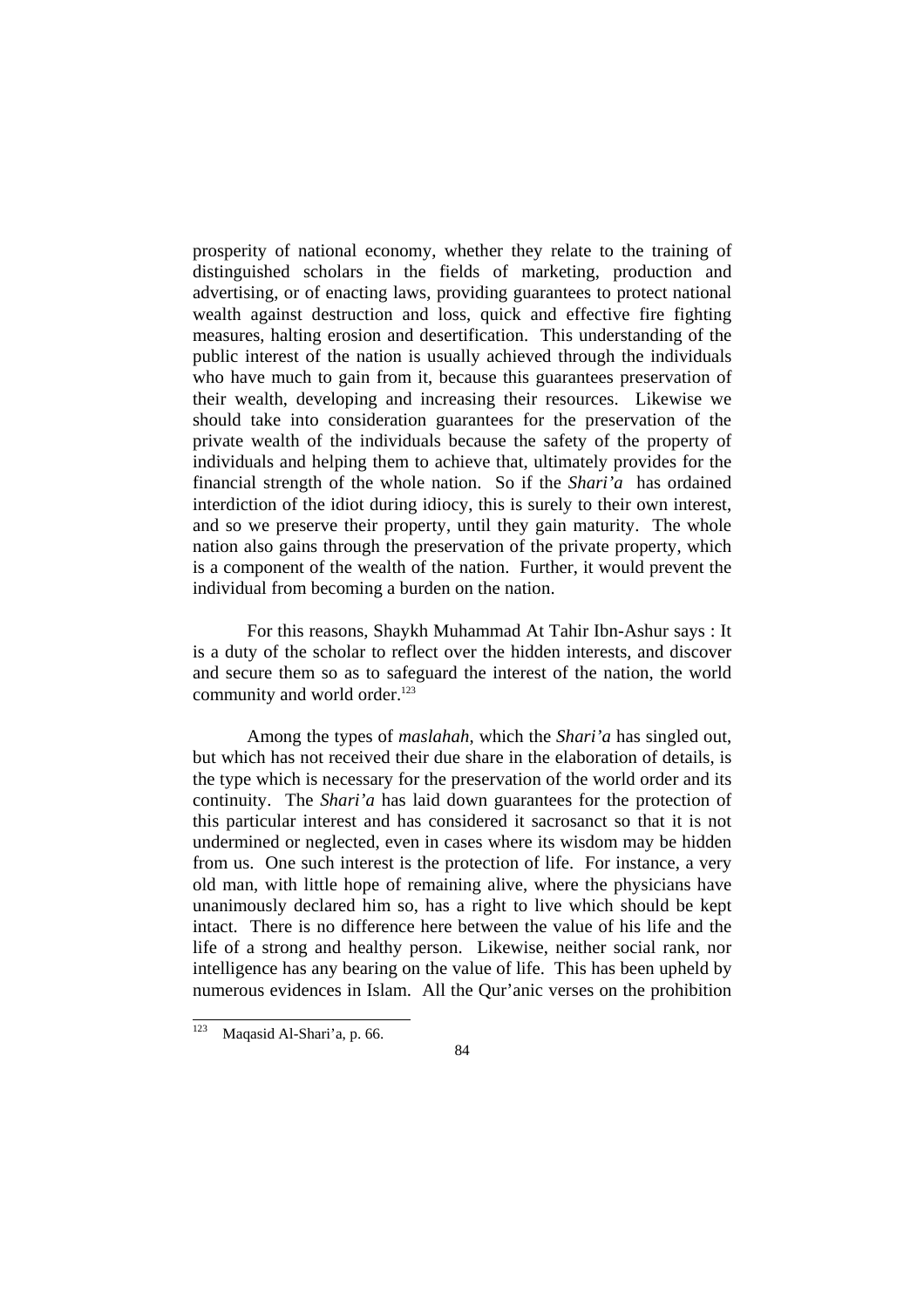prosperity of national economy, whether they relate to the training of distinguished scholars in the fields of marketing, production and advertising, or of enacting laws, providing guarantees to protect national wealth against destruction and loss, quick and effective fire fighting measures, halting erosion and desertification. This understanding of the public interest of the nation is usually achieved through the individuals who have much to gain from it, because this guarantees preservation of their wealth, developing and increasing their resources. Likewise we should take into consideration guarantees for the preservation of the private wealth of the individuals because the safety of the property of individuals and helping them to achieve that, ultimately provides for the financial strength of the whole nation. So if the *Shari'a* has ordained interdiction of the idiot during idiocy, this is surely to their own interest, and so we preserve their property, until they gain maturity. The whole nation also gains through the preservation of the private property, which is a component of the wealth of the nation. Further, it would prevent the individual from becoming a burden on the nation.

 For this reasons, Shaykh Muhammad At Tahir Ibn-Ashur says : It is a duty of the scholar to reflect over the hidden interests, and discover and secure them so as to safeguard the interest of the nation, the world community and world order.<sup>123</sup>

 Among the types of *maslahah*, which the *Shari'a* has singled out, but which has not received their due share in the elaboration of details, is the type which is necessary for the preservation of the world order and its continuity. The *Shari'a* has laid down guarantees for the protection of this particular interest and has considered it sacrosanct so that it is not undermined or neglected, even in cases where its wisdom may be hidden from us. One such interest is the protection of life. For instance, a very old man, with little hope of remaining alive, where the physicians have unanimously declared him so, has a right to live which should be kept intact. There is no difference here between the value of his life and the life of a strong and healthy person. Likewise, neither social rank, nor intelligence has any bearing on the value of life. This has been upheld by numerous evidences in Islam. All the Qur'anic verses on the prohibition

<sup>123</sup> Maqasid Al-Shari'a, p. 66.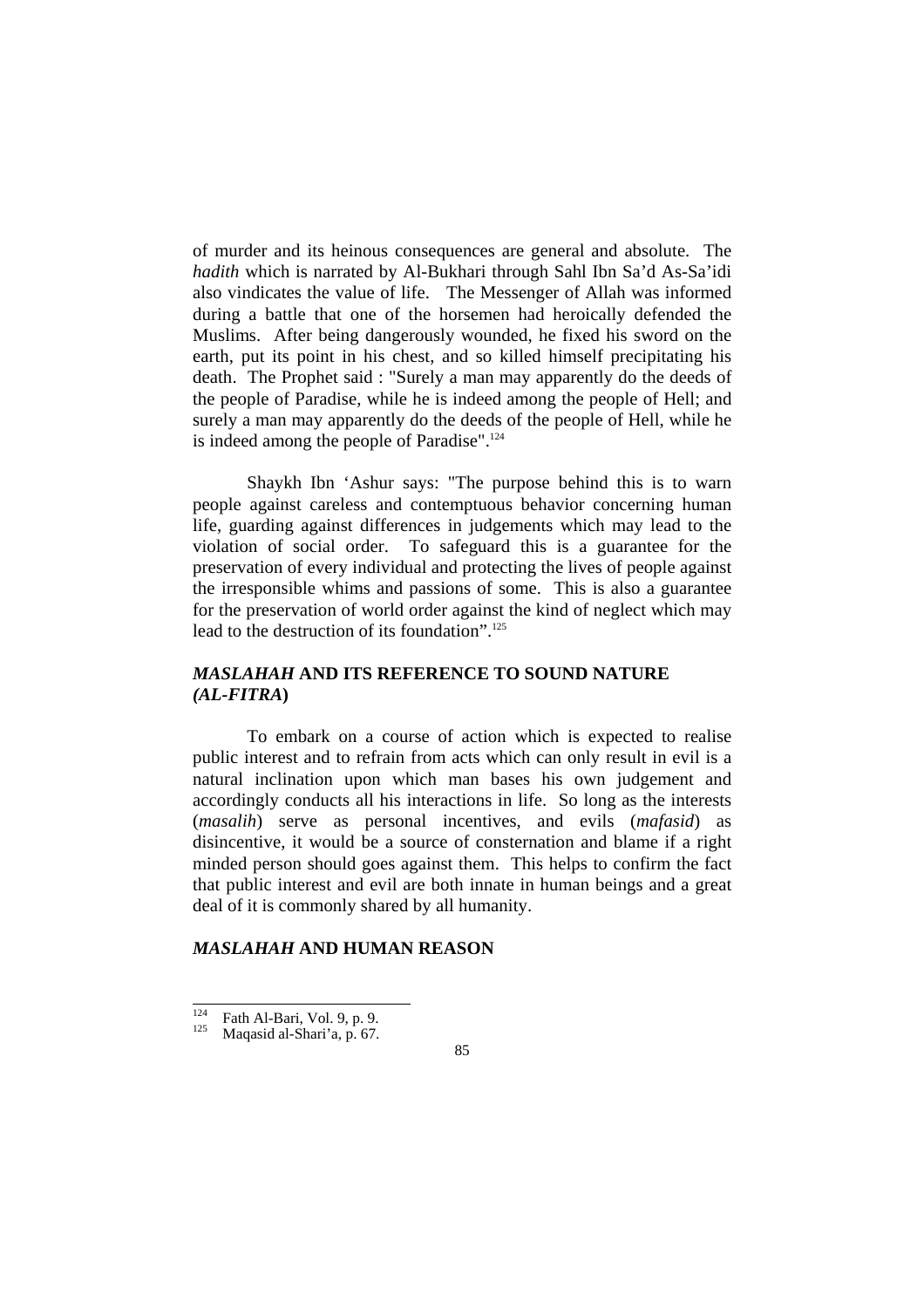of murder and its heinous consequences are general and absolute. The *hadith* which is narrated by Al-Bukhari through Sahl Ibn Sa'd As-Sa'idi also vindicates the value of life. The Messenger of Allah was informed during a battle that one of the horsemen had heroically defended the Muslims. After being dangerously wounded, he fixed his sword on the earth, put its point in his chest, and so killed himself precipitating his death. The Prophet said : "Surely a man may apparently do the deeds of the people of Paradise, while he is indeed among the people of Hell; and surely a man may apparently do the deeds of the people of Hell, while he is indeed among the people of Paradise".124

 Shaykh Ibn 'Ashur says: "The purpose behind this is to warn people against careless and contemptuous behavior concerning human life, guarding against differences in judgements which may lead to the violation of social order. To safeguard this is a guarantee for the preservation of every individual and protecting the lives of people against the irresponsible whims and passions of some. This is also a guarantee for the preservation of world order against the kind of neglect which may lead to the destruction of its foundation".<sup>125</sup>

## *MASLAHAH* **AND ITS REFERENCE TO SOUND NATURE**  *(AL-FITRA***)**

 To embark on a course of action which is expected to realise public interest and to refrain from acts which can only result in evil is a natural inclination upon which man bases his own judgement and accordingly conducts all his interactions in life. So long as the interests (*masalih*) serve as personal incentives, and evils (*mafasid*) as disincentive, it would be a source of consternation and blame if a right minded person should goes against them. This helps to confirm the fact that public interest and evil are both innate in human beings and a great deal of it is commonly shared by all humanity.

#### *MASLAHAH* **AND HUMAN REASON**

 $124$ <sup>124</sup> Fath Al-Bari, Vol. 9, p. 9.<br>Magasid al-Shari'a, p. 67.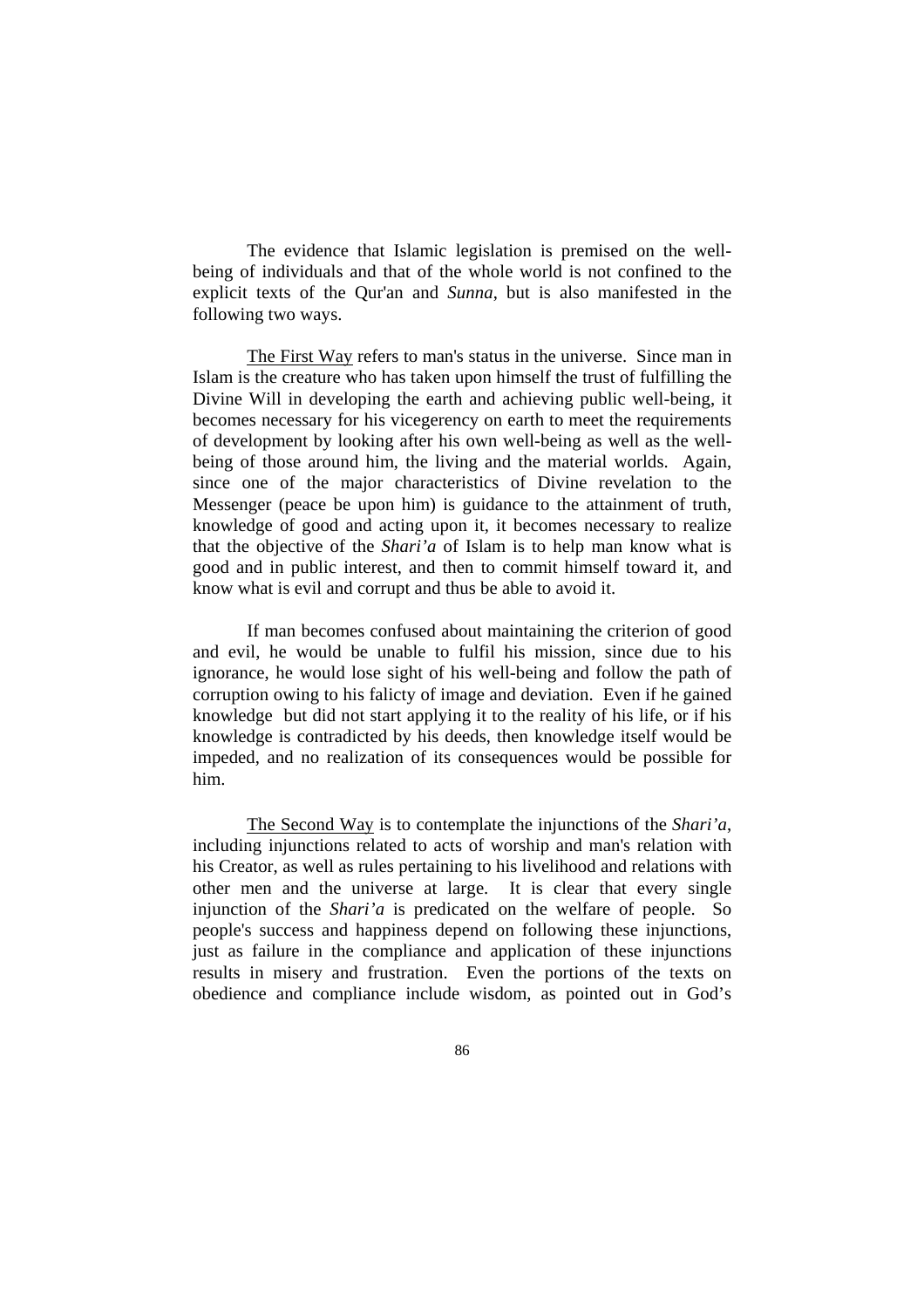The evidence that Islamic legislation is premised on the wellbeing of individuals and that of the whole world is not confined to the explicit texts of the Qur'an and *Sunna*, but is also manifested in the following two ways.

 The First Way refers to man's status in the universe. Since man in Islam is the creature who has taken upon himself the trust of fulfilling the Divine Will in developing the earth and achieving public well-being, it becomes necessary for his vicegerency on earth to meet the requirements of development by looking after his own well-being as well as the wellbeing of those around him, the living and the material worlds. Again, since one of the major characteristics of Divine revelation to the Messenger (peace be upon him) is guidance to the attainment of truth, knowledge of good and acting upon it, it becomes necessary to realize that the objective of the *Shari'a* of Islam is to help man know what is good and in public interest, and then to commit himself toward it, and know what is evil and corrupt and thus be able to avoid it.

 If man becomes confused about maintaining the criterion of good and evil, he would be unable to fulfil his mission, since due to his ignorance, he would lose sight of his well-being and follow the path of corruption owing to his falicty of image and deviation. Even if he gained knowledge but did not start applying it to the reality of his life, or if his knowledge is contradicted by his deeds, then knowledge itself would be impeded, and no realization of its consequences would be possible for him.

The Second Way is to contemplate the injunctions of the *Shari'a*, including injunctions related to acts of worship and man's relation with his Creator, as well as rules pertaining to his livelihood and relations with other men and the universe at large. It is clear that every single injunction of the *Shari'a* is predicated on the welfare of people. So people's success and happiness depend on following these injunctions, just as failure in the compliance and application of these injunctions results in misery and frustration. Even the portions of the texts on obedience and compliance include wisdom, as pointed out in God's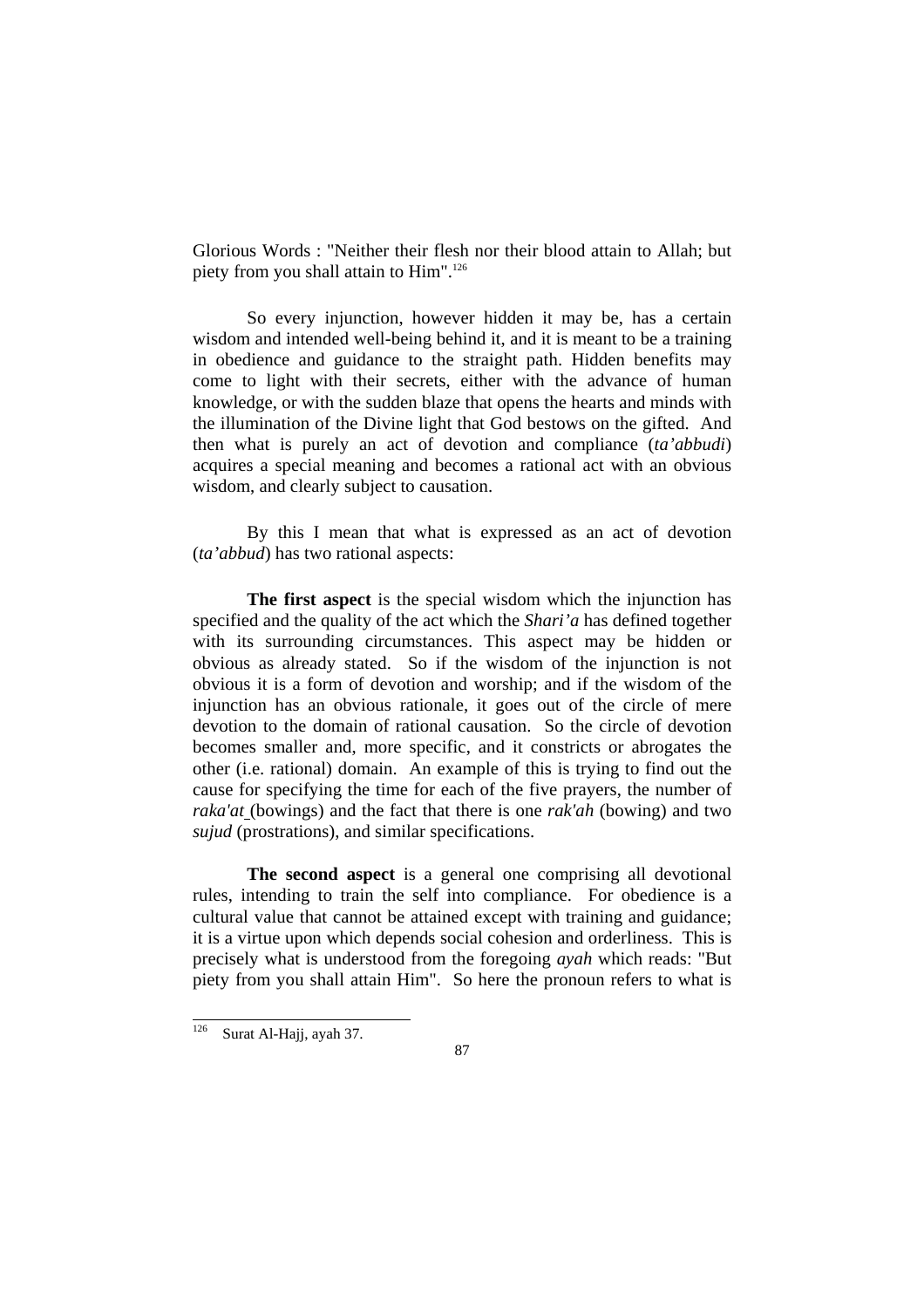Glorious Words : "Neither their flesh nor their blood attain to Allah; but piety from you shall attain to Him".<sup>126</sup>

 So every injunction, however hidden it may be, has a certain wisdom and intended well-being behind it, and it is meant to be a training in obedience and guidance to the straight path. Hidden benefits may come to light with their secrets, either with the advance of human knowledge, or with the sudden blaze that opens the hearts and minds with the illumination of the Divine light that God bestows on the gifted. And then what is purely an act of devotion and compliance (*ta'abbudi*) acquires a special meaning and becomes a rational act with an obvious wisdom, and clearly subject to causation.

 By this I mean that what is expressed as an act of devotion (*ta'abbud*) has two rational aspects:

**The first aspect** is the special wisdom which the injunction has specified and the quality of the act which the *Shari'a* has defined together with its surrounding circumstances. This aspect may be hidden or obvious as already stated. So if the wisdom of the injunction is not obvious it is a form of devotion and worship; and if the wisdom of the injunction has an obvious rationale, it goes out of the circle of mere devotion to the domain of rational causation. So the circle of devotion becomes smaller and, more specific, and it constricts or abrogates the other (i.e. rational) domain. An example of this is trying to find out the cause for specifying the time for each of the five prayers, the number of *raka'at* (bowings) and the fact that there is one *rak'ah* (bowing) and two *sujud* (prostrations), and similar specifications.

**The second aspect** is a general one comprising all devotional rules, intending to train the self into compliance. For obedience is a cultural value that cannot be attained except with training and guidance; it is a virtue upon which depends social cohesion and orderliness. This is precisely what is understood from the foregoing *ayah* which reads: "But piety from you shall attain Him". So here the pronoun refers to what is

<sup>126</sup> Surat Al-Hajj, ayah 37.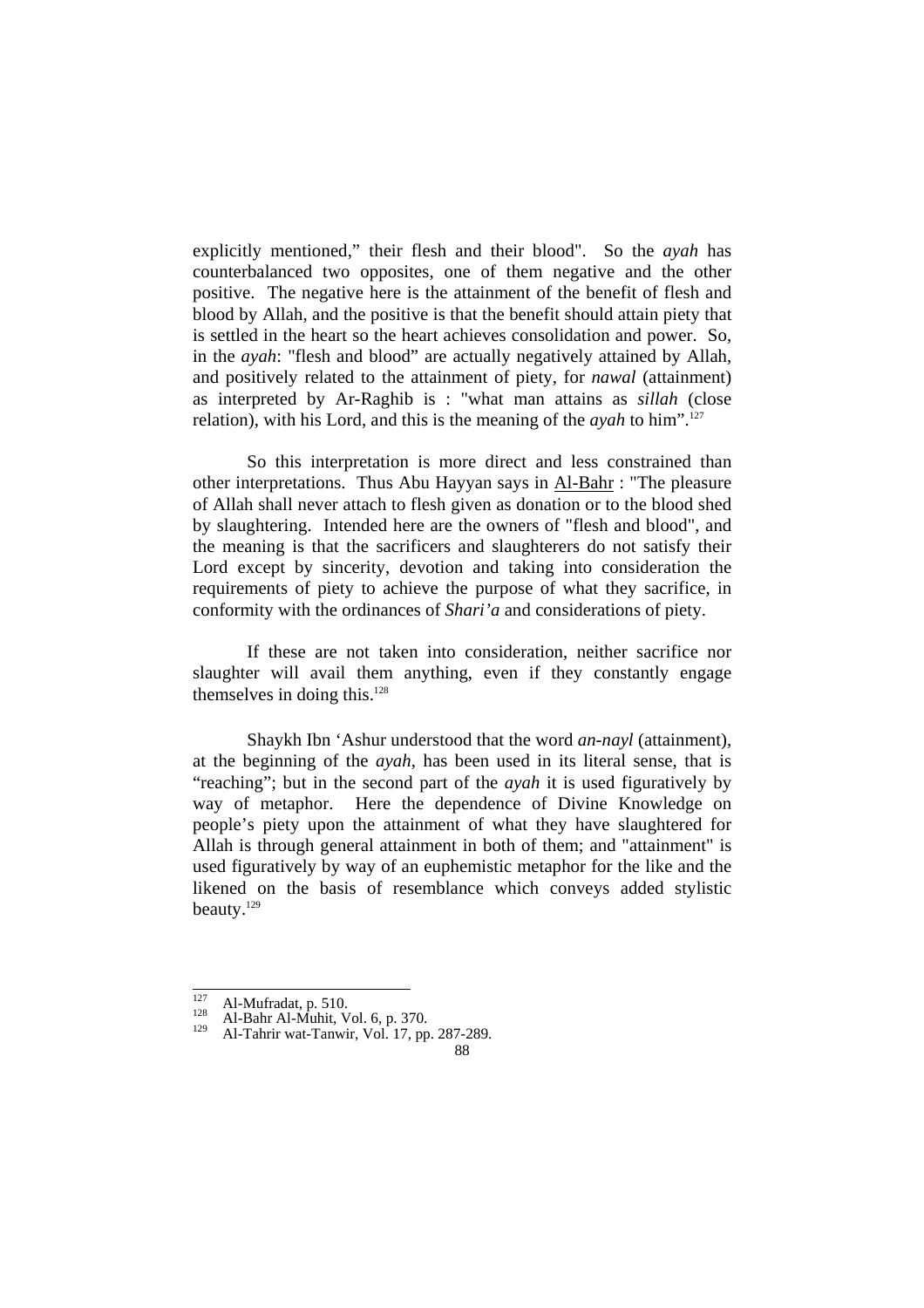explicitly mentioned," their flesh and their blood". So the *ayah* has counterbalanced two opposites, one of them negative and the other positive. The negative here is the attainment of the benefit of flesh and blood by Allah, and the positive is that the benefit should attain piety that is settled in the heart so the heart achieves consolidation and power. So, in the *ayah*: "flesh and blood" are actually negatively attained by Allah, and positively related to the attainment of piety, for *nawal* (attainment) as interpreted by Ar-Raghib is : "what man attains as *sillah* (close relation), with his Lord, and this is the meaning of the *ayah* to him".127

 So this interpretation is more direct and less constrained than other interpretations. Thus Abu Hayyan says in Al-Bahr : "The pleasure of Allah shall never attach to flesh given as donation or to the blood shed by slaughtering. Intended here are the owners of "flesh and blood", and the meaning is that the sacrificers and slaughterers do not satisfy their Lord except by sincerity, devotion and taking into consideration the requirements of piety to achieve the purpose of what they sacrifice, in conformity with the ordinances of *Shari'a* and considerations of piety.

If these are not taken into consideration, neither sacrifice nor slaughter will avail them anything, even if they constantly engage themselves in doing this.128

 Shaykh Ibn 'Ashur understood that the word *an-nayl* (attainment), at the beginning of the *ayah*, has been used in its literal sense, that is "reaching"; but in the second part of the *ayah* it is used figuratively by way of metaphor. Here the dependence of Divine Knowledge on people's piety upon the attainment of what they have slaughtered for Allah is through general attainment in both of them; and "attainment" is used figuratively by way of an euphemistic metaphor for the like and the likened on the basis of resemblance which conveys added stylistic beauty.129

 $\frac{1}{127}$ 

<sup>127</sup> Al-Mufradat, p. 510.<br>
128 Al-Bahr Al-Muhit, Vol. 6, p. 370.<br>
129 Al-Tahrir wat-Tanwir, Vol. 17, pp. 287-289.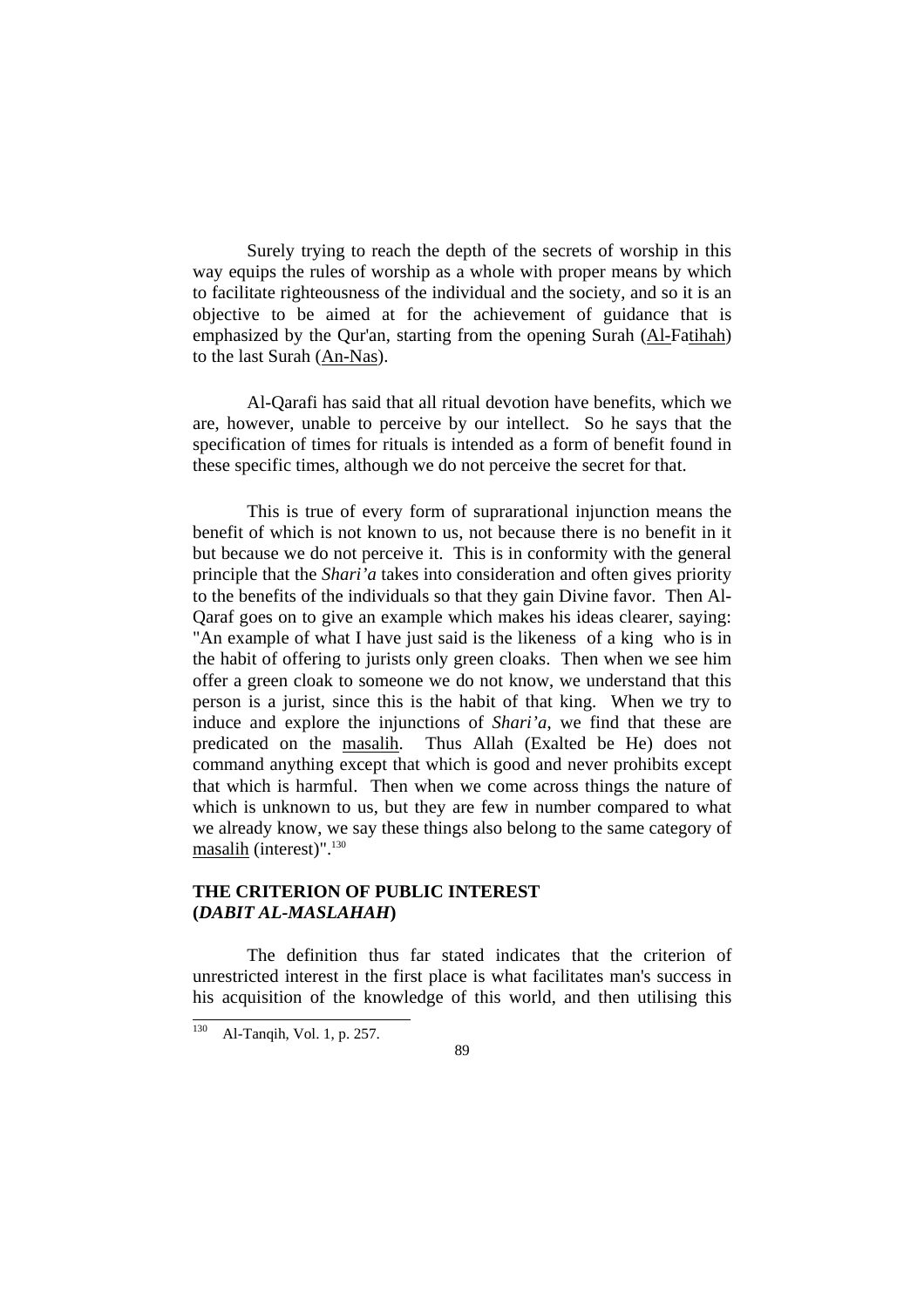Surely trying to reach the depth of the secrets of worship in this way equips the rules of worship as a whole with proper means by which to facilitate righteousness of the individual and the society, and so it is an objective to be aimed at for the achievement of guidance that is emphasized by the Qur'an, starting from the opening Surah (Al-Fatihah) to the last Surah (An-Nas).

 Al-Qarafi has said that all ritual devotion have benefits, which we are, however, unable to perceive by our intellect. So he says that the specification of times for rituals is intended as a form of benefit found in these specific times, although we do not perceive the secret for that.

This is true of every form of suprarational injunction means the benefit of which is not known to us, not because there is no benefit in it but because we do not perceive it. This is in conformity with the general principle that the *Shari'a* takes into consideration and often gives priority to the benefits of the individuals so that they gain Divine favor. Then Al-Qaraf goes on to give an example which makes his ideas clearer, saying: "An example of what I have just said is the likeness of a king who is in the habit of offering to jurists only green cloaks. Then when we see him offer a green cloak to someone we do not know, we understand that this person is a jurist, since this is the habit of that king. When we try to induce and explore the injunctions of *Shari'a*, we find that these are predicated on the masalih. Thus Allah (Exalted be He) does not command anything except that which is good and never prohibits except that which is harmful. Then when we come across things the nature of which is unknown to us, but they are few in number compared to what we already know, we say these things also belong to the same category of masalih (interest)".130

## **THE CRITERION OF PUBLIC INTEREST (***DABIT AL-MASLAHAH***)**

 The definition thus far stated indicates that the criterion of unrestricted interest in the first place is what facilitates man's success in his acquisition of the knowledge of this world, and then utilising this

<sup>130</sup> Al-Tanqih, Vol. 1, p. 257.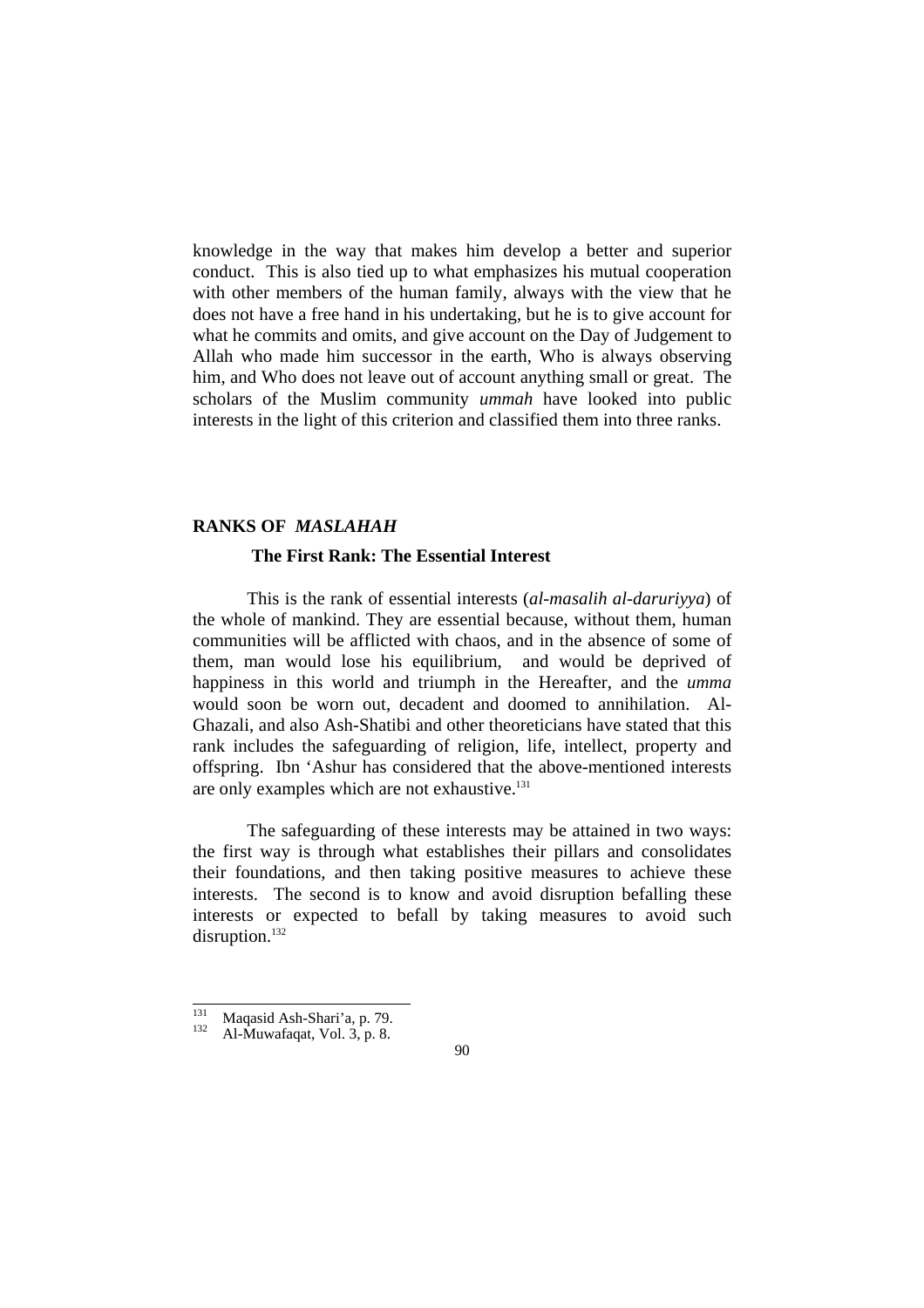knowledge in the way that makes him develop a better and superior conduct. This is also tied up to what emphasizes his mutual cooperation with other members of the human family, always with the view that he does not have a free hand in his undertaking, but he is to give account for what he commits and omits, and give account on the Day of Judgement to Allah who made him successor in the earth, Who is always observing him, and Who does not leave out of account anything small or great. The scholars of the Muslim community *ummah* have looked into public interests in the light of this criterion and classified them into three ranks.

#### **RANKS OF** *MASLAHAH*

### **The First Rank: The Essential Interest**

 This is the rank of essential interests (*al-masalih al-daruriyya*) of the whole of mankind. They are essential because, without them, human communities will be afflicted with chaos, and in the absence of some of them, man would lose his equilibrium, and would be deprived of happiness in this world and triumph in the Hereafter, and the *umma*  would soon be worn out, decadent and doomed to annihilation. Al-Ghazali, and also Ash-Shatibi and other theoreticians have stated that this rank includes the safeguarding of religion, life, intellect, property and offspring. Ibn 'Ashur has considered that the above-mentioned interests are only examples which are not exhaustive.<sup>131</sup>

 The safeguarding of these interests may be attained in two ways: the first way is through what establishes their pillars and consolidates their foundations, and then taking positive measures to achieve these interests. The second is to know and avoid disruption befalling these interests or expected to befall by taking measures to avoid such disruption.<sup>132</sup>

 $131$ <sup>131</sup> Maqasid Ash-Shari'a, p. 79.<br><sup>132</sup> Al-Muwafaqat, Vol. 3, p. 8.

<sup>90</sup>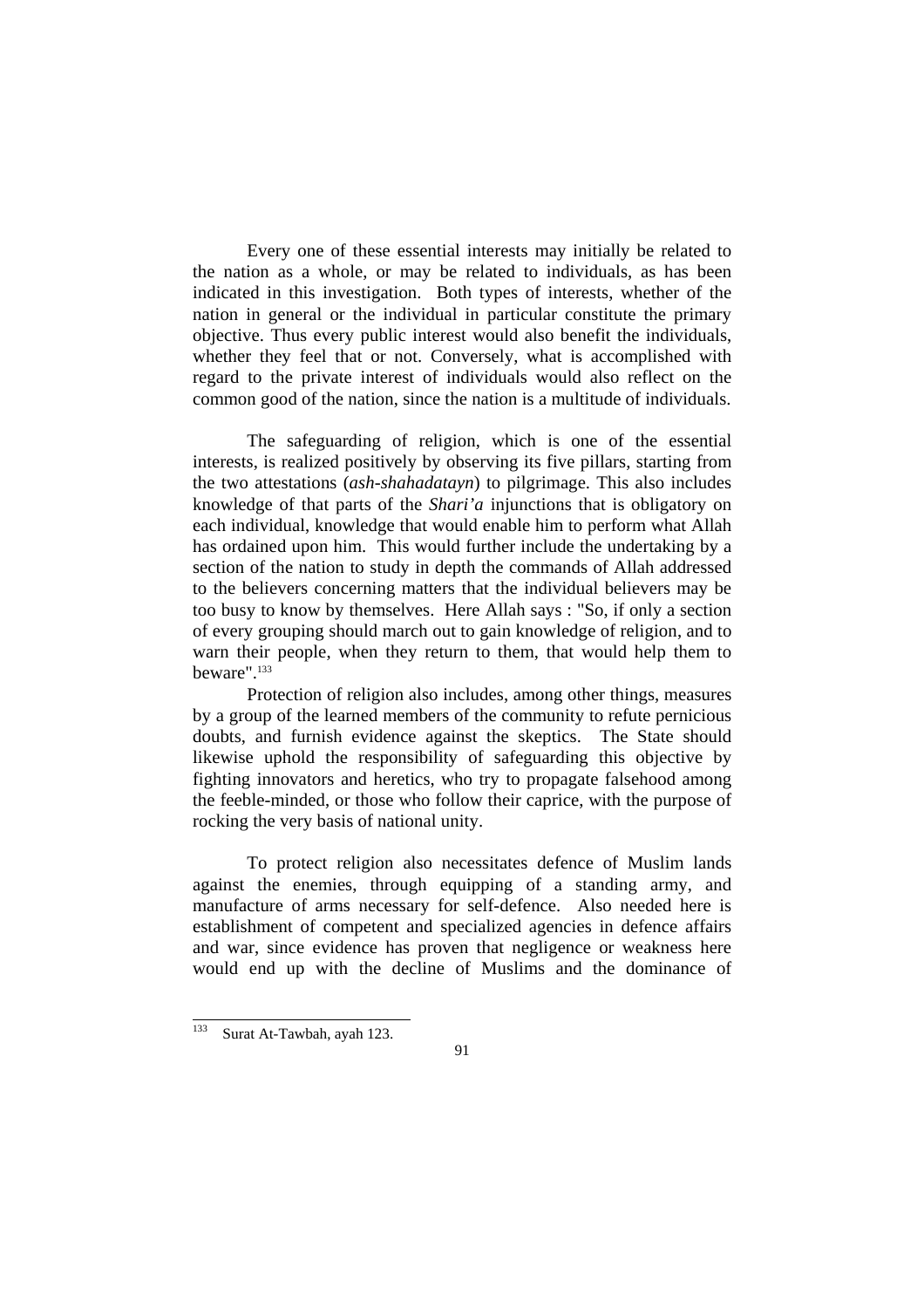Every one of these essential interests may initially be related to the nation as a whole, or may be related to individuals, as has been indicated in this investigation. Both types of interests, whether of the nation in general or the individual in particular constitute the primary objective. Thus every public interest would also benefit the individuals, whether they feel that or not. Conversely, what is accomplished with regard to the private interest of individuals would also reflect on the common good of the nation, since the nation is a multitude of individuals.

 The safeguarding of religion, which is one of the essential interests, is realized positively by observing its five pillars, starting from the two attestations (*ash-shahadatayn*) to pilgrimage. This also includes knowledge of that parts of the *Shari'a* injunctions that is obligatory on each individual, knowledge that would enable him to perform what Allah has ordained upon him. This would further include the undertaking by a section of the nation to study in depth the commands of Allah addressed to the believers concerning matters that the individual believers may be too busy to know by themselves. Here Allah says : "So, if only a section of every grouping should march out to gain knowledge of religion, and to warn their people, when they return to them, that would help them to beware".133

 Protection of religion also includes, among other things, measures by a group of the learned members of the community to refute pernicious doubts, and furnish evidence against the skeptics. The State should likewise uphold the responsibility of safeguarding this objective by fighting innovators and heretics, who try to propagate falsehood among the feeble-minded, or those who follow their caprice, with the purpose of rocking the very basis of national unity.

 To protect religion also necessitates defence of Muslim lands against the enemies, through equipping of a standing army, and manufacture of arms necessary for self-defence. Also needed here is establishment of competent and specialized agencies in defence affairs and war, since evidence has proven that negligence or weakness here would end up with the decline of Muslims and the dominance of

<sup>133</sup> Surat At-Tawbah, ayah 123.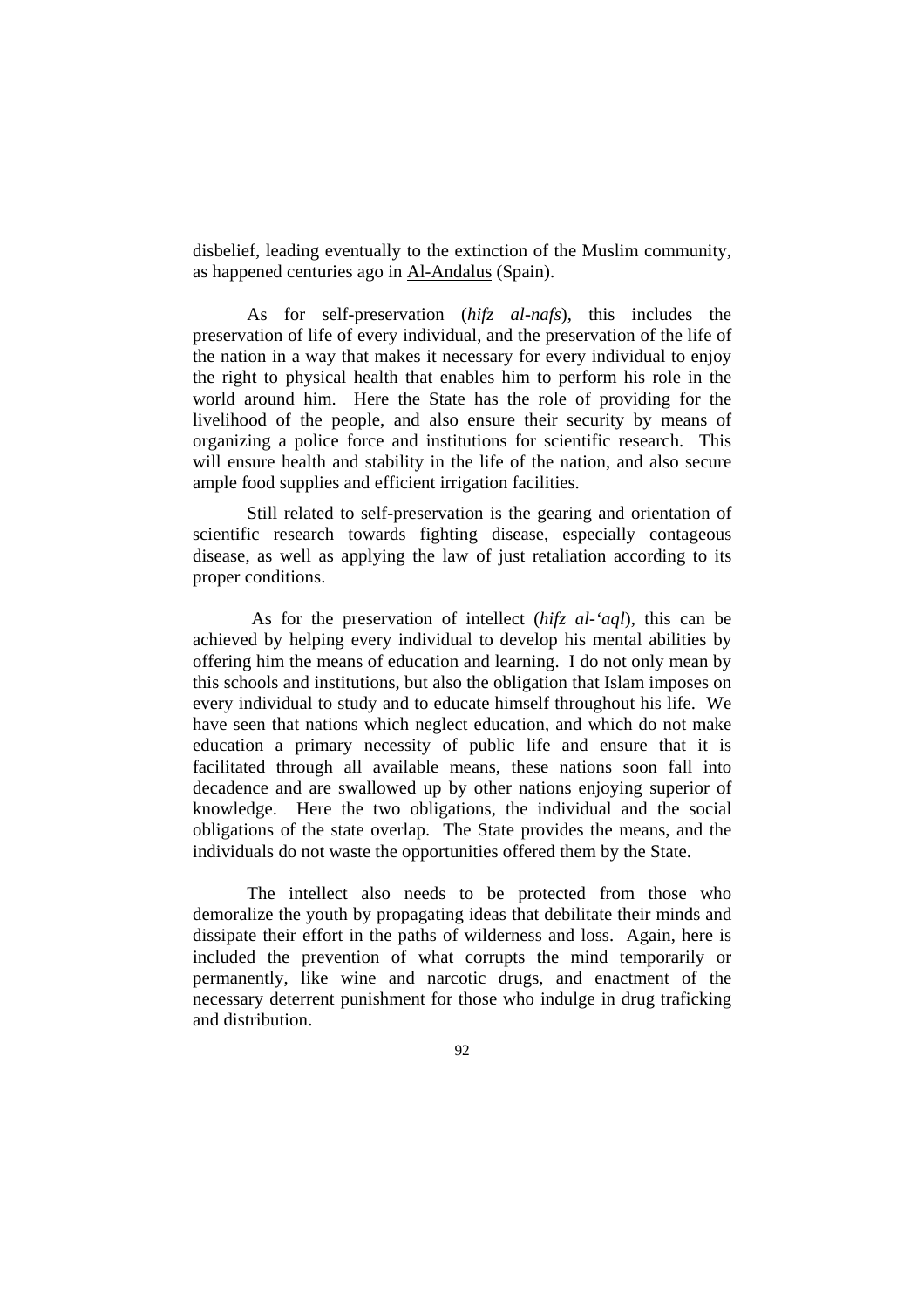disbelief, leading eventually to the extinction of the Muslim community, as happened centuries ago in Al-Andalus (Spain).

 As for self-preservation (*hifz al-nafs*), this includes the preservation of life of every individual, and the preservation of the life of the nation in a way that makes it necessary for every individual to enjoy the right to physical health that enables him to perform his role in the world around him. Here the State has the role of providing for the livelihood of the people, and also ensure their security by means of organizing a police force and institutions for scientific research. This will ensure health and stability in the life of the nation, and also secure ample food supplies and efficient irrigation facilities.

 Still related to self-preservation is the gearing and orientation of scientific research towards fighting disease, especially contageous disease, as well as applying the law of just retaliation according to its proper conditions.

 As for the preservation of intellect (*hifz al-'aql*), this can be achieved by helping every individual to develop his mental abilities by offering him the means of education and learning. I do not only mean by this schools and institutions, but also the obligation that Islam imposes on every individual to study and to educate himself throughout his life. We have seen that nations which neglect education, and which do not make education a primary necessity of public life and ensure that it is facilitated through all available means, these nations soon fall into decadence and are swallowed up by other nations enjoying superior of knowledge. Here the two obligations, the individual and the social obligations of the state overlap. The State provides the means, and the individuals do not waste the opportunities offered them by the State.

 The intellect also needs to be protected from those who demoralize the youth by propagating ideas that debilitate their minds and dissipate their effort in the paths of wilderness and loss. Again, here is included the prevention of what corrupts the mind temporarily or permanently, like wine and narcotic drugs, and enactment of the necessary deterrent punishment for those who indulge in drug traficking and distribution.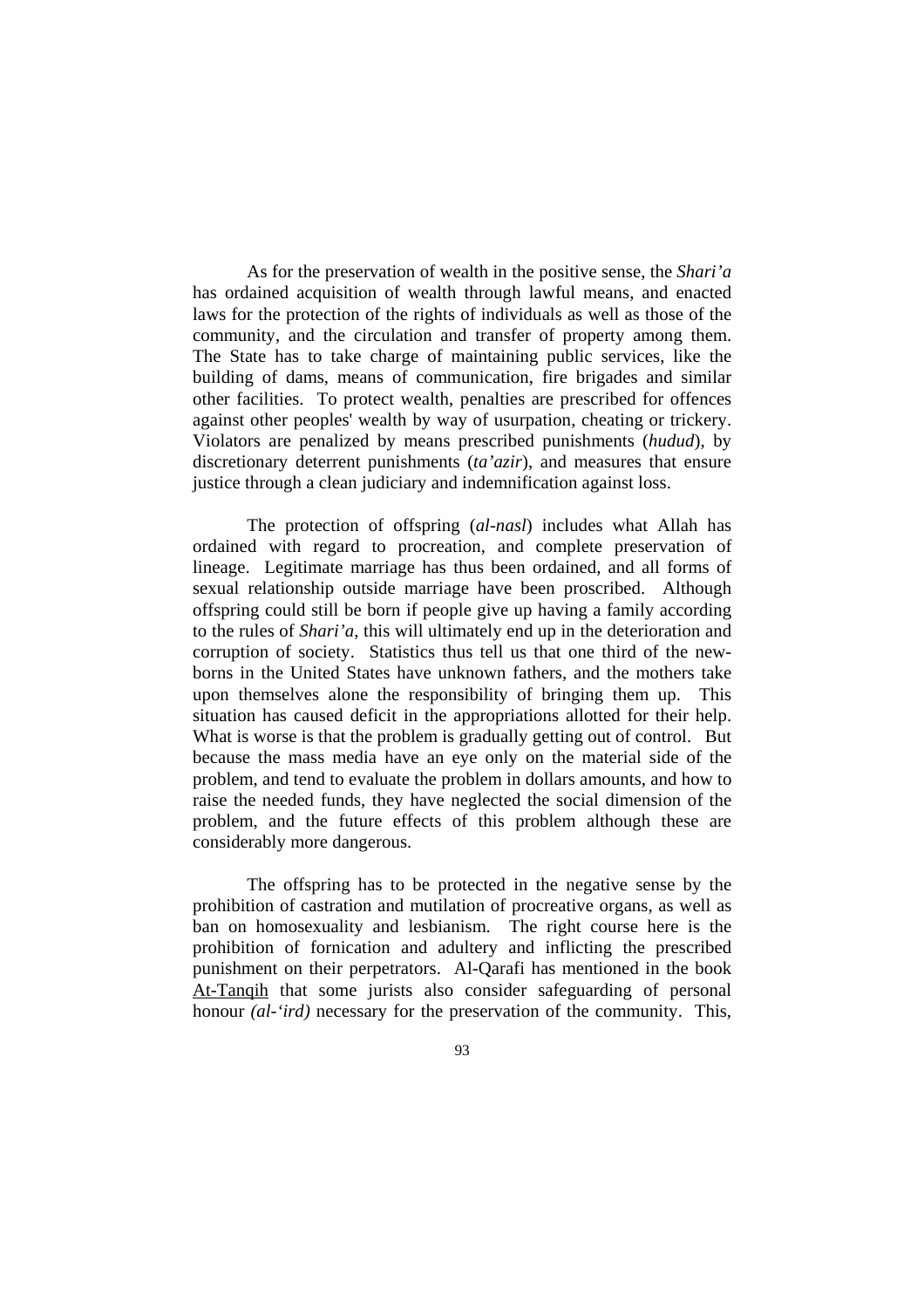As for the preservation of wealth in the positive sense, the *Shari'a* has ordained acquisition of wealth through lawful means, and enacted laws for the protection of the rights of individuals as well as those of the community, and the circulation and transfer of property among them. The State has to take charge of maintaining public services, like the building of dams, means of communication, fire brigades and similar other facilities. To protect wealth, penalties are prescribed for offences against other peoples' wealth by way of usurpation, cheating or trickery. Violators are penalized by means prescribed punishments (*hudud*), by discretionary deterrent punishments (*ta'azir*), and measures that ensure justice through a clean judiciary and indemnification against loss.

 The protection of offspring (*al-nasl*) includes what Allah has ordained with regard to procreation, and complete preservation of lineage. Legitimate marriage has thus been ordained, and all forms of sexual relationship outside marriage have been proscribed. Although offspring could still be born if people give up having a family according to the rules of *Shari'a*, this will ultimately end up in the deterioration and corruption of society. Statistics thus tell us that one third of the newborns in the United States have unknown fathers, and the mothers take upon themselves alone the responsibility of bringing them up. This situation has caused deficit in the appropriations allotted for their help. What is worse is that the problem is gradually getting out of control. But because the mass media have an eye only on the material side of the problem, and tend to evaluate the problem in dollars amounts, and how to raise the needed funds, they have neglected the social dimension of the problem, and the future effects of this problem although these are considerably more dangerous.

 The offspring has to be protected in the negative sense by the prohibition of castration and mutilation of procreative organs, as well as ban on homosexuality and lesbianism. The right course here is the prohibition of fornication and adultery and inflicting the prescribed punishment on their perpetrators. Al-Qarafi has mentioned in the book At-Tanqih that some jurists also consider safeguarding of personal honour *(al-'ird)* necessary for the preservation of the community. This,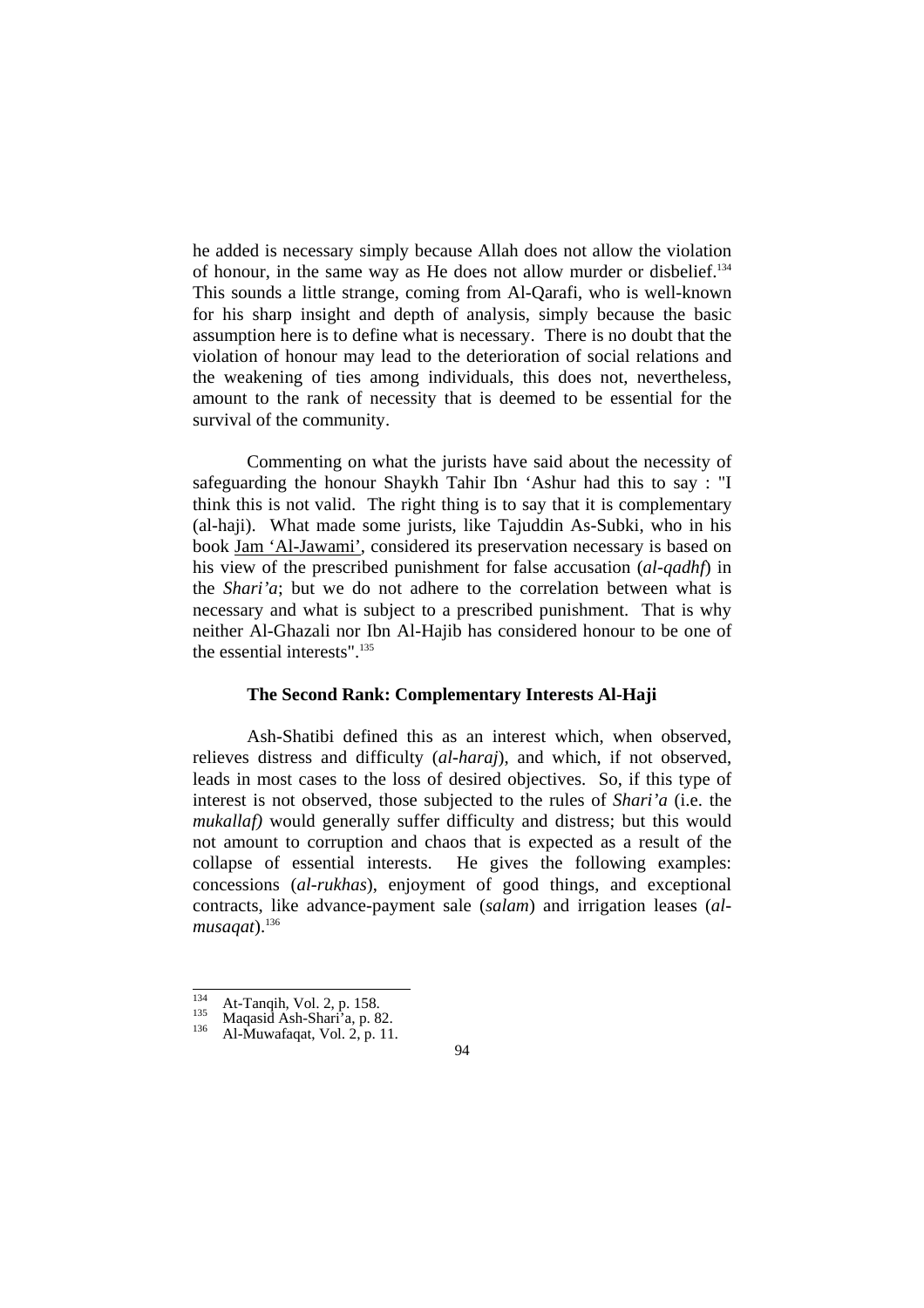he added is necessary simply because Allah does not allow the violation of honour, in the same way as He does not allow murder or disbelief.134 This sounds a little strange, coming from Al-Qarafi, who is well-known for his sharp insight and depth of analysis, simply because the basic assumption here is to define what is necessary. There is no doubt that the violation of honour may lead to the deterioration of social relations and the weakening of ties among individuals, this does not, nevertheless, amount to the rank of necessity that is deemed to be essential for the survival of the community.

 Commenting on what the jurists have said about the necessity of safeguarding the honour Shaykh Tahir Ibn 'Ashur had this to say : "I think this is not valid. The right thing is to say that it is complementary (al-haji). What made some jurists, like Tajuddin As-Subki, who in his book Jam 'Al-Jawami', considered its preservation necessary is based on his view of the prescribed punishment for false accusation (*al-qadhf*) in the *Shari'a*; but we do not adhere to the correlation between what is necessary and what is subject to a prescribed punishment. That is why neither Al-Ghazali nor Ibn Al-Hajib has considered honour to be one of the essential interests".135

#### **The Second Rank: Complementary Interests Al-Haji**

 Ash-Shatibi defined this as an interest which, when observed, relieves distress and difficulty (*al-haraj*), and which, if not observed, leads in most cases to the loss of desired objectives. So, if this type of interest is not observed, those subjected to the rules of *Shari'a* (i.e. the *mukallaf)* would generally suffer difficulty and distress; but this would not amount to corruption and chaos that is expected as a result of the collapse of essential interests. He gives the following examples: concessions (*al-rukhas*), enjoyment of good things, and exceptional contracts, like advance-payment sale (*salam*) and irrigation leases (*al*musagat).<sup>136</sup>

 $134$ 

<sup>&</sup>lt;sup>134</sup> At-Tanqih, Vol. 2, p. 158.<br><sup>135</sup> Maqasid Ash-Shari'a, p. 82.<br><sup>136</sup> Al-Muwafaqat, Vol. 2, p. 11.

<sup>94</sup>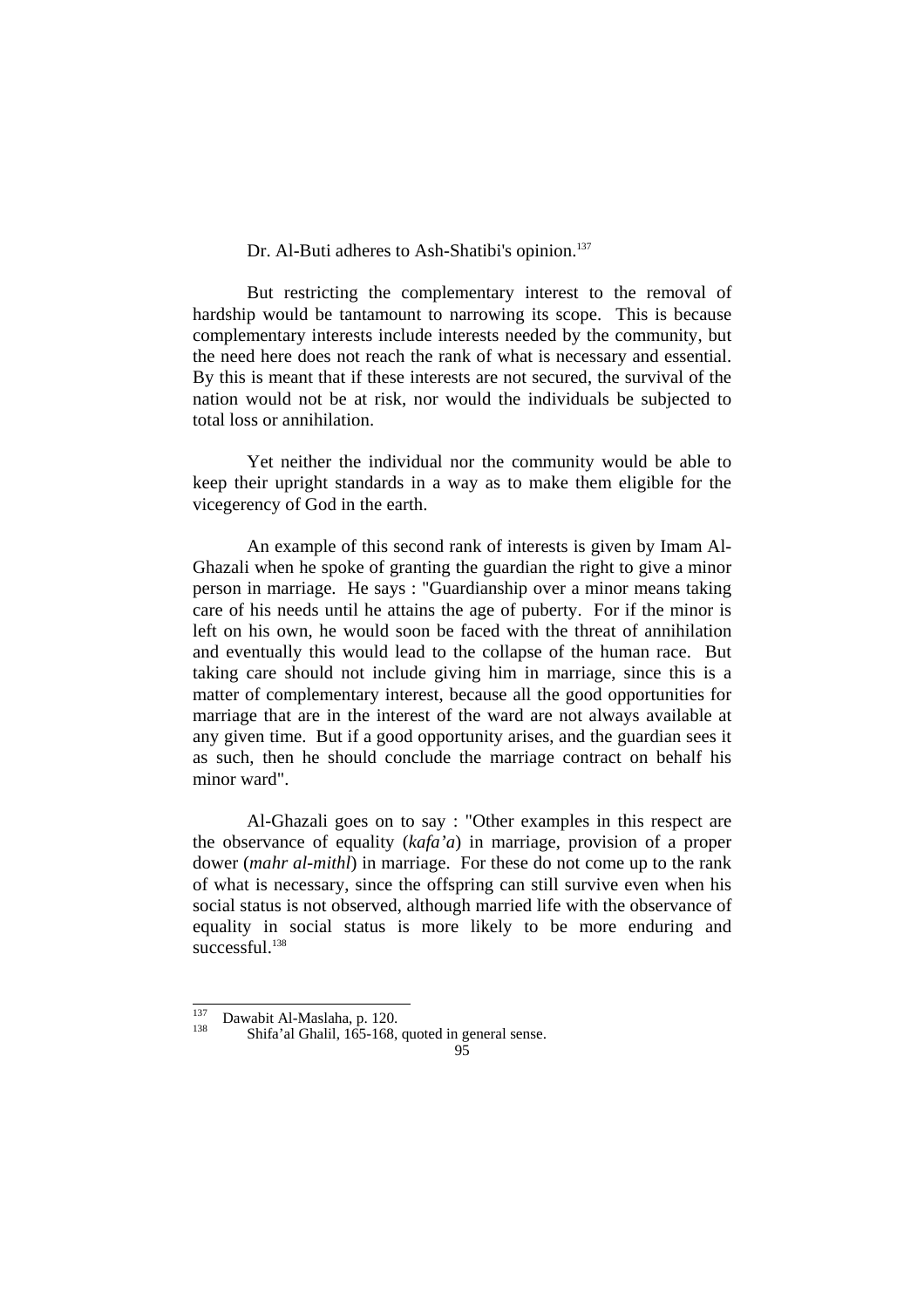Dr. Al-Buti adheres to Ash-Shatibi's opinion.<sup>137</sup>

 But restricting the complementary interest to the removal of hardship would be tantamount to narrowing its scope. This is because complementary interests include interests needed by the community, but the need here does not reach the rank of what is necessary and essential. By this is meant that if these interests are not secured, the survival of the nation would not be at risk, nor would the individuals be subjected to total loss or annihilation.

 Yet neither the individual nor the community would be able to keep their upright standards in a way as to make them eligible for the vicegerency of God in the earth.

 An example of this second rank of interests is given by Imam Al-Ghazali when he spoke of granting the guardian the right to give a minor person in marriage. He says : "Guardianship over a minor means taking care of his needs until he attains the age of puberty. For if the minor is left on his own, he would soon be faced with the threat of annihilation and eventually this would lead to the collapse of the human race. But taking care should not include giving him in marriage, since this is a matter of complementary interest, because all the good opportunities for marriage that are in the interest of the ward are not always available at any given time. But if a good opportunity arises, and the guardian sees it as such, then he should conclude the marriage contract on behalf his minor ward".

 Al-Ghazali goes on to say : "Other examples in this respect are the observance of equality (*kafa'a*) in marriage, provision of a proper dower (*mahr al-mithl*) in marriage. For these do not come up to the rank of what is necessary, since the offspring can still survive even when his social status is not observed, although married life with the observance of equality in social status is more likely to be more enduring and  $s$ uccessful.<sup>138</sup>

 $137$ 

<sup>&</sup>lt;sup>137</sup> Dawabit Al-Maslaha, p. 120.<br><sup>138</sup> Shifa'al Ghalil, 165-168, quoted in general sense.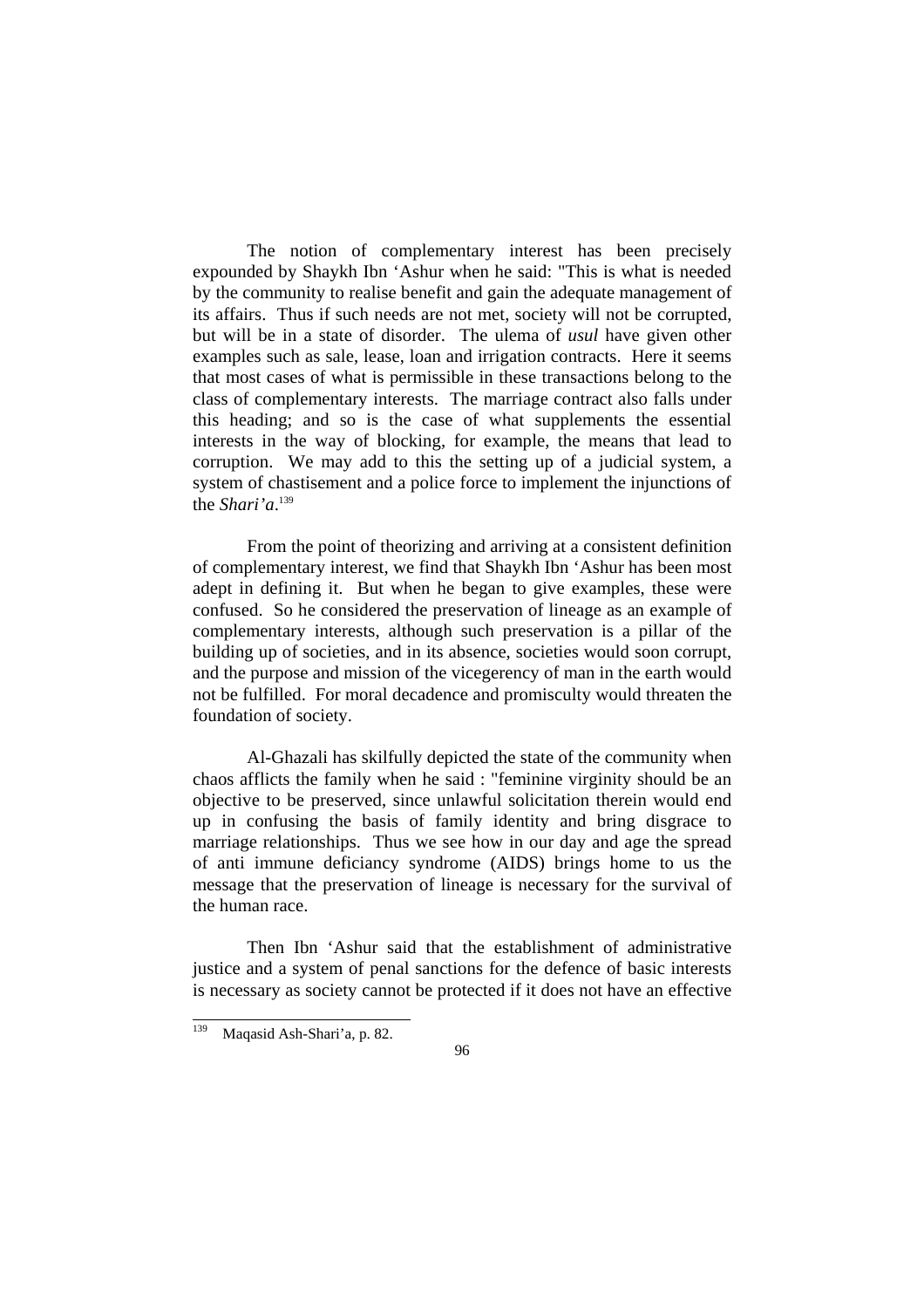The notion of complementary interest has been precisely expounded by Shaykh Ibn 'Ashur when he said: "This is what is needed by the community to realise benefit and gain the adequate management of its affairs. Thus if such needs are not met, society will not be corrupted, but will be in a state of disorder. The ulema of *usul* have given other examples such as sale, lease, loan and irrigation contracts. Here it seems that most cases of what is permissible in these transactions belong to the class of complementary interests. The marriage contract also falls under this heading; and so is the case of what supplements the essential interests in the way of blocking, for example, the means that lead to corruption. We may add to this the setting up of a judicial system, a system of chastisement and a police force to implement the injunctions of the *Shari'a*. 139

 From the point of theorizing and arriving at a consistent definition of complementary interest, we find that Shaykh Ibn 'Ashur has been most adept in defining it. But when he began to give examples, these were confused. So he considered the preservation of lineage as an example of complementary interests, although such preservation is a pillar of the building up of societies, and in its absence, societies would soon corrupt, and the purpose and mission of the vicegerency of man in the earth would not be fulfilled. For moral decadence and promisculty would threaten the foundation of society.

 Al-Ghazali has skilfully depicted the state of the community when chaos afflicts the family when he said : "feminine virginity should be an objective to be preserved, since unlawful solicitation therein would end up in confusing the basis of family identity and bring disgrace to marriage relationships. Thus we see how in our day and age the spread of anti immune deficiancy syndrome (AIDS) brings home to us the message that the preservation of lineage is necessary for the survival of the human race.

 Then Ibn 'Ashur said that the establishment of administrative justice and a system of penal sanctions for the defence of basic interests is necessary as society cannot be protected if it does not have an effective

<sup>139</sup> Maqasid Ash-Shari'a, p. 82.

<sup>96</sup>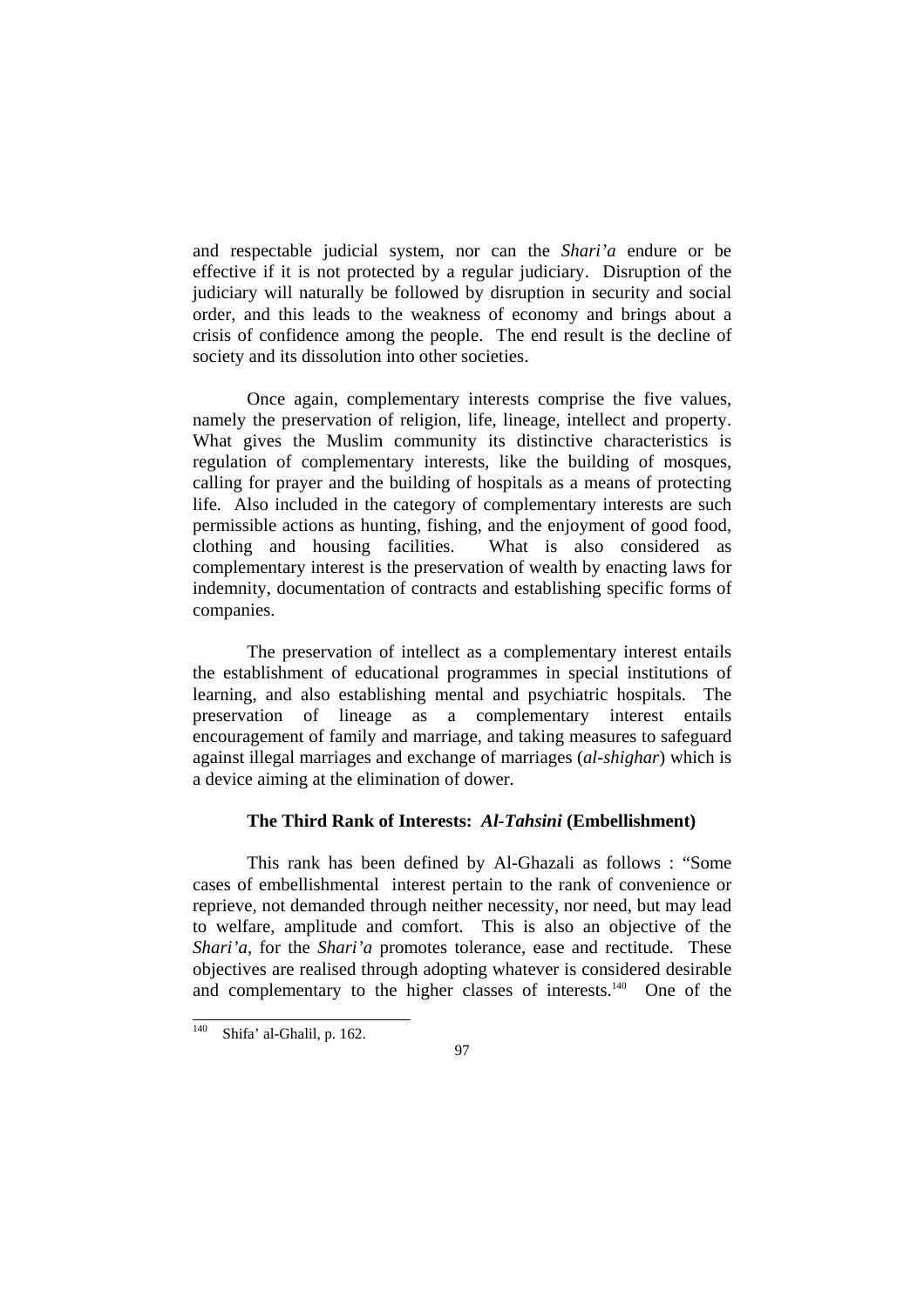and respectable judicial system, nor can the *Shari'a* endure or be effective if it is not protected by a regular judiciary. Disruption of the judiciary will naturally be followed by disruption in security and social order, and this leads to the weakness of economy and brings about a crisis of confidence among the people. The end result is the decline of society and its dissolution into other societies.

 Once again, complementary interests comprise the five values, namely the preservation of religion, life, lineage, intellect and property. What gives the Muslim community its distinctive characteristics is regulation of complementary interests, like the building of mosques, calling for prayer and the building of hospitals as a means of protecting life. Also included in the category of complementary interests are such permissible actions as hunting, fishing, and the enjoyment of good food, clothing and housing facilities. What is also considered as complementary interest is the preservation of wealth by enacting laws for indemnity, documentation of contracts and establishing specific forms of companies.

 The preservation of intellect as a complementary interest entails the establishment of educational programmes in special institutions of learning, and also establishing mental and psychiatric hospitals. The preservation of lineage as a complementary interest entails encouragement of family and marriage, and taking measures to safeguard against illegal marriages and exchange of marriages (*al-shighar*) which is a device aiming at the elimination of dower.

#### **The Third Rank of Interests:** *Al-Tahsini* **(Embellishment)**

 This rank has been defined by Al-Ghazali as follows : "Some cases of embellishmental interest pertain to the rank of convenience or reprieve, not demanded through neither necessity, nor need, but may lead to welfare, amplitude and comfort. This is also an objective of the *Shari'a*, for the *Shari'a* promotes tolerance, ease and rectitude. These objectives are realised through adopting whatever is considered desirable and complementary to the higher classes of interests.<sup>140</sup> One of the

<sup>140</sup> Shifa' al-Ghalil, p. 162.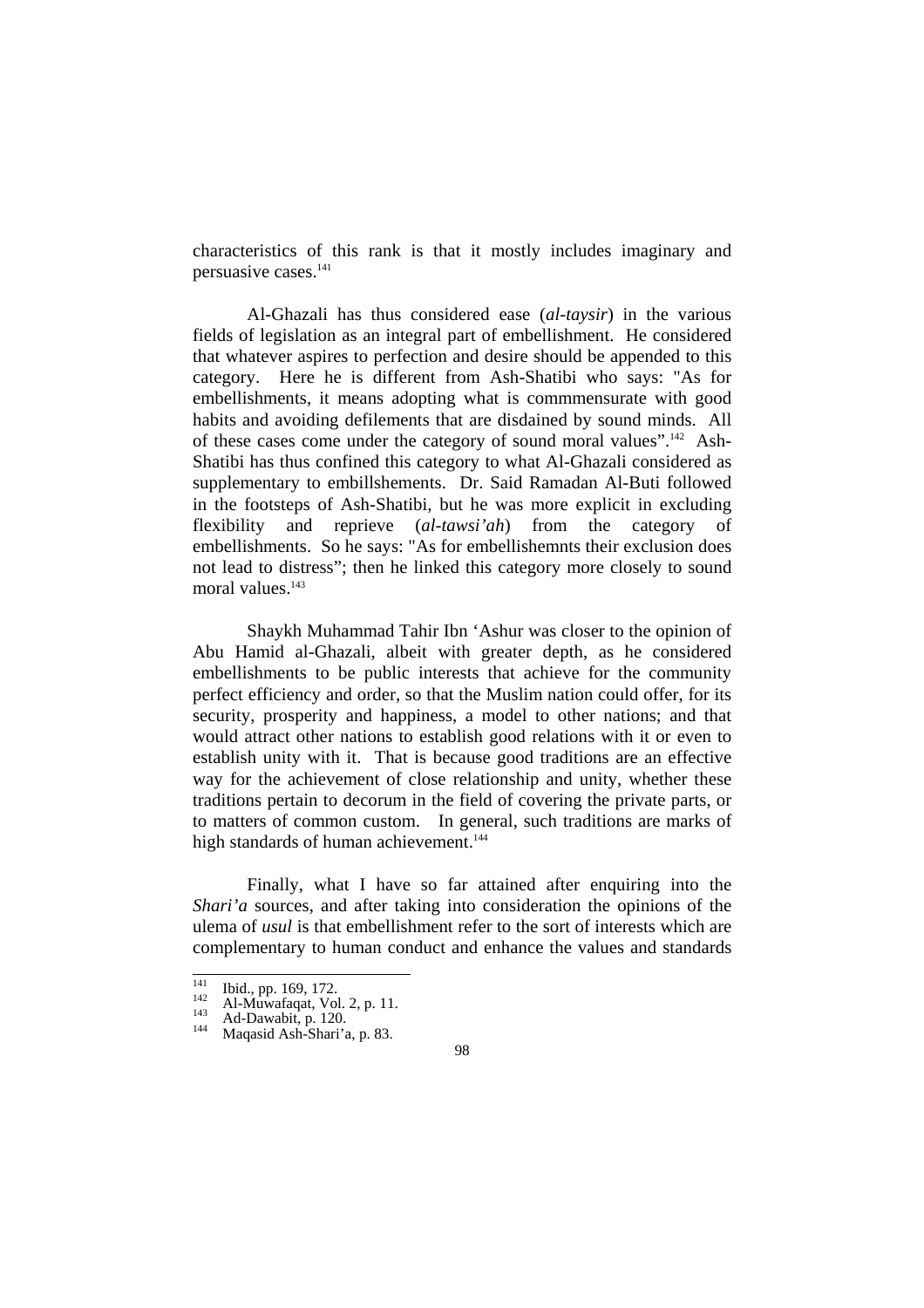characteristics of this rank is that it mostly includes imaginary and persuasive cases.141

 Al-Ghazali has thus considered ease (*al-taysir*) in the various fields of legislation as an integral part of embellishment. He considered that whatever aspires to perfection and desire should be appended to this category. Here he is different from Ash-Shatibi who says: "As for embellishments, it means adopting what is commmensurate with good habits and avoiding defilements that are disdained by sound minds. All of these cases come under the category of sound moral values".142 Ash-Shatibi has thus confined this category to what Al-Ghazali considered as supplementary to embillshements. Dr. Said Ramadan Al-Buti followed in the footsteps of Ash-Shatibi, but he was more explicit in excluding flexibility and reprieve (*al-tawsi'ah*) from the category of embellishments. So he says: "As for embellishemnts their exclusion does not lead to distress"; then he linked this category more closely to sound moral values.<sup>143</sup>

 Shaykh Muhammad Tahir Ibn 'Ashur was closer to the opinion of Abu Hamid al-Ghazali, albeit with greater depth, as he considered embellishments to be public interests that achieve for the community perfect efficiency and order, so that the Muslim nation could offer, for its security, prosperity and happiness, a model to other nations; and that would attract other nations to establish good relations with it or even to establish unity with it. That is because good traditions are an effective way for the achievement of close relationship and unity, whether these traditions pertain to decorum in the field of covering the private parts, or to matters of common custom. In general, such traditions are marks of high standards of human achievement.<sup>144</sup>

 Finally, what I have so far attained after enquiring into the *Shari'a* sources, and after taking into consideration the opinions of the ulema of *usul* is that embellishment refer to the sort of interests which are complementary to human conduct and enhance the values and standards

 $\overline{141}$ 

<sup>1&</sup>lt;sup>41</sup> Ibid., pp. 169, 172.<br>
<sup>142</sup> Al-Muwafaqat, Vol. 2, p. 11.<br>
<sup>143</sup> Ad-Dawabit, p. 120.<br>
<sup>144</sup> Maqasid Ash-Shari'a, p. 83.

<sup>98</sup>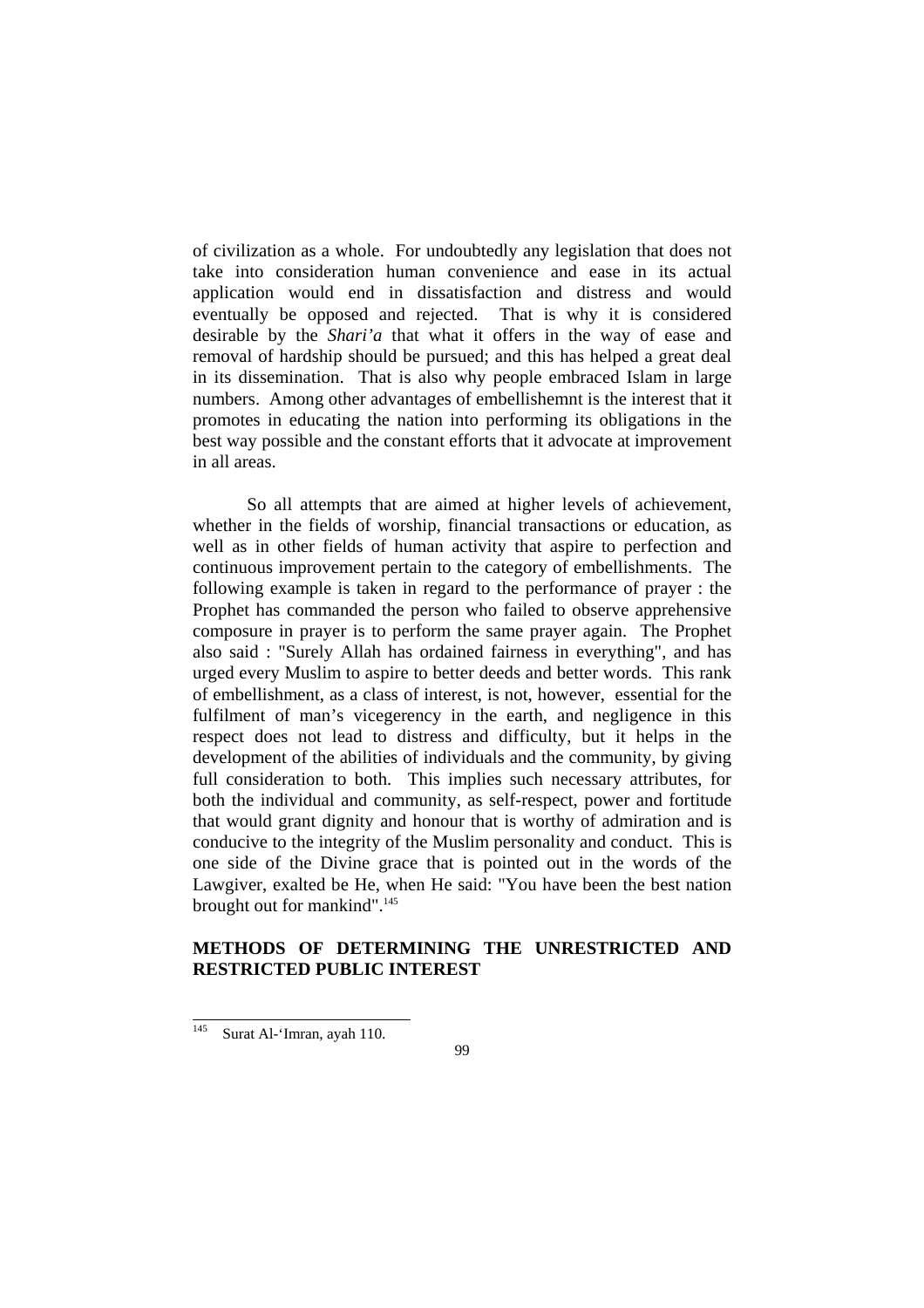of civilization as a whole. For undoubtedly any legislation that does not take into consideration human convenience and ease in its actual application would end in dissatisfaction and distress and would eventually be opposed and rejected. That is why it is considered desirable by the *Shari'a* that what it offers in the way of ease and removal of hardship should be pursued; and this has helped a great deal in its dissemination. That is also why people embraced Islam in large numbers. Among other advantages of embellishemnt is the interest that it promotes in educating the nation into performing its obligations in the best way possible and the constant efforts that it advocate at improvement in all areas.

 So all attempts that are aimed at higher levels of achievement, whether in the fields of worship, financial transactions or education, as well as in other fields of human activity that aspire to perfection and continuous improvement pertain to the category of embellishments. The following example is taken in regard to the performance of prayer : the Prophet has commanded the person who failed to observe apprehensive composure in prayer is to perform the same prayer again. The Prophet also said : "Surely Allah has ordained fairness in everything", and has urged every Muslim to aspire to better deeds and better words. This rank of embellishment, as a class of interest, is not, however, essential for the fulfilment of man's vicegerency in the earth, and negligence in this respect does not lead to distress and difficulty, but it helps in the development of the abilities of individuals and the community, by giving full consideration to both. This implies such necessary attributes, for both the individual and community, as self-respect, power and fortitude that would grant dignity and honour that is worthy of admiration and is conducive to the integrity of the Muslim personality and conduct. This is one side of the Divine grace that is pointed out in the words of the Lawgiver, exalted be He, when He said: "You have been the best nation brought out for mankind".<sup>145</sup>

### **METHODS OF DETERMINING THE UNRESTRICTED AND RESTRICTED PUBLIC INTEREST**

<sup>145</sup> Surat Al-'Imran, ayah 110.

<sup>99</sup>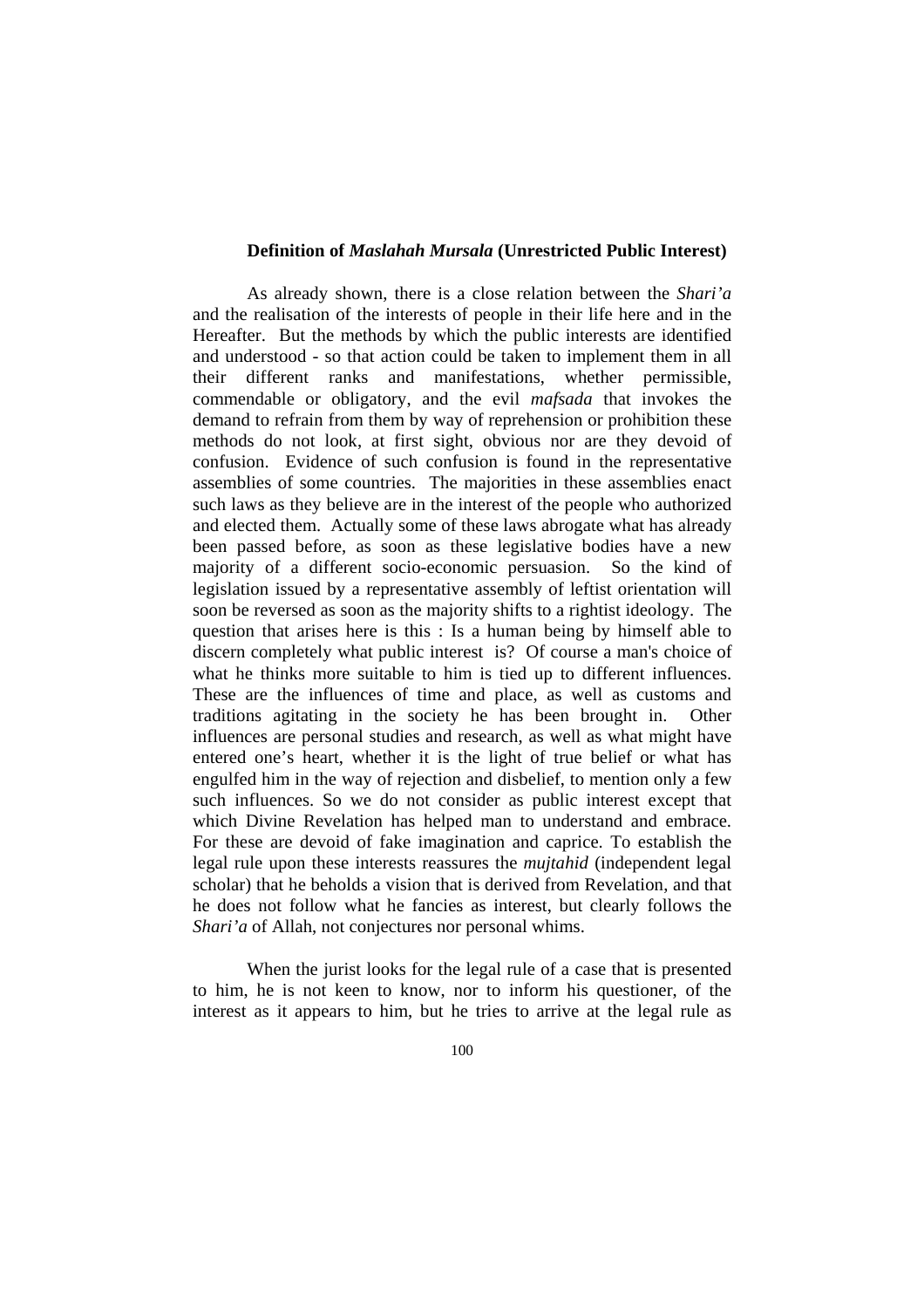#### **Definition of** *Maslahah Mursala* **(Unrestricted Public Interest)**

 As already shown, there is a close relation between the *Shari'a* and the realisation of the interests of people in their life here and in the Hereafter. But the methods by which the public interests are identified and understood - so that action could be taken to implement them in all their different ranks and manifestations, whether permissible, commendable or obligatory, and the evil *mafsada* that invokes the demand to refrain from them by way of reprehension or prohibition these methods do not look, at first sight, obvious nor are they devoid of confusion. Evidence of such confusion is found in the representative assemblies of some countries. The majorities in these assemblies enact such laws as they believe are in the interest of the people who authorized and elected them. Actually some of these laws abrogate what has already been passed before, as soon as these legislative bodies have a new majority of a different socio-economic persuasion. So the kind of legislation issued by a representative assembly of leftist orientation will soon be reversed as soon as the majority shifts to a rightist ideology. The question that arises here is this : Is a human being by himself able to discern completely what public interest is? Of course a man's choice of what he thinks more suitable to him is tied up to different influences. These are the influences of time and place, as well as customs and traditions agitating in the society he has been brought in. Other influences are personal studies and research, as well as what might have entered one's heart, whether it is the light of true belief or what has engulfed him in the way of rejection and disbelief, to mention only a few such influences. So we do not consider as public interest except that which Divine Revelation has helped man to understand and embrace. For these are devoid of fake imagination and caprice. To establish the legal rule upon these interests reassures the *mujtahid* (independent legal scholar) that he beholds a vision that is derived from Revelation, and that he does not follow what he fancies as interest, but clearly follows the *Shari'a* of Allah, not conjectures nor personal whims.

 When the jurist looks for the legal rule of a case that is presented to him, he is not keen to know, nor to inform his questioner, of the interest as it appears to him, but he tries to arrive at the legal rule as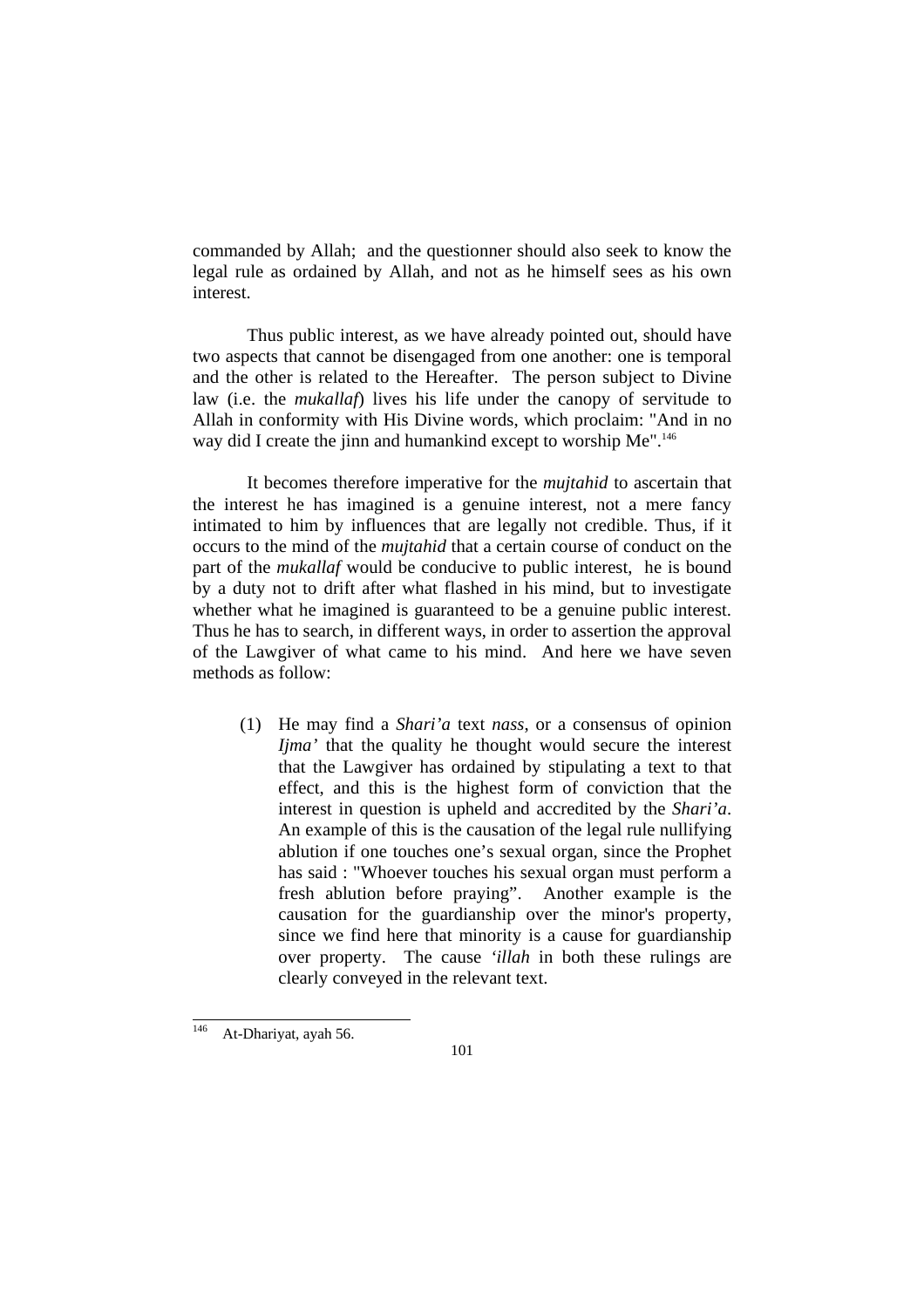commanded by Allah; and the questionner should also seek to know the legal rule as ordained by Allah, and not as he himself sees as his own interest.

 Thus public interest, as we have already pointed out, should have two aspects that cannot be disengaged from one another: one is temporal and the other is related to the Hereafter. The person subject to Divine law (i.e. the *mukallaf*) lives his life under the canopy of servitude to Allah in conformity with His Divine words, which proclaim: "And in no way did I create the jinn and humankind except to worship Me".<sup>146</sup>

 It becomes therefore imperative for the *mujtahid* to ascertain that the interest he has imagined is a genuine interest, not a mere fancy intimated to him by influences that are legally not credible. Thus, if it occurs to the mind of the *mujtahid* that a certain course of conduct on the part of the *mukallaf* would be conducive to public interest, he is bound by a duty not to drift after what flashed in his mind, but to investigate whether what he imagined is guaranteed to be a genuine public interest. Thus he has to search, in different ways, in order to assertion the approval of the Lawgiver of what came to his mind. And here we have seven methods as follow:

 (1) He may find a *Shari'a* text *nass*, or a consensus of opinion *Ijma'* that the quality he thought would secure the interest that the Lawgiver has ordained by stipulating a text to that effect, and this is the highest form of conviction that the interest in question is upheld and accredited by the *Shari'a*. An example of this is the causation of the legal rule nullifying ablution if one touches one's sexual organ, since the Prophet has said : "Whoever touches his sexual organ must perform a fresh ablution before praying". Another example is the causation for the guardianship over the minor's property, since we find here that minority is a cause for guardianship over property. The cause *'illah* in both these rulings are clearly conveyed in the relevant text.

<sup>146</sup> At-Dhariyat, ayah 56.

<sup>101</sup>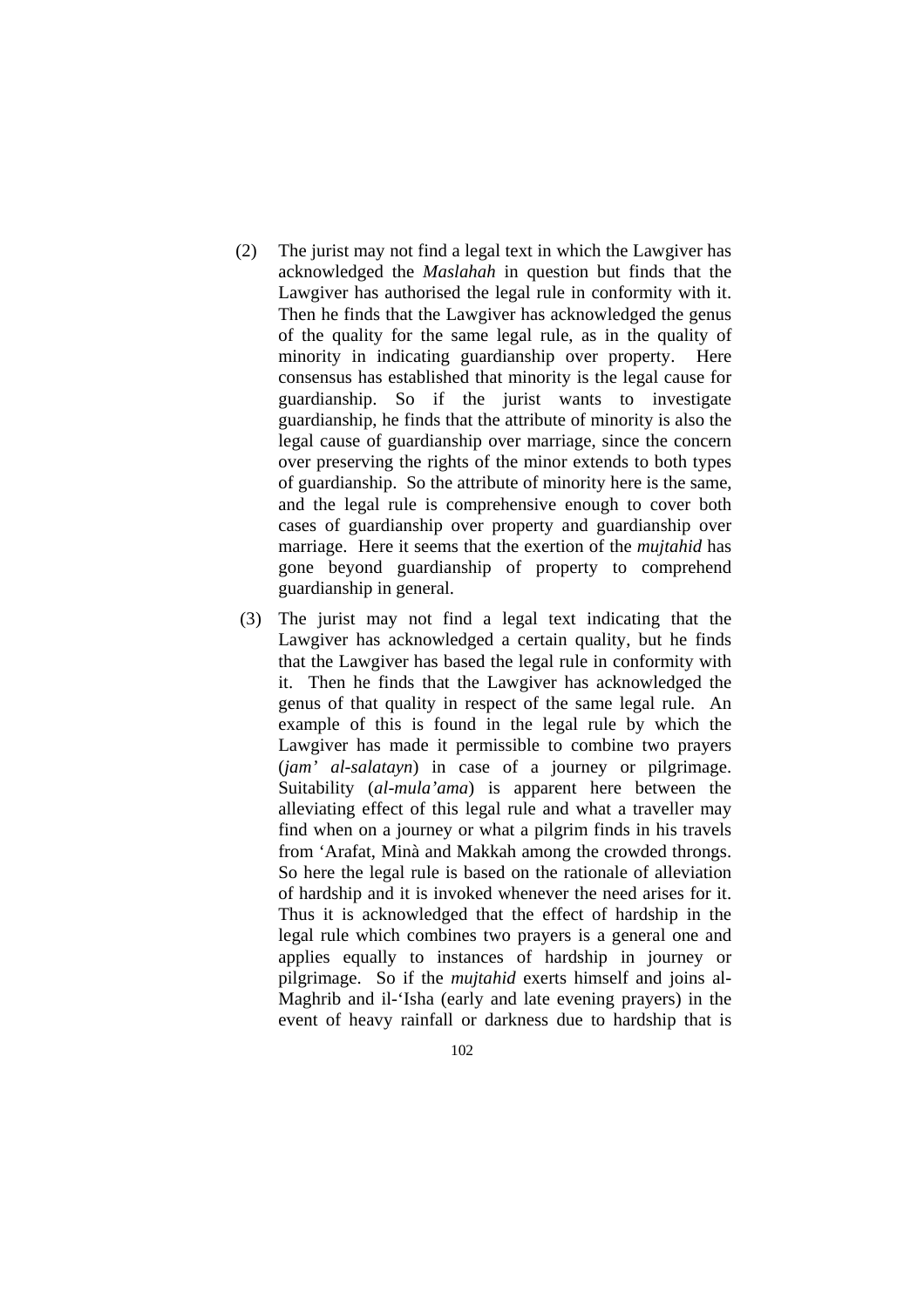- (2) The jurist may not find a legal text in which the Lawgiver has acknowledged the *Maslahah* in question but finds that the Lawgiver has authorised the legal rule in conformity with it. Then he finds that the Lawgiver has acknowledged the genus of the quality for the same legal rule, as in the quality of minority in indicating guardianship over property. Here consensus has established that minority is the legal cause for guardianship. So if the jurist wants to investigate guardianship, he finds that the attribute of minority is also the legal cause of guardianship over marriage, since the concern over preserving the rights of the minor extends to both types of guardianship. So the attribute of minority here is the same, and the legal rule is comprehensive enough to cover both cases of guardianship over property and guardianship over marriage. Here it seems that the exertion of the *mujtahid* has gone beyond guardianship of property to comprehend guardianship in general.
- (3) The jurist may not find a legal text indicating that the Lawgiver has acknowledged a certain quality, but he finds that the Lawgiver has based the legal rule in conformity with it. Then he finds that the Lawgiver has acknowledged the genus of that quality in respect of the same legal rule. An example of this is found in the legal rule by which the Lawgiver has made it permissible to combine two prayers (*jam' al-salatayn*) in case of a journey or pilgrimage. Suitability (*al-mula'ama*) is apparent here between the alleviating effect of this legal rule and what a traveller may find when on a journey or what a pilgrim finds in his travels from 'Arafat, Minà and Makkah among the crowded throngs. So here the legal rule is based on the rationale of alleviation of hardship and it is invoked whenever the need arises for it. Thus it is acknowledged that the effect of hardship in the legal rule which combines two prayers is a general one and applies equally to instances of hardship in journey or pilgrimage. So if the *mujtahid* exerts himself and joins al-Maghrib and il-'Isha (early and late evening prayers) in the event of heavy rainfall or darkness due to hardship that is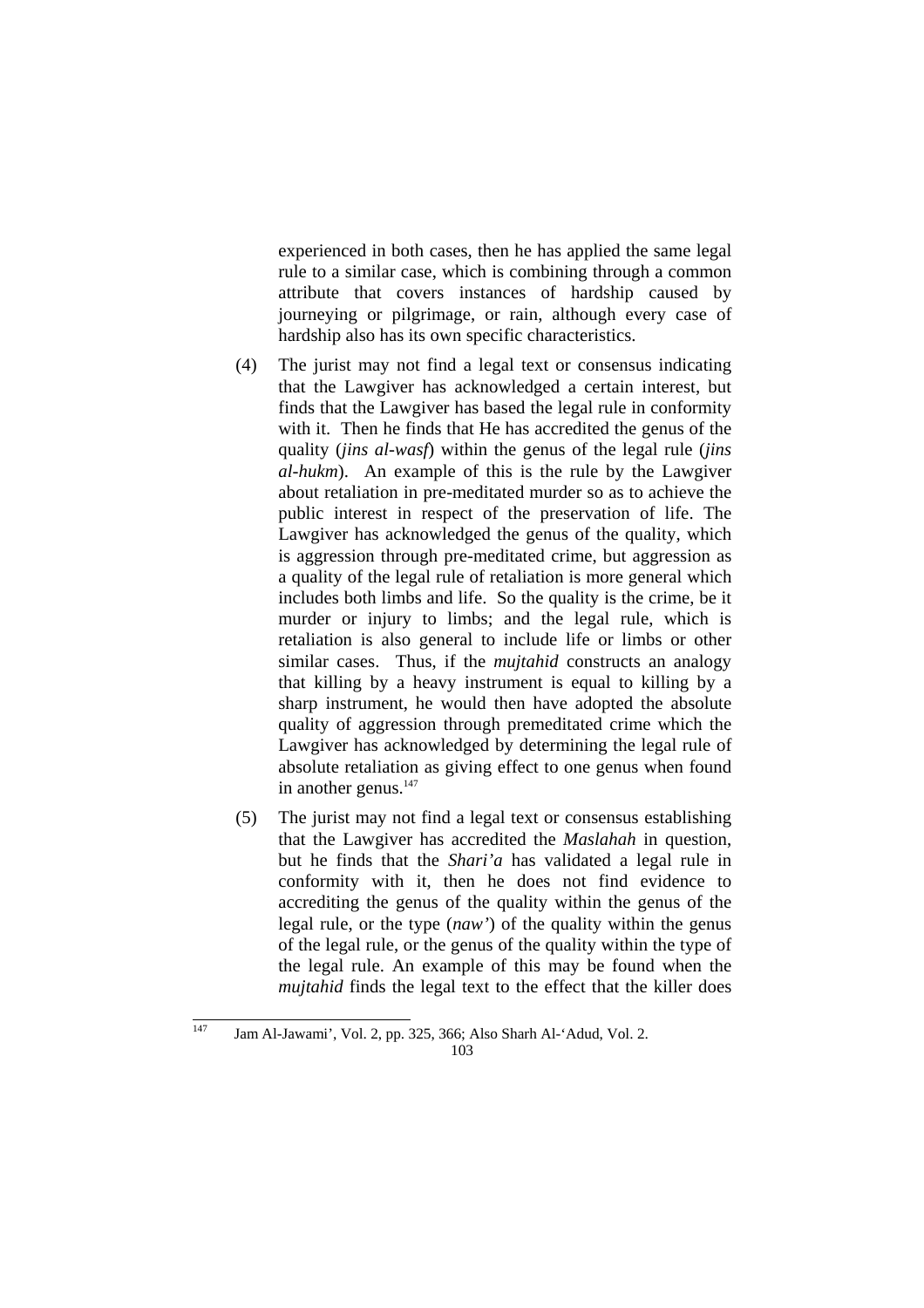experienced in both cases, then he has applied the same legal rule to a similar case, which is combining through a common attribute that covers instances of hardship caused by journeying or pilgrimage, or rain, although every case of hardship also has its own specific characteristics.

- (4) The jurist may not find a legal text or consensus indicating that the Lawgiver has acknowledged a certain interest, but finds that the Lawgiver has based the legal rule in conformity with it. Then he finds that He has accredited the genus of the quality (*jins al-wasf*) within the genus of the legal rule (*jins al-hukm*). An example of this is the rule by the Lawgiver about retaliation in pre-meditated murder so as to achieve the public interest in respect of the preservation of life. The Lawgiver has acknowledged the genus of the quality, which is aggression through pre-meditated crime, but aggression as a quality of the legal rule of retaliation is more general which includes both limbs and life. So the quality is the crime, be it murder or injury to limbs; and the legal rule, which is retaliation is also general to include life or limbs or other similar cases. Thus, if the *mujtahid* constructs an analogy that killing by a heavy instrument is equal to killing by a sharp instrument, he would then have adopted the absolute quality of aggression through premeditated crime which the Lawgiver has acknowledged by determining the legal rule of absolute retaliation as giving effect to one genus when found in another genus.<sup>147</sup>
- (5) The jurist may not find a legal text or consensus establishing that the Lawgiver has accredited the *Maslahah* in question, but he finds that the *Shari'a* has validated a legal rule in conformity with it, then he does not find evidence to accrediting the genus of the quality within the genus of the legal rule, or the type (*naw'*) of the quality within the genus of the legal rule, or the genus of the quality within the type of the legal rule. An example of this may be found when the *mujtahid* finds the legal text to the effect that the killer does

 $\overline{147}$ Jam Al-Jawami', Vol. 2, pp. 325, 366; Also Sharh Al-'Adud, Vol. 2.

<sup>103</sup>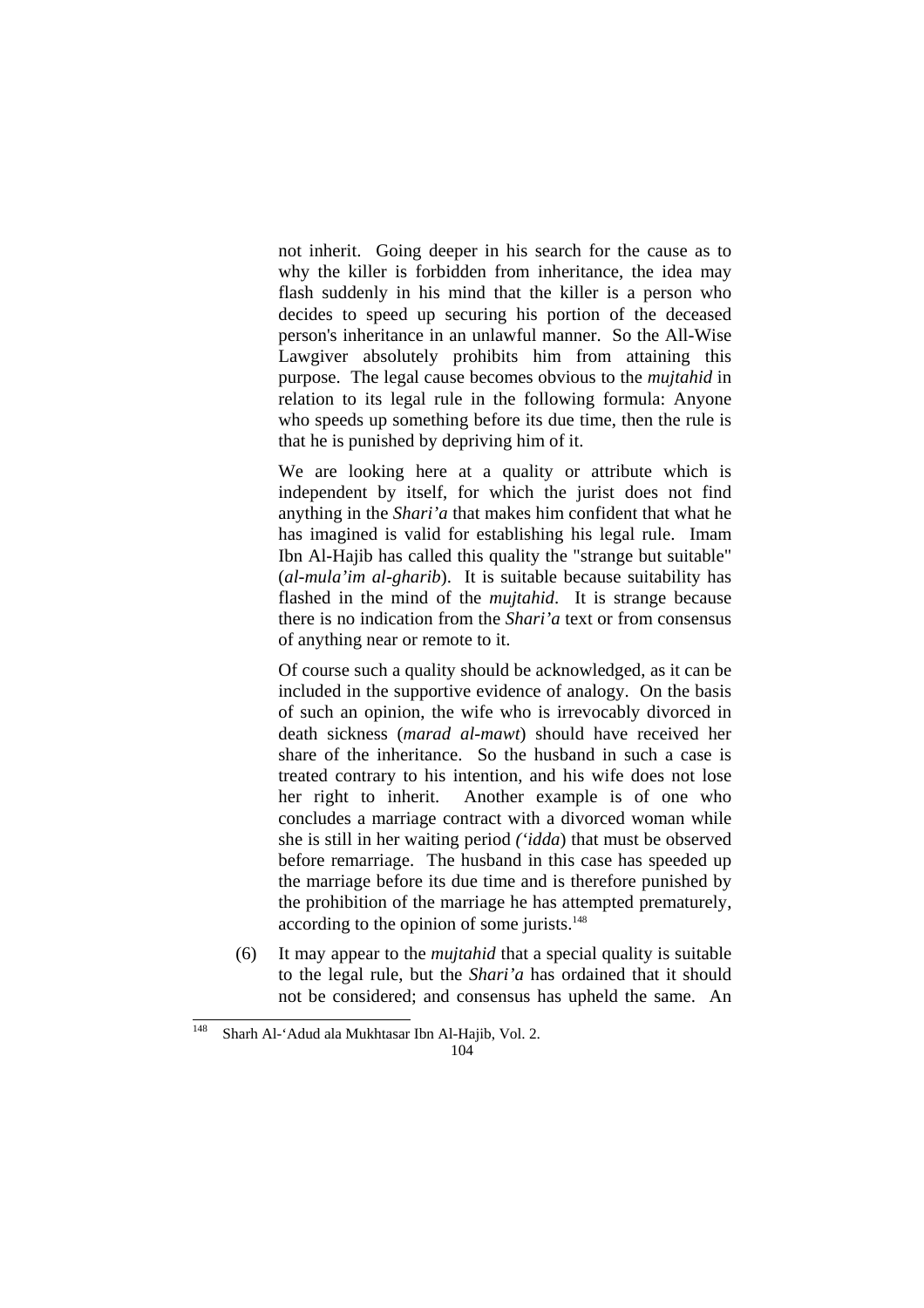not inherit. Going deeper in his search for the cause as to why the killer is forbidden from inheritance, the idea may flash suddenly in his mind that the killer is a person who decides to speed up securing his portion of the deceased person's inheritance in an unlawful manner. So the All-Wise Lawgiver absolutely prohibits him from attaining this purpose. The legal cause becomes obvious to the *mujtahid* in relation to its legal rule in the following formula: Anyone who speeds up something before its due time, then the rule is that he is punished by depriving him of it.

 We are looking here at a quality or attribute which is independent by itself, for which the jurist does not find anything in the *Shari'a* that makes him confident that what he has imagined is valid for establishing his legal rule. Imam Ibn Al-Hajib has called this quality the "strange but suitable" (*al-mula'im al-gharib*). It is suitable because suitability has flashed in the mind of the *mujtahid*. It is strange because there is no indication from the *Shari'a* text or from consensus of anything near or remote to it.

 Of course such a quality should be acknowledged, as it can be included in the supportive evidence of analogy. On the basis of such an opinion, the wife who is irrevocably divorced in death sickness (*marad al-mawt*) should have received her share of the inheritance. So the husband in such a case is treated contrary to his intention, and his wife does not lose her right to inherit. Another example is of one who concludes a marriage contract with a divorced woman while she is still in her waiting period *('idda*) that must be observed before remarriage. The husband in this case has speeded up the marriage before its due time and is therefore punished by the prohibition of the marriage he has attempted prematurely, according to the opinion of some jurists.<sup>148</sup>

(6) It may appear to the *mujtahid* that a special quality is suitable to the legal rule, but the *Shari'a* has ordained that it should not be considered; and consensus has upheld the same. An

<sup>148</sup> Sharh Al-'Adud ala Mukhtasar Ibn Al-Hajib, Vol. 2.

<sup>104</sup>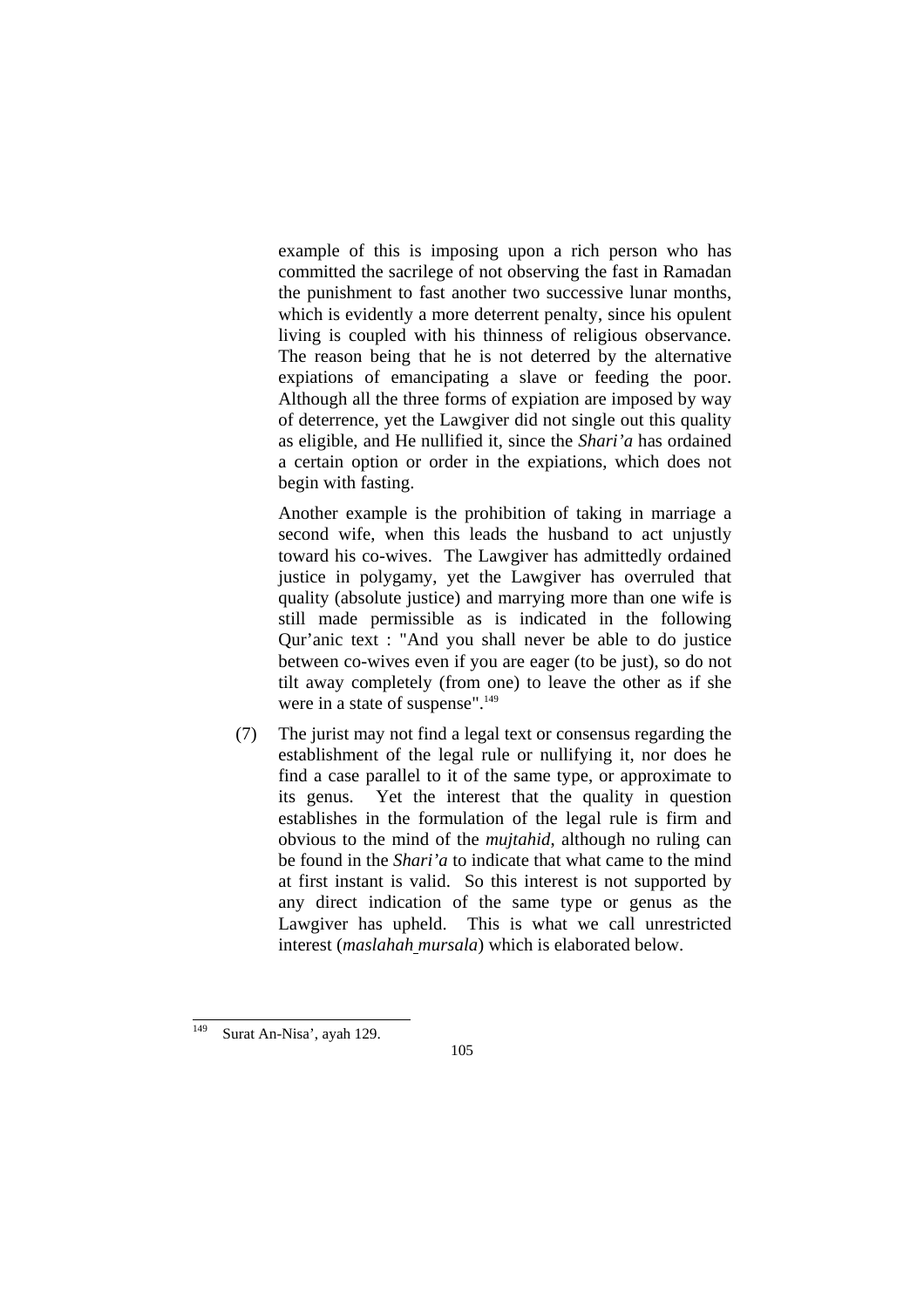example of this is imposing upon a rich person who has committed the sacrilege of not observing the fast in Ramadan the punishment to fast another two successive lunar months, which is evidently a more deterrent penalty, since his opulent living is coupled with his thinness of religious observance. The reason being that he is not deterred by the alternative expiations of emancipating a slave or feeding the poor. Although all the three forms of expiation are imposed by way of deterrence, yet the Lawgiver did not single out this quality as eligible, and He nullified it, since the *Shari'a* has ordained a certain option or order in the expiations, which does not begin with fasting.

 Another example is the prohibition of taking in marriage a second wife, when this leads the husband to act unjustly toward his co-wives. The Lawgiver has admittedly ordained justice in polygamy, yet the Lawgiver has overruled that quality (absolute justice) and marrying more than one wife is still made permissible as is indicated in the following Qur'anic text : "And you shall never be able to do justice between co-wives even if you are eager (to be just), so do not tilt away completely (from one) to leave the other as if she were in a state of suspense".<sup>149</sup>

(7) The jurist may not find a legal text or consensus regarding the establishment of the legal rule or nullifying it, nor does he find a case parallel to it of the same type, or approximate to its genus. Yet the interest that the quality in question establishes in the formulation of the legal rule is firm and obvious to the mind of the *mujtahid*, although no ruling can be found in the *Shari'a* to indicate that what came to the mind at first instant is valid. So this interest is not supported by any direct indication of the same type or genus as the Lawgiver has upheld. This is what we call unrestricted interest (*maslahah mursala*) which is elaborated below.

 $\frac{1}{49}$ Surat An-Nisa', ayah 129.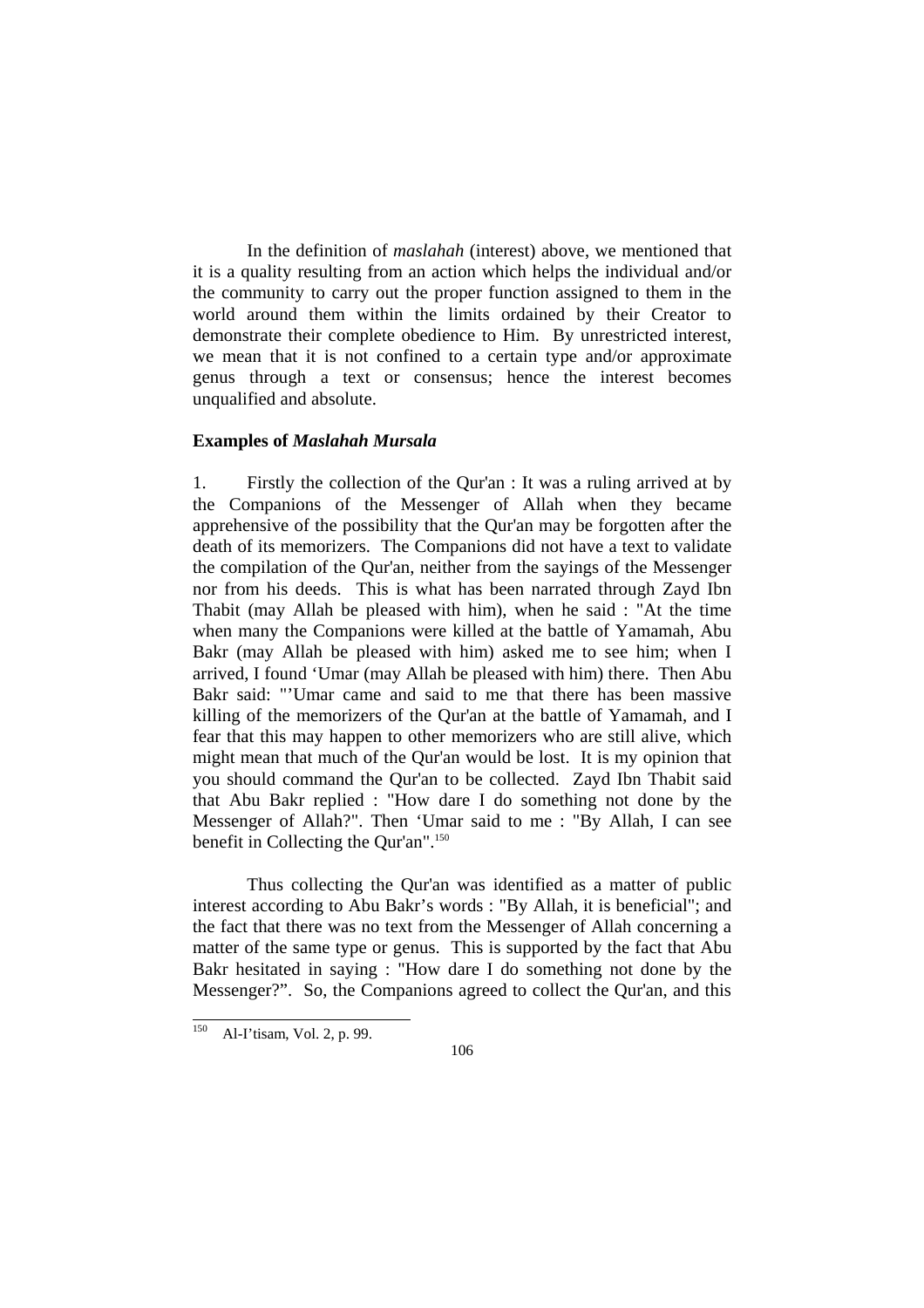In the definition of *maslahah* (interest) above, we mentioned that it is a quality resulting from an action which helps the individual and/or the community to carry out the proper function assigned to them in the world around them within the limits ordained by their Creator to demonstrate their complete obedience to Him. By unrestricted interest, we mean that it is not confined to a certain type and/or approximate genus through a text or consensus; hence the interest becomes unqualified and absolute.

#### **Examples of** *Maslahah Mursala*

1. Firstly the collection of the Qur'an : It was a ruling arrived at by the Companions of the Messenger of Allah when they became apprehensive of the possibility that the Qur'an may be forgotten after the death of its memorizers. The Companions did not have a text to validate the compilation of the Qur'an, neither from the sayings of the Messenger nor from his deeds. This is what has been narrated through Zayd Ibn Thabit (may Allah be pleased with him), when he said : "At the time when many the Companions were killed at the battle of Yamamah, Abu Bakr (may Allah be pleased with him) asked me to see him; when I arrived, I found 'Umar (may Allah be pleased with him) there. Then Abu Bakr said: "'Umar came and said to me that there has been massive killing of the memorizers of the Qur'an at the battle of Yamamah, and I fear that this may happen to other memorizers who are still alive, which might mean that much of the Qur'an would be lost. It is my opinion that you should command the Qur'an to be collected. Zayd Ibn Thabit said that Abu Bakr replied : "How dare I do something not done by the Messenger of Allah?". Then 'Umar said to me : "By Allah, I can see benefit in Collecting the Qur'an".150

Thus collecting the Qur'an was identified as a matter of public interest according to Abu Bakr's words : "By Allah, it is beneficial"; and the fact that there was no text from the Messenger of Allah concerning a matter of the same type or genus. This is supported by the fact that Abu Bakr hesitated in saying : "How dare I do something not done by the Messenger?". So, the Companions agreed to collect the Qur'an, and this

<sup>150</sup> Al-I'tisam, Vol. 2, p. 99.

<sup>106</sup>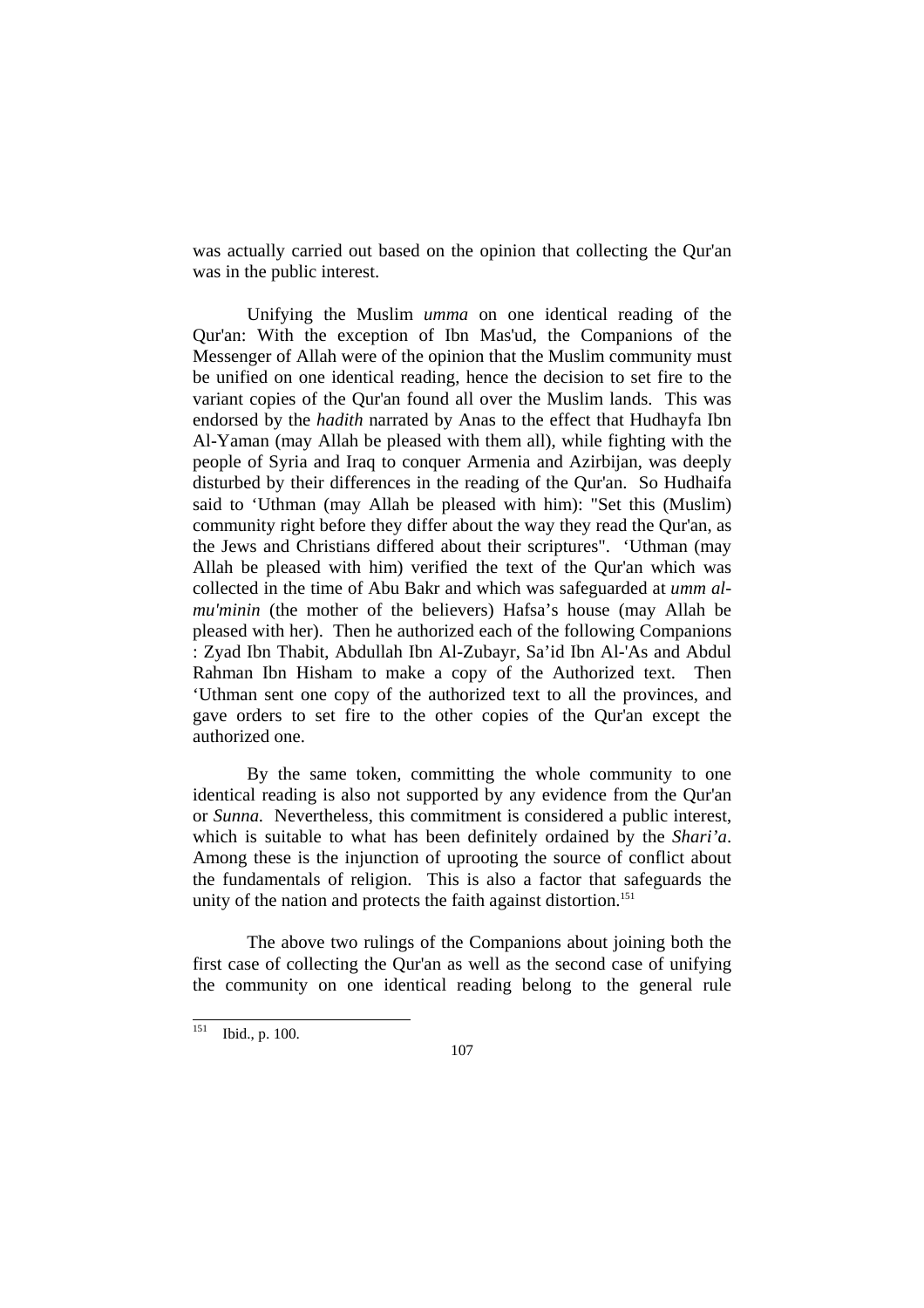was actually carried out based on the opinion that collecting the Qur'an was in the public interest.

 Unifying the Muslim *umma* on one identical reading of the Qur'an: With the exception of Ibn Mas'ud, the Companions of the Messenger of Allah were of the opinion that the Muslim community must be unified on one identical reading, hence the decision to set fire to the variant copies of the Qur'an found all over the Muslim lands. This was endorsed by the *hadith* narrated by Anas to the effect that Hudhayfa Ibn Al-Yaman (may Allah be pleased with them all), while fighting with the people of Syria and Iraq to conquer Armenia and Azirbijan, was deeply disturbed by their differences in the reading of the Qur'an. So Hudhaifa said to 'Uthman (may Allah be pleased with him): "Set this (Muslim) community right before they differ about the way they read the Qur'an, as the Jews and Christians differed about their scriptures". 'Uthman (may Allah be pleased with him) verified the text of the Qur'an which was collected in the time of Abu Bakr and which was safeguarded at *umm almu'minin* (the mother of the believers) Hafsa's house (may Allah be pleased with her). Then he authorized each of the following Companions : Zyad Ibn Thabit, Abdullah Ibn Al-Zubayr, Sa'id Ibn Al-'As and Abdul Rahman Ibn Hisham to make a copy of the Authorized text. Then 'Uthman sent one copy of the authorized text to all the provinces, and gave orders to set fire to the other copies of the Qur'an except the authorized one.

 By the same token, committing the whole community to one identical reading is also not supported by any evidence from the Qur'an or *Sunna.* Nevertheless, this commitment is considered a public interest, which is suitable to what has been definitely ordained by the *Shari'a*. Among these is the injunction of uprooting the source of conflict about the fundamentals of religion. This is also a factor that safeguards the unity of the nation and protects the faith against distortion.<sup>151</sup>

 The above two rulings of the Companions about joining both the first case of collecting the Qur'an as well as the second case of unifying the community on one identical reading belong to the general rule

<sup>151</sup> Ibid., p. 100.

<sup>107</sup>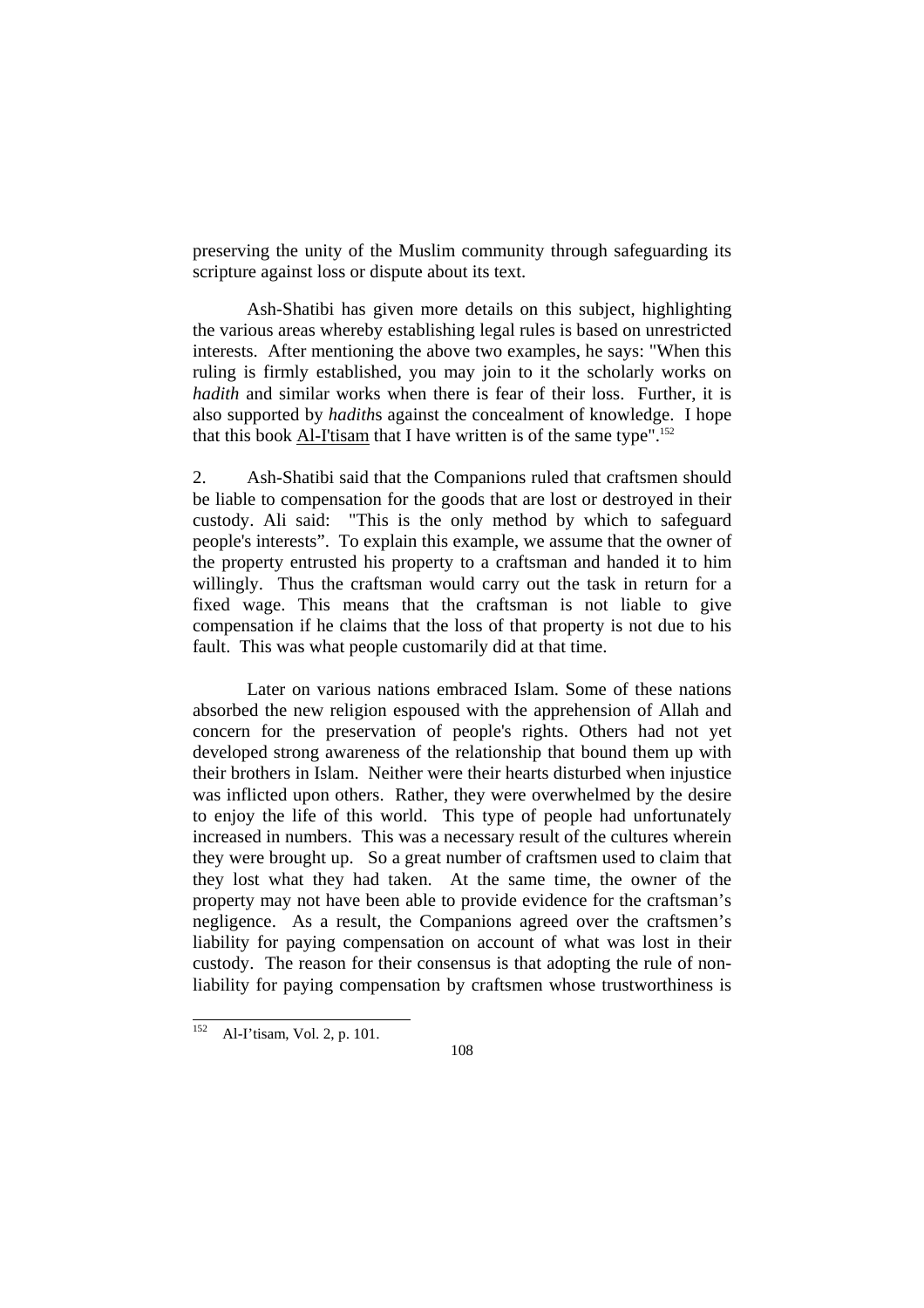preserving the unity of the Muslim community through safeguarding its scripture against loss or dispute about its text.

 Ash-Shatibi has given more details on this subject, highlighting the various areas whereby establishing legal rules is based on unrestricted interests. After mentioning the above two examples, he says: "When this ruling is firmly established, you may join to it the scholarly works on *hadith* and similar works when there is fear of their loss. Further, it is also supported by *hadith*s against the concealment of knowledge. I hope that this book Al-I'tisam that I have written is of the same type".<sup>152</sup>

2. Ash-Shatibi said that the Companions ruled that craftsmen should be liable to compensation for the goods that are lost or destroyed in their custody. Ali said: "This is the only method by which to safeguard people's interests". To explain this example, we assume that the owner of the property entrusted his property to a craftsman and handed it to him willingly. Thus the craftsman would carry out the task in return for a fixed wage. This means that the craftsman is not liable to give compensation if he claims that the loss of that property is not due to his fault. This was what people customarily did at that time.

 Later on various nations embraced Islam. Some of these nations absorbed the new religion espoused with the apprehension of Allah and concern for the preservation of people's rights. Others had not yet developed strong awareness of the relationship that bound them up with their brothers in Islam. Neither were their hearts disturbed when injustice was inflicted upon others. Rather, they were overwhelmed by the desire to enjoy the life of this world. This type of people had unfortunately increased in numbers. This was a necessary result of the cultures wherein they were brought up. So a great number of craftsmen used to claim that they lost what they had taken. At the same time, the owner of the property may not have been able to provide evidence for the craftsman's negligence. As a result, the Companions agreed over the craftsmen's liability for paying compensation on account of what was lost in their custody. The reason for their consensus is that adopting the rule of nonliability for paying compensation by craftsmen whose trustworthiness is

<sup>152</sup> Al-I'tisam, Vol. 2, p. 101.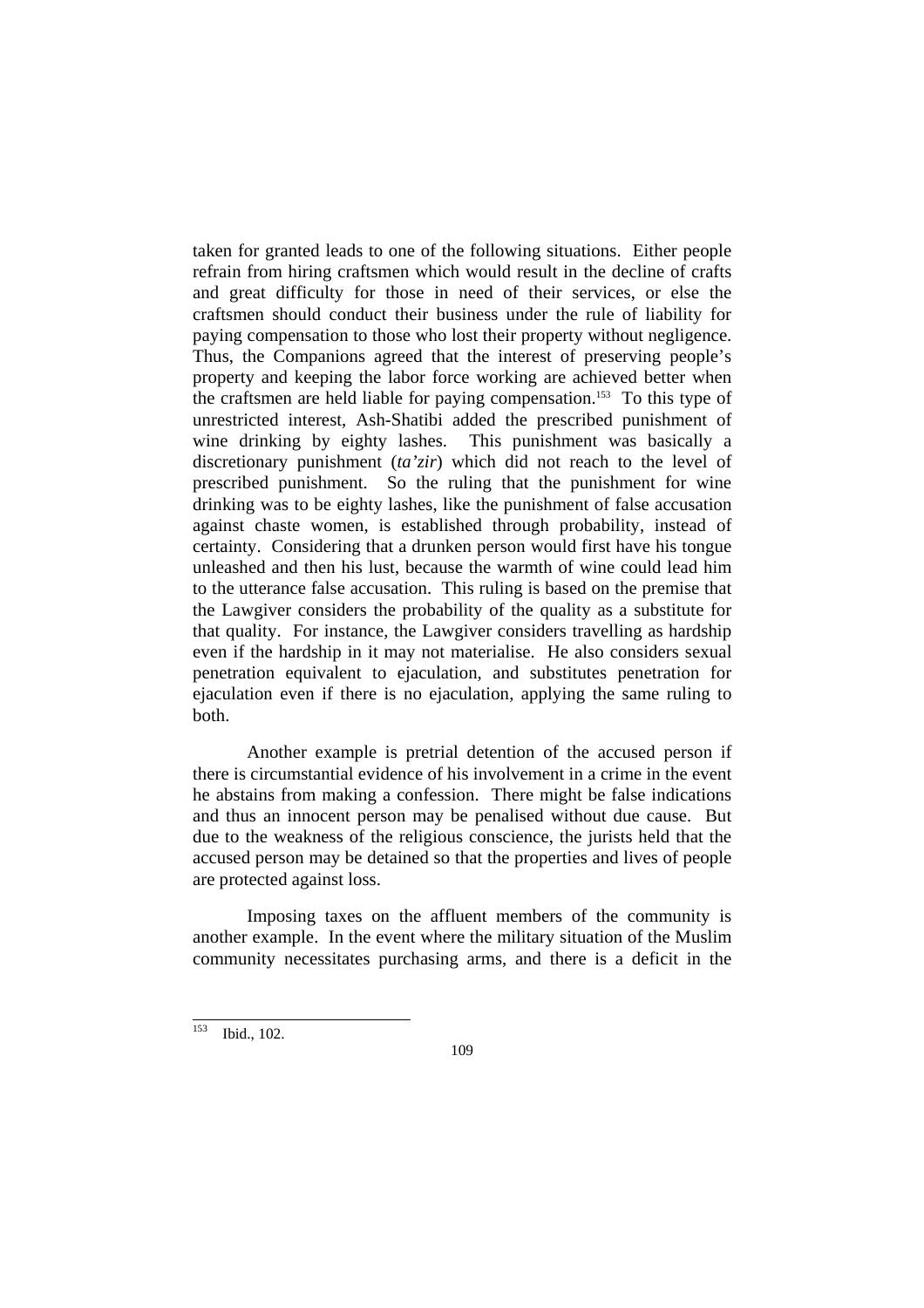taken for granted leads to one of the following situations. Either people refrain from hiring craftsmen which would result in the decline of crafts and great difficulty for those in need of their services, or else the craftsmen should conduct their business under the rule of liability for paying compensation to those who lost their property without negligence. Thus, the Companions agreed that the interest of preserving people's property and keeping the labor force working are achieved better when the craftsmen are held liable for paying compensation.153 To this type of unrestricted interest, Ash-Shatibi added the prescribed punishment of wine drinking by eighty lashes. This punishment was basically a discretionary punishment (*ta'zir*) which did not reach to the level of prescribed punishment. So the ruling that the punishment for wine drinking was to be eighty lashes, like the punishment of false accusation against chaste women, is established through probability, instead of certainty. Considering that a drunken person would first have his tongue unleashed and then his lust, because the warmth of wine could lead him to the utterance false accusation. This ruling is based on the premise that the Lawgiver considers the probability of the quality as a substitute for that quality. For instance, the Lawgiver considers travelling as hardship even if the hardship in it may not materialise. He also considers sexual penetration equivalent to ejaculation, and substitutes penetration for ejaculation even if there is no ejaculation, applying the same ruling to both.

 Another example is pretrial detention of the accused person if there is circumstantial evidence of his involvement in a crime in the event he abstains from making a confession. There might be false indications and thus an innocent person may be penalised without due cause. But due to the weakness of the religious conscience, the jurists held that the accused person may be detained so that the properties and lives of people are protected against loss.

 Imposing taxes on the affluent members of the community is another example. In the event where the military situation of the Muslim community necessitates purchasing arms, and there is a deficit in the

<sup>153</sup> Ibid., 102.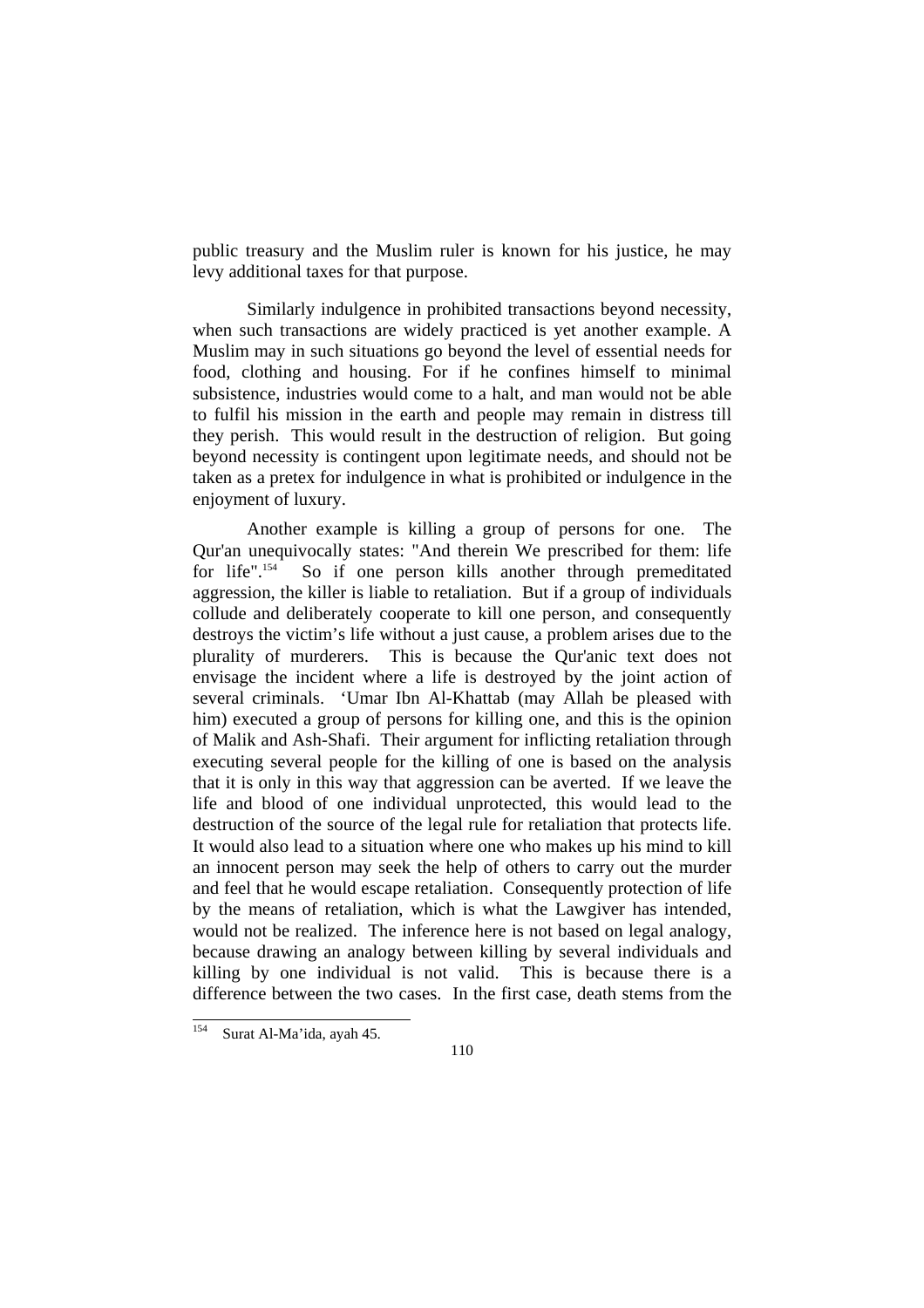public treasury and the Muslim ruler is known for his justice, he may levy additional taxes for that purpose.

 Similarly indulgence in prohibited transactions beyond necessity, when such transactions are widely practiced is yet another example. A Muslim may in such situations go beyond the level of essential needs for food, clothing and housing. For if he confines himself to minimal subsistence, industries would come to a halt, and man would not be able to fulfil his mission in the earth and people may remain in distress till they perish. This would result in the destruction of religion. But going beyond necessity is contingent upon legitimate needs, and should not be taken as a pretex for indulgence in what is prohibited or indulgence in the enjoyment of luxury.

Another example is killing a group of persons for one. The Qur'an unequivocally states: "And therein We prescribed for them: life for life".<sup>154</sup> So if one person kills another through premeditated aggression, the killer is liable to retaliation. But if a group of individuals collude and deliberately cooperate to kill one person, and consequently destroys the victim's life without a just cause, a problem arises due to the plurality of murderers. This is because the Qur'anic text does not envisage the incident where a life is destroyed by the joint action of several criminals. 'Umar Ibn Al-Khattab (may Allah be pleased with him) executed a group of persons for killing one, and this is the opinion of Malik and Ash-Shafi. Their argument for inflicting retaliation through executing several people for the killing of one is based on the analysis that it is only in this way that aggression can be averted. If we leave the life and blood of one individual unprotected, this would lead to the destruction of the source of the legal rule for retaliation that protects life. It would also lead to a situation where one who makes up his mind to kill an innocent person may seek the help of others to carry out the murder and feel that he would escape retaliation. Consequently protection of life by the means of retaliation, which is what the Lawgiver has intended, would not be realized. The inference here is not based on legal analogy, because drawing an analogy between killing by several individuals and killing by one individual is not valid. This is because there is a difference between the two cases. In the first case, death stems from the

<sup>154</sup> Surat Al-Ma'ida, ayah 45.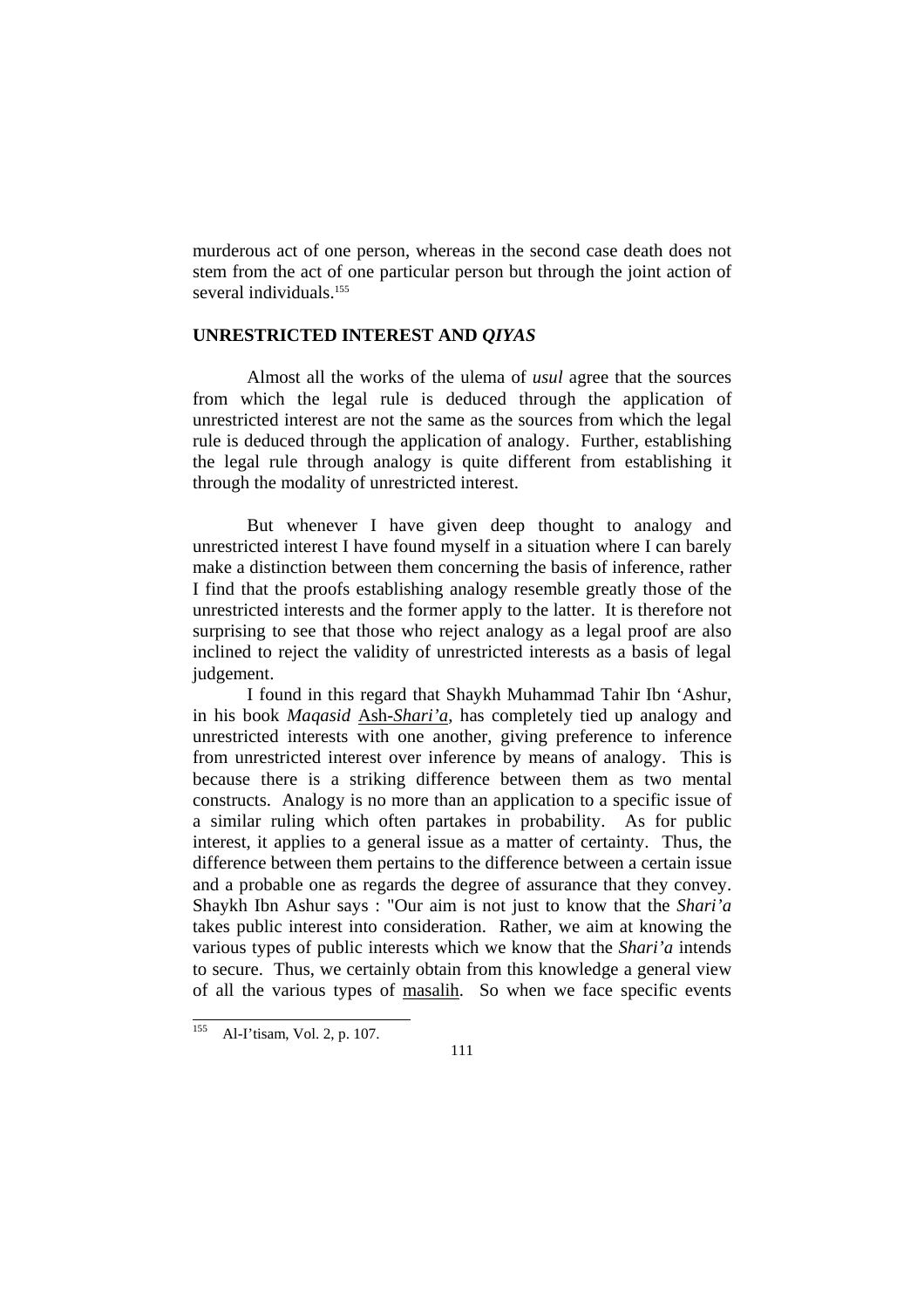murderous act of one person, whereas in the second case death does not stem from the act of one particular person but through the joint action of several individuals.<sup>155</sup>

#### **UNRESTRICTED INTEREST AND** *QIYAS*

 Almost all the works of the ulema of *usul* agree that the sources from which the legal rule is deduced through the application of unrestricted interest are not the same as the sources from which the legal rule is deduced through the application of analogy. Further, establishing the legal rule through analogy is quite different from establishing it through the modality of unrestricted interest.

 But whenever I have given deep thought to analogy and unrestricted interest I have found myself in a situation where I can barely make a distinction between them concerning the basis of inference, rather I find that the proofs establishing analogy resemble greatly those of the unrestricted interests and the former apply to the latter. It is therefore not surprising to see that those who reject analogy as a legal proof are also inclined to reject the validity of unrestricted interests as a basis of legal judgement.

 I found in this regard that Shaykh Muhammad Tahir Ibn 'Ashur, in his book *Maqasid* Ash-*Shari'a*, has completely tied up analogy and unrestricted interests with one another, giving preference to inference from unrestricted interest over inference by means of analogy. This is because there is a striking difference between them as two mental constructs. Analogy is no more than an application to a specific issue of a similar ruling which often partakes in probability. As for public interest, it applies to a general issue as a matter of certainty. Thus, the difference between them pertains to the difference between a certain issue and a probable one as regards the degree of assurance that they convey. Shaykh Ibn Ashur says : "Our aim is not just to know that the *Shari'a* takes public interest into consideration. Rather, we aim at knowing the various types of public interests which we know that the *Shari'a* intends to secure. Thus, we certainly obtain from this knowledge a general view of all the various types of masalih. So when we face specific events

<sup>155</sup> Al-I'tisam, Vol. 2, p. 107.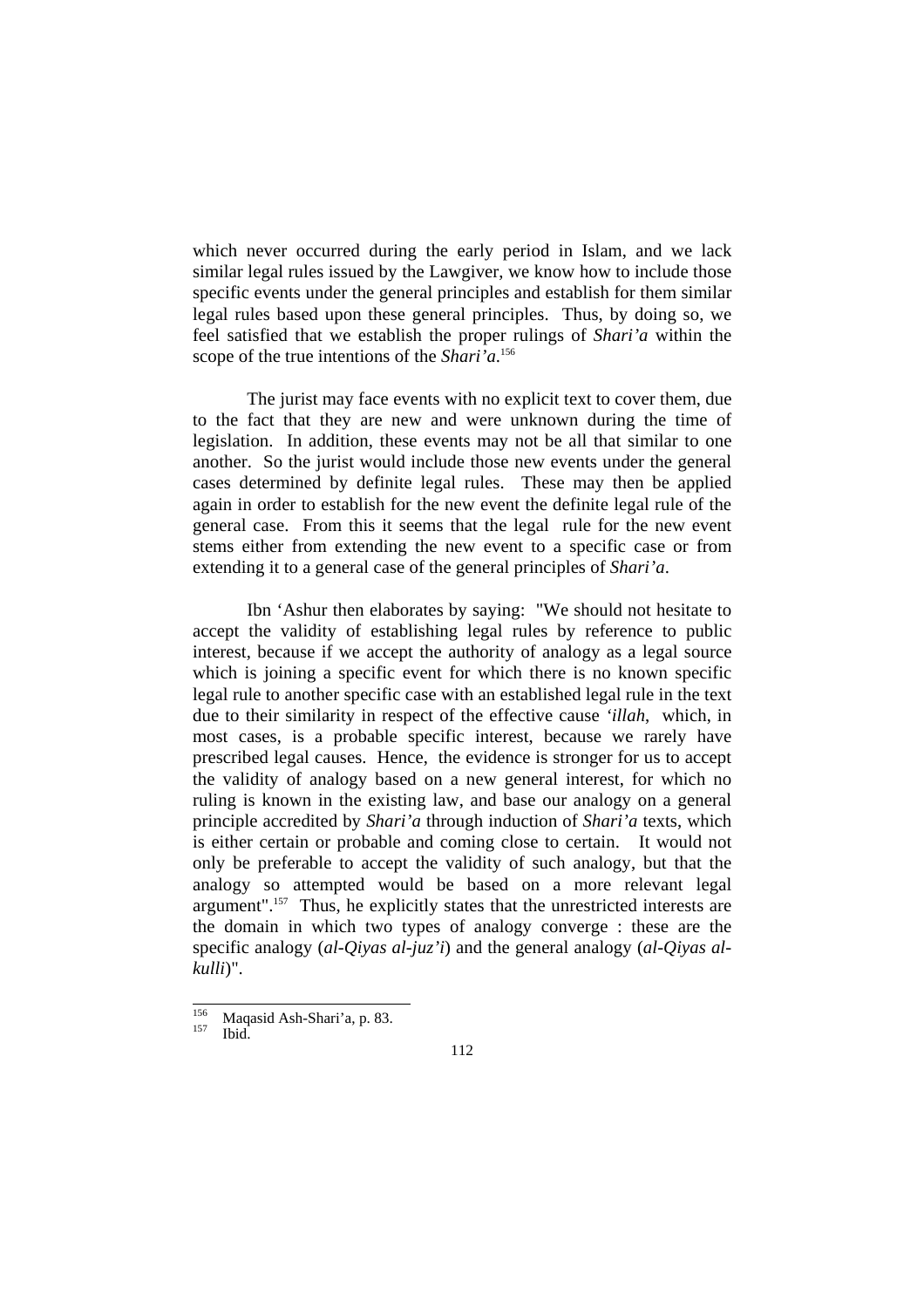which never occurred during the early period in Islam, and we lack similar legal rules issued by the Lawgiver, we know how to include those specific events under the general principles and establish for them similar legal rules based upon these general principles. Thus, by doing so, we feel satisfied that we establish the proper rulings of *Shari'a* within the scope of the true intentions of the *Shari'a*. 156

 The jurist may face events with no explicit text to cover them, due to the fact that they are new and were unknown during the time of legislation. In addition, these events may not be all that similar to one another. So the jurist would include those new events under the general cases determined by definite legal rules. These may then be applied again in order to establish for the new event the definite legal rule of the general case. From this it seems that the legal rule for the new event stems either from extending the new event to a specific case or from extending it to a general case of the general principles of *Shari'a*.

 Ibn 'Ashur then elaborates by saying: "We should not hesitate to accept the validity of establishing legal rules by reference to public interest, because if we accept the authority of analogy as a legal source which is joining a specific event for which there is no known specific legal rule to another specific case with an established legal rule in the text due to their similarity in respect of the effective cause *'illah*, which, in most cases, is a probable specific interest, because we rarely have prescribed legal causes. Hence, the evidence is stronger for us to accept the validity of analogy based on a new general interest, for which no ruling is known in the existing law, and base our analogy on a general principle accredited by *Shari'a* through induction of *Shari'a* texts, which is either certain or probable and coming close to certain. It would not only be preferable to accept the validity of such analogy, but that the analogy so attempted would be based on a more relevant legal argument".157 Thus, he explicitly states that the unrestricted interests are the domain in which two types of analogy converge : these are the specific analogy (*al-Qiyas al-juz'i*) and the general analogy (*al-Qiyas alkulli*)".

<sup>156</sup>  $^{156}$  Maqasid Ash-Shari'a, p. 83.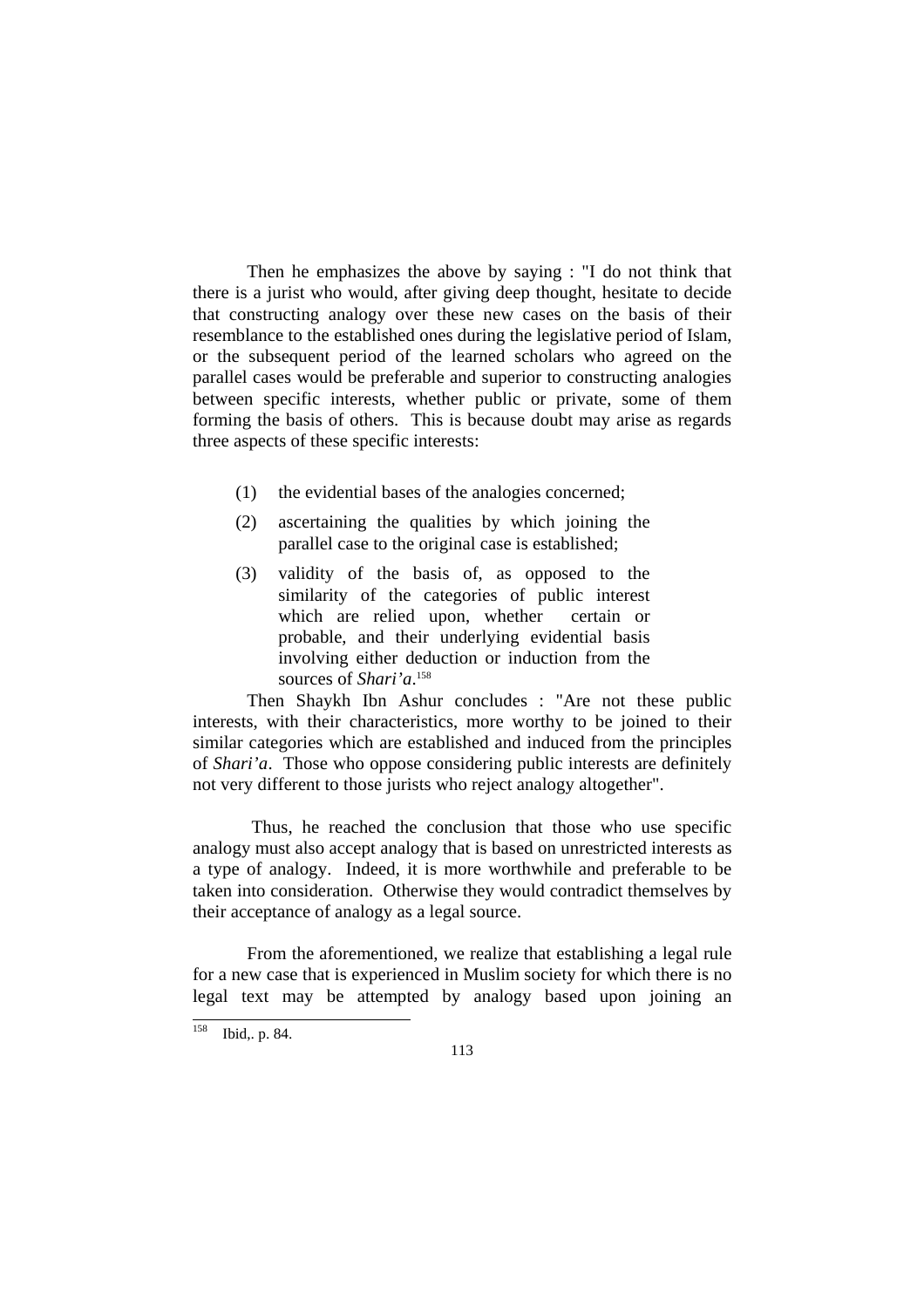Then he emphasizes the above by saying : "I do not think that there is a jurist who would, after giving deep thought, hesitate to decide that constructing analogy over these new cases on the basis of their resemblance to the established ones during the legislative period of Islam, or the subsequent period of the learned scholars who agreed on the parallel cases would be preferable and superior to constructing analogies between specific interests, whether public or private, some of them forming the basis of others. This is because doubt may arise as regards three aspects of these specific interests:

- (1) the evidential bases of the analogies concerned;
- (2) ascertaining the qualities by which joining the parallel case to the original case is established;
- (3) validity of the basis of, as opposed to the similarity of the categories of public interest which are relied upon, whether certain or probable, and their underlying evidential basis involving either deduction or induction from the sources of *Shari'a*. 158

 Then Shaykh Ibn Ashur concludes : "Are not these public interests, with their characteristics, more worthy to be joined to their similar categories which are established and induced from the principles of *Shari'a*. Those who oppose considering public interests are definitely not very different to those jurists who reject analogy altogether".

 Thus, he reached the conclusion that those who use specific analogy must also accept analogy that is based on unrestricted interests as a type of analogy. Indeed, it is more worthwhile and preferable to be taken into consideration. Otherwise they would contradict themselves by their acceptance of analogy as a legal source.

 From the aforementioned, we realize that establishing a legal rule for a new case that is experienced in Muslim society for which there is no legal text may be attempted by analogy based upon joining an

l

 $158$  Ibid, p. 84.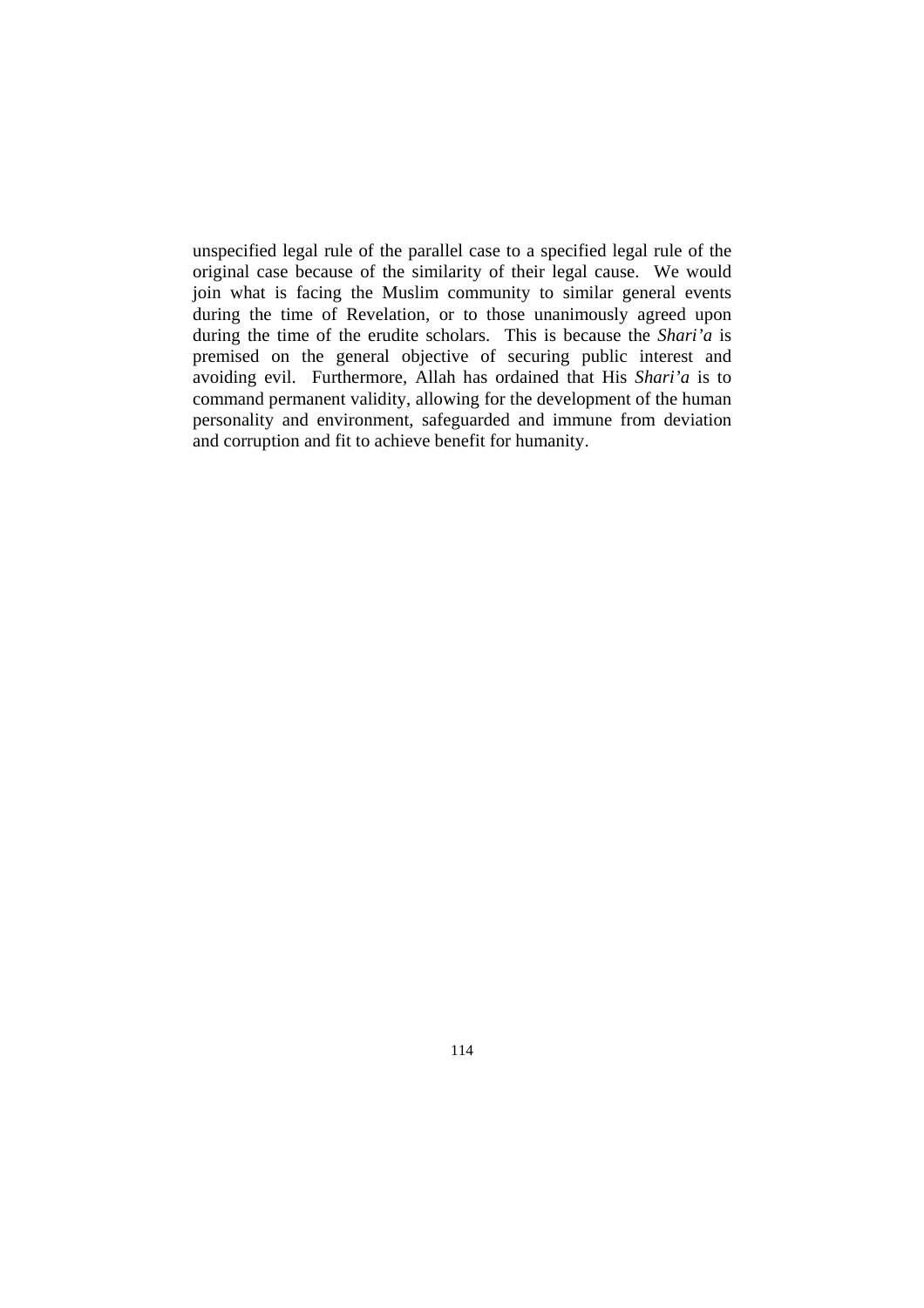unspecified legal rule of the parallel case to a specified legal rule of the original case because of the similarity of their legal cause. We would join what is facing the Muslim community to similar general events during the time of Revelation, or to those unanimously agreed upon during the time of the erudite scholars. This is because the *Shari'a* is premised on the general objective of securing public interest and avoiding evil. Furthermore, Allah has ordained that His *Shari'a* is to command permanent validity, allowing for the development of the human personality and environment, safeguarded and immune from deviation and corruption and fit to achieve benefit for humanity.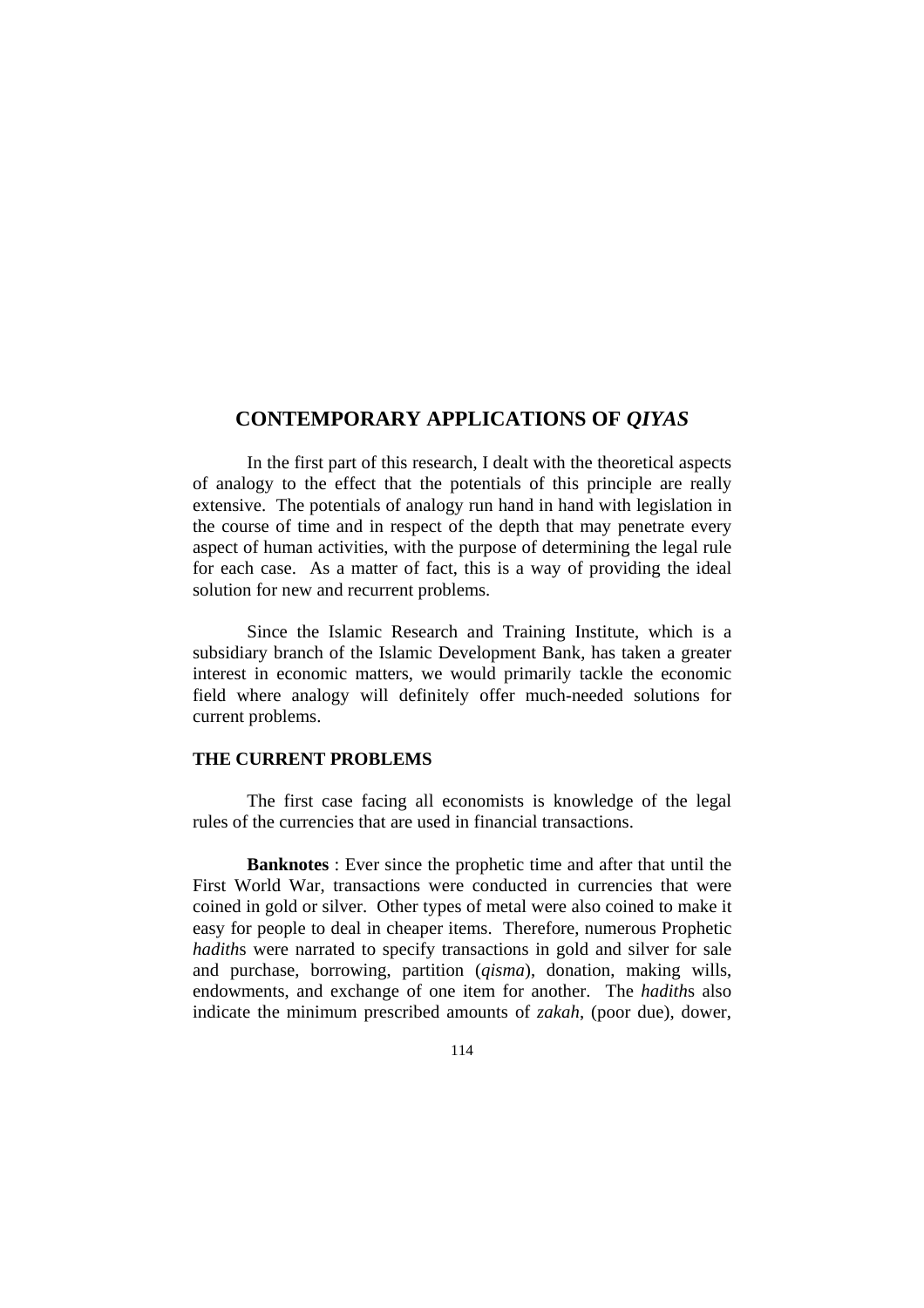### **CONTEMPORARY APPLICATIONS OF** *QIYAS*

 In the first part of this research, I dealt with the theoretical aspects of analogy to the effect that the potentials of this principle are really extensive. The potentials of analogy run hand in hand with legislation in the course of time and in respect of the depth that may penetrate every aspect of human activities, with the purpose of determining the legal rule for each case. As a matter of fact, this is a way of providing the ideal solution for new and recurrent problems.

 Since the Islamic Research and Training Institute, which is a subsidiary branch of the Islamic Development Bank, has taken a greater interest in economic matters, we would primarily tackle the economic field where analogy will definitely offer much-needed solutions for current problems.

#### **THE CURRENT PROBLEMS**

 The first case facing all economists is knowledge of the legal rules of the currencies that are used in financial transactions.

**Banknotes** : Ever since the prophetic time and after that until the First World War, transactions were conducted in currencies that were coined in gold or silver. Other types of metal were also coined to make it easy for people to deal in cheaper items. Therefore, numerous Prophetic *hadiths* were narrated to specify transactions in gold and silver for sale and purchase, borrowing, partition (*qisma*), donation, making wills, endowments, and exchange of one item for another. The *hadith*s also indicate the minimum prescribed amounts of *zakah*, (poor due), dower,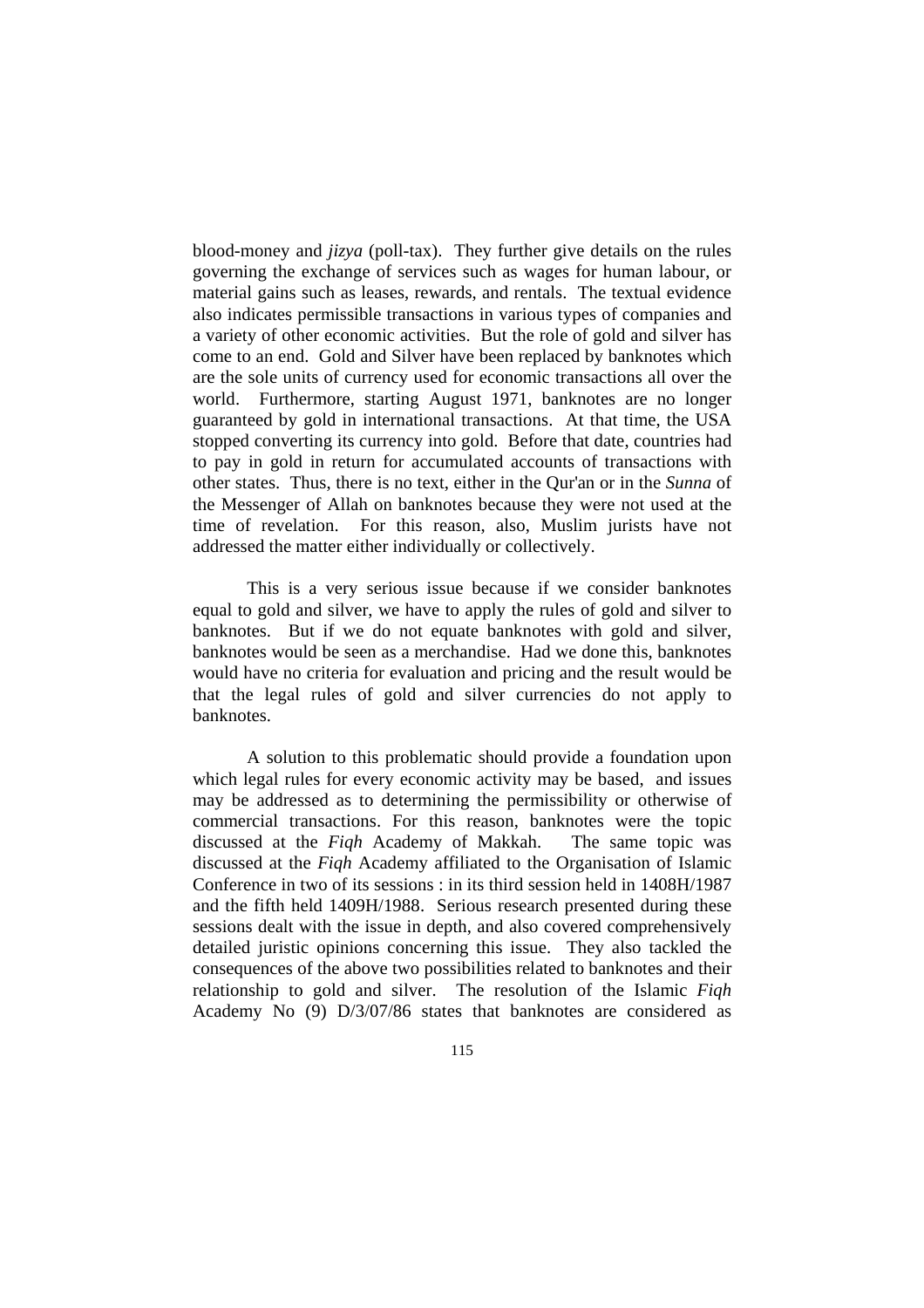blood-money and *jizya* (poll-tax). They further give details on the rules governing the exchange of services such as wages for human labour, or material gains such as leases, rewards, and rentals. The textual evidence also indicates permissible transactions in various types of companies and a variety of other economic activities. But the role of gold and silver has come to an end. Gold and Silver have been replaced by banknotes which are the sole units of currency used for economic transactions all over the world. Furthermore, starting August 1971, banknotes are no longer guaranteed by gold in international transactions. At that time, the USA stopped converting its currency into gold. Before that date, countries had to pay in gold in return for accumulated accounts of transactions with other states. Thus, there is no text, either in the Qur'an or in the *Sunna* of the Messenger of Allah on banknotes because they were not used at the time of revelation. For this reason, also, Muslim jurists have not addressed the matter either individually or collectively.

 This is a very serious issue because if we consider banknotes equal to gold and silver, we have to apply the rules of gold and silver to banknotes. But if we do not equate banknotes with gold and silver, banknotes would be seen as a merchandise. Had we done this, banknotes would have no criteria for evaluation and pricing and the result would be that the legal rules of gold and silver currencies do not apply to banknotes.

 A solution to this problematic should provide a foundation upon which legal rules for every economic activity may be based, and issues may be addressed as to determining the permissibility or otherwise of commercial transactions. For this reason, banknotes were the topic discussed at the *Fiqh* Academy of Makkah. The same topic was discussed at the *Fiqh* Academy affiliated to the Organisation of Islamic Conference in two of its sessions : in its third session held in 1408H/1987 and the fifth held 1409H/1988. Serious research presented during these sessions dealt with the issue in depth, and also covered comprehensively detailed juristic opinions concerning this issue. They also tackled the consequences of the above two possibilities related to banknotes and their relationship to gold and silver. The resolution of the Islamic *Fiqh* Academy No (9) D/3/07/86 states that banknotes are considered as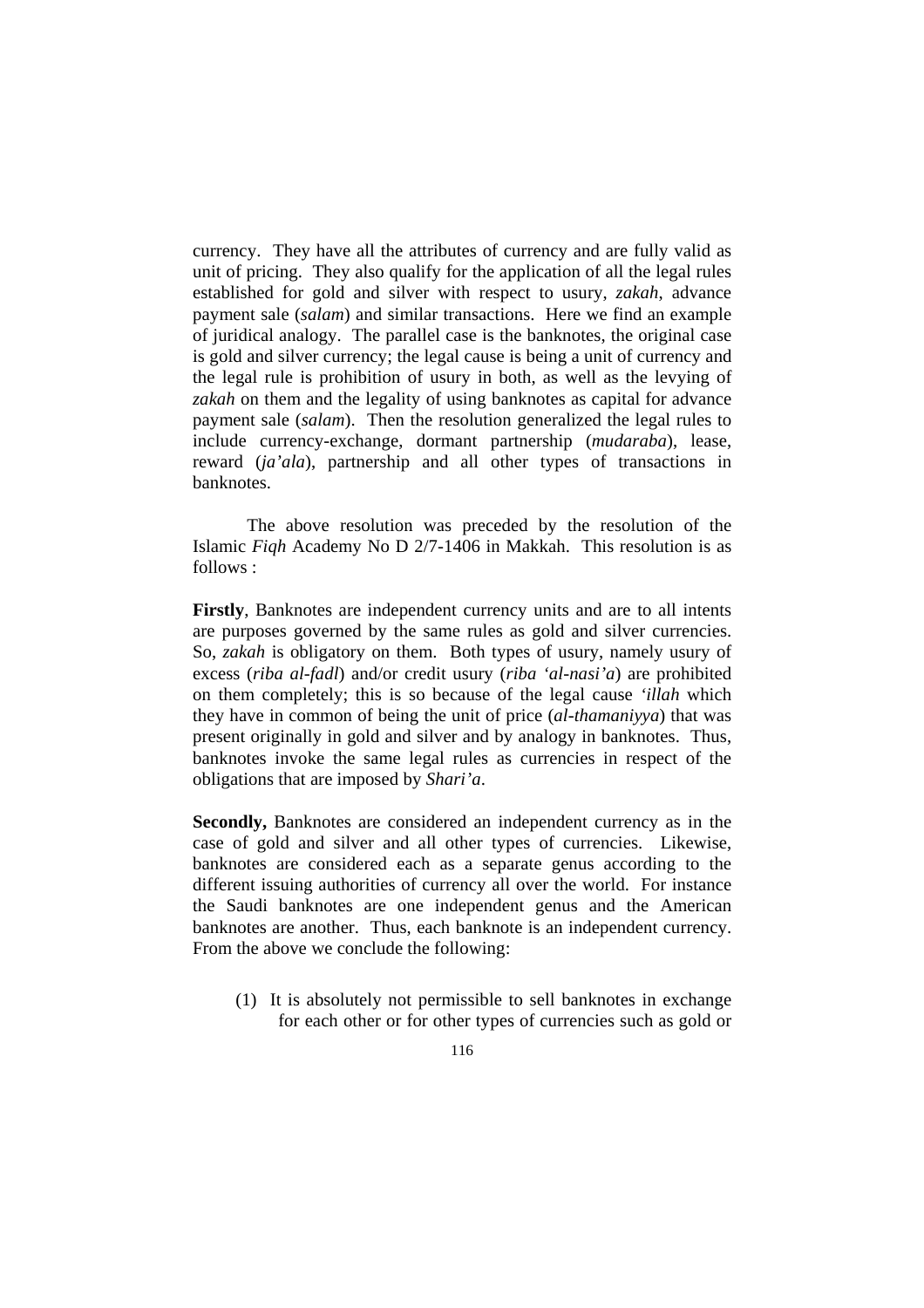currency. They have all the attributes of currency and are fully valid as unit of pricing. They also qualify for the application of all the legal rules established for gold and silver with respect to usury, *zakah*, advance payment sale (*salam*) and similar transactions. Here we find an example of juridical analogy. The parallel case is the banknotes, the original case is gold and silver currency; the legal cause is being a unit of currency and the legal rule is prohibition of usury in both, as well as the levying of *zakah* on them and the legality of using banknotes as capital for advance payment sale (*salam*). Then the resolution generalized the legal rules to include currency-exchange, dormant partnership (*mudaraba*), lease, reward (*ja'ala*), partnership and all other types of transactions in banknotes.

 The above resolution was preceded by the resolution of the Islamic *Fiqh* Academy No D 2/7-1406 in Makkah. This resolution is as follows :

**Firstly**, Banknotes are independent currency units and are to all intents are purposes governed by the same rules as gold and silver currencies. So, *zakah* is obligatory on them. Both types of usury, namely usury of excess (*riba al-fadl*) and/or credit usury (*riba 'al-nasi'a*) are prohibited on them completely; this is so because of the legal cause *'illah* which they have in common of being the unit of price (*al-thamaniyya*) that was present originally in gold and silver and by analogy in banknotes. Thus, banknotes invoke the same legal rules as currencies in respect of the obligations that are imposed by *Shari'a*.

**Secondly,** Banknotes are considered an independent currency as in the case of gold and silver and all other types of currencies. Likewise, banknotes are considered each as a separate genus according to the different issuing authorities of currency all over the world. For instance the Saudi banknotes are one independent genus and the American banknotes are another. Thus, each banknote is an independent currency. From the above we conclude the following:

(1) It is absolutely not permissible to sell banknotes in exchange for each other or for other types of currencies such as gold or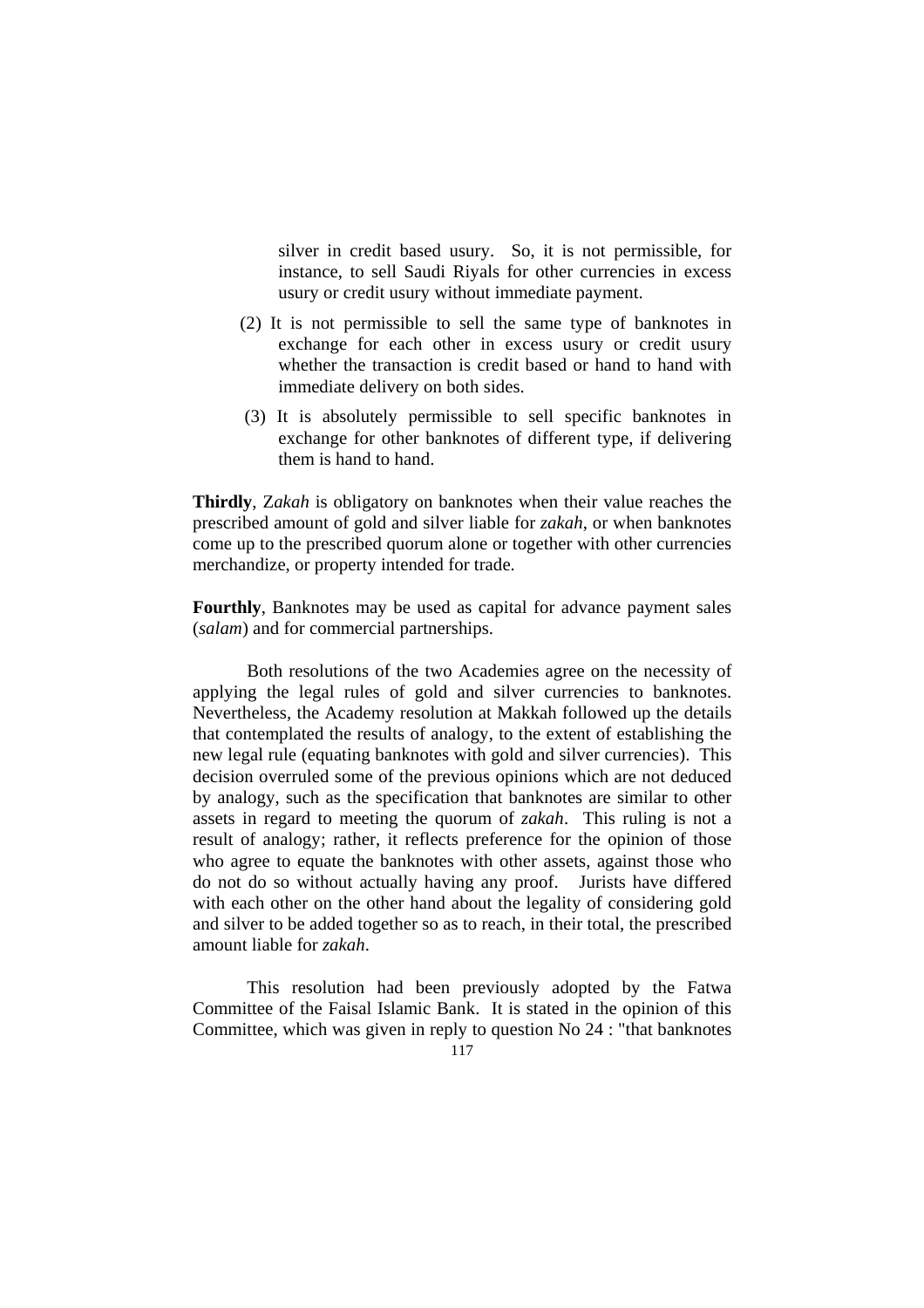silver in credit based usury. So, it is not permissible, for instance, to sell Saudi Riyals for other currencies in excess usury or credit usury without immediate payment.

- (2) It is not permissible to sell the same type of banknotes in exchange for each other in excess usury or credit usury whether the transaction is credit based or hand to hand with immediate delivery on both sides.
- (3) It is absolutely permissible to sell specific banknotes in exchange for other banknotes of different type, if delivering them is hand to hand.

**Thirdly**, Z*akah* is obligatory on banknotes when their value reaches the prescribed amount of gold and silver liable for *zakah*, or when banknotes come up to the prescribed quorum alone or together with other currencies merchandize, or property intended for trade.

**Fourthly**, Banknotes may be used as capital for advance payment sales (*salam*) and for commercial partnerships.

 Both resolutions of the two Academies agree on the necessity of applying the legal rules of gold and silver currencies to banknotes. Nevertheless, the Academy resolution at Makkah followed up the details that contemplated the results of analogy, to the extent of establishing the new legal rule (equating banknotes with gold and silver currencies). This decision overruled some of the previous opinions which are not deduced by analogy, such as the specification that banknotes are similar to other assets in regard to meeting the quorum of *zakah*. This ruling is not a result of analogy; rather, it reflects preference for the opinion of those who agree to equate the banknotes with other assets, against those who do not do so without actually having any proof. Jurists have differed with each other on the other hand about the legality of considering gold and silver to be added together so as to reach, in their total, the prescribed amount liable for *zakah*.

 This resolution had been previously adopted by the Fatwa Committee of the Faisal Islamic Bank. It is stated in the opinion of this Committee, which was given in reply to question No 24 : "that banknotes

$$
117\\
$$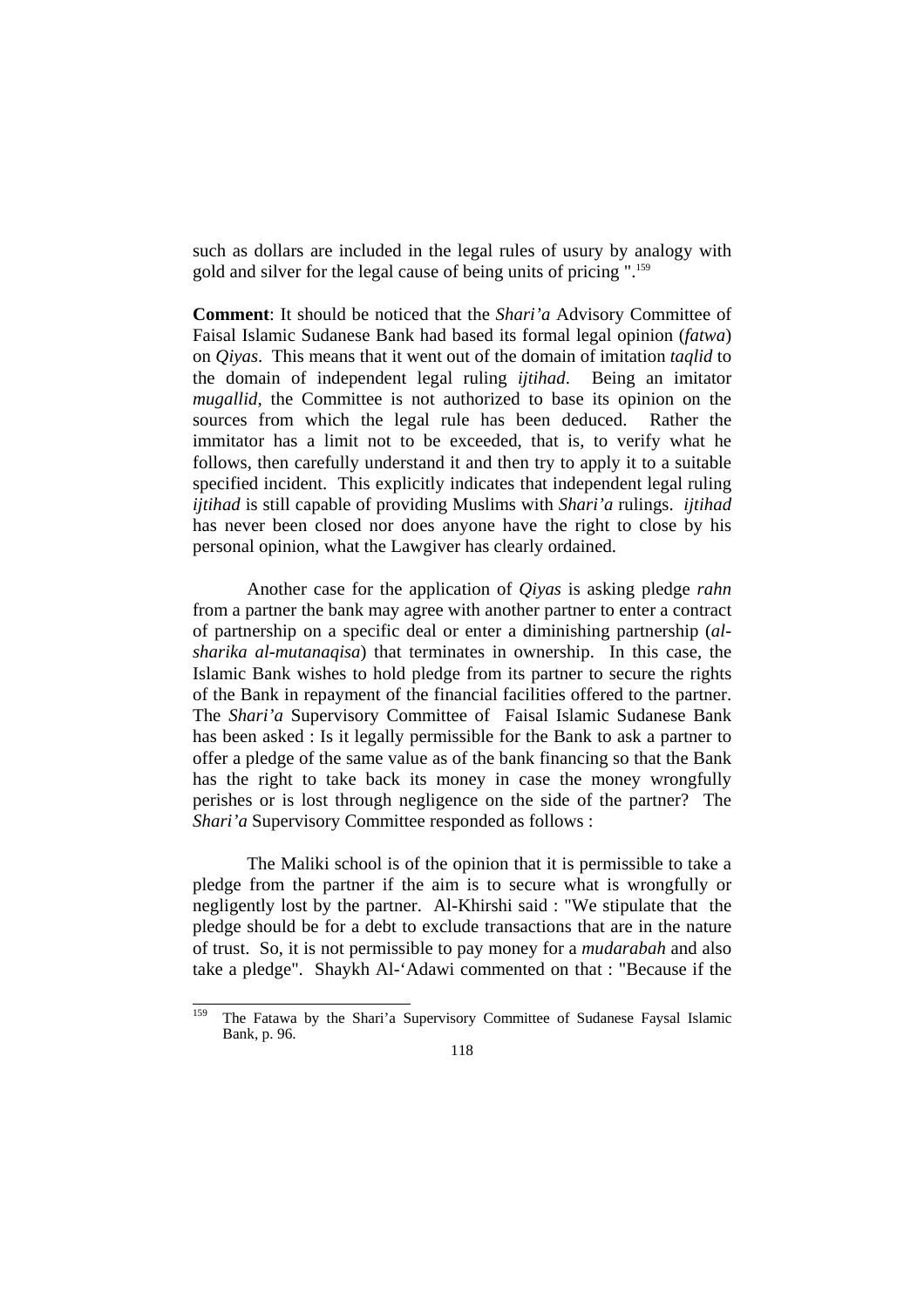such as dollars are included in the legal rules of usury by analogy with gold and silver for the legal cause of being units of pricing ".159

**Comment**: It should be noticed that the *Shari'a* Advisory Committee of Faisal Islamic Sudanese Bank had based its formal legal opinion (*fatwa*) on *Qiyas*. This means that it went out of the domain of imitation *taqlid* to the domain of independent legal ruling *ijtihad*. Being an imitator *mugallid*, the Committee is not authorized to base its opinion on the sources from which the legal rule has been deduced. Rather the immitator has a limit not to be exceeded, that is, to verify what he follows, then carefully understand it and then try to apply it to a suitable specified incident. This explicitly indicates that independent legal ruling *ijtihad* is still capable of providing Muslims with *Shari'a* rulings. *ijtihad* has never been closed nor does anyone have the right to close by his personal opinion, what the Lawgiver has clearly ordained.

 Another case for the application of *Qiyas* is asking pledge *rahn*  from a partner the bank may agree with another partner to enter a contract of partnership on a specific deal or enter a diminishing partnership (*alsharika al-mutanaqisa*) that terminates in ownership. In this case, the Islamic Bank wishes to hold pledge from its partner to secure the rights of the Bank in repayment of the financial facilities offered to the partner. The *Shari'a* Supervisory Committee of Faisal Islamic Sudanese Bank has been asked : Is it legally permissible for the Bank to ask a partner to offer a pledge of the same value as of the bank financing so that the Bank has the right to take back its money in case the money wrongfully perishes or is lost through negligence on the side of the partner? The *Shari'a* Supervisory Committee responded as follows :

 The Maliki school is of the opinion that it is permissible to take a pledge from the partner if the aim is to secure what is wrongfully or negligently lost by the partner. Al-Khirshi said : "We stipulate that the pledge should be for a debt to exclude transactions that are in the nature of trust. So, it is not permissible to pay money for a *mudarabah* and also take a pledge". Shaykh Al-'Adawi commented on that : "Because if the

<sup>159</sup> The Fatawa by the Shari'a Supervisory Committee of Sudanese Faysal Islamic Bank, p. 96.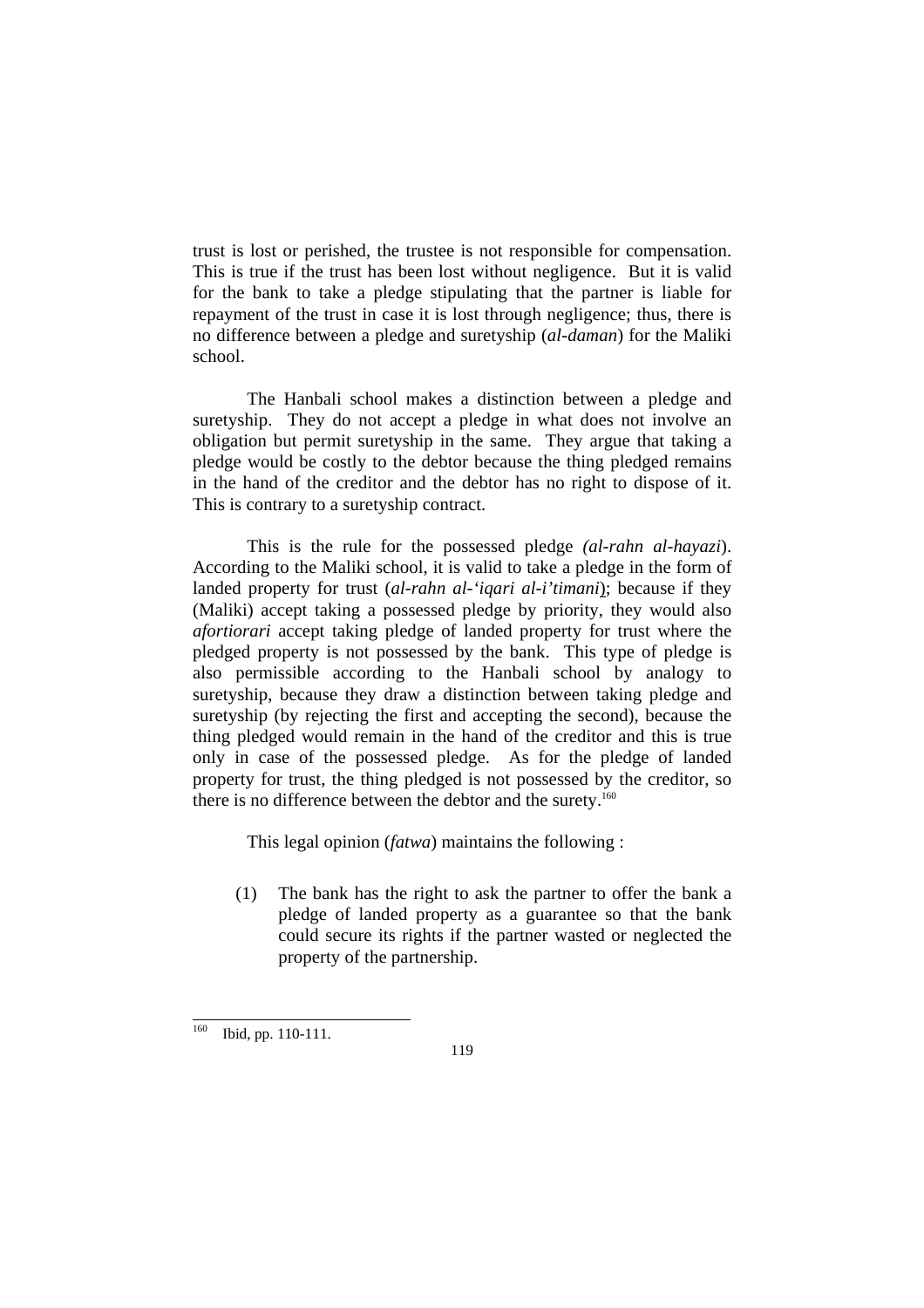trust is lost or perished, the trustee is not responsible for compensation. This is true if the trust has been lost without negligence. But it is valid for the bank to take a pledge stipulating that the partner is liable for repayment of the trust in case it is lost through negligence; thus, there is no difference between a pledge and suretyship (*al-daman*) for the Maliki school.

 The Hanbali school makes a distinction between a pledge and suretyship. They do not accept a pledge in what does not involve an obligation but permit suretyship in the same. They argue that taking a pledge would be costly to the debtor because the thing pledged remains in the hand of the creditor and the debtor has no right to dispose of it. This is contrary to a suretyship contract.

 This is the rule for the possessed pledge *(al-rahn al-hayazi*). According to the Maliki school, it is valid to take a pledge in the form of landed property for trust (*al-rahn al-'iqari al-i'timani*); because if they (Maliki) accept taking a possessed pledge by priority, they would also *afortiorari* accept taking pledge of landed property for trust where the pledged property is not possessed by the bank. This type of pledge is also permissible according to the Hanbali school by analogy to suretyship, because they draw a distinction between taking pledge and suretyship (by rejecting the first and accepting the second), because the thing pledged would remain in the hand of the creditor and this is true only in case of the possessed pledge. As for the pledge of landed property for trust, the thing pledged is not possessed by the creditor, so there is no difference between the debtor and the surety.<sup>160</sup>

This legal opinion (*fatwa*) maintains the following :

(1) The bank has the right to ask the partner to offer the bank a pledge of landed property as a guarantee so that the bank could secure its rights if the partner wasted or neglected the property of the partnership.

<sup>160</sup> Ibid, pp. 110-111.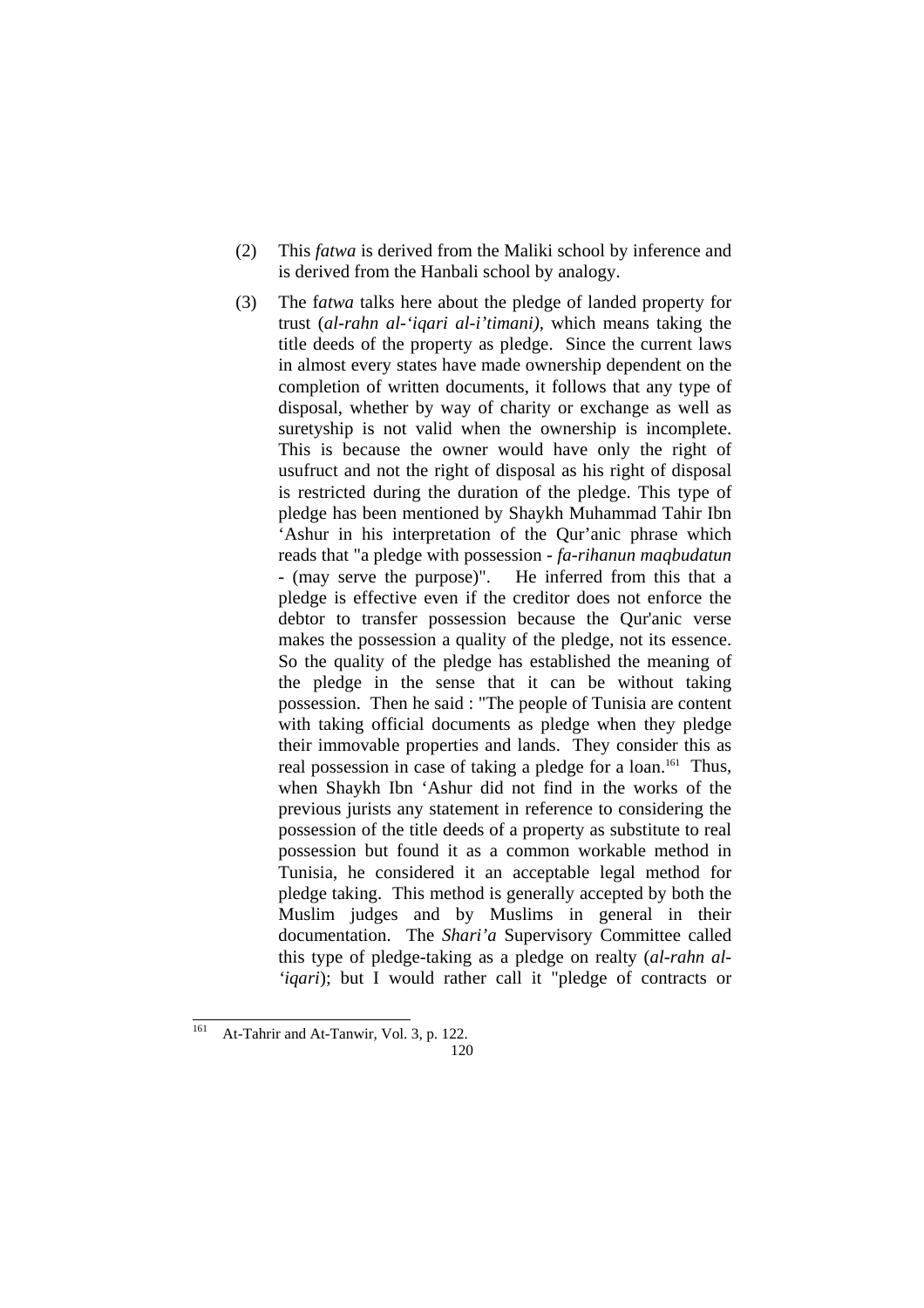- (2) This *fatwa* is derived from the Maliki school by inference and is derived from the Hanbali school by analogy.
- (3) The f*atwa* talks here about the pledge of landed property for trust (*al-rahn al-'iqari al-i'timani),* which means taking the title deeds of the property as pledge. Since the current laws in almost every states have made ownership dependent on the completion of written documents, it follows that any type of disposal, whether by way of charity or exchange as well as suretyship is not valid when the ownership is incomplete. This is because the owner would have only the right of usufruct and not the right of disposal as his right of disposal is restricted during the duration of the pledge. This type of pledge has been mentioned by Shaykh Muhammad Tahir Ibn 'Ashur in his interpretation of the Qur'anic phrase which reads that "a pledge with possession *- fa-rihanun maqbudatun* - (may serve the purpose)". He inferred from this that a pledge is effective even if the creditor does not enforce the debtor to transfer possession because the Qur'anic verse makes the possession a quality of the pledge, not its essence. So the quality of the pledge has established the meaning of the pledge in the sense that it can be without taking possession. Then he said : "The people of Tunisia are content with taking official documents as pledge when they pledge their immovable properties and lands. They consider this as real possession in case of taking a pledge for a loan.<sup>161</sup> Thus, when Shaykh Ibn 'Ashur did not find in the works of the previous jurists any statement in reference to considering the possession of the title deeds of a property as substitute to real possession but found it as a common workable method in Tunisia, he considered it an acceptable legal method for pledge taking. This method is generally accepted by both the Muslim judges and by Muslims in general in their documentation. The *Shari'a* Supervisory Committee called this type of pledge-taking as a pledge on realty (*al-rahn al- 'iqari*); but I would rather call it "pledge of contracts or

<sup>120</sup> 161 At-Tahrir and At-Tanwir, Vol. 3, p. 122.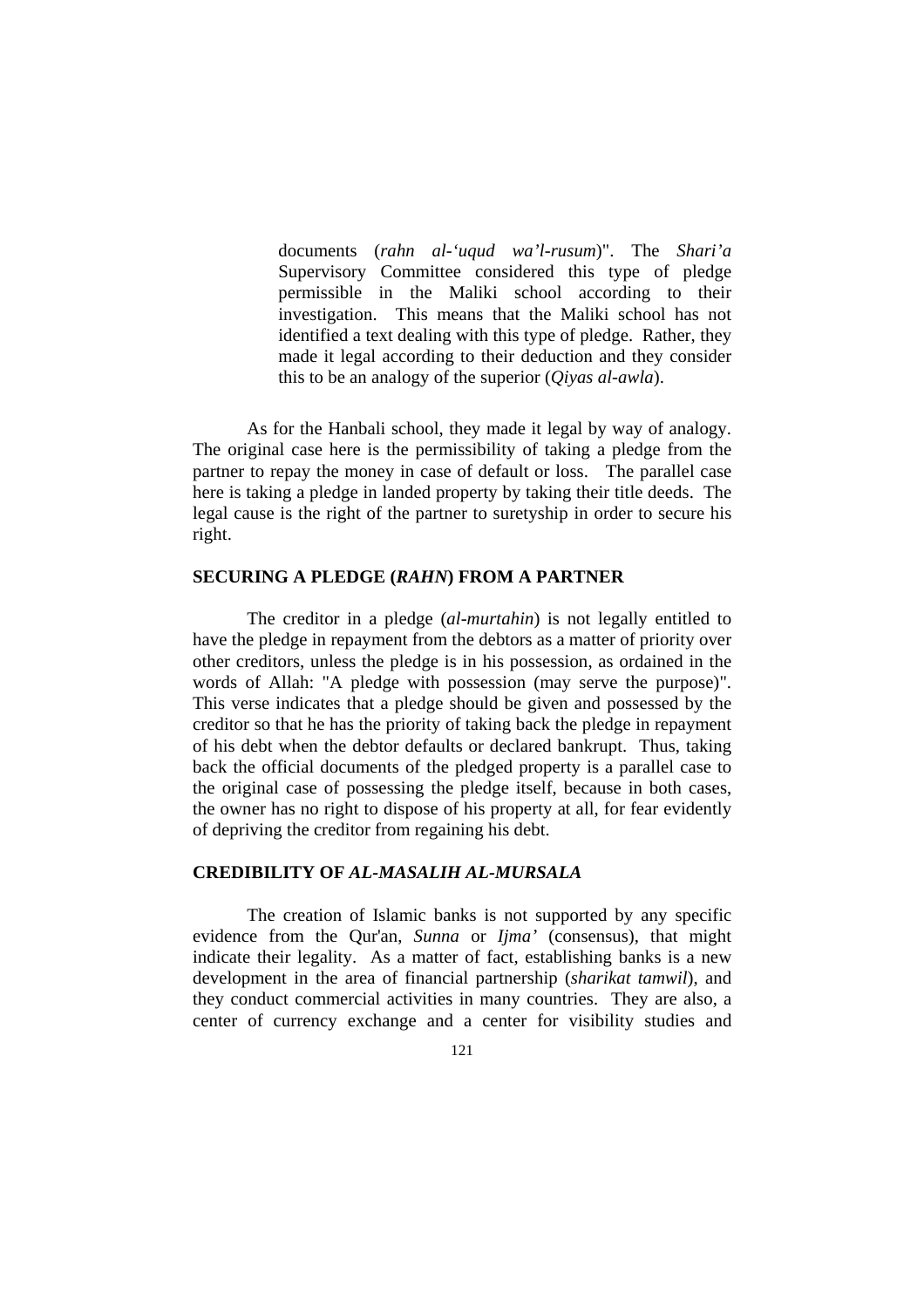documents (*rahn al-'uqud wa'l-rusum*)". The *Shari'a* Supervisory Committee considered this type of pledge permissible in the Maliki school according to their investigation. This means that the Maliki school has not identified a text dealing with this type of pledge. Rather, they made it legal according to their deduction and they consider this to be an analogy of the superior (*Qiyas al-awla*).

 As for the Hanbali school, they made it legal by way of analogy. The original case here is the permissibility of taking a pledge from the partner to repay the money in case of default or loss. The parallel case here is taking a pledge in landed property by taking their title deeds. The legal cause is the right of the partner to suretyship in order to secure his right.

#### **SECURING A PLEDGE (***RAHN***) FROM A PARTNER**

 The creditor in a pledge (*al-murtahin*) is not legally entitled to have the pledge in repayment from the debtors as a matter of priority over other creditors, unless the pledge is in his possession, as ordained in the words of Allah: "A pledge with possession (may serve the purpose)". This verse indicates that a pledge should be given and possessed by the creditor so that he has the priority of taking back the pledge in repayment of his debt when the debtor defaults or declared bankrupt. Thus, taking back the official documents of the pledged property is a parallel case to the original case of possessing the pledge itself, because in both cases, the owner has no right to dispose of his property at all, for fear evidently of depriving the creditor from regaining his debt.

#### **CREDIBILITY OF** *AL-MASALIH AL-MURSALA*

 The creation of Islamic banks is not supported by any specific evidence from the Qur'an, *Sunna* or *Ijma'* (consensus), that might indicate their legality. As a matter of fact, establishing banks is a new development in the area of financial partnership (*sharikat tamwil*), and they conduct commercial activities in many countries. They are also, a center of currency exchange and a center for visibility studies and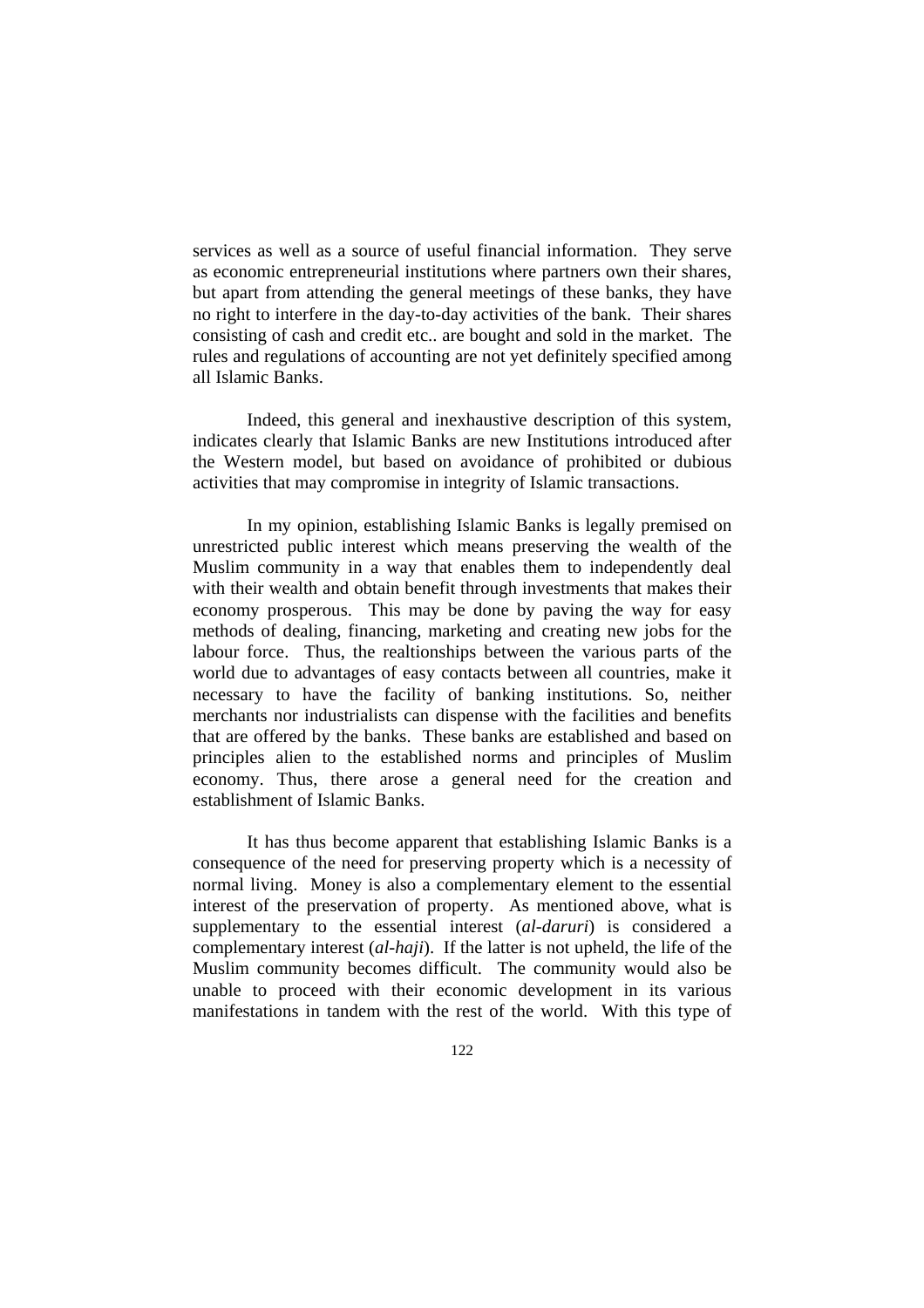services as well as a source of useful financial information. They serve as economic entrepreneurial institutions where partners own their shares, but apart from attending the general meetings of these banks, they have no right to interfere in the day-to-day activities of the bank. Their shares consisting of cash and credit etc.. are bought and sold in the market. The rules and regulations of accounting are not yet definitely specified among all Islamic Banks.

 Indeed, this general and inexhaustive description of this system, indicates clearly that Islamic Banks are new Institutions introduced after the Western model, but based on avoidance of prohibited or dubious activities that may compromise in integrity of Islamic transactions.

 In my opinion, establishing Islamic Banks is legally premised on unrestricted public interest which means preserving the wealth of the Muslim community in a way that enables them to independently deal with their wealth and obtain benefit through investments that makes their economy prosperous. This may be done by paving the way for easy methods of dealing, financing, marketing and creating new jobs for the labour force. Thus, the realtionships between the various parts of the world due to advantages of easy contacts between all countries, make it necessary to have the facility of banking institutions. So, neither merchants nor industrialists can dispense with the facilities and benefits that are offered by the banks. These banks are established and based on principles alien to the established norms and principles of Muslim economy. Thus, there arose a general need for the creation and establishment of Islamic Banks.

 It has thus become apparent that establishing Islamic Banks is a consequence of the need for preserving property which is a necessity of normal living. Money is also a complementary element to the essential interest of the preservation of property. As mentioned above, what is supplementary to the essential interest (*al-daruri*) is considered a complementary interest (*al-haji*). If the latter is not upheld, the life of the Muslim community becomes difficult. The community would also be unable to proceed with their economic development in its various manifestations in tandem with the rest of the world. With this type of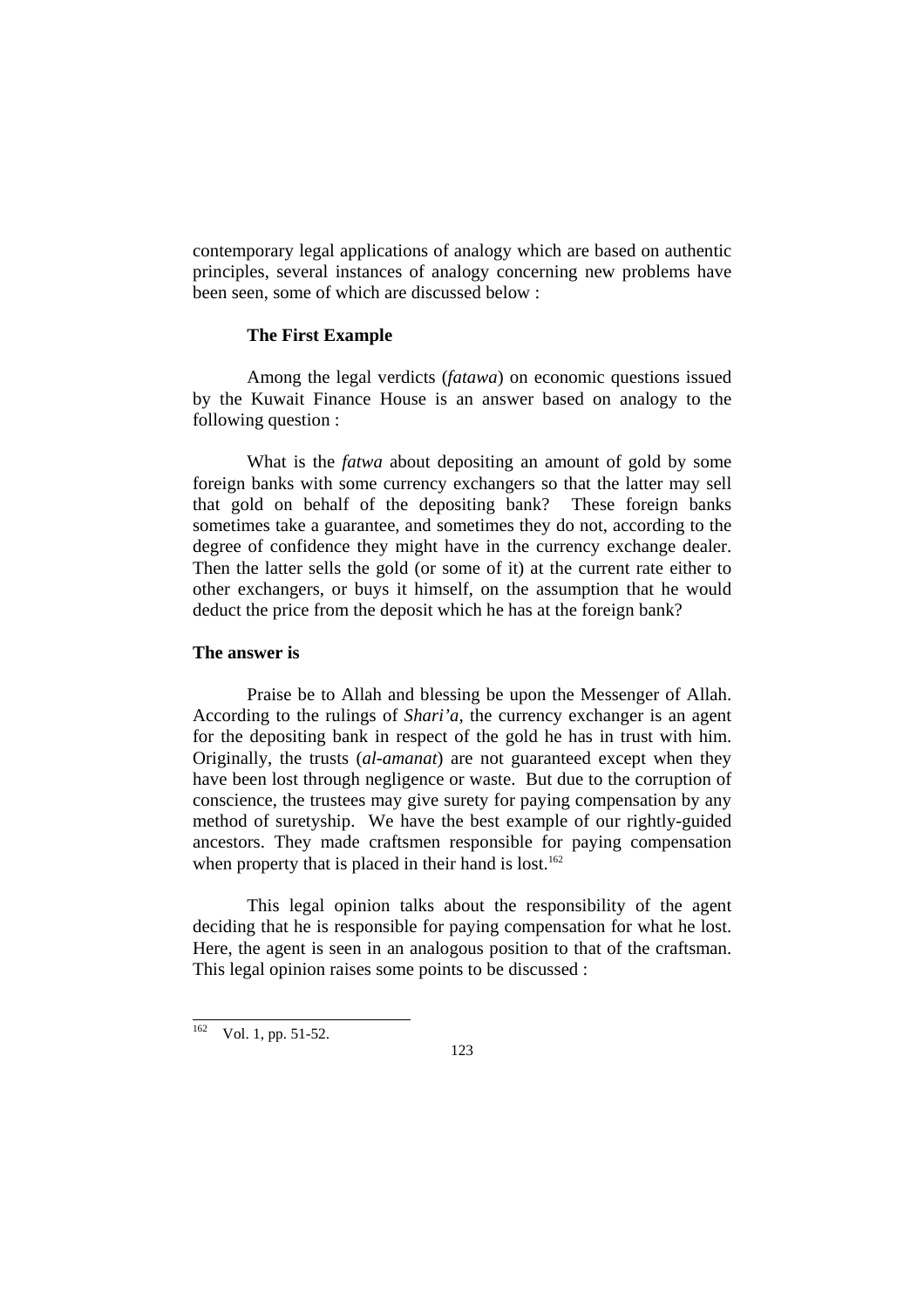contemporary legal applications of analogy which are based on authentic principles, several instances of analogy concerning new problems have been seen, some of which are discussed below :

#### **The First Example**

 Among the legal verdicts (*fatawa*) on economic questions issued by the Kuwait Finance House is an answer based on analogy to the following question :

What is the *fatwa* about depositing an amount of gold by some foreign banks with some currency exchangers so that the latter may sell that gold on behalf of the depositing bank? These foreign banks sometimes take a guarantee, and sometimes they do not, according to the degree of confidence they might have in the currency exchange dealer. Then the latter sells the gold (or some of it) at the current rate either to other exchangers, or buys it himself, on the assumption that he would deduct the price from the deposit which he has at the foreign bank?

### **The answer is**

Praise be to Allah and blessing be upon the Messenger of Allah. According to the rulings of *Shari'a*, the currency exchanger is an agent for the depositing bank in respect of the gold he has in trust with him. Originally, the trusts (*al-amanat*) are not guaranteed except when they have been lost through negligence or waste. But due to the corruption of conscience, the trustees may give surety for paying compensation by any method of suretyship. We have the best example of our rightly-guided ancestors. They made craftsmen responsible for paying compensation when property that is placed in their hand is lost.<sup>162</sup>

 This legal opinion talks about the responsibility of the agent deciding that he is responsible for paying compensation for what he lost. Here, the agent is seen in an analogous position to that of the craftsman. This legal opinion raises some points to be discussed :

l

 $^{162}$  Vol. 1, pp. 51-52.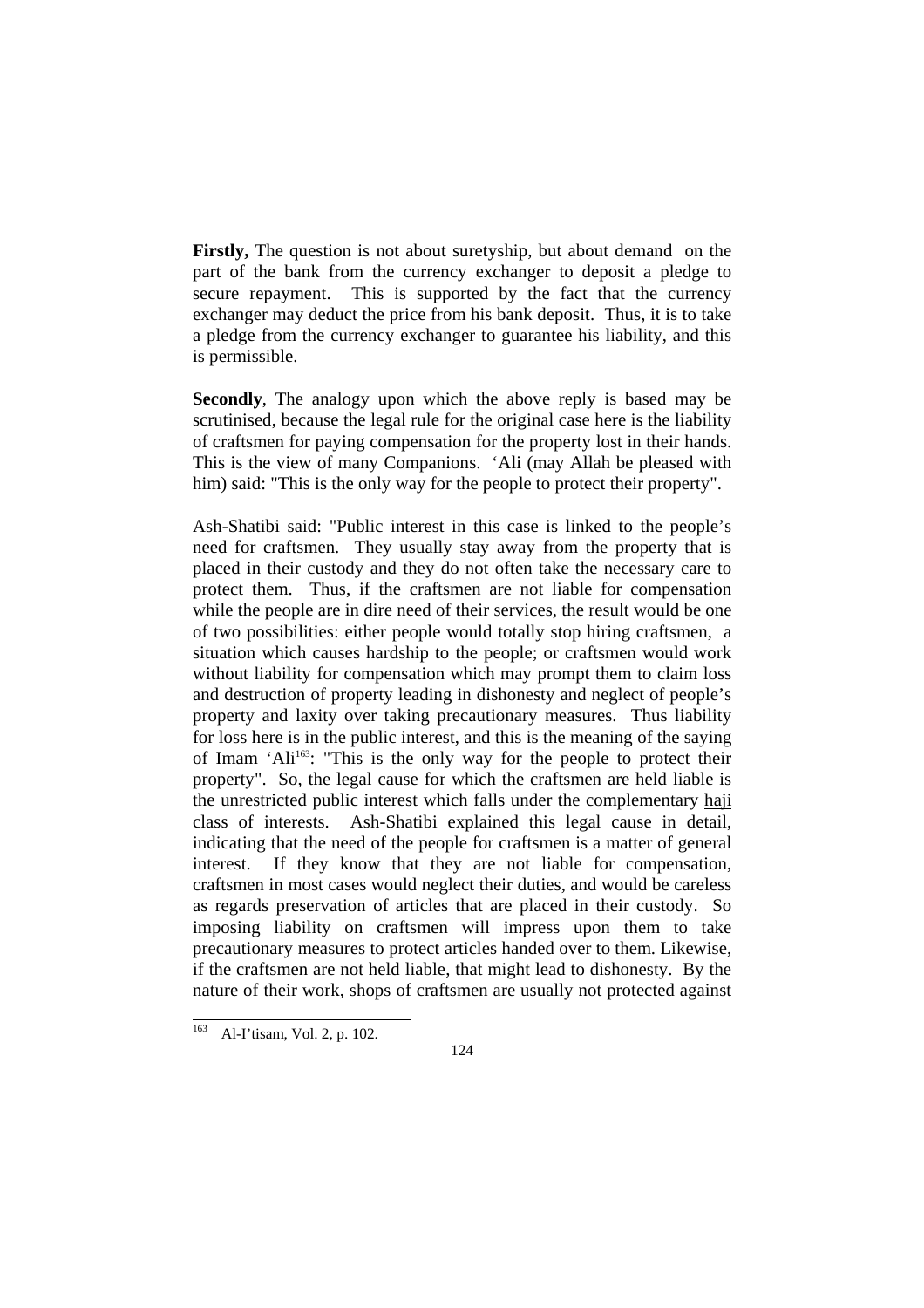**Firstly,** The question is not about suretyship, but about demand on the part of the bank from the currency exchanger to deposit a pledge to secure repayment. This is supported by the fact that the currency exchanger may deduct the price from his bank deposit. Thus, it is to take a pledge from the currency exchanger to guarantee his liability, and this is permissible.

**Secondly**, The analogy upon which the above reply is based may be scrutinised, because the legal rule for the original case here is the liability of craftsmen for paying compensation for the property lost in their hands. This is the view of many Companions. 'Ali (may Allah be pleased with him) said: "This is the only way for the people to protect their property".

Ash-Shatibi said: "Public interest in this case is linked to the people's need for craftsmen. They usually stay away from the property that is placed in their custody and they do not often take the necessary care to protect them. Thus, if the craftsmen are not liable for compensation while the people are in dire need of their services, the result would be one of two possibilities: either people would totally stop hiring craftsmen, a situation which causes hardship to the people; or craftsmen would work without liability for compensation which may prompt them to claim loss and destruction of property leading in dishonesty and neglect of people's property and laxity over taking precautionary measures. Thus liability for loss here is in the public interest, and this is the meaning of the saying of Imam 'Ali163: "This is the only way for the people to protect their property". So, the legal cause for which the craftsmen are held liable is the unrestricted public interest which falls under the complementary haji class of interests. Ash-Shatibi explained this legal cause in detail, indicating that the need of the people for craftsmen is a matter of general interest. If they know that they are not liable for compensation, craftsmen in most cases would neglect their duties, and would be careless as regards preservation of articles that are placed in their custody. So imposing liability on craftsmen will impress upon them to take precautionary measures to protect articles handed over to them. Likewise, if the craftsmen are not held liable, that might lead to dishonesty. By the nature of their work, shops of craftsmen are usually not protected against

l Al-I'tisam, Vol. 2, p. 102.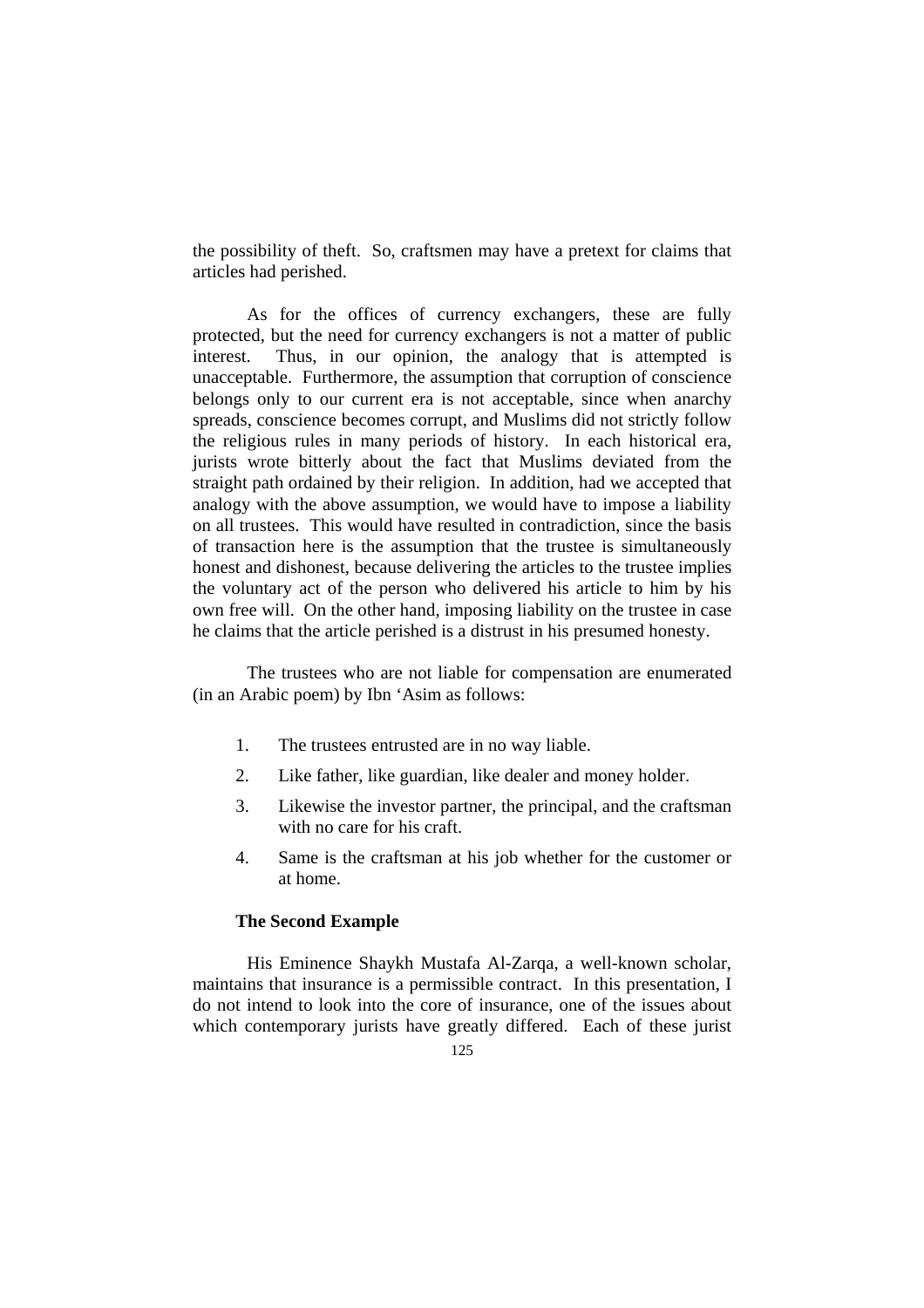the possibility of theft. So, craftsmen may have a pretext for claims that articles had perished.

 As for the offices of currency exchangers, these are fully protected, but the need for currency exchangers is not a matter of public interest. Thus, in our opinion, the analogy that is attempted is unacceptable. Furthermore, the assumption that corruption of conscience belongs only to our current era is not acceptable, since when anarchy spreads, conscience becomes corrupt, and Muslims did not strictly follow the religious rules in many periods of history. In each historical era, jurists wrote bitterly about the fact that Muslims deviated from the straight path ordained by their religion. In addition, had we accepted that analogy with the above assumption, we would have to impose a liability on all trustees. This would have resulted in contradiction, since the basis of transaction here is the assumption that the trustee is simultaneously honest and dishonest, because delivering the articles to the trustee implies the voluntary act of the person who delivered his article to him by his own free will. On the other hand, imposing liability on the trustee in case he claims that the article perished is a distrust in his presumed honesty.

The trustees who are not liable for compensation are enumerated (in an Arabic poem) by Ibn 'Asim as follows:

- 1. The trustees entrusted are in no way liable.
- 2. Like father, like guardian, like dealer and money holder.
- 3. Likewise the investor partner, the principal, and the craftsman with no care for his craft.
- 4. Same is the craftsman at his job whether for the customer or at home.

#### **The Second Example**

 His Eminence Shaykh Mustafa Al-Zarqa, a well-known scholar, maintains that insurance is a permissible contract. In this presentation, I do not intend to look into the core of insurance, one of the issues about which contemporary jurists have greatly differed. Each of these jurist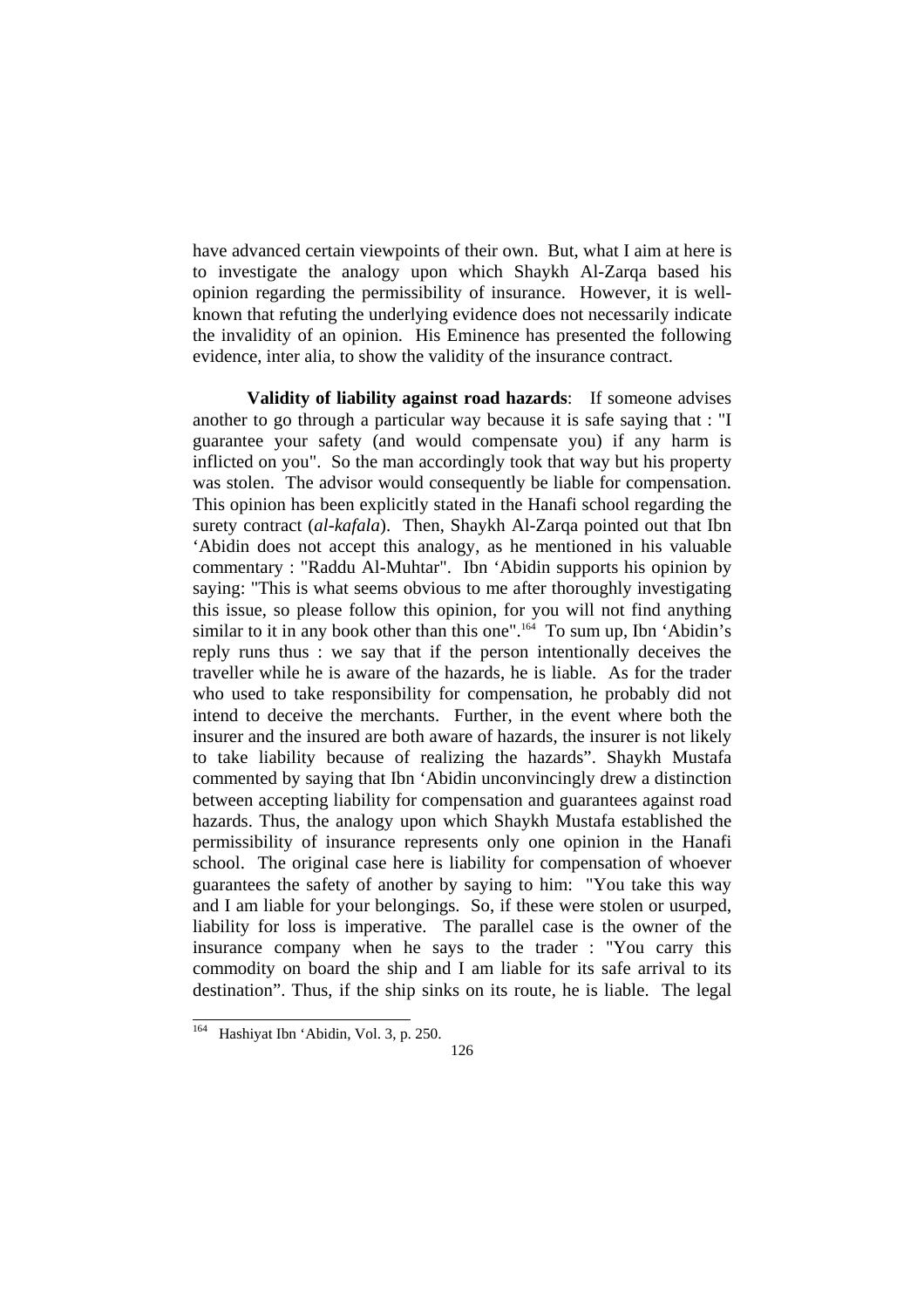have advanced certain viewpoints of their own. But, what I aim at here is to investigate the analogy upon which Shaykh Al-Zarqa based his opinion regarding the permissibility of insurance. However, it is wellknown that refuting the underlying evidence does not necessarily indicate the invalidity of an opinion. His Eminence has presented the following evidence, inter alia, to show the validity of the insurance contract.

**Validity of liability against road hazards**: If someone advises another to go through a particular way because it is safe saying that : "I guarantee your safety (and would compensate you) if any harm is inflicted on you". So the man accordingly took that way but his property was stolen. The advisor would consequently be liable for compensation. This opinion has been explicitly stated in the Hanafi school regarding the surety contract (*al-kafala*). Then, Shaykh Al-Zarqa pointed out that Ibn 'Abidin does not accept this analogy, as he mentioned in his valuable commentary : "Raddu Al-Muhtar". Ibn 'Abidin supports his opinion by saying: "This is what seems obvious to me after thoroughly investigating this issue, so please follow this opinion, for you will not find anything similar to it in any book other than this one".<sup>164</sup> To sum up, Ibn 'Abidin's reply runs thus : we say that if the person intentionally deceives the traveller while he is aware of the hazards, he is liable. As for the trader who used to take responsibility for compensation, he probably did not intend to deceive the merchants. Further, in the event where both the insurer and the insured are both aware of hazards, the insurer is not likely to take liability because of realizing the hazards". Shaykh Mustafa commented by saying that Ibn 'Abidin unconvincingly drew a distinction between accepting liability for compensation and guarantees against road hazards. Thus, the analogy upon which Shaykh Mustafa established the permissibility of insurance represents only one opinion in the Hanafi school. The original case here is liability for compensation of whoever guarantees the safety of another by saying to him: "You take this way and I am liable for your belongings. So, if these were stolen or usurped, liability for loss is imperative. The parallel case is the owner of the insurance company when he says to the trader : "You carry this commodity on board the ship and I am liable for its safe arrival to its destination". Thus, if the ship sinks on its route, he is liable. The legal

l <sup>164</sup> Hashiyat Ibn 'Abidin, Vol. 3, p. 250.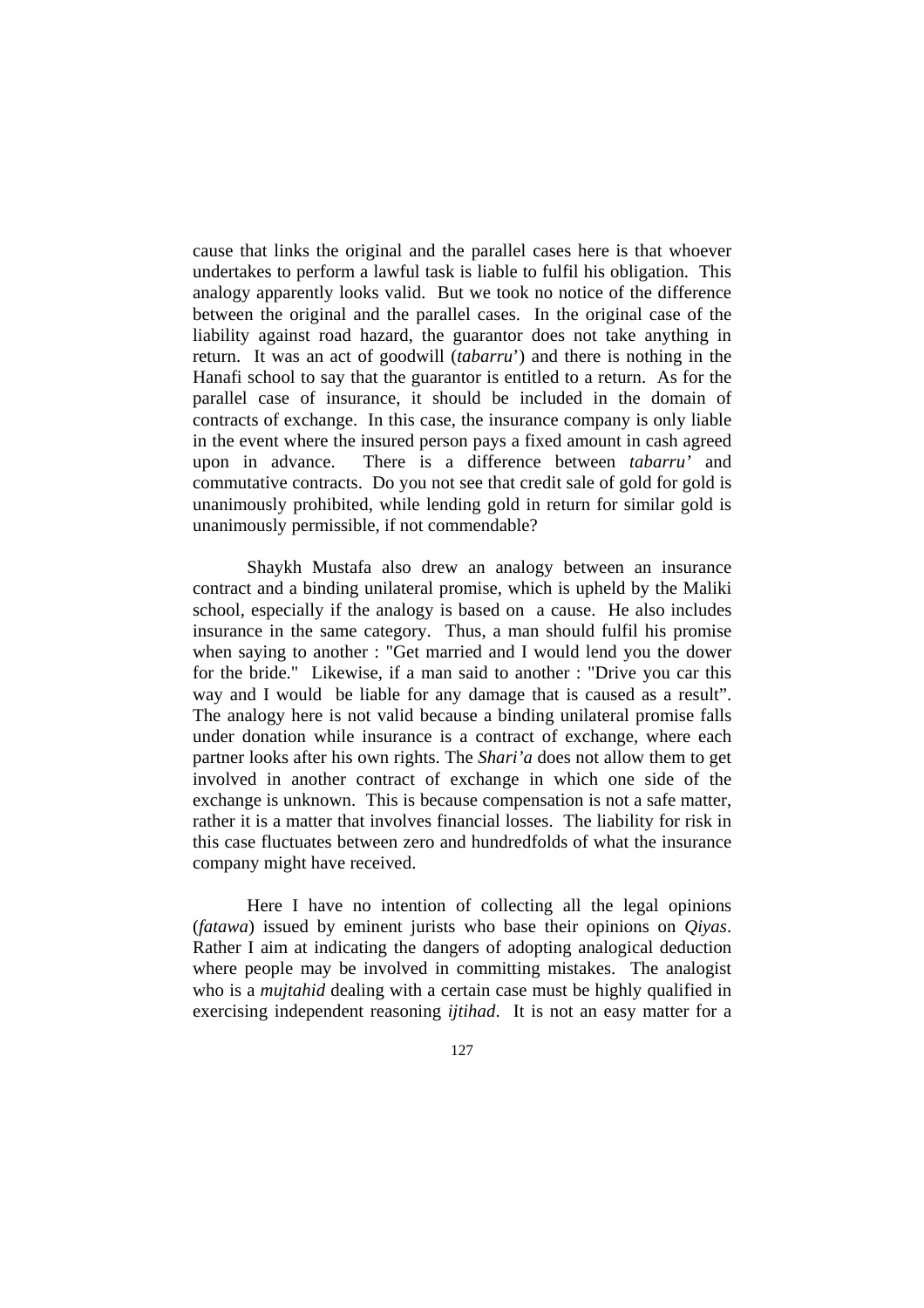cause that links the original and the parallel cases here is that whoever undertakes to perform a lawful task is liable to fulfil his obligation. This analogy apparently looks valid. But we took no notice of the difference between the original and the parallel cases. In the original case of the liability against road hazard, the guarantor does not take anything in return. It was an act of goodwill (*tabarru*') and there is nothing in the Hanafi school to say that the guarantor is entitled to a return. As for the parallel case of insurance, it should be included in the domain of contracts of exchange. In this case, the insurance company is only liable in the event where the insured person pays a fixed amount in cash agreed upon in advance. There is a difference between *tabarru'* and commutative contracts. Do you not see that credit sale of gold for gold is unanimously prohibited, while lending gold in return for similar gold is unanimously permissible, if not commendable?

 Shaykh Mustafa also drew an analogy between an insurance contract and a binding unilateral promise, which is upheld by the Maliki school, especially if the analogy is based on a cause. He also includes insurance in the same category. Thus, a man should fulfil his promise when saying to another : "Get married and I would lend you the dower for the bride." Likewise, if a man said to another : "Drive you car this way and I would be liable for any damage that is caused as a result". The analogy here is not valid because a binding unilateral promise falls under donation while insurance is a contract of exchange, where each partner looks after his own rights. The *Shari'a* does not allow them to get involved in another contract of exchange in which one side of the exchange is unknown. This is because compensation is not a safe matter, rather it is a matter that involves financial losses. The liability for risk in this case fluctuates between zero and hundredfolds of what the insurance company might have received.

 Here I have no intention of collecting all the legal opinions (*fatawa*) issued by eminent jurists who base their opinions on *Qiyas*. Rather I aim at indicating the dangers of adopting analogical deduction where people may be involved in committing mistakes. The analogist who is a *mujtahid* dealing with a certain case must be highly qualified in exercising independent reasoning *ijtihad*. It is not an easy matter for a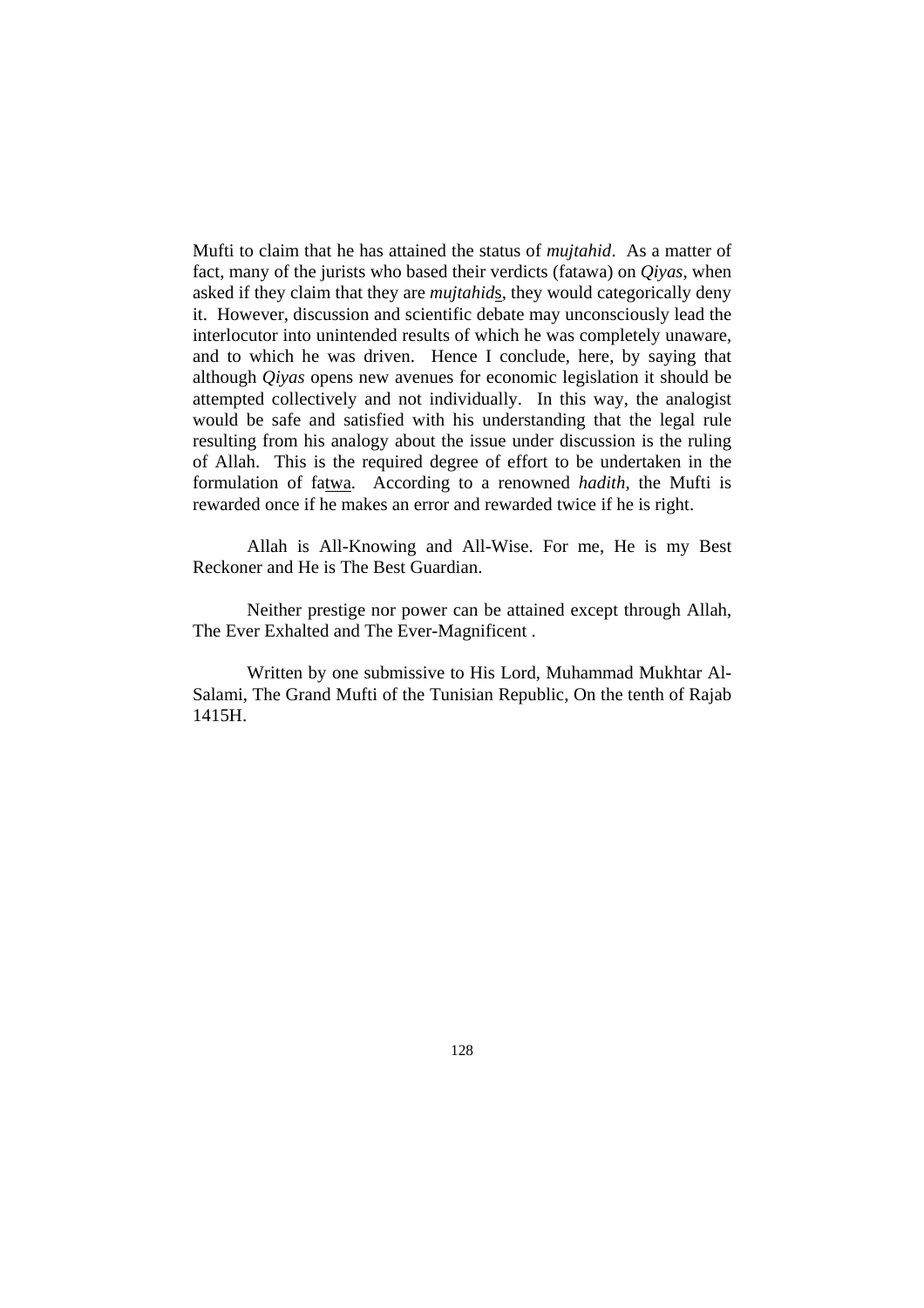Mufti to claim that he has attained the status of *mujtahid*. As a matter of fact, many of the jurists who based their verdicts (fatawa) on *Qiyas*, when asked if they claim that they are *mujtahid*s, they would categorically deny it. However, discussion and scientific debate may unconsciously lead the interlocutor into unintended results of which he was completely unaware, and to which he was driven. Hence I conclude, here, by saying that although *Qiyas* opens new avenues for economic legislation it should be attempted collectively and not individually. In this way, the analogist would be safe and satisfied with his understanding that the legal rule resulting from his analogy about the issue under discussion is the ruling of Allah. This is the required degree of effort to be undertaken in the formulation of fatwa. According to a renowned *hadith*, the Mufti is rewarded once if he makes an error and rewarded twice if he is right.

 Allah is All-Knowing and All-Wise. For me, He is my Best Reckoner and He is The Best Guardian.

Neither prestige nor power can be attained except through Allah, The Ever Exhalted and The Ever-Magnificent .

Written by one submissive to His Lord, Muhammad Mukhtar Al-Salami, The Grand Mufti of the Tunisian Republic, On the tenth of Rajab 1415H.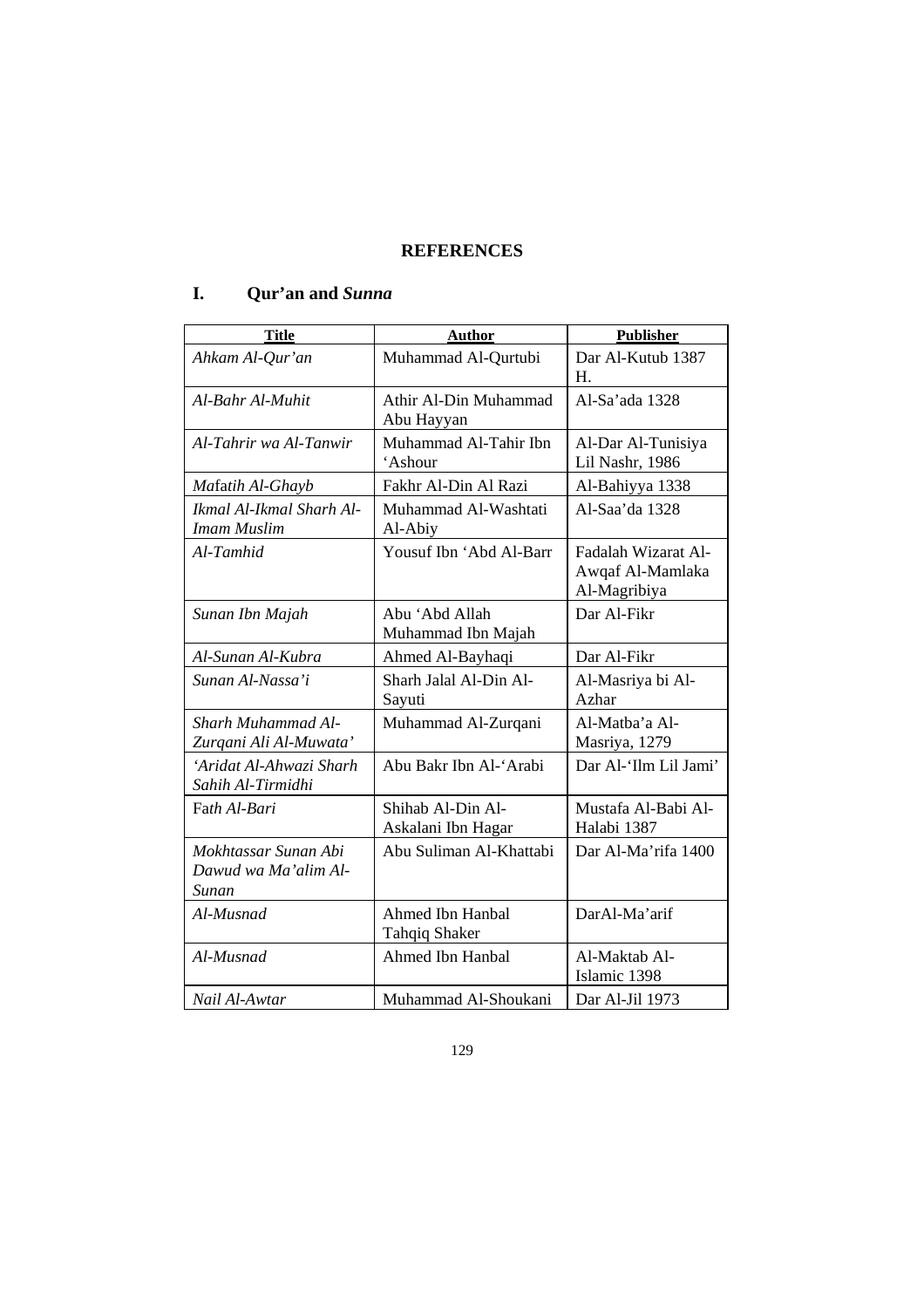## **REFERENCES**

# **I. Qur'an and** *Sunna*

| <b>Title</b>                                          | <b>Author</b>                            | <b>Publisher</b>                                        |
|-------------------------------------------------------|------------------------------------------|---------------------------------------------------------|
| Ahkam Al-Qur'an                                       | Muhammad Al-Qurtubi                      | Dar Al-Kutub 1387<br>H.                                 |
| Al-Bahr Al-Muhit                                      | Athir Al-Din Muhammad<br>Abu Hayyan      | Al-Sa'ada 1328                                          |
| Al-Tahrir wa Al-Tanwir                                | Muhammad Al-Tahir Ibn<br>'Ashour         | Al-Dar Al-Tunisiya<br>Lil Nashr, 1986                   |
| Mafatih Al-Ghayb                                      | Fakhr Al-Din Al Razi                     | Al-Bahiyya 1338                                         |
| Ikmal Al-Ikmal Sharh Al-<br><b>Imam Muslim</b>        | Muhammad Al-Washtati<br>Al-Abiy          | Al-Saa'da 1328                                          |
| Al-Tamhid                                             | Yousuf Ibn 'Abd Al-Barr                  | Fadalah Wizarat Al-<br>Awqaf Al-Mamlaka<br>Al-Magribiya |
| Sunan Ibn Majah                                       | Abu 'Abd Allah<br>Muhammad Ibn Majah     | Dar Al-Fikr                                             |
| Al-Sunan Al-Kubra                                     | Ahmed Al-Bayhaqi                         | Dar Al-Fikr                                             |
| Sunan Al-Nassa'i                                      | Sharh Jalal Al-Din Al-<br>Sayuti         | Al-Masriya bi Al-<br>Azhar                              |
| Sharh Muhammad Al-<br>Zurqani Ali Al-Muwata'          | Muhammad Al-Zurqani                      | Al-Matba'a Al-<br>Masriya, 1279                         |
| 'Aridat Al-Ahwazi Sharh<br>Sahih Al-Tirmidhi          | Abu Bakr Ibn Al-'Arabi                   | Dar Al-'Ilm Lil Jami'                                   |
| Fath Al-Bari                                          | Shihab Al-Din Al-<br>Askalani Ibn Hagar  | Mustafa Al-Babi Al-<br>Halabi 1387                      |
| Mokhtassar Sunan Abi<br>Dawud wa Ma'alim Al-<br>Sunan | Abu Suliman Al-Khattabi                  | Dar Al-Ma'rifa 1400                                     |
| Al-Musnad                                             | Ahmed Ibn Hanbal<br><b>Tahqiq Shaker</b> | DarAl-Ma'arif                                           |
| Al-Musnad                                             | Ahmed Ibn Hanbal                         | Al-Maktab Al-<br>Islamic 1398                           |
| Nail Al-Awtar                                         | Muhammad Al-Shoukani                     | Dar Al-Jil 1973                                         |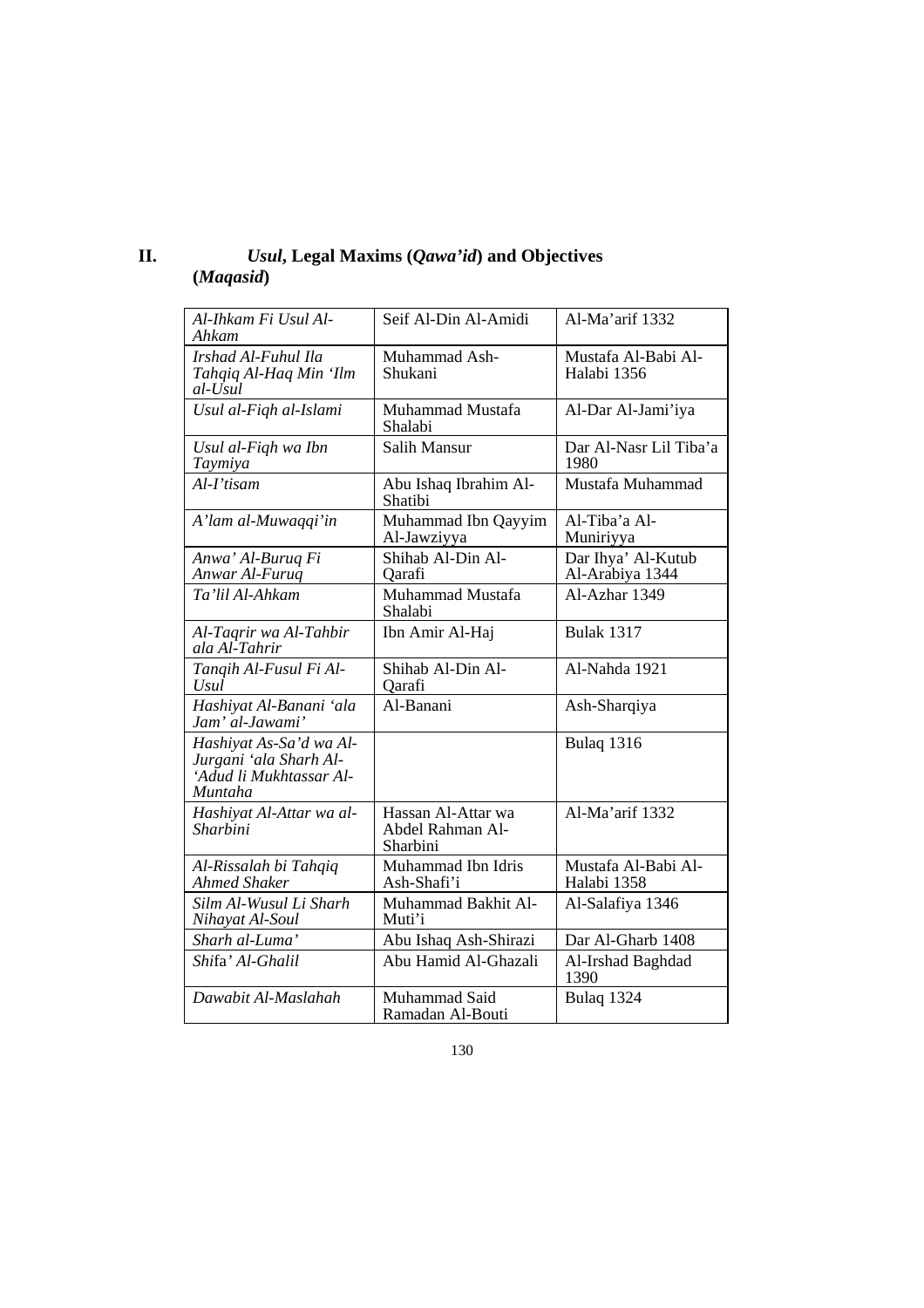| П. | Usul, Legal Maxims ( <i>Qawa'id</i> ) and Objectives |
|----|------------------------------------------------------|
|    | (Magasid)                                            |

| Al-Ihkam Fi Usul Al-<br>Ahkam                                                           | Seif Al-Din Al-Amidi                               | Al-Ma'arif 1332                       |
|-----------------------------------------------------------------------------------------|----------------------------------------------------|---------------------------------------|
| Irshad Al-Fuhul Ila<br>Tahqiq Al-Haq Min 'Ilm<br>al-Usul                                | Muhammad Ash-<br>Shukani                           | Mustafa Al-Babi Al-<br>Halabi 1356    |
| Usul al-Fiqh al-Islami                                                                  | Muhammad Mustafa<br>Shalabi                        | Al-Dar Al-Jami'iya                    |
| Usul al-Fiqh wa Ibn<br>Taymiya                                                          | Salih Mansur                                       | Dar Al-Nasr Lil Tiba'a<br>1980        |
| $Al-I'$ tisam                                                                           | Abu Ishaq Ibrahim Al-<br>Shatibi                   | Mustafa Muhammad                      |
| A'lam al-Muwaqqi'in                                                                     | Muhammad Ibn Qayyim<br>Al-Jawziyya                 | Al-Tiba'a Al-<br>Muniriyya            |
| Anwa' Al-Buruq Fi<br>Anwar Al-Furuq                                                     | Shihab Al-Din Al-<br>Qarafi                        | Dar Ihya' Al-Kutub<br>Al-Arabiya 1344 |
| Ta'lil Al-Ahkam                                                                         | Muhammad Mustafa<br>Shalabi                        | Al-Azhar 1349                         |
| Al-Taqrir wa Al-Tahbir<br>ala Al-Tahrir                                                 | Ibn Amir Al-Haj                                    | <b>Bulak 1317</b>                     |
| Tangih Al-Fusul Fi Al-<br><b>Usul</b>                                                   | Shihab Al-Din Al-<br>Oarafi                        | Al-Nahda 1921                         |
| Hashiyat Al-Banani 'ala<br>Jam' al-Jawami'                                              | Al-Banani                                          | Ash-Sharqiya                          |
| Hashiyat As-Sa'd wa Al-<br>Jurgani 'ala Sharh Al-<br>'Adud li Mukhtassar Al-<br>Muntaha |                                                    | Bulaq 1316                            |
| Hashiyat Al-Attar wa al-<br>Sharbini                                                    | Hassan Al-Attar wa<br>Abdel Rahman Al-<br>Sharbini | Al-Ma'arif 1332                       |
| Al-Rissalah bi Tahqiq<br><b>Ahmed Shaker</b>                                            | Muhammad Ibn Idris<br>Ash-Shafi'i                  | Mustafa Al-Babi Al-<br>Halabi 1358    |
| Silm Al-Wusul Li Sharh<br>Nihayat Al-Soul                                               | Muhammad Bakhit Al-<br>Muti'i                      | Al-Salafiya 1346                      |
| Sharh al-Luma'                                                                          | Abu Ishaq Ash-Shirazi                              | Dar Al-Gharb 1408                     |
| Shifa' Al-Ghalil                                                                        | Abu Hamid Al-Ghazali                               | Al-Irshad Baghdad<br>1390             |
| Dawabit Al-Maslahah                                                                     | Muhammad Said<br>Ramadan Al-Bouti                  | Bulaq 1324                            |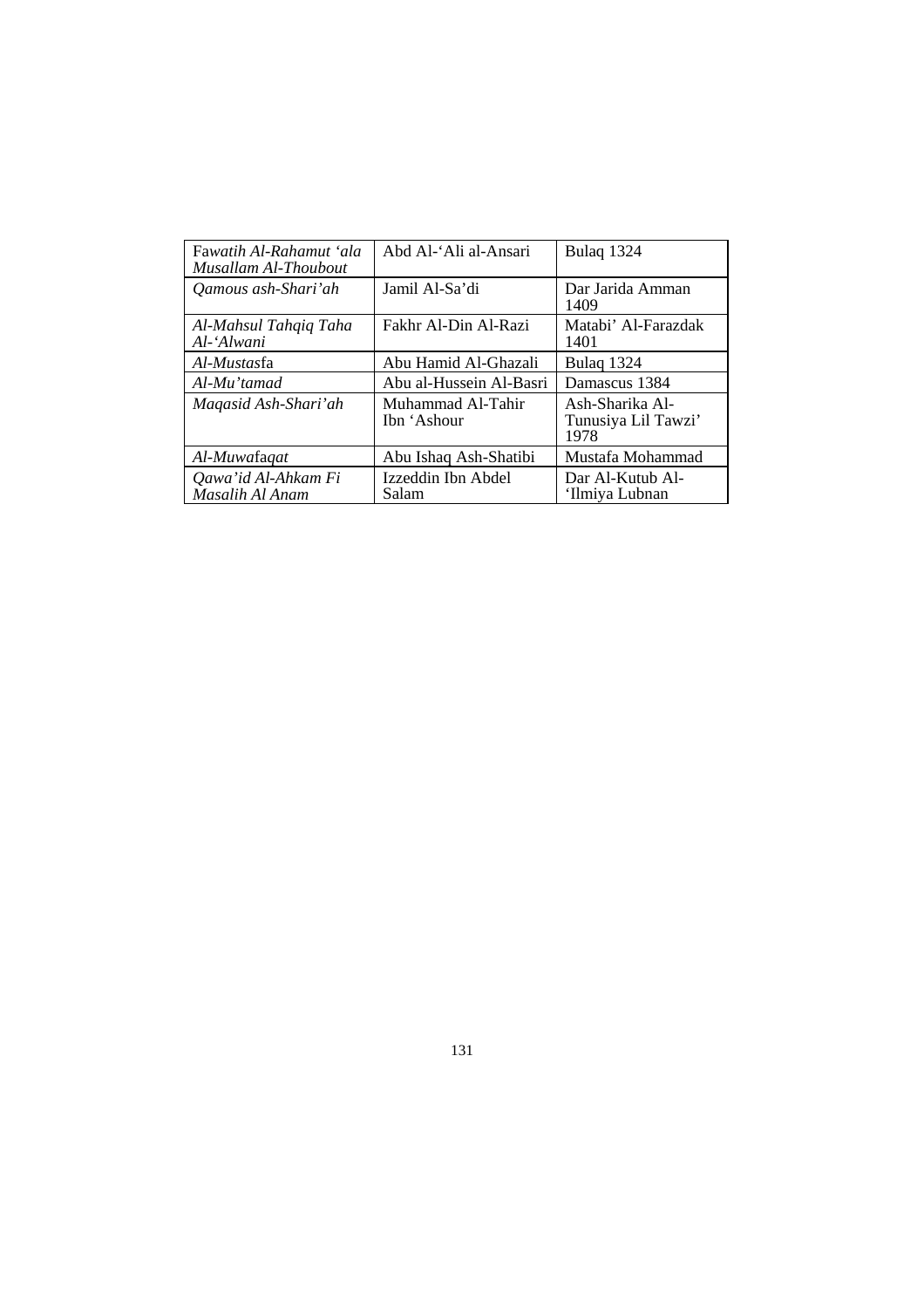| Fawatih Al-Rahamut 'ala<br>Musallam Al-Thoubout | Abd Al-'Ali al-Ansari            | Bulaq 1324                                     |
|-------------------------------------------------|----------------------------------|------------------------------------------------|
| Qamous ash-Shari'ah                             | Jamil Al-Sa'di                   | Dar Jarida Amman<br>1409                       |
| Al-Mahsul Tahqiq Taha<br>Al-'Alwani             | Fakhr Al-Din Al-Razi             | Matabi' Al-Farazdak<br>1401                    |
| Al-Mustasfa                                     | Abu Hamid Al-Ghazali             | Bulag 1324                                     |
| Al-Mu'tamad                                     | Abu al-Hussein Al-Basri          | Damascus 1384                                  |
| Magasid Ash-Shari'ah                            | Muhammad Al-Tahir<br>Ibn 'Ashour | Ash-Sharika Al-<br>Tunusiya Lil Tawzi'<br>1978 |
| Al-Muwafaqat                                    | Abu Ishaq Ash-Shatibi            | Mustafa Mohammad                               |
| Qawa'id Al-Ahkam Fi<br>Masalih Al Anam          | Izzeddin Ibn Abdel<br>Salam      | Dar Al-Kutub Al-<br>'Ilmiya Lubnan             |